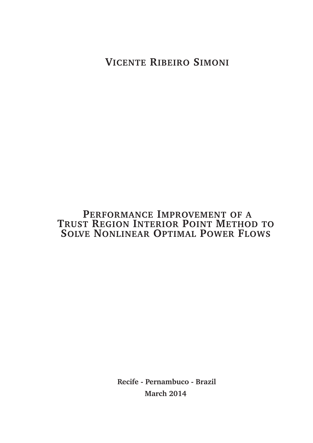**VICENTE RIBEIRO SIMONI**

#### **PERFORMANCE IMPROVEMENT OF A TRUST REGION INTERIOR POINT METHOD TO SOLVE NONLINEAR OPTIMAL POWER FLOWS**

**Recife - Pernambuco - Brazil March 2014**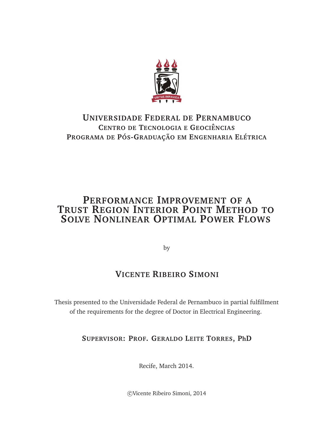

#### **UNIVERSIDADE FEDERAL DE PERNAMBUCO CENTRO DE TECNOLOGIA E GEOCIˆENCIAS PROGRAMA DE POS ´ -GRADUAC¸AO EM ˜ ENGENHARIA EL´ETRICA**

#### **PERFORMANCE IMPROVEMENT OF A TRUST REGION INTERIOR POINT METHOD TO SOLVE NONLINEAR OPTIMAL POWER FLOWS**

by

#### **VICENTE RIBEIRO SIMONI**

Thesis presented to the Universidade Federal de Pernambuco in partial fulfillment of the requirements for the degree of Doctor in Electrical Engineering.

**SUPERVISOR: PROF. GERALDO LEITE TORRES, PhD**

Recife, March 2014.

c Vicente Ribeiro Simoni, 2014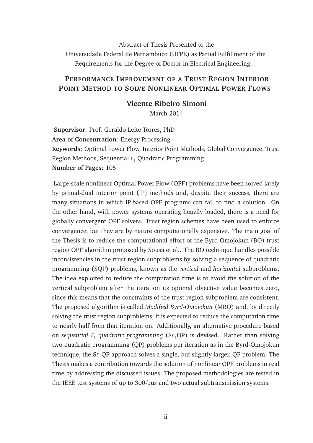Abstract of Thesis Presented to the Universidade Federal de Pernambuco (UFPE) as Partial Fulfillment of the Requirements for the Degree of Doctor in Electrical Engineering.

#### **PERFORMANCE IMPROVEMENT OF A TRUST REGION INTERIOR POINT METHOD TO SOLVE NONLINEAR OPTIMAL POWER FLOWS**

#### **Vicente Ribeiro Simoni**

March 2014

**Supervisor**: Prof. Geraldo Leite Torres, PhD **Area of Concentration**: Energy Processing **Keywords**: Optimal Power Flow, Interior Point Methods, Global Convergence, Trust Region Methods, Sequential  $\ell_1$  Quadratic Programming. **Number of Pages**: 105

Large-scale nonlinear Optimal Power Flow (OPF) problems have been solved lately by primal-dual interior point (IP) methods and, despite their success, there are many situations in which IP-based OPF programs can fail to find a solution. On the other hand, with power systems operating heavily loaded, there is a need for globally convergent OPF solvers. Trust region schemes have been used to enforce convergence, but they are by nature computationally expensive. The main goal of the Thesis is to reduce the computational effort of the Byrd-Omojokun (BO) trust region OPF algorithm proposed by Sousa et al.. The BO technique handles possible inconsistencies in the trust region subproblems by solving a sequence of quadratic programming (SQP) problems, known as the *vertical* and *horizontal* subproblems. The idea exploited to reduce the computation time is to avoid the solution of the vertical subproblem after the iteration its optimal objective value becomes zero, since this means that the constraints of the trust region subproblem are consistent. The proposed algorithm is called *Modified Byrd-Omojokun* (MBO) and, by directly solving the trust region subproblems, it is expected to reduce the computation time to nearly half from that iteration on. Additionally, an alternative procedure based on *sequential* ℓ<sup>1</sup> *quadratic programming* (Sℓ1QP) is devised. Rather than solving two quadratic programming (QP) problems per iteration as in the Byrd-Omojokun technique, the  $S\ell_1QP$  approach solves a single, but slightly larger, QP problem. The Thesis makes a contribution towards the solution of nonlinear OPF problems in real time by addressing the discussed issues. The proposed methodologies are tested in the IEEE test systems of up to 300-bus and two actual subtransmission systems.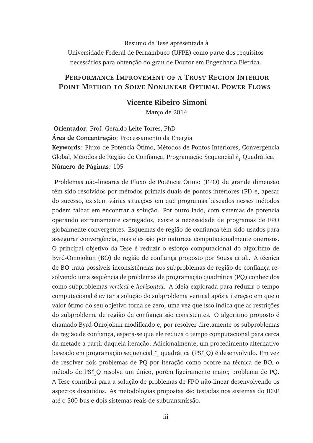Resumo da Tese apresentada à Universidade Federal de Pernambuco (UFPE) como parte dos requisitos necessários para obtenção do grau de Doutor em Engenharia Elétrica.

#### **PERFORMANCE IMPROVEMENT OF A TRUST REGION INTERIOR POINT METHOD TO SOLVE NONLINEAR OPTIMAL POWER FLOWS**

#### **Vicente Ribeiro Simoni**

Marco de 2014

**Orientador**: Prof. Geraldo Leite Torres, PhD **Área de Concentração**: Processamento da Energia Keywords: Fluxo de Potência Ótimo, Métodos de Pontos Interiores, Convergência Global, Métodos de Região de Confiança, Programação Sequencial  $\ell_1$  Quadrática. **Numero de P ´ aginas ´** : 105

Problemas não-lineares de Fluxo de Potência Ótimo (FPO) de grande dimensão têm sido resolvidos por métodos primais-duais de pontos interiores (PI) e, apesar do sucesso, existem várias situações em que programas baseados nesses métodos podem falhar em encontrar a solução. Por outro lado, com sistemas de potência operando extremamente carregados, existe a necessidade de programas de FPO globalmente convergentes. Esquemas de região de confiança têm sido usados para assegurar convergência, mas eles são por natureza computacionalmente onerosos. O principal objetivo da Tese é reduzir o esforço computacional do algoritmo de Byrd-Omojokun (BO) de região de confiança proposto por Sousa et al.. A técnica de BO trata possíveis inconsistências nos subproblemas de região de confiança resolvendo uma sequência de problemas de programação quadrática (PQ) conhecidos como subproblemas *vertical* e *horizontal*. A ideia explorada para reduzir o tempo computacional é evitar a solução do subproblema vertical após a iteração em que o valor ótimo do seu objetivo torna-se zero, uma vez que isso indica que as restrições do subproblema de região de confiança são consistentes. O algoritmo proposto é chamado Byrd-Omojokun modificado e, por resolver diretamente os subproblemas de região de confiança, espera-se que ele reduza o tempo computacional para cerca da metade a partir daquela iteração. Adicionalmente, um procedimento alternativo baseado em programação sequencial  $\ell_1$  quadrática (PS $\ell_1$ Q) é desenvolvido. Em vez de resolver dois problemas de PQ por iteração como ocorre na técnica de BO, o método de PSℓ<sub>1</sub>Q resolve um único, porém ligeiramente maior, problema de PQ. A Tese contribui para a solução de problemas de FPO não-linear desenvolvendo os aspectos discutidos. As metodologias propostas são testadas nos sistemas do IEEE até o 300-bus e dois sistemas reais de subtransmissão.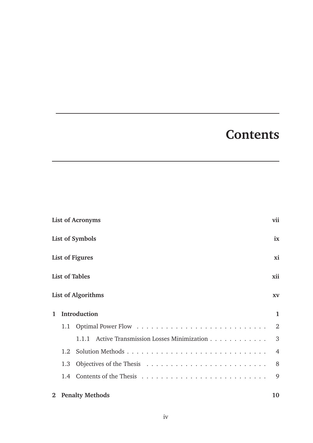## **Contents**

|              |                              | <b>List of Acronyms</b>                       | vii            |  |
|--------------|------------------------------|-----------------------------------------------|----------------|--|
|              |                              | List of Symbols                               | ix             |  |
|              | <b>List of Figures</b><br>xi |                                               |                |  |
|              |                              | <b>List of Tables</b>                         | xii            |  |
|              |                              | <b>List of Algorithms</b>                     | <b>XV</b>      |  |
| 1            |                              | <b>Introduction</b>                           | 1              |  |
|              | 1.1                          |                                               | 2              |  |
|              |                              | 1.1.1 Active Transmission Losses Minimization | 3              |  |
|              | 1.2.                         |                                               | $\overline{4}$ |  |
|              | 1.3                          |                                               | 8              |  |
|              | 1.4                          |                                               | 9              |  |
| $\mathbf{2}$ |                              | <b>Penalty Methods</b>                        | 10             |  |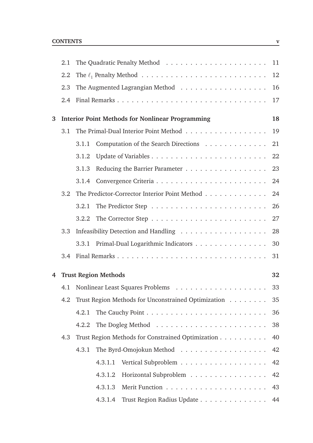|   | 2.1 |       |                             |                                                                                       | 11 |
|---|-----|-------|-----------------------------|---------------------------------------------------------------------------------------|----|
|   | 2.2 |       |                             | The $\ell_1$ Penalty Method $\ldots \ldots \ldots \ldots \ldots \ldots \ldots \ldots$ | 12 |
|   | 2.3 |       |                             |                                                                                       | 16 |
|   | 2.4 |       |                             |                                                                                       | 17 |
| 3 |     |       |                             | <b>Interior Point Methods for Nonlinear Programming</b>                               | 18 |
|   | 3.1 |       |                             |                                                                                       | 19 |
|   |     | 3.1.1 |                             | Computation of the Search Directions                                                  | 21 |
|   |     | 3.1.2 |                             |                                                                                       | 22 |
|   |     | 3.1.3 |                             |                                                                                       | 23 |
|   |     | 3.1.4 |                             |                                                                                       | 24 |
|   | 3.2 |       |                             | The Predictor-Corrector Interior Point Method                                         | 24 |
|   |     | 3.2.1 |                             |                                                                                       | 26 |
|   |     | 3.2.2 |                             |                                                                                       | 27 |
|   | 3.3 |       |                             |                                                                                       | 28 |
|   |     | 3.3.1 |                             | Primal-Dual Logarithmic Indicators                                                    | 30 |
|   | 3.4 |       |                             |                                                                                       | 31 |
| 4 |     |       | <b>Trust Region Methods</b> |                                                                                       | 32 |
|   |     |       |                             |                                                                                       | 33 |
|   | 4.2 |       |                             | Trust Region Methods for Unconstrained Optimization                                   | 35 |
|   |     | 4.2.1 |                             |                                                                                       | 36 |
|   |     | 4.2.2 |                             |                                                                                       | 38 |
|   | 4.3 |       |                             | Trust Region Methods for Constrained Optimization                                     | 40 |
|   |     | 4.3.1 |                             |                                                                                       | 42 |
|   |     |       | 4.3.1.1                     |                                                                                       | 42 |
|   |     |       | 4.3.1.2                     | Horizontal Subproblem                                                                 | 42 |
|   |     |       | 4.3.1.3                     |                                                                                       | 43 |
|   |     |       | 4.3.1.4                     | Trust Region Radius Update 44                                                         |    |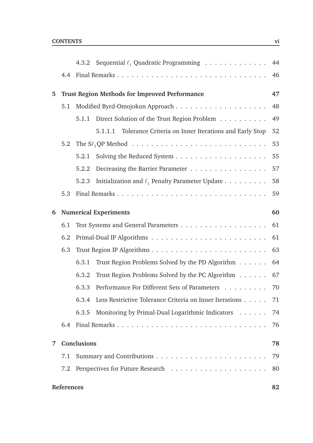|   |            |                    | 4.3.2 Sequential $\ell_1$ Quadratic Programming                                          | 44 |
|---|------------|--------------------|------------------------------------------------------------------------------------------|----|
|   | 4.4        |                    |                                                                                          | 46 |
| 5 |            |                    | <b>Trust Region Methods for Improved Performance</b>                                     | 47 |
|   | 5.1        |                    |                                                                                          | 48 |
|   |            | 5.1.1              | Direct Solution of the Trust Region Problem                                              | 49 |
|   |            |                    | Tolerance Criteria on Inner Iterations and Early Stop<br>5.1.1.1                         | 52 |
|   | 5.2        |                    | The $S\ell_1$ QP Method $\ldots \ldots \ldots \ldots \ldots \ldots \ldots \ldots \ldots$ | 53 |
|   |            | 5.2.1              |                                                                                          | 55 |
|   |            | 5.2.2              | Decreasing the Barrier Parameter                                                         | 57 |
|   |            | 5.2.3              | Initialization and $\ell_1$ Penalty Parameter Update                                     | 58 |
|   | 5.3        |                    |                                                                                          | 59 |
| 6 |            |                    | <b>Numerical Experiments</b>                                                             | 60 |
|   | 6.1        |                    |                                                                                          | 61 |
|   | 6.2        |                    |                                                                                          | 61 |
|   | 6.3        |                    |                                                                                          | 63 |
|   |            | 6.3.1              | Trust Region Problems Solved by the PD Algorithm                                         | 64 |
|   |            | 6.3.2              | Trust Region Problems Solved by the PC Algorithm                                         | 67 |
|   |            | 6.3.3              | Performance For Different Sets of Parameters 70                                          |    |
|   |            |                    | 6.3.4 Less Restrictive Tolerance Criteria on Inner Iterations                            | 71 |
|   |            | 6.3.5              | Monitoring by Primal-Dual Logarithmic Indicators                                         | 74 |
|   | 6.4        |                    |                                                                                          | 76 |
| 7 |            | <b>Conclusions</b> |                                                                                          | 78 |
|   | 7.1        |                    |                                                                                          | 79 |
|   | 7.2        |                    |                                                                                          | 80 |
|   | References |                    |                                                                                          | 82 |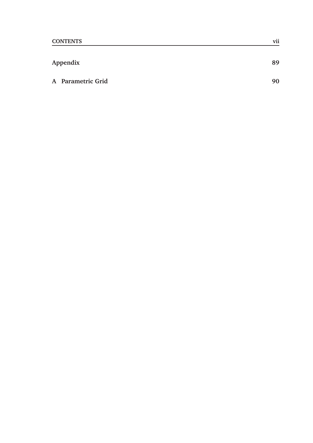| Appendix          |    |  |
|-------------------|----|--|
| A Parametric Grid | 90 |  |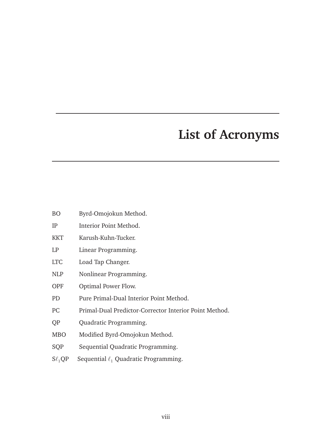### **List of Acronyms**

- BO Byrd-Omojokun Method.
- IP Interior Point Method.
- KKT Karush-Kuhn-Tucker.
- LP Linear Programming.
- LTC Load Tap Changer.
- NLP Nonlinear Programming.
- OPF Optimal Power Flow.
- PD Pure Primal-Dual Interior Point Method.
- PC Primal-Dual Predictor-Corrector Interior Point Method.
- QP Quadratic Programming.
- MBO Modified Byrd-Omojokun Method.
- SQP Sequential Quadratic Programming.
- $S\ell_1QP$  Sequential  $\ell_1$  Quadratic Programming.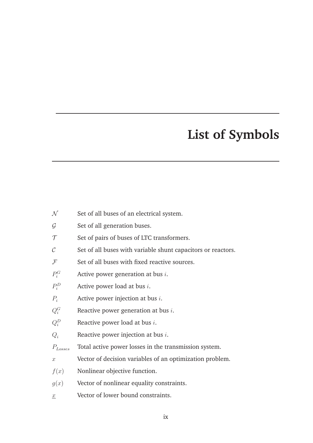## **List of Symbols**

- $N$  Set of all buses of an electrical system.
- $G$  Set of all generation buses.
- $\tau$  Set of pairs of buses of LTC transformers.
- $\mathcal{C}$  Set of all buses with variable shunt capacitors or reactors.
- $F$  Set of all buses with fixed reactive sources.
- $P_i^G$ Active power generation at bus  $i$ .
- $P_i^D$ Active power load at bus  $i$ .
- $P_i$  Active power injection at bus *i*.
- $Q_i^G$ Reactive power generation at bus  $i$ .
- $Q_i^D$ Reactive power load at bus  $i$ .
- $Q_i$  Reactive power injection at bus *i*.
- $P_{\text{Losses}}$  Total active power losses in the transmission system.
- x Vector of decision variables of an optimization problem.
- $f(x)$  Nonlinear objective function.
- $g(x)$  Vector of nonlinear equality constraints.
- x Vector of lower bound constraints.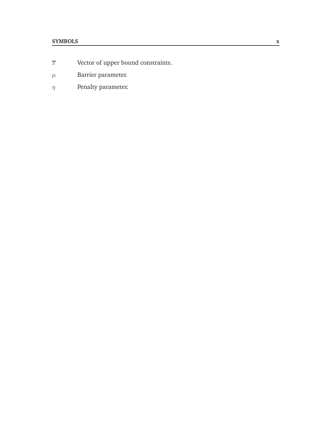#### **SYMBOLS x**

- $\overline{x}$  Vector of upper bound constraints.
- $\mu$  Barrier parameter.
- $\eta$  Penalty parameter.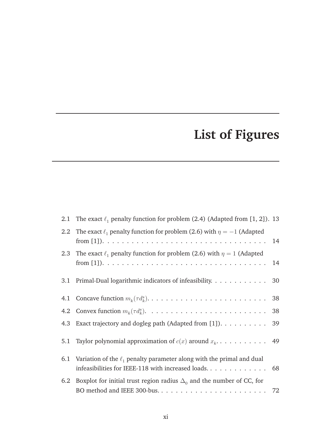## **List of Figures**

|                  | 2.1 The exact $\ell_1$ penalty function for problem (2.4) (Adapted from [1, 2]). 13 |    |
|------------------|-------------------------------------------------------------------------------------|----|
| $2.2\phantom{0}$ | The exact $\ell_1$ penalty function for problem (2.6) with $\eta = -1$ (Adapted     | 14 |
| 2.3              | The exact $\ell_1$ penalty function for problem (2.6) with $\eta = 1$ (Adapted      |    |
| 3.1              | Primal-Dual logarithmic indicators of infeasibility. 30                             |    |
|                  |                                                                                     |    |
|                  |                                                                                     |    |
|                  | 4.3 Exact trajectory and dogleg path (Adapted from [1]). 39                         |    |
| 5.1              |                                                                                     |    |
|                  | 6.1 Variation of the $\ell_1$ penalty parameter along with the primal and dual      |    |
|                  | 6.2 Boxplot for initial trust region radius $\Delta_0$ and the number of CC, for    |    |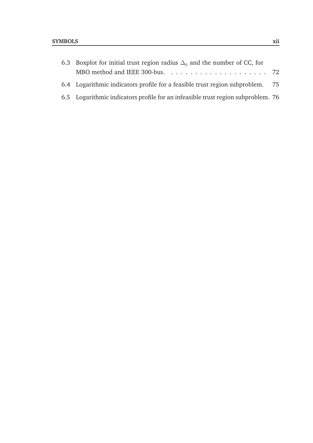| 6.3 Boxplot for initial trust region radius $\Delta_0$ and the number of CC, for |  |
|----------------------------------------------------------------------------------|--|
|                                                                                  |  |
| 6.4 Logarithmic indicators profile for a feasible trust region subproblem. 75    |  |
| 6.5 Logarithmic indicators profile for an infeasible trust region subproblem. 76 |  |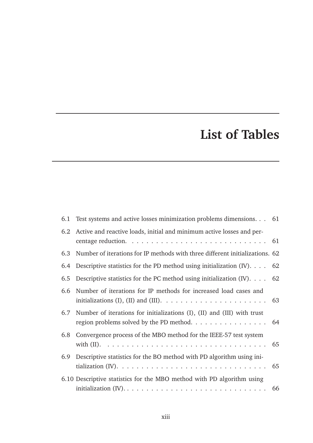## **List of Tables**

| 6.1 | Test systems and active losses minimization problems dimensions. 61                                                        |  |
|-----|----------------------------------------------------------------------------------------------------------------------------|--|
|     | 6.2 Active and reactive loads, initial and minimum active losses and per-                                                  |  |
| 6.3 | Number of iterations for IP methods with three different initializations. 62                                               |  |
|     | 6.4 Descriptive statistics for the PD method using initialization (IV). $\ldots$ 62                                        |  |
|     | 6.5 Descriptive statistics for the PC method using initialization (IV). $\ldots$ 62                                        |  |
|     | 6.6 Number of iterations for IP methods for increased load cases and                                                       |  |
|     | 6.7 Number of iterations for initializations (I), (II) and (III) with trust<br>region problems solved by the PD method. 64 |  |
|     | 6.8 Convergence process of the MBO method for the IEEE-57 test system                                                      |  |
|     | 6.9 Descriptive statistics for the BO method with PD algorithm using ini-                                                  |  |
|     | 6.10 Descriptive statistics for the MBO method with PD algorithm using                                                     |  |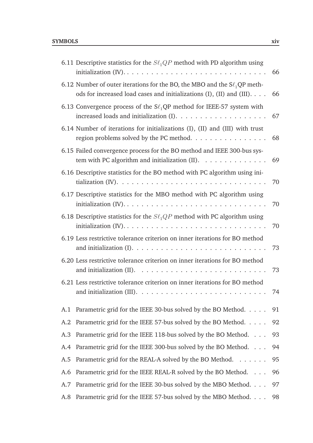|     | 6.11 Descriptive statistics for the $S\ell_1QP$ method with PD algorithm using                                                                                                  | 66 |
|-----|---------------------------------------------------------------------------------------------------------------------------------------------------------------------------------|----|
|     | 6.12 Number of outer iterations for the BO, the MBO and the $S\ell_1 QP$ meth-<br>ods for increased load cases and initializations (I), (II) and (III).                         | 66 |
|     | 6.13 Convergence process of the $S\ell_1QP$ method for IEEE-57 system with                                                                                                      | 67 |
|     | 6.14 Number of iterations for initializations (I), (II) and (III) with trust<br>region problems solved by the PC method.                                                        | 68 |
|     | 6.15 Failed convergence process for the BO method and IEEE 300-bus sys-<br>tem with PC algorithm and initialization $(II)$ .                                                    | 69 |
|     | 6.16 Descriptive statistics for the BO method with PC algorithm using ini-<br>tialization (IV). $\dots \dots \dots \dots \dots \dots \dots \dots \dots \dots \dots \dots$       | 70 |
|     | 6.17 Descriptive statistics for the MBO method with PC algorithm using                                                                                                          | 70 |
|     | 6.18 Descriptive statistics for the $S\ell_1 QP$ method with PC algorithm using                                                                                                 | 70 |
|     | 6.19 Less restrictive tolerance criterion on inner iterations for BO method                                                                                                     | 73 |
|     | 6.20 Less restrictive tolerance criterion on inner iterations for BO method<br>and initialization (II). $\ldots \ldots \ldots \ldots \ldots \ldots \ldots \ldots \ldots$        | 73 |
|     | 6.21 Less restrictive tolerance criterion on inner iterations for BO method<br>and initialization (III). $\dots \dots \dots \dots \dots \dots \dots \dots \dots \dots \dots$ 74 |    |
| A.1 | Parametric grid for the IEEE 30-bus solved by the BO Method.                                                                                                                    | 91 |
| A.2 | Parametric grid for the IEEE 57-bus solved by the BO Method.                                                                                                                    | 92 |
| A.3 | Parametric grid for the IEEE 118-bus solved by the BO Method.                                                                                                                   | 93 |
| A.4 | Parametric grid for the IEEE 300-bus solved by the BO Method.                                                                                                                   | 94 |
| A.5 | Parametric grid for the REAL-A solved by the BO Method.                                                                                                                         | 95 |
| A.6 | Parametric grid for the IEEE REAL-R solved by the BO Method.                                                                                                                    | 96 |
| A.7 | Parametric grid for the IEEE 30-bus solved by the MBO Method.                                                                                                                   | 97 |
| A.8 | Parametric grid for the IEEE 57-bus solved by the MBO Method.                                                                                                                   | 98 |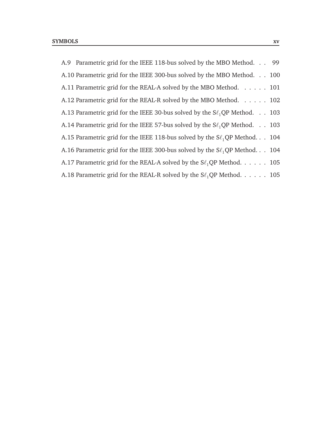| A.9 Parametric grid for the IEEE 118-bus solved by the MBO Method. 99            |  |
|----------------------------------------------------------------------------------|--|
| A.10 Parametric grid for the IEEE 300-bus solved by the MBO Method. 100          |  |
| A.11 Parametric grid for the REAL-A solved by the MBO Method. 101                |  |
| A.12 Parametric grid for the REAL-R solved by the MBO Method. 102                |  |
| A.13 Parametric grid for the IEEE 30-bus solved by the $S\ell_1QP$ Method. 103   |  |
| A.14 Parametric grid for the IEEE 57-bus solved by the $S\ell_1$ QP Method. 103  |  |
| A.15 Parametric grid for the IEEE 118-bus solved by the $S\ell_1 QP$ Method. 104 |  |
| A.16 Parametric grid for the IEEE 300-bus solved by the $S\ell_1$ QP Method. 104 |  |
| A.17 Parametric grid for the REAL-A solved by the $S\ell_1QP$ Method. 105        |  |
| A.18 Parametric grid for the REAL-R solved by the $S\ell_1QP$ Method. 105        |  |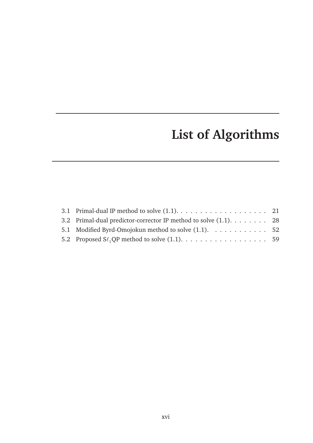## **List of Algorithms**

| 3.2 Primal-dual predictor-corrector IP method to solve (1.1). 28 |  |
|------------------------------------------------------------------|--|
| 5.1 Modified Byrd-Omojokun method to solve (1.1). 52             |  |
|                                                                  |  |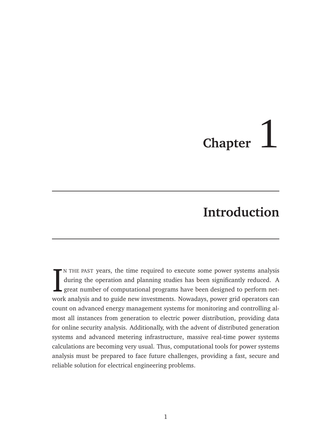## **Chapter**

## **Introduction**

IN THE PAST years, the time required to execute some power systems analysis during the operation and planning studies has been significantly reduced. A great number of computational programs have been designed to perform n N THE PAST years, the time required to execute some power systems analysis during the operation and planning studies has been significantly reduced. A great number of computational programs have been designed to perform netcount on advanced energy management systems for monitoring and controlling almost all instances from generation to electric power distribution, providing data for online security analysis. Additionally, with the advent of distributed generation systems and advanced metering infrastructure, massive real-time power systems calculations are becoming very usual. Thus, computational tools for power systems analysis must be prepared to face future challenges, providing a fast, secure and reliable solution for electrical engineering problems.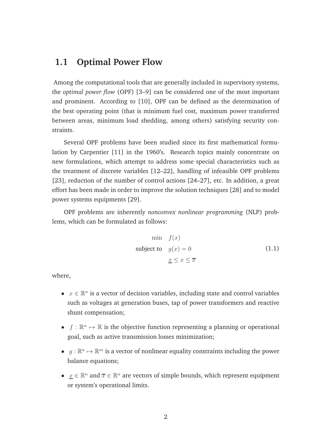#### **1.1 Optimal Power Flow**

Among the computational tools that are generally included in supervisory systems, the *optimal power flow* (OPF) [3–9] can be considered one of the most important and prominent. According to [10], OPF can be defined as the determination of the best operating point (that is minimum fuel cost, maximum power transferred between areas, minimum load shedding, among others) satisfying security constraints.

Several OPF problems have been studied since its first mathematical formulation by Carpentier [11] in the 1960's. Research topics mainly concentrate on new formulations, which attempt to address some special characteristics such as the treatment of discrete variables [12–22], handling of infeasible OPF problems [23], reduction of the number of control actions [24–27], etc. In addition, a great effort has been made in order to improve the solution techniques [28] and to model power systems equipments [29].

OPF problems are inherently *nonconvex nonlinear programming* (NLP) problems, which can be formulated as follows:

$$
\min f(x)
$$
\nsubject to  $g(x) = 0$ \n
$$
\underline{x} \le x \le \overline{x}
$$
\n(1.1)

where,

- $x \in \mathbb{R}^n$  is a vector of decision variables, including state and control variables such as voltages at generation buses, tap of power transformers and reactive shunt compensation;
- $f : \mathbb{R}^n \mapsto \mathbb{R}$  is the objective function representing a planning or operational goal, such as active transmission losses minimization;
- $g: \mathbb{R}^n \mapsto \mathbb{R}^m$  is a vector of nonlinear equality constraints including the power balance equations;
- $\underline{x} \in \mathbb{R}^n$  and  $\overline{x} \in \mathbb{R}^n$  are vectors of simple bounds, which represent equipment or system's operational limits.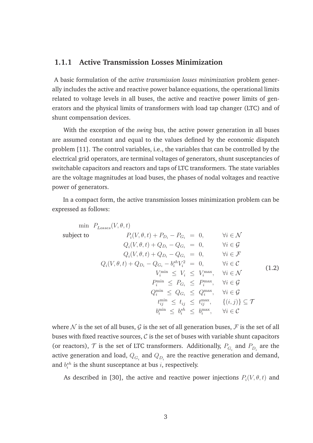#### **1.1.1 Active Transmission Losses Minimization**

A basic formulation of the *active transmission losses minimization* problem generally includes the active and reactive power balance equations, the operational limits related to voltage levels in all buses, the active and reactive power limits of generators and the physical limits of transformers with load tap changer (LTC) and of shunt compensation devices.

With the exception of the *swing* bus, the active power generation in all buses are assumed constant and equal to the values defined by the economic dispatch problem [11]. The control variables, i.e., the variables that can be controlled by the electrical grid operators, are terminal voltages of generators, shunt susceptancies of switchable capacitors and reactors and taps of LTC transformers. The state variables are the voltage magnitudes at load buses, the phases of nodal voltages and reactive power of generators.

In a compact form, the active transmission losses minimization problem can be expressed as follows:

$$
\begin{aligned}\n\text{min} \quad & P_{Losses}(V, \theta, t) \\
& \text{subject to} \quad & P_i(V, \theta, t) + P_{Di} - P_{G_i} = 0, \quad \forall i \in \mathcal{N} \\
& Q_i(V, \theta, t) + Q_{Di} - Q_{G_i} = 0, \quad \forall i \in \mathcal{G} \\
& Q_i(V, \theta, t) + Q_{Di} - Q_{G_i} = 0, \quad \forall i \in \mathcal{F} \\
& Q_i(V, \theta, t) + Q_{Di} - Q_{G_i} - b_i^{sh} V_i^2 = 0, \quad \forall i \in \mathcal{C} \\
& V_i^{\min} \leq V_i \leq V_i^{\max}, \quad \forall i \in \mathcal{N} \\
& P_i^{\min} \leq P_{G_i} \leq P_i^{\max}, \quad \forall i \in \mathcal{G} \\
& Q_i^{\min} \leq Q_{G_i} \leq Q_i^{\max}, \quad \forall i \in \mathcal{G} \\
& t_{ij}^{\min} \leq t_{ij} \leq t_{ij}^{\max}, \quad \{(i, j)\} \subseteq \mathcal{T} \\
& b_i^{\min} \leq b_i^{\delta i} \leq b_i^{\max}, \quad \forall i \in \mathcal{C}\n\end{aligned} \tag{1.2}
$$

where N is the set of all buses, G is the set of all generation buses, F is the set of all buses with fixed reactive sources,  $C$  is the set of buses with variable shunt capacitors (or reactors),  $\mathcal T$  is the set of LTC transformers. Additionally,  $P_{G_i}$  and  $P_{D_i}$  are the active generation and load,  $Q_{G_i}$  and  $Q_{D_i}$  are the reactive generation and demand, and  $b_i^{sh}$  is the shunt susceptance at bus *i*, respectively.

As described in [30], the active and reactive power injections  $P_i(V, \theta, t)$  and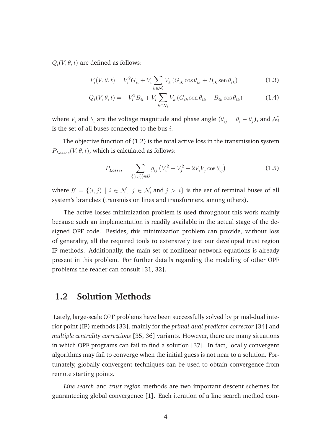$Q_i(V, \theta, t)$  are defined as follows:

$$
P_i(V, \theta, t) = V_i^2 G_{ii} + V_i \sum_{k \in \mathcal{N}_i} V_k (G_{ik} \cos \theta_{ik} + B_{ik} \sin \theta_{ik})
$$
\n(1.3)

$$
Q_i(V, \theta, t) = -V_i^2 B_{ii} + V_i \sum_{k \in \mathcal{N}_i} V_k (G_{ik} \operatorname{sen} \theta_{ik} - B_{ik} \cos \theta_{ik})
$$
 (1.4)

where  $V_i$  and  $\theta_i$  are the voltage magnitude and phase angle  $(\theta_{ij} = \theta_i - \theta_j)$ , and  $\mathcal{N}_i$ is the set of all buses connected to the bus  $i$ .

The objective function of (1.2) is the total active loss in the transmission system  $P_{Losses}(V, \theta, t)$ , which is calculated as follows:

$$
P_{Losses} = \sum_{\{(i,j)\}\in\mathcal{B}} g_{ij} \left( V_i^2 + V_j^2 - 2V_i V_j \cos \theta_{ij} \right)
$$
(1.5)

where  $\mathcal{B} = \{(i, j) \mid i \in \mathcal{N}, j \in \mathcal{N}_i \text{ and } j > i\}$  is the set of terminal buses of all system's branches (transmission lines and transformers, among others).

The active losses minimization problem is used throughout this work mainly because such an implementation is readily available in the actual stage of the designed OPF code. Besides, this minimization problem can provide, without loss of generality, all the required tools to extensively test our developed trust region IP methods. Additionally, the main set of nonlinear network equations is already present in this problem. For further details regarding the modeling of other OPF problems the reader can consult [31, 32].

#### **1.2 Solution Methods**

Lately, large-scale OPF problems have been successfully solved by primal-dual interior point (IP) methods [33], mainly for the *primal-dual predictor-corrector* [34] and *multiple centrality corrections* [35, 36] variants. However, there are many situations in which OPF programs can fail to find a solution [37]. In fact, locally convergent algorithms may fail to converge when the initial guess is not near to a solution. Fortunately, globally convergent techniques can be used to obtain convergence from remote starting points.

*Line search* and *trust region* methods are two important descent schemes for guaranteeing global convergence [1]. Each iteration of a line search method com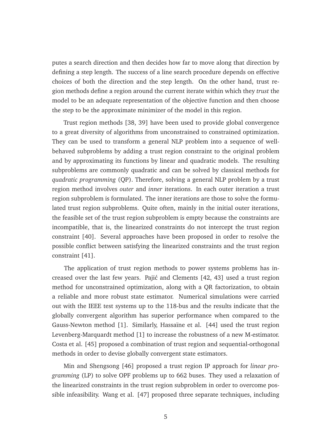putes a search direction and then decides how far to move along that direction by defining a step length. The success of a line search procedure depends on effective choices of both the direction and the step length. On the other hand, trust region methods define a region around the current iterate within which they *trust* the model to be an adequate representation of the objective function and then choose the step to be the approximate minimizer of the model in this region.

Trust region methods [38, 39] have been used to provide global convergence to a great diversity of algorithms from unconstrained to constrained optimization. They can be used to transform a general NLP problem into a sequence of wellbehaved subproblems by adding a trust region constraint to the original problem and by approximating its functions by linear and quadratic models. The resulting subproblems are commonly quadratic and can be solved by classical methods for *quadratic programming* (QP). Therefore, solving a general NLP problem by a trust region method involves *outer* and *inner* iterations. In each outer iteration a trust region subproblem is formulated. The inner iterations are those to solve the formulated trust region subproblems. Quite often, mainly in the initial outer iterations, the feasible set of the trust region subproblem is empty because the constraints are incompatible, that is, the linearized constraints do not intercept the trust region constraint [40]. Several approaches have been proposed in order to resolve the possible conflict between satisfying the linearized constraints and the trust region constraint [41].

The application of trust region methods to power systems problems has increased over the last few years. Pajić and Clements [42, 43] used a trust region method for unconstrained optimization, along with a QR factorization, to obtain a reliable and more robust state estimator. Numerical simulations were carried out with the IEEE test systems up to the 118-bus and the results indicate that the globally convergent algorithm has superior performance when compared to the Gauss-Newton method [1]. Similarly, Hassaïne et al. [44] used the trust region Levenberg-Marquardt method [1] to increase the robustness of a new M-estimator. Costa et al. [45] proposed a combination of trust region and sequential-orthogonal methods in order to devise globally convergent state estimators.

Min and Shengsong [46] proposed a trust region IP approach for *linear programming* (LP) to solve OPF problems up to 662 buses. They used a relaxation of the linearized constraints in the trust region subproblem in order to overcome possible infeasibility. Wang et al. [47] proposed three separate techniques, including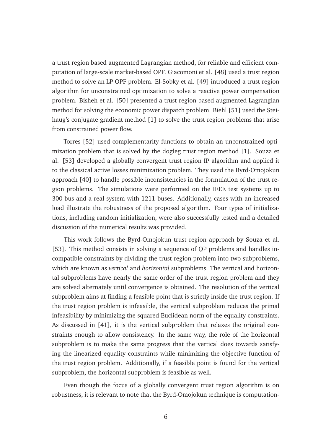a trust region based augmented Lagrangian method, for reliable and efficient computation of large-scale market-based OPF. Giacomoni et al. [48] used a trust region method to solve an LP OPF problem. El-Sobky et al. [49] introduced a trust region algorithm for unconstrained optimization to solve a reactive power compensation problem. Bisheh et al. [50] presented a trust region based augmented Lagrangian method for solving the economic power dispatch problem. Biehl [51] used the Steihaug's conjugate gradient method [1] to solve the trust region problems that arise from constrained power flow.

Torres [52] used complementarity functions to obtain an unconstrained optimization problem that is solved by the dogleg trust region method [1]. Souza et al. [53] developed a globally convergent trust region IP algorithm and applied it to the classical active losses minimization problem. They used the Byrd-Omojokun approach [40] to handle possible inconsistencies in the formulation of the trust region problems. The simulations were performed on the IEEE test systems up to 300-bus and a real system with 1211 buses. Additionally, cases with an increased load illustrate the robustness of the proposed algorithm. Four types of initializations, including random initialization, were also successfully tested and a detailed discussion of the numerical results was provided.

This work follows the Byrd-Omojokun trust region approach by Souza et al. [53]. This method consists in solving a sequence of QP problems and handles incompatible constraints by dividing the trust region problem into two subproblems, which are known as *vertical* and *horizontal* subproblems. The vertical and horizontal subproblems have nearly the same order of the trust region problem and they are solved alternately until convergence is obtained. The resolution of the vertical subproblem aims at finding a feasible point that is strictly inside the trust region. If the trust region problem is infeasible, the vertical subproblem reduces the primal infeasibility by minimizing the squared Euclidean norm of the equality constraints. As discussed in [41], it is the vertical subproblem that relaxes the original constraints enough to allow consistency. In the same way, the role of the horizontal subproblem is to make the same progress that the vertical does towards satisfying the linearized equality constraints while minimizing the objective function of the trust region problem. Additionally, if a feasible point is found for the vertical subproblem, the horizontal subproblem is feasible as well.

Even though the focus of a globally convergent trust region algorithm is on robustness, it is relevant to note that the Byrd-Omojokun technique is computation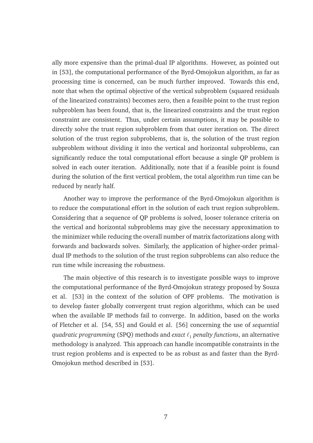ally more expensive than the primal-dual IP algorithms. However, as pointed out in [53], the computational performance of the Byrd-Omojokun algorithm, as far as processing time is concerned, can be much further improved. Towards this end, note that when the optimal objective of the vertical subproblem (squared residuals of the linearized constraints) becomes zero, then a feasible point to the trust region subproblem has been found, that is, the linearized constraints and the trust region constraint are consistent. Thus, under certain assumptions, it may be possible to directly solve the trust region subproblem from that outer iteration on. The direct solution of the trust region subproblems, that is, the solution of the trust region subproblem without dividing it into the vertical and horizontal subproblems, can significantly reduce the total computational effort because a single QP problem is solved in each outer iteration. Additionally, note that if a feasible point is found during the solution of the first vertical problem, the total algorithm run time can be reduced by nearly half.

Another way to improve the performance of the Byrd-Omojokun algorithm is to reduce the computational effort in the solution of each trust region subproblem. Considering that a sequence of QP problems is solved, looser tolerance criteria on the vertical and horizontal subproblems may give the necessary approximation to the minimizer while reducing the overall number of matrix factorizations along with forwards and backwards solves. Similarly, the application of higher-order primaldual IP methods to the solution of the trust region subproblems can also reduce the run time while increasing the robustness.

The main objective of this research is to investigate possible ways to improve the computational performance of the Byrd-Omojokun strategy proposed by Souza et al. [53] in the context of the solution of OPF problems. The motivation is to develop faster globally convergent trust region algorithms, which can be used when the available IP methods fail to converge. In addition, based on the works of Fletcher et al. [54, 55] and Gould et al. [56] concerning the use of *sequential quadratic programming* (SPQ) methods and *exact* ℓ<sup>1</sup> *penalty functions*, an alternative methodology is analyzed. This approach can handle incompatible constraints in the trust region problems and is expected to be as robust as and faster than the Byrd-Omojokun method described in [53].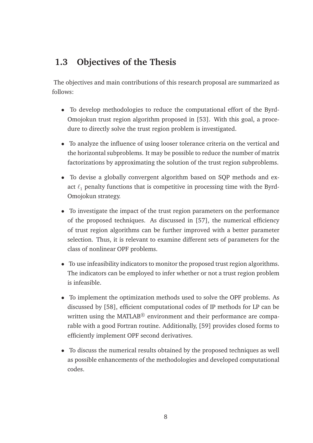#### **1.3 Objectives of the Thesis**

The objectives and main contributions of this research proposal are summarized as follows:

- To develop methodologies to reduce the computational effort of the Byrd-Omojokun trust region algorithm proposed in [53]. With this goal, a procedure to directly solve the trust region problem is investigated.
- To analyze the influence of using looser tolerance criteria on the vertical and the horizontal subproblems. It may be possible to reduce the number of matrix factorizations by approximating the solution of the trust region subproblems.
- To devise a globally convergent algorithm based on SQP methods and exact  $\ell_1$  penalty functions that is competitive in processing time with the Byrd-Omojokun strategy.
- To investigate the impact of the trust region parameters on the performance of the proposed techniques. As discussed in [57], the numerical efficiency of trust region algorithms can be further improved with a better parameter selection. Thus, it is relevant to examine different sets of parameters for the class of nonlinear OPF problems.
- To use infeasibility indicators to monitor the proposed trust region algorithms. The indicators can be employed to infer whether or not a trust region problem is infeasible.
- To implement the optimization methods used to solve the OPF problems. As discussed by [58], efficient computational codes of IP methods for LP can be written using the MATLAB $^{\circledR}$  environment and their performance are comparable with a good Fortran routine. Additionally, [59] provides closed forms to efficiently implement OPF second derivatives.
- To discuss the numerical results obtained by the proposed techniques as well as possible enhancements of the methodologies and developed computational codes.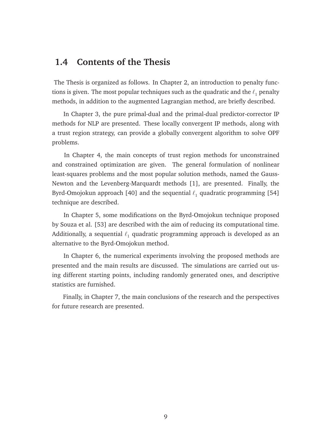#### **1.4 Contents of the Thesis**

The Thesis is organized as follows. In Chapter 2, an introduction to penalty functions is given. The most popular techniques such as the quadratic and the  $\ell_1$  penalty methods, in addition to the augmented Lagrangian method, are briefly described.

In Chapter 3, the pure primal-dual and the primal-dual predictor-corrector IP methods for NLP are presented. These locally convergent IP methods, along with a trust region strategy, can provide a globally convergent algorithm to solve OPF problems.

In Chapter 4, the main concepts of trust region methods for unconstrained and constrained optimization are given. The general formulation of nonlinear least-squares problems and the most popular solution methods, named the Gauss-Newton and the Levenberg-Marquardt methods [1], are presented. Finally, the Byrd-Omojokun approach [40] and the sequential  $\ell_1$  quadratic programming [54] technique are described.

In Chapter 5, some modifications on the Byrd-Omojokun technique proposed by Souza et al. [53] are described with the aim of reducing its computational time. Additionally, a sequential  $\ell_1$  quadratic programming approach is developed as an alternative to the Byrd-Omojokun method.

In Chapter 6, the numerical experiments involving the proposed methods are presented and the main results are discussed. The simulations are carried out using different starting points, including randomly generated ones, and descriptive statistics are furnished.

Finally, in Chapter 7, the main conclusions of the research and the perspectives for future research are presented.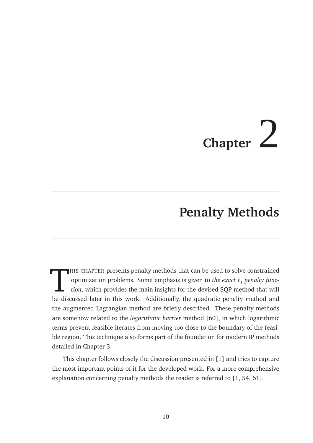# **Chapter** 2

### **Penalty Methods**

HIS CHAPTER presents penalty methods that can be used to solve constrained optimization problems. Some emphasis is given to *the exact*  $\ell_1$  penalty function, which provides the main insights for the devised SQP method HIS CHAPTER presents penalty methods that can be used to solve constrained optimization problems. Some emphasis is given to *the exact*  $\ell_1$  *penalty function*, which provides the main insights for the devised SQP method that will the augmented Lagrangian method are briefly described. These penalty methods are somehow related to the *logarithmic barrier* method [60], in which logarithmic terms prevent feasible iterates from moving too close to the boundary of the feasible region. This technique also forms part of the foundation for modern IP methods detailed in Chapter 3.

This chapter follows closely the discussion presented in [1] and tries to capture the most important points of it for the developed work. For a more comprehensive explanation concerning penalty methods the reader is referred to [1, 54, 61].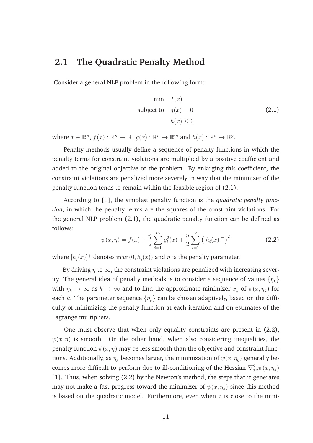#### **2.1 The Quadratic Penalty Method**

Consider a general NLP problem in the following form:

$$
\min f(x)
$$
\nsubject to  $g(x) = 0$ \n
$$
h(x) \le 0
$$
\n(2.1)

where  $x \in \mathbb{R}^n$ ,  $f(x) : \mathbb{R}^n \to \mathbb{R}$ ,  $g(x) : \mathbb{R}^n \to \mathbb{R}^m$  and  $h(x) : \mathbb{R}^n \to \mathbb{R}^p$ .

Penalty methods usually define a sequence of penalty functions in which the penalty terms for constraint violations are multiplied by a positive coefficient and added to the original objective of the problem. By enlarging this coefficient, the constraint violations are penalized more severely in way that the minimizer of the penalty function tends to remain within the feasible region of (2.1).

According to [1], the simplest penalty function is the *quadratic penalty function*, in which the penalty terms are the squares of the constraint violations. For the general NLP problem (2.1), the quadratic penalty function can be defined as follows:

$$
\psi(x,\eta) = f(x) + \frac{\eta}{2} \sum_{i=1}^{m} g_i^2(x) + \frac{\eta}{2} \sum_{i=1}^{p} ([h_i(x)]^+)^2
$$
 (2.2)

where  $[h_i(x)]^+$  denotes  $\max(0, h_i(x))$  and  $\eta$  is the penalty parameter.

By driving  $\eta$  to  $\infty$ , the constraint violations are penalized with increasing severity. The general idea of penalty methods is to consider a sequence of values  $\{\eta_k\}$ with  $\eta_k\to\infty$  as  $k\to\infty$  and to find the approximate minimizer  $x_k$  of  $\psi(x,\eta_k)$  for each  $k.$  The parameter sequence  $\{\eta_k\}$  can be chosen adaptively, based on the difficulty of minimizing the penalty function at each iteration and on estimates of the Lagrange multipliers.

One must observe that when only equality constraints are present in (2.2),  $\psi(x, \eta)$  is smooth. On the other hand, when also considering inequalities, the penalty function  $\psi(x, \eta)$  may be less smooth than the objective and constraint functions. Additionally, as  $\eta_k$  becomes larger, the minimization of  $\psi(x,\eta_k)$  generally becomes more difficult to perform due to ill-conditioning of the Hessian  $\nabla_{xx}^2 \psi(x,\eta_k)$ [1]. Thus, when solving (2.2) by the Newton's method, the steps that it generates may not make a fast progress toward the minimizer of  $\psi(x,\eta_k)$  since this method is based on the quadratic model. Furthermore, even when  $x$  is close to the mini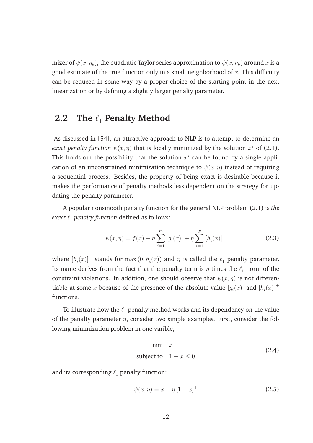mizer of  $\psi(x,\eta_k)$ , the quadratic Taylor series approximation to  $\psi(x,\eta_k)$  around  $x$  is a good estimate of the true function only in a small neighborhood of  $x$ . This difficulty can be reduced in some way by a proper choice of the starting point in the next linearization or by defining a slightly larger penalty parameter.

#### **2.2** The  $\ell_1$  Penalty Method

As discussed in [54], an attractive approach to NLP is to attempt to determine an *exact penalty function*  $\psi(x, \eta)$  that is locally minimized by the solution  $x^*$  of (2.1). This holds out the possibility that the solution  $x^*$  can be found by a single application of an unconstrained minimization technique to  $\psi(x, \eta)$  instead of requiring a sequential process. Besides, the property of being exact is desirable because it makes the performance of penalty methods less dependent on the strategy for updating the penalty parameter.

A popular nonsmooth penalty function for the general NLP problem (2.1) is *the exact*  $\ell_1$  *penalty function* defined as follows:

$$
\psi(x,\eta) = f(x) + \eta \sum_{i=1}^{m} |g_i(x)| + \eta \sum_{i=1}^{p} [h_i(x)]^+
$$
 (2.3)

where  $[h_i(x)]^+$  stands for  $\max(0, h_i(x))$  and  $\eta$  is called the  $\ell_1$  penalty parameter. Its name derives from the fact that the penalty term is  $\eta$  times the  $\ell_1$  norm of the constraint violations. In addition, one should observe that  $\psi(x, \eta)$  is not differentiable at some  $x$  because of the presence of the absolute value  $|g_i(x)|$  and  $\left[h_i(x)\right]^+$ functions.

To illustrate how the  $\ell_1$  penalty method works and its dependency on the value of the penalty parameter  $\eta$ , consider two simple examples. First, consider the following minimization problem in one varible,

$$
\min x
$$
  
subject to  $1 - x \le 0$  (2.4)

and its corresponding  $\ell_1$  penalty function:

$$
\psi(x,\eta) = x + \eta \left[1 - x\right]^+ \tag{2.5}
$$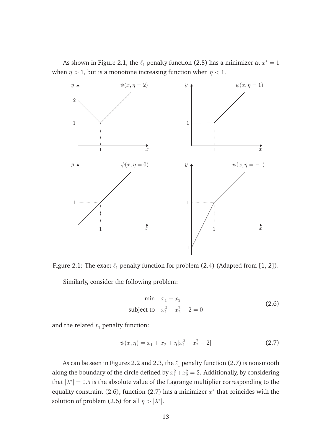As shown in Figure 2.1, the  $\ell_1$  penalty function (2.5) has a minimizer at  $x^* = 1$ when  $\eta > 1$ , but is a monotone increasing function when  $\eta < 1$ .



Figure 2.1: The exact  $\ell_1$  penalty function for problem (2.4) (Adapted from [1, 2]). Similarly, consider the following problem:

$$
\min \quad x_1 + x_2
$$
\nsubject to 
$$
x_1^2 + x_2^2 - 2 = 0
$$
\n(2.6)

and the related  $\ell_1$  penalty function:

$$
\psi(x,\eta) = x_1 + x_2 + \eta |x_1^2 + x_2^2 - 2| \tag{2.7}
$$

As can be seen in Figures 2.2 and 2.3, the  $\ell_1$  penalty function (2.7) is nonsmooth along the boundary of the circle defined by  $x_1^2 + x_2^2 = 2$ . Additionally, by considering that  $|\lambda^*| = 0.5$  is the absolute value of the Lagrange multiplier corresponding to the equality constraint (2.6), function (2.7) has a minimizer  $x^*$  that coincides with the solution of problem (2.6) for all  $\eta > |\lambda^*|$ .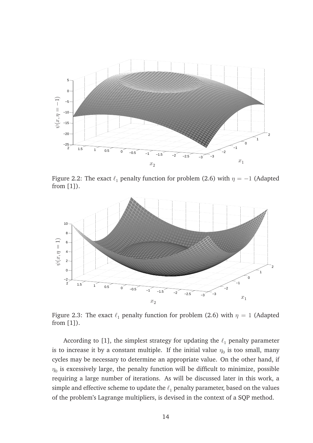

Figure 2.2: The exact  $\ell_1$  penalty function for problem (2.6) with  $\eta = -1$  (Adapted from [1]).



Figure 2.3: The exact  $\ell_1$  penalty function for problem (2.6) with  $\eta = 1$  (Adapted from [1]).

According to [1], the simplest strategy for updating the  $\ell_1$  penalty parameter is to increase it by a constant multiple. If the initial value  $\eta_0$  is too small, many cycles may be necessary to determine an appropriate value. On the other hand, if  $\eta_0$  is excessively large, the penalty function will be difficult to minimize, possible requiring a large number of iterations. As will be discussed later in this work, a simple and effective scheme to update the  $\ell_1$  penalty parameter, based on the values of the problem's Lagrange multipliers, is devised in the context of a SQP method.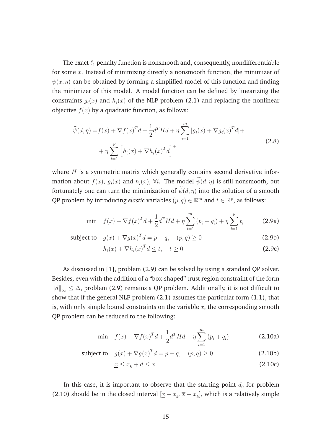The exact  $\ell_1$  penalty function is nonsmooth and, consequently, nondifferentiable for some  $x$ . Instead of minimizing directly a nonsmooth function, the minimizer of  $\psi(x, \eta)$  can be obtained by forming a simplified model of this function and finding the minimizer of this model. A model function can be defined by linearizing the constraints  $g_i(x)$  and  $h_i(x)$  of the NLP problem (2.1) and replacing the nonlinear objective  $f(x)$  by a quadratic function, as follows:

$$
\widetilde{\psi}(d,\eta) = f(x) + \nabla f(x)^T d + \frac{1}{2} d^T H d + \eta \sum_{i=1}^m |g_i(x) + \nabla g_i(x)^T d| +
$$
\n
$$
+ \eta \sum_{i=1}^p \left[ h_i(x) + \nabla h_i(x)^T d \right]^+ \tag{2.8}
$$

where  $H$  is a symmetric matrix which generally contains second derivative information about  $f(x)$ ,  $g_i(x)$  and  $h_i(x)$ ,  $\forall i$ . The model  $\psi(d,\eta)$  is still nonsmooth, but fortunately one can turn the minimization of  $\widetilde{\psi}(d,\eta)$  into the solution of a smooth QP problem by introducing *elastic* variables  $(p, q) \in \mathbb{R}^m$  and  $t \in \mathbb{R}^p$ , as follows:

$$
\min \quad f(x) + \nabla f(x)^T d + \frac{1}{2} d^T H d + \eta \sum_{i=1}^m (p_i + q_i) + \eta \sum_{i=1}^p t_i \tag{2.9a}
$$

subject to  $g(x) + \nabla g(x)^T d = p - q$ ,  $(p, q) \ge 0$  (2.9b)

$$
h_i(x) + \nabla h_i(x)^T d \le t, \quad t \ge 0
$$
\n(2.9c)

As discussed in [1], problem (2.9) can be solved by using a standard QP solver. Besides, even with the addition of a "box-shaped" trust region constraint of the form  $||d||_{\infty}$  ≤  $\Delta$ , problem (2.9) remains a QP problem. Additionally, it is not difficult to show that if the general NLP problem (2.1) assumes the particular form (1.1), that is, with only simple bound constraints on the variable  $x$ , the corresponding smooth QP problem can be reduced to the following:

$$
\min \quad f(x) + \nabla f(x)^T d + \frac{1}{2} d^T H d + \eta \sum_{i=1}^m (p_i + q_i)
$$
\n(2.10a)

subject to 
$$
g(x) + \nabla g(x)^T d = p - q
$$
,  $(p, q) \ge 0$  (2.10b)

$$
\underline{x} \le x_k + d \le \overline{x} \tag{2.10c}
$$

In this case, it is important to observe that the starting point  $d_0$  for problem (2.10) should be in the closed interval  $[x - x_k, \overline{x} - x_k]$ , which is a relatively simple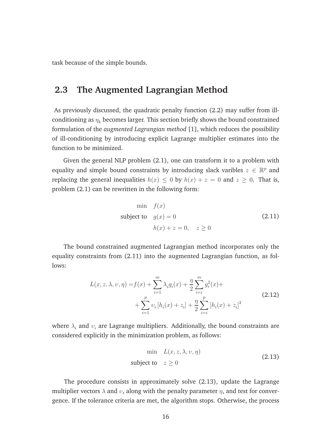task because of the simple bounds.

#### **2.3 The Augmented Lagrangian Method**

As previously discussed, the quadratic penalty function (2.2) may suffer from illconditioning as  $\eta_k$  becomes larger. This section briefly shows the bound constrained formulation of the *augmented Lagrangian method* [1], which reduces the possibility of ill-conditioning by introducing explicit Lagrange multiplier estimates into the function to be minimized.

Given the general NLP problem (2.1), one can transform it to a problem with equality and simple bound constraints by introducing slack varibles  $z \in \mathbb{R}^p$  and replacing the general inequalities  $h(x) \leq 0$  by  $h(x) + z = 0$  and  $z \geq 0$ . That is, problem (2.1) can be rewritten in the following form:

$$
\begin{aligned}\n\min \quad & f(x) \\
\text{subject to} \quad & g(x) = 0 \\
& h(x) + z = 0, \quad z \ge 0\n\end{aligned} \tag{2.11}
$$

The bound constrained augmented Lagrangian method incorporates only the equality constraints from (2.11) into the augmented Lagrangian function, as follows:

$$
L(x, z, \lambda, v, \eta) = f(x) + \sum_{i=1}^{m} \lambda_i g_i(x) + \frac{\eta}{2} \sum_{i=i}^{m} g_i^2(x) +
$$
  
+ 
$$
\sum_{i=1}^{p} v_i [h_i(x) + z_i] + \frac{\eta}{2} \sum_{i=i}^{p} [h_i(x) + z_i]^2
$$
 (2.12)

where  $\lambda_i$  and  $v_i$  are Lagrange multipliers. Additionally, the bound constraints are considered explicitly in the minimization problem, as follows:

$$
\min L(x, z, \lambda, v, \eta)
$$
  
subject to  $z \ge 0$  (2.13)

The procedure consists in approximately solve (2.13), update the Lagrange multiplier vectors  $\lambda$  and  $v$ , along with the penalty parameter  $\eta$ , and test for convergence. If the tolerance criteria are met, the algorithm stops. Otherwise, the process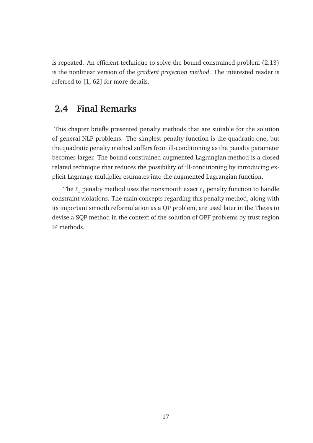is repeated. An efficient technique to solve the bound constrained problem (2.13) is the nonlinear version of the *gradient projection method*. The interested reader is referred to [1, 62] for more details.

#### **2.4 Final Remarks**

This chapter briefly presented penalty methods that are suitable for the solution of general NLP problems. The simplest penalty function is the quadratic one, but the quadratic penalty method suffers from ill-conditioning as the penalty parameter becomes larger. The bound constrained augmented Lagrangian method is a closed related technique that reduces the possibility of ill-conditioning by introducing explicit Lagrange multiplier estimates into the augmented Lagrangian function.

The  $\ell_1$  penalty method uses the nonsmooth exact  $\ell_1$  penalty function to handle constraint violations. The main concepts regarding this penalty method, along with its important smooth reformulation as a QP problem, are used later in the Thesis to devise a SQP method in the context of the solution of OPF problems by trust region IP methods.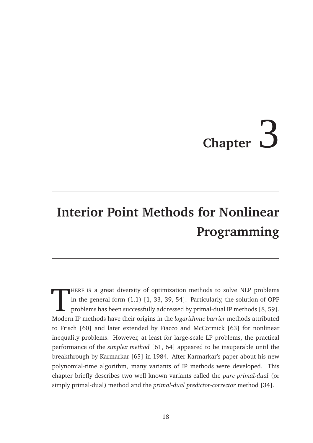## **Chapter**

## **Interior Point Methods for Nonlinear Programming**

HERE IS a great diversity of optimization methods to solve NLP problems in the general form (1.1) [1, 33, 39, 54]. Particularly, the solution of OPF problems has been successfully addressed by primal-dual IP methods [8, 59 HERE IS a great diversity of optimization methods to solve NLP problems in the general form (1.1) [1, 33, 39, 54]. Particularly, the solution of OPF problems has been successfully addressed by primal-dual IP methods [8, 59]. to Frisch [60] and later extended by Fiacco and McCormick [63] for nonlinear inequality problems. However, at least for large-scale LP problems, the practical performance of the *simplex method* [61, 64] appeared to be insuperable until the breakthrough by Karmarkar [65] in 1984. After Karmarkar's paper about his new polynomial-time algorithm, many variants of IP methods were developed. This chapter briefly describes two well known variants called the *pure primal-dual* (or simply primal-dual) method and the *primal-dual predictor-corrector* method [34].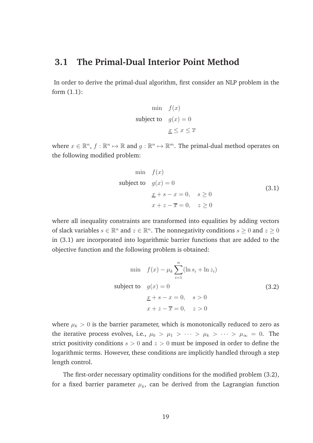#### **3.1 The Primal-Dual Interior Point Method**

In order to derive the primal-dual algorithm, first consider an NLP problem in the form (1.1):

$$
\begin{aligned}\n\min \quad & f(x) \\
\text{subject to} \quad & g(x) = 0 \\
& \underline{x} \leq x \leq \overline{x}\n\end{aligned}
$$

where  $x \in \mathbb{R}^n$ ,  $f : \mathbb{R}^n \mapsto \mathbb{R}$  and  $g : \mathbb{R}^n \mapsto \mathbb{R}^m$ . The primal-dual method operates on the following modified problem:

$$
\begin{aligned}\n\min \quad & f(x) \\
\text{subject to} \quad & g(x) = 0 \\
& \underline{x} + s - x = 0, \quad s \ge 0 \\
& \underline{x} + z - \overline{x} = 0, \quad z \ge 0\n\end{aligned} \tag{3.1}
$$

where all inequality constraints are transformed into equalities by adding vectors of slack variables  $s \in \mathbb{R}^n$  and  $z \in \mathbb{R}^n$ . The nonnegativity conditions  $s \geq 0$  and  $z \geq 0$ in (3.1) are incorporated into logarithmic barrier functions that are added to the objective function and the following problem is obtained:

$$
\min f(x) - \mu_k \sum_{i=1}^{n} (\ln s_i + \ln z_i)
$$
\nsubject to  $g(x) = 0$   
\n
$$
\underline{x} + s - x = 0, \quad s > 0
$$
\n
$$
x + z - \overline{x} = 0, \quad z > 0
$$
\n(3.2)

where  $\mu_k > 0$  is the barrier parameter, which is monotonically reduced to zero as the iterative process evolves, i.e.,  $\mu_0 > \mu_1 > \cdots > \mu_k > \cdots > \mu_\infty = 0$ . The strict positivity conditions  $s > 0$  and  $z > 0$  must be imposed in order to define the logarithmic terms. However, these conditions are implicitly handled through a step length control.

The first-order necessary optimality conditions for the modified problem (3.2), for a fixed barrier parameter  $\mu_k$ , can be derived from the Lagrangian function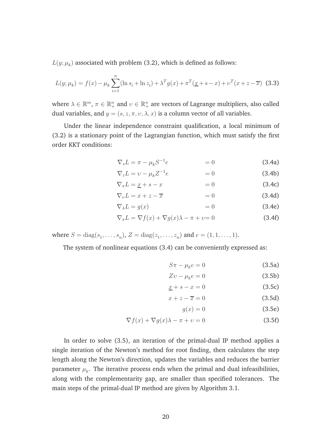$L(y; \mu_k)$  associated with problem (3.2), which is defined as follows:

$$
L(y; \mu_k) = f(x) - \mu_k \sum_{i=1}^n (\ln s_i + \ln z_i) + \lambda^T g(x) + \pi^T (\underline{x} + s - x) + \nu^T (x + z - \overline{x})
$$
 (3.3)

where  $\lambda \in \mathbb{R}^m$ ,  $\pi \in \mathbb{R}^n_+$  and  $v \in \mathbb{R}^n_+$  are vectors of Lagrange multipliers, also called dual variables, and  $y = (s, z, \pi, v, \lambda, x)$  is a column vector of all variables.

Under the linear independence constraint qualification, a local minimum of (3.2) is a stationary point of the Lagrangian function, which must satisfy the first order KKT conditions:

$$
\nabla_s L = \pi - \mu_k S^{-1} e \qquad \qquad = 0 \qquad (3.4a)
$$

$$
\nabla_z L = v - \mu_k Z^{-1} e \qquad \qquad = 0 \qquad (3.4b)
$$

$$
\nabla_{\pi}L = \underline{x} + s - x \qquad \qquad = 0 \tag{3.4c}
$$

$$
\nabla_v L = x + z - \overline{x} \qquad \qquad = 0 \tag{3.4d}
$$

$$
\nabla_{\lambda}L = g(x) \qquad \qquad = 0 \qquad \qquad (3.4e)
$$

$$
\nabla_x L = \nabla f(x) + \nabla g(x)\lambda - \pi + \nu = 0
$$
\n(3.4f)

where  $S = diag(s_1, ..., s_n)$ ,  $Z = diag(z_1, ..., z_n)$  and  $e = (1, 1, ..., 1)$ .

The system of nonlinear equations (3.4) can be conveniently expressed as:

$$
S\pi - \mu_k e = 0 \tag{3.5a}
$$

$$
Zv - \mu_k e = 0 \tag{3.5b}
$$

$$
\underline{x} + s - x = 0 \tag{3.5c}
$$

$$
x + z - \overline{x} = 0 \tag{3.5d}
$$

$$
g(x) = 0 \tag{3.5e}
$$

$$
\nabla f(x) + \nabla g(x)\lambda - \pi + \upsilon = 0
$$
\n(3.5f)

In order to solve (3.5), an iteration of the primal-dual IP method applies a single iteration of the Newton's method for root finding, then calculates the step length along the Newton's direction, updates the variables and reduces the barrier parameter  $\mu_k$ . The iterative process ends when the primal and dual infeasibilities, along with the complementarity gap, are smaller than specified tolerances. The main steps of the primal-dual IP method are given by Algorithm 3.1.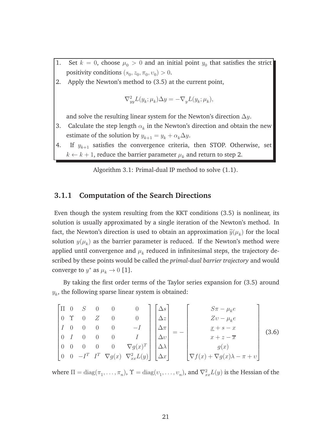- 1. Set  $k = 0$ , choose  $\mu_0 > 0$  and an initial point  $y_0$  that satisfies the strict positivity conditions  $(s_0, z_0, \pi_0, v_0) > 0$ .
- 2. Apply the Newton's method to (3.5) at the current point,

$$
\nabla_{yy}^2 L(y_k; \mu_k) \Delta y = -\nabla_y L(y_k; \mu_k),
$$

and solve the resulting linear system for the Newton's direction  $\Delta y$ .

- 3. Calculate the step length  $\alpha_k$  in the Newton's direction and obtain the new estimate of the solution by  $y_{k+1} = y_k + \alpha_k \Delta y$ .
- 4. If  $y_{k+1}$  satisfies the convergence criteria, then STOP. Otherwise, set  $k \leftarrow k+1$ , reduce the barrier parameter  $\mu_k$  and return to step 2.

Algorithm 3.1: Primal-dual IP method to solve (1.1).

#### **3.1.1 Computation of the Search Directions**

Even though the system resulting from the KKT conditions (3.5) is nonlinear, its solution is usually approximated by a single iteration of the Newton's method. In fact, the Newton's direction is used to obtain an approximation  $\widetilde{y}(\mu_k)$  for the local solution  $y(\mu_k)$  as the barrier parameter is reduced. If the Newton's method were applied until convergence and  $\mu_k$  reduced in infinitesimal steps, the trajectory described by these points would be called the *primal-dual barrier trajectory* and would converge to  $y^*$  as  $\mu_k \to 0$  [1].

By taking the first order terms of the Taylor series expansion for (3.5) around  $y_k$ , the following sparse linear system is obtained:

$$
\begin{bmatrix}\n\Pi & 0 & S & 0 & 0 & 0 & 0 \\
0 & \Upsilon & 0 & Z & 0 & 0 & 0 \\
I & 0 & 0 & 0 & 0 & -I & 0 \\
0 & I & 0 & 0 & 0 & 0 & I \\
0 & 0 & -I^T & I^T & \nabla g(x) & \nabla_{xx}^2 L(y)\n\end{bmatrix}\n\begin{bmatrix}\n\Delta s \\
\Delta z \\
\Delta x \\
\Delta v \\
\Delta x\n\end{bmatrix} = -\n\begin{bmatrix}\nS\pi - \mu_k e \\
Zv - \mu_k e \\
\frac{x + s - x}{x + z - \overline{x}} \\
\sigma(x) \\
g(x) \\
\nabla f(x) + \nabla g(x)\lambda - \pi + v\n\end{bmatrix}
$$
\n(3.6)

where  $\Pi=\mathrm{diag}(\pi_1,\ldots,\pi_n)$ ,  $\Upsilon=\mathrm{diag}(v_1,\ldots,v_n)$ , and  $\nabla^2_{xx}L(y)$  is the Hessian of the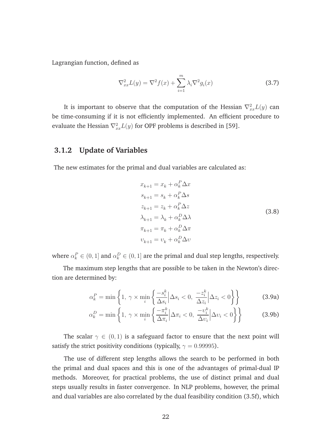Lagrangian function, defined as

$$
\nabla_{xx}^2 L(y) = \nabla^2 f(x) + \sum_{i=1}^m \lambda_i \nabla^2 g_i(x)
$$
\n(3.7)

It is important to observe that the computation of the Hessian  $\nabla_{xx}^2 L(y)$  can be time-consuming if it is not efficiently implemented. An efficient procedure to evaluate the Hessian  $\nabla_{xx}^2 L(y)$  for OPF problems is described in [59].

### **3.1.2 Update of Variables**

The new estimates for the primal and dual variables are calculated as:

$$
x_{k+1} = x_k + \alpha_k^P \Delta x
$$
  
\n
$$
s_{k+1} = s_k + \alpha_k^P \Delta s
$$
  
\n
$$
z_{k+1} = z_k + \alpha_k^P \Delta z
$$
  
\n
$$
\lambda_{k+1} = \lambda_k + \alpha_k^P \Delta \lambda
$$
  
\n
$$
\pi_{k+1} = \pi_k + \alpha_k^P \Delta \pi
$$
  
\n
$$
v_{k+1} = v_k + \alpha_k^P \Delta v
$$
  
\n(3.8)

where  $\alpha_k^P \in (0,1]$  and  $\alpha_k^D \in (0,1]$  are the primal and dual step lengths, respectively.

The maximum step lengths that are possible to be taken in the Newton's direction are determined by:

$$
\alpha_k^P = \min\left\{1, \ \gamma \times \min_i \left\{ \frac{-s_i^k}{\Delta s_i} \middle| \Delta s_i < 0, \ \frac{-z_i^k}{\Delta z_i} \middle| \Delta z_i < 0 \right\} \right\} \tag{3.9a}
$$

$$
\alpha_k^D = \min\left\{1, \ \gamma \times \min_i \left\{ \frac{-\pi_i^k}{\Delta \pi_i} \middle| \Delta \pi_i < 0, \ \frac{-\upsilon_i^k}{\Delta \upsilon_i} \middle| \Delta \upsilon_i < 0 \right\} \right\} \tag{3.9b}
$$

The scalar  $\gamma \in (0,1)$  is a safeguard factor to ensure that the next point will satisfy the strict positivity conditions (typically,  $\gamma = 0.99995$ ).

The use of different step lengths allows the search to be performed in both the primal and dual spaces and this is one of the advantages of primal-dual IP methods. Moreover, for practical problems, the use of distinct primal and dual steps usually results in faster convergence. In NLP problems, however, the primal and dual variables are also correlated by the dual feasibility condition (3.5f), which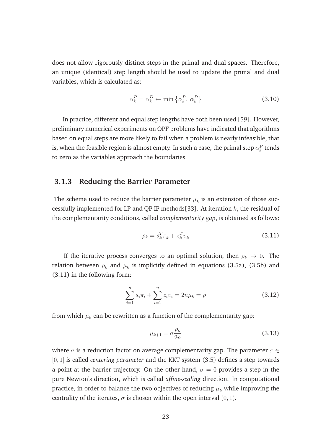does not allow rigorously distinct steps in the primal and dual spaces. Therefore, an unique (identical) step length should be used to update the primal and dual variables, which is calculated as:

$$
\alpha_k^P = \alpha_k^D \leftarrow \min \left\{ \alpha_k^P, \ \alpha_k^D \right\} \tag{3.10}
$$

In practice, different and equal step lengths have both been used [59]. However, preliminary numerical experiments on OPF problems have indicated that algorithms based on equal steps are more likely to fail when a problem is nearly infeasible, that is, when the feasible region is almost empty. In such a case, the primal step  $\alpha^{P}_{k}$  tends to zero as the variables approach the boundaries.

#### **3.1.3 Reducing the Barrier Parameter**

The scheme used to reduce the barrier parameter  $\mu_k$  is an extension of those successfully implemented for LP and QP IP methods[33]. At iteration  $k$ , the residual of the complementarity conditions, called *complementarity gap*, is obtained as follows:

$$
\rho_k = s_k^T \pi_k + z_k^T v_k \tag{3.11}
$$

If the iterative process converges to an optimal solution, then  $\rho_k \to 0$ . The relation between  $\rho_k$  and  $\mu_k$  is implicitly defined in equations (3.5a), (3.5b) and (3.11) in the following form:

$$
\sum_{i=1}^{n} s_i \pi_i + \sum_{i=1}^{n} z_i v_i = 2n\mu_k = \rho \tag{3.12}
$$

from which  $\mu_k$  can be rewritten as a function of the complementarity gap:

$$
\mu_{k+1} = \sigma \frac{\rho_k}{2n} \tag{3.13}
$$

where  $\sigma$  is a reduction factor on average complementarity gap. The parameter  $\sigma \in$ [0, 1] is called *centering parameter* and the KKT system (3.5) defines a step towards a point at the barrier trajectory. On the other hand,  $\sigma = 0$  provides a step in the pure Newton's direction, which is called *affine-scaling* direction. In computational practice, in order to balance the two objectives of reducing  $\mu_k$  while improving the centrality of the iterates,  $\sigma$  is chosen within the open interval  $(0, 1)$ .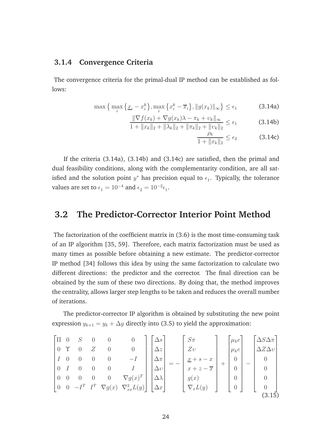#### **3.1.4 Convergence Criteria**

The convergence criteria for the primal-dual IP method can be established as follows:

$$
\max\left\{\max_{i}\left\{\underline{x}_{i}-x_{i}^{k}\right\},\max_{i}\left\{x_{i}^{k}-\overline{x}_{i}\right\},\|g(x_{k})\|_{\infty}\right\}\leq\epsilon_{1}
$$
\n(3.14a)

$$
\frac{\|\nabla f(x_k) + \nabla g(x_k)\lambda - \pi_k + \nu_k\|_{\infty}}{1 + \|x_k\|_2 + \|\lambda_k\|_2 + \|\pi_k\|_2 + \|\nu_k\|_2} \le \epsilon_1
$$
\n(3.14b)

$$
\frac{\rho_k}{1 + \|x_k\|_2} \le \epsilon_2 \tag{3.14c}
$$

If the criteria (3.14a), (3.14b) and (3.14c) are satisfied, then the primal and dual feasibility conditions, along with the complementarity condition, are all satisfied and the solution point  $y^*$  has precision equal to  $\epsilon_1$ . Typically, the tolerance values are set to  $\epsilon_1 = 10^{-4}$  and  $\epsilon_2 = 10^{-2} \epsilon_1$ .

### **3.2 The Predictor-Corrector Interior Point Method**

The factorization of the coefficient matrix in (3.6) is the most time-consuming task of an IP algorithm [35, 59]. Therefore, each matrix factorization must be used as many times as possible before obtaining a new estimate. The predictor-corrector IP method [34] follows this idea by using the same factorization to calculate two different directions: the predictor and the corrector. The final direction can be obtained by the sum of these two directions. By doing that, the method improves the centrality, allows larger step lengths to be taken and reduces the overall number of iterations.

The predictor-corrector IP algorithm is obtained by substituting the new point expression  $y_{k+1} = y_k + \Delta y$  directly into (3.5) to yield the approximation:

$$
\begin{bmatrix}\n\Pi & 0 & S & 0 & 0 & 0 & 0 \\
0 & \Upsilon & 0 & Z & 0 & 0 & 0 \\
I & 0 & 0 & 0 & 0 & -I \\
0 & I & 0 & 0 & 0 & 0 & I \\
0 & 0 & -I^{T} & I^{T} & \nabla g(x) & \nabla_{xx}^{2}L(y)\n\end{bmatrix}\n\begin{bmatrix}\n\Delta s \\
\Delta z \\
\Delta r \\
\Delta w \\
\Delta x\n\end{bmatrix} = -\n\begin{bmatrix}\nS\pi \\
Zv \\
\Delta r + z - \overline{x} \\
g(x) \\
g(x)\n\end{bmatrix} + \n\begin{bmatrix}\n\mu_{k}e \\
0 \\
0 \\
0 \\
0 \\
0\n\end{bmatrix} - \n\begin{bmatrix}\n\Delta S\Delta \pi \\
\Delta Z\Delta v \\
0 \\
0 \\
0 \\
0\n\end{bmatrix}
$$
\n(3.15)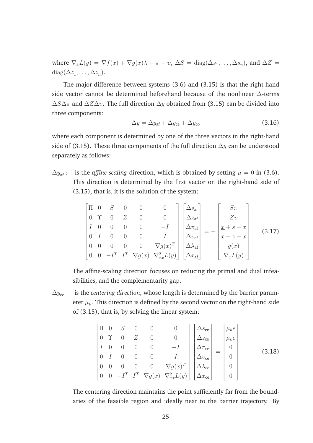where  $\nabla_x L(y) = \nabla f(x) + \nabla g(x)\lambda - \pi + v$ ,  $\Delta S = \text{diag}(\Delta s_1, \dots, \Delta s_n)$ , and  $\Delta Z =$ diag( $\Delta z_1, \ldots, \Delta z_n$ ).

The major difference between systems (3.6) and (3.15) is that the right-hand side vector cannot be determined beforehand because of the nonlinear ∆-terms  $\Delta S \Delta \pi$  and  $\Delta Z \Delta v$ . The full direction  $\Delta y$  obtained from (3.15) can be divided into three components:

$$
\Delta y = \Delta y_{\text{af}} + \Delta y_{\text{ce}} + \Delta y_{\text{co}} \tag{3.16}
$$

where each component is determined by one of the three vectors in the right-hand side of (3.15). These three components of the full direction  $\Delta y$  can be understood separately as follows:

 $\Delta y_{\text{af}}$ : is the *affine-scaling* direction, which is obtained by setting  $\mu = 0$  in (3.6). This direction is determined by the first vector on the right-hand side of (3.15), that is, it is the solution of the system:

$$
\begin{bmatrix}\n\Pi & 0 & S & 0 & 0 & 0 \\
0 & \Upsilon & 0 & Z & 0 & 0 \\
I & 0 & 0 & 0 & 0 & -I \\
0 & I & 0 & 0 & 0 & I \\
0 & 0 & 0 & 0 & 0 & \nabla g(x)^{T} \\
0 & 0 & -I^{T} & I^{T} & \nabla g(x) & \nabla_{xx}^{2} L(y)\n\end{bmatrix}\n\begin{bmatrix}\n\Delta s_{\text{af}} \\
\Delta z_{\text{af}} \\
\Delta \eta_{\text{af}} \\
\Delta \lambda_{\text{af}} \\
\Delta x_{\text{af}} \\
\Delta x_{\text{af}}\n\end{bmatrix} = -\begin{bmatrix}\nS\pi \\
Z\upsilon \\
x + s - x \\
x + z - \overline{x} \\
g(x) \\
\nabla_{x} L(y)\n\end{bmatrix}
$$
\n(3.17)

The affine-scaling direction focuses on reducing the primal and dual infeasibilities, and the complementarity gap.

 $\Delta y_{ce}$ : is the *centering direction*, whose length is determined by the barrier parameter  $\mu_k.$  This direction is defined by the second vector on the right-hand side of (3.15), that is, by solving the linear system:

$$
\begin{bmatrix}\n\Pi & 0 & S & 0 & 0 & 0 \\
0 & \Upsilon & 0 & Z & 0 & 0 \\
I & 0 & 0 & 0 & 0 & -I \\
0 & I & 0 & 0 & 0 & I \\
0 & 0 & 0 & 0 & 0 & \nabla g(x)^{T} \\
0 & 0 & -I^{T} & I^{T} & \nabla g(x) & \nabla_{xx}^{2} L(y)\n\end{bmatrix}\n\begin{bmatrix}\n\Delta s_{ce} \\
\Delta z_{ce} \\
\Delta \tau_{ce} \\
\Delta \lambda_{ce} \\
\Delta \lambda_{ce} \\
\Delta x_{ce}\n\end{bmatrix} =\n\begin{bmatrix}\n\mu_{k} e \\
\mu_{k} e \\
0 \\
0 \\
0 \\
0\n\end{bmatrix}
$$
\n(3.18)

The centering direction maintains the point sufficiently far from the boundaries of the feasible region and ideally near to the barrier trajectory. By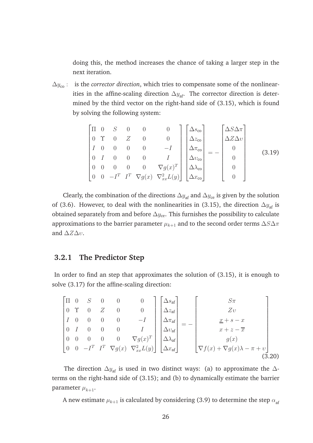doing this, the method increases the chance of taking a larger step in the next iteration.

 $\Delta y_{\rm co}$ : is the *corrector direction*, which tries to compensate some of the nonlinearities in the affine-scaling direction  $\Delta y_{\text{af}}$ . The corrector direction is determined by the third vector on the right-hand side of (3.15), which is found by solving the following system:

$$
\begin{bmatrix}\n\Pi & 0 & S & 0 & 0 & 0 \\
0 & \Upsilon & 0 & Z & 0 & 0 \\
I & 0 & 0 & 0 & 0 & -I \\
0 & I & 0 & 0 & 0 & I \\
0 & 0 & 0 & 0 & 0 & \nabla g(x)^{T} \\
0 & 0 & -I^{T} & I^{T} & \nabla g(x) & \nabla_{xx}^{2}L(y)\n\end{bmatrix}\n\begin{bmatrix}\n\Delta s_{\rm co} \\
\Delta z_{\rm co} \\
\Delta v_{\rm co} \\
\Delta \lambda_{\rm co} \\
\Delta x_{\rm co} \\
\Delta x_{\rm co}\n\end{bmatrix} = -\n\begin{bmatrix}\n\Delta S \Delta \pi \\
\Delta Z \Delta v \\
0 \\
0 \\
0 \\
0\n\end{bmatrix}
$$
\n(3.19)

Clearly, the combination of the directions  $\Delta y_{\text{af}}$  and  $\Delta y_{\text{ce}}$  is given by the solution of (3.6). However, to deal with the nonlinearities in (3.15), the direction  $\Delta y_{\text{af}}$  is obtained separately from and before  $\Delta y_{\text{ce}}$ . This furnishes the possibility to calculate approximations to the barrier parameter  $\mu_{k+1}$  and to the second order terms  $\Delta S \Delta \pi$ and  $\Delta Z \Delta v$ .

#### **3.2.1 The Predictor Step**

In order to find an step that approximates the solution of (3.15), it is enough to solve (3.17) for the affine-scaling direction:

$$
\begin{bmatrix}\n\Pi & 0 & S & 0 & 0 & 0 & 0 \\
0 & \Upsilon & 0 & Z & 0 & 0 & 0 \\
I & 0 & 0 & 0 & 0 & -I & 0 \\
0 & I & 0 & 0 & 0 & I & 0 \\
0 & 0 & -I^{T} & I^{T} & \nabla g(x) & \nabla_{xx}^{2}L(y)\n\end{bmatrix}\n\begin{bmatrix}\n\Delta s_{af} \\
\Delta z_{af} \\
\Delta v_{af} \\
\Delta v_{af} \\
\Delta x_{af}\n\end{bmatrix} = - \begin{bmatrix}\nS\pi \\
Zv \\
Zv \\
x + s - x \\
x + z - \overline{x} \\
g(x) \\
\nabla f(x) + \nabla g(x)\lambda - \pi + v\n\end{bmatrix}
$$
\n(3.20)

The direction  $\Delta y_{\text{af}}$  is used in two distinct ways: (a) to approximate the  $\Delta$ terms on the right-hand side of (3.15); and (b) to dynamically estimate the barrier parameter  $\mu_{k+1}$ .

A new estimate  $\mu_{k+1}$  is calculated by considering (3.9) to determine the step  $\alpha_{\rm af}$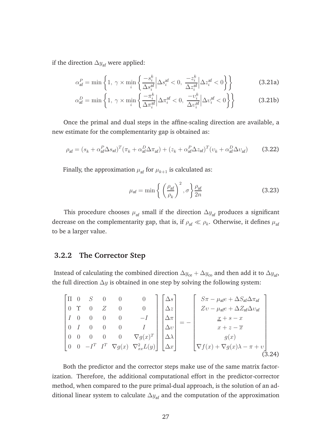if the direction  $\Delta y_{\text{af}}$  were applied:

$$
\alpha_{\text{af}}^P = \min\left\{1, \ \gamma \times \min_i \left\{ \frac{-s_i^k}{\Delta s_i^{\text{af}}} \middle| \Delta s_i^{\text{af}} < 0, \ \frac{-z_i^k}{\Delta z_i^{\text{af}}} \middle| \Delta z_i^{\text{af}} < 0 \right\} \right\} \tag{3.21a}
$$

$$
\alpha_{\text{af}}^D = \min \left\{ 1, \ \gamma \times \min_i \left\{ \frac{-\pi_i^k}{\Delta \pi_i^{\text{af}}} \middle| \Delta \pi_i^{\text{af}} < 0, \ \frac{-\upsilon_i^k}{\Delta \upsilon_i^{\text{af}}} \middle| \Delta \upsilon_i^{\text{af}} < 0 \right\} \right\}
$$
(3.21b)

Once the primal and dual steps in the affine-scaling direction are available, a new estimate for the complementarity gap is obtained as:

$$
\rho_{\text{af}} = (s_k + \alpha_{\text{af}}^P \Delta s_{\text{af}})^T (\pi_k + \alpha_{\text{af}}^P \Delta \pi_{\text{af}}) + (z_k + \alpha_{\text{af}}^P \Delta z_{\text{af}})^T (v_k + \alpha_{\text{af}}^P \Delta v_{\text{af}}) \tag{3.22}
$$

Finally, the approximation  $\mu_{\mathrm{af}}$  for  $\mu_{k+1}$  is calculated as:

$$
\mu_{\text{af}} = \min \left\{ \left( \frac{\rho_{\text{af}}}{\rho_k} \right)^2, \sigma \right\} \frac{\rho_{\text{af}}}{2n} \tag{3.23}
$$

This procedure chooses  $\mu_{af}$  small if the direction  $\Delta y_{af}$  produces a significant decrease on the complementarity gap, that is, if  $\rho_{{\rm af}} \ll \rho_k.$  Otherwise, it defines  $\mu_{{\rm af}}$ to be a larger value.

#### **3.2.2 The Corrector Step**

Instead of calculating the combined direction  $\Delta y_{ce} + \Delta y_{co}$  and then add it to  $\Delta y_{af}$ , the full direction  $\Delta y$  is obtained in one step by solving the following system:

$$
\begin{bmatrix}\n\Pi & 0 & S & 0 & 0 & 0 \\
0 & \Upsilon & 0 & Z & 0 & 0 \\
I & 0 & 0 & 0 & 0 & -I \\
0 & I & 0 & 0 & 0 & 0 & I \\
0 & 0 & -I^{T} & I^{T} & \nabla g(x) & \nabla_{xx}^{2}L(y)\n\end{bmatrix}\n\begin{bmatrix}\n\Delta s \\
\Delta z \\
\Delta v \\
\Delta x\n\end{bmatrix} = -\n\begin{bmatrix}\nS\pi - \mu_{\text{af}}e + \Delta S_{\text{af}}\Delta \pi_{\text{af}} \\
Zv - \mu_{\text{af}}e + \Delta Z_{\text{af}}\Delta v_{\text{af}} \\
\frac{x + s - x}{x + z - \overline{x}} \\
g(x) \\
\nabla f(x) + \nabla g(x)\lambda - \pi + v\n\end{bmatrix}
$$
\n(3.24)

Both the predictor and the corrector steps make use of the same matrix factorization. Therefore, the additional computational effort in the predictor-corrector method, when compared to the pure primal-dual approach, is the solution of an additional linear system to calculate  $\Delta y_{\text{af}}$  and the computation of the approximation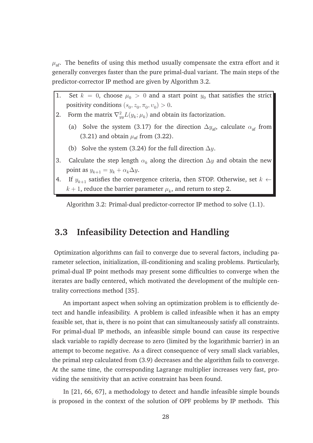$\mu_{\text{af}}$ . The benefits of using this method usually compensate the extra effort and it generally converges faster than the pure primal-dual variant. The main steps of the predictor-corrector IP method are given by Algorithm 3.2.

- 1. Set  $k = 0$ , choose  $\mu_0 > 0$  and a start point  $y_0$  that satisfies the strict positivity conditions  $(s_0, z_0, \pi_0, v_0) > 0$ .
- 2. Form the matrix  $\nabla_{yy}^2 L(y_k; \mu_k)$  and obtain its factorization.
	- (a) Solve the system (3.17) for the direction  $\Delta y_{\text{af}}$ , calculate  $\alpha_{\text{af}}$  from (3.21) and obtain  $\mu_{\text{af}}$  from (3.22).
	- (b) Solve the system (3.24) for the full direction  $\Delta y$ .
- 3. Calculate the step length  $\alpha_k$  along the direction  $\Delta y$  and obtain the new point as  $y_{k+1} = y_k + \alpha_k \Delta y$ .
- 4. If  $y_{k+1}$  satisfies the convergence criteria, then STOP. Otherwise, set  $k \leftarrow$  $k+1$ , reduce the barrier parameter  $\mu_k$ , and return to step 2.

Algorithm 3.2: Primal-dual predictor-corrector IP method to solve (1.1).

## **3.3 Infeasibility Detection and Handling**

Optimization algorithms can fail to converge due to several factors, including parameter selection, initialization, ill-conditioning and scaling problems. Particularly, primal-dual IP point methods may present some difficulties to converge when the iterates are badly centered, which motivated the development of the multiple centrality corrections method [35].

An important aspect when solving an optimization problem is to efficiently detect and handle infeasibility. A problem is called infeasible when it has an empty feasible set, that is, there is no point that can simultaneously satisfy all constraints. For primal-dual IP methods, an infeasible simple bound can cause its respective slack variable to rapidly decrease to zero (limited by the logarithmic barrier) in an attempt to become negative. As a direct consequence of very small slack variables, the primal step calculated from (3.9) decreases and the algorithm fails to converge. At the same time, the corresponding Lagrange multiplier increases very fast, providing the sensitivity that an active constraint has been found.

In [21, 66, 67], a methodology to detect and handle infeasible simple bounds is proposed in the context of the solution of OPF problems by IP methods. This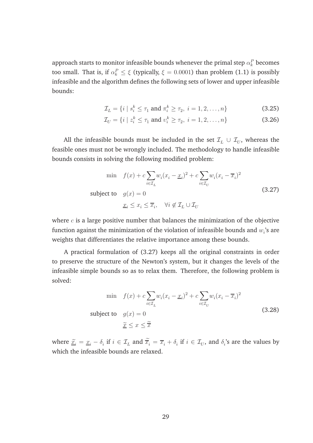approach starts to monitor infeasible bounds whenever the primal step  $\alpha^{P}_{k}$  becomes too small. That is, if  $\alpha_k^P \leq \xi$  (typically,  $\xi = 0.0001$ ) than problem (1.1) is possibly infeasible and the algorithm defines the following sets of lower and upper infeasible bounds:

$$
\mathcal{I}_L = \{ i \mid s_i^k \le \tau_1 \text{ and } \pi_i^k \ge \tau_2, \ i = 1, 2, \dots, n \}
$$
\n(3.25)

$$
\mathcal{I}_U = \{ i \mid z_i^k \le \tau_1 \text{ and } v_i^k \ge \tau_2, \ i = 1, 2, \dots, n \}
$$
\n(3.26)

All the infeasible bounds must be included in the set  $\mathcal{I}_L\,\cup\,\mathcal{I}_U,$  whereas the feasible ones must not be wrongly included. The methodology to handle infeasible bounds consists in solving the following modified problem:

$$
\min \quad f(x) + c \sum_{i \in \mathcal{I}_L} w_i (x_i - \underline{x}_i)^2 + c \sum_{i \in \mathcal{I}_U} w_i (x_i - \overline{x}_i)^2
$$
\n
$$
\text{subject to} \quad g(x) = 0
$$
\n
$$
\underline{x}_i \le x_i \le \overline{x}_i, \quad \forall i \notin \mathcal{I}_L \cup \mathcal{I}_U
$$
\n
$$
(3.27)
$$

where  $c$  is a large positive number that balances the minimization of the objective function against the minimization of the violation of infeasible bounds and  $w_i$ 's are weights that differentiates the relative importance among these bounds.

A practical formulation of (3.27) keeps all the original constraints in order to preserve the structure of the Newton's system, but it changes the levels of the infeasible simple bounds so as to relax them. Therefore, the following problem is solved:

$$
\min f(x) + c \sum_{i \in \mathcal{I}_L} w_i (x_i - \underline{x}_i)^2 + c \sum_{i \in \mathcal{I}_U} w_i (x_i - \overline{x}_i)^2
$$
\n
$$
\text{subject to} \quad g(x) = 0
$$
\n
$$
\widetilde{\underline{x}} \le x \le \widetilde{\overline{x}} \tag{3.28}
$$

where  $\tilde{x}_i = \underline{x}_i - \delta_i$  if  $i \in \mathcal{I}_L$  and  $\overline{x}_i = \overline{x}_i + \delta_i$  if  $i \in \mathcal{I}_U$ , and  $\delta_i$ 's are the values by which the infeasible bounds are relaxed.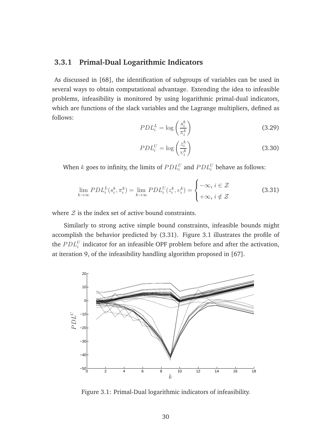#### **3.3.1 Primal-Dual Logarithmic Indicators**

As discussed in [68], the identification of subgroups of variables can be used in several ways to obtain computational advantage. Extending the idea to infeasible problems, infeasibility is monitored by using logarithmic primal-dual indicators, which are functions of the slack variables and the Lagrange multipliers, defined as follows:

$$
PDL_i^L = \log\left(\frac{s_i^k}{\pi_i^k}\right) \tag{3.29}
$$

$$
PDL_i^U = \log\left(\frac{z_i^k}{v_i^k}\right) \tag{3.30}
$$

When  $k$  goes to infinity, the limits of  $PDL_i^U$  and  $PDL_i^U$  behave as follows:

$$
\lim_{k \to \infty} PDL_i^L(s_i^k, \pi_i^k) = \lim_{k \to \infty} PDL_i^U(z_i^k, v_i^k) = \begin{cases} -\infty, i \in \mathcal{Z} \\ +\infty, i \notin \mathcal{Z} \end{cases}
$$
(3.31)

where  $\mathcal Z$  is the index set of active bound constraints.

Similarly to strong active simple bound constraints, infeasible bounds might accomplish the behavior predicted by (3.31). Figure 3.1 illustrates the profile of the  $PDL_i^U$  indicator for an infeasible OPF problem before and after the activation, at iteration 9, of the infeasibility handling algorithm proposed in [67].



Figure 3.1: Primal-Dual logarithmic indicators of infeasibility.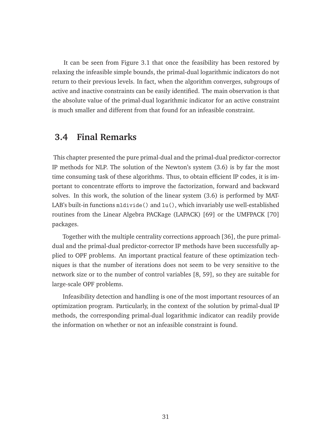It can be seen from Figure 3.1 that once the feasibility has been restored by relaxing the infeasible simple bounds, the primal-dual logarithmic indicators do not return to their previous levels. In fact, when the algorithm converges, subgroups of active and inactive constraints can be easily identified. The main observation is that the absolute value of the primal-dual logarithmic indicator for an active constraint is much smaller and different from that found for an infeasible constraint.

## **3.4 Final Remarks**

This chapter presented the pure primal-dual and the primal-dual predictor-corrector IP methods for NLP. The solution of the Newton's system (3.6) is by far the most time consuming task of these algorithms. Thus, to obtain efficient IP codes, it is important to concentrate efforts to improve the factorization, forward and backward solves. In this work, the solution of the linear system (3.6) is performed by MAT-LAB's built-in functions mldivide() and lu(), which invariably use well-established routines from the Linear Algebra PACKage (LAPACK) [69] or the UMFPACK [70] packages.

Together with the multiple centrality corrections approach [36], the pure primaldual and the primal-dual predictor-corrector IP methods have been successfully applied to OPF problems. An important practical feature of these optimization techniques is that the number of iterations does not seem to be very sensitive to the network size or to the number of control variables [8, 59], so they are suitable for large-scale OPF problems.

Infeasibility detection and handling is one of the most important resources of an optimization program. Particularly, in the context of the solution by primal-dual IP methods, the corresponding primal-dual logarithmic indicator can readily provide the information on whether or not an infeasible constraint is found.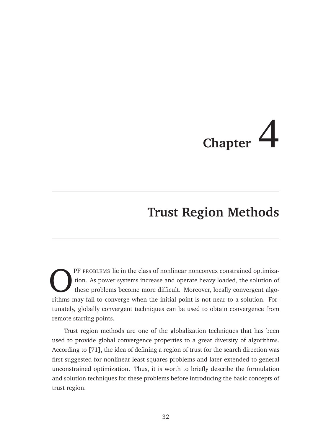# **Chapter**

# **Trust Region Methods**

O rithms PF PROBLEMS lie in the class of nonlinear nonconvex constrained optimization. As power systems increase and operate heavy loaded, the solution of these problems become more difficult. Moreover, locally convergent algorithms may fail to converge when the initial point is not near to a solution. Fortunately, globally convergent techniques can be used to obtain convergence from remote starting points.

Trust region methods are one of the globalization techniques that has been used to provide global convergence properties to a great diversity of algorithms. According to [71], the idea of defining a region of trust for the search direction was first suggested for nonlinear least squares problems and later extended to general unconstrained optimization. Thus, it is worth to briefly describe the formulation and solution techniques for these problems before introducing the basic concepts of trust region.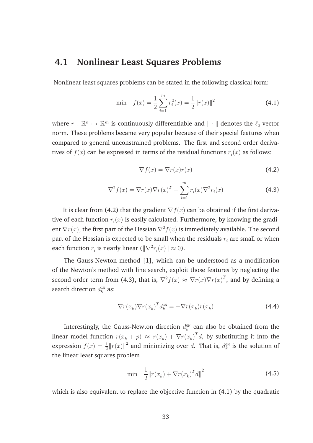## **4.1 Nonlinear Least Squares Problems**

Nonlinear least squares problems can be stated in the following classical form:

$$
\min \quad f(x) = \frac{1}{2} \sum_{i=1}^{m} r_i^2(x) = \frac{1}{2} ||r(x)||^2 \tag{4.1}
$$

where  $r : \mathbb{R}^n \mapsto \mathbb{R}^m$  is continuously differentiable and  $\| \cdot \|$  denotes the  $\ell_2$  vector norm. These problems became very popular because of their special features when compared to general unconstrained problems. The first and second order derivatives of  $f(x)$  can be expressed in terms of the residual functions  $r_i(x)$  as follows:

$$
\nabla f(x) = \nabla r(x)r(x)
$$
\n(4.2)

$$
\nabla^2 f(x) = \nabla r(x) \nabla r(x)^T + \sum_{i=1}^m r_i(x) \nabla^2 r_i(x)
$$
\n(4.3)

It is clear from (4.2) that the gradient  $\nabla f(x)$  can be obtained if the first derivative of each function  $r_i(x)$  is easily calculated. Furthermore, by knowing the gradient  $\nabla r(x)$ , the first part of the Hessian  $\nabla^2 f(x)$  is immediately available. The second part of the Hessian is expected to be small when the residuals  $r_i$  are small or when each function  $r_i$  is nearly linear  $(\|\nabla^2 r_i(x)\| \approx 0)$ .

The Gauss-Newton method [1], which can be understood as a modification of the Newton's method with line search, exploit those features by neglecting the second order term from (4.3), that is,  $\nabla^2 f(x) \approx \nabla r(x) \nabla r(x)^T$ , and by defining a search direction  $d_k^{\hbox{\tiny{GN}}}$  as:

$$
\nabla r(x_k) \nabla r(x_k)^T d_k^{\text{GN}} = -\nabla r(x_k) r(x_k)
$$
\n(4.4)

Interestingly, the Gauss-Newton direction  $d_k^{\tiny{\mbox{GN}}}$  can also be obtained from the linear model function  $r(x_k + p) \approx r(x_k) + \nabla r(x_k)^T d$ , by substituting it into the expression  $f(x) = \frac{1}{2} ||r(x)||^2$  and minimizing over d. That is,  $d_k^{\text{GN}}$  is the solution of the linear least squares problem

$$
\min \quad \frac{1}{2} \| r(x_k) + \nabla r(x_k)^T d \|^2 \tag{4.5}
$$

which is also equivalent to replace the objective function in (4.1) by the quadratic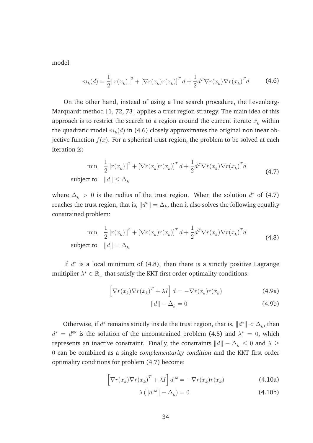model

$$
m_k(d) = \frac{1}{2} ||r(x_k)||^2 + \left[\nabla r(x_k)r(x_k)\right]^T d + \frac{1}{2} d^T \nabla r(x_k) \nabla r(x_k)^T d \tag{4.6}
$$

On the other hand, instead of using a line search procedure, the Levenberg-Marquardt method [1, 72, 73] applies a trust region strategy. The main idea of this approach is to restrict the search to a region around the current iterate  $x_k$  within the quadratic model  $m_k(d)$  in (4.6) closely approximates the original nonlinear objective function  $f(x)$ . For a spherical trust region, the problem to be solved at each iteration is:

$$
\min \quad \frac{1}{2} \|r(x_k)\|^2 + \left[\nabla r(x_k)r(x_k)\right]^T d + \frac{1}{2} d^T \nabla r(x_k) \nabla r(x_k)^T d
$$
\n
$$
\text{subject to} \quad \|d\| \le \Delta_k \tag{4.7}
$$

where  $\Delta_k > 0$  is the radius of the trust region. When the solution  $d^*$  of (4.7) reaches the trust region, that is,  $\|d^*\| = \Delta_k$ , then it also solves the following equality constrained problem:

$$
\min \quad \frac{1}{2} ||r(x_k)||^2 + \left[\nabla r(x_k)r(x_k)\right]^T d + \frac{1}{2} d^T \nabla r(x_k) \nabla r(x_k)^T d
$$
\n
$$
\text{subject to} \quad ||d|| = \Delta_k \tag{4.8}
$$

If  $d^*$  is a local minimum of (4.8), then there is a strictly positive Lagrange multiplier  $\lambda^* \in \mathbb{R}_+$  that satisfy the KKT first order optimality conditions:

$$
\[ \nabla r(x_k) \nabla r(x_k)^T + \lambda I \] d = -\nabla r(x_k) r(x_k)
$$
\n(4.9a)

$$
||d|| - \Delta_k = 0 \tag{4.9b}
$$

Otherwise, if  $d^*$  remains strictly inside the trust region, that is,  $||d^*|| < \Delta_k$ , then  $d^* = d^{\text{GN}}$  is the solution of the unconstrained problem (4.5) and  $\lambda^* = 0$ , which represents an inactive constraint. Finally, the constraints  $||d|| - \Delta_k \leq 0$  and  $\lambda \geq 0$ 0 can be combined as a single *complementarity condition* and the KKT first order optimality conditions for problem (4.7) become:

$$
\[ \nabla r(x_k) \nabla r(x_k)^T + \lambda I \] d^{\text{LM}} = -\nabla r(x_k) r(x_k)
$$
\n(4.10a)

$$
\lambda \left( \left\| d^{\text{LM}} \right\| - \Delta_k \right) = 0 \tag{4.10b}
$$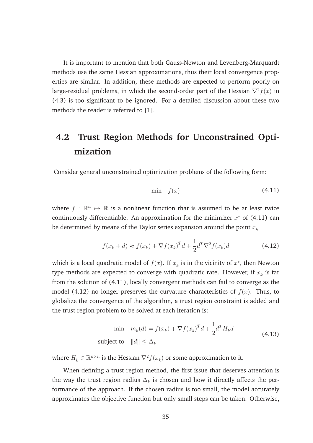It is important to mention that both Gauss-Newton and Levenberg-Marquardt methods use the same Hessian approximations, thus their local convergence properties are similar. In addition, these methods are expected to perform poorly on large-residual problems, in which the second-order part of the Hessian  $\nabla^2 f(x)$  in (4.3) is too significant to be ignored. For a detailed discussion about these two methods the reader is referred to [1].

# **4.2 Trust Region Methods for Unconstrained Optimization**

Consider general unconstrained optimization problems of the following form:

$$
\min \quad f(x) \tag{4.11}
$$

where  $f : \mathbb{R}^n \mapsto \mathbb{R}$  is a nonlinear function that is assumed to be at least twice continuously differentiable. An approximation for the minimizer  $x^*$  of (4.11) can be determined by means of the Taylor series expansion around the point  $x_k$ 

$$
f(x_k + d) \approx f(x_k) + \nabla f(x_k)^T d + \frac{1}{2} d^T \nabla^2 f(x_k) d \tag{4.12}
$$

which is a local quadratic model of  $f(x)$ . If  $x_k$  is in the vicinity of  $x^*$ , then Newton type methods are expected to converge with quadratic rate. However, if  $x_{\scriptscriptstyle k}$  is far from the solution of (4.11), locally convergent methods can fail to converge as the model (4.12) no longer preserves the curvature characteristics of  $f(x)$ . Thus, to globalize the convergence of the algorithm, a trust region constraint is added and the trust region problem to be solved at each iteration is:

$$
\min \quad m_k(d) = f(x_k) + \nabla f(x_k)^T d + \frac{1}{2} d^T H_k d
$$
\n
$$
\text{subject to} \quad ||d|| \le \Delta_k \tag{4.13}
$$

where  $H_k \in \mathbb{R}^{n \times n}$  is the Hessian  $\nabla^2 f(x_k)$  or some approximation to it.

When defining a trust region method, the first issue that deserves attention is the way the trust region radius  $\Delta_k$  is chosen and how it directly affects the performance of the approach. If the chosen radius is too small, the model accurately approximates the objective function but only small steps can be taken. Otherwise,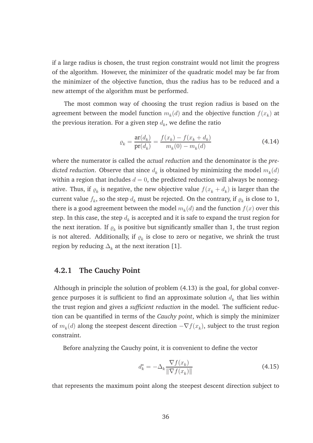if a large radius is chosen, the trust region constraint would not limit the progress of the algorithm. However, the minimizer of the quadratic model may be far from the minimizer of the objective function, thus the radius has to be reduced and a new attempt of the algorithm must be performed.

The most common way of choosing the trust region radius is based on the agreement between the model function  $m_k(d)$  and the objective function  $f(x_k^{})$  at the previous iteration. For a given step  $d_k$ , we define the ratio

$$
\varrho_k = \frac{\operatorname{ar}(d_k)}{\operatorname{pr}(d_k)} = \frac{f(x_k) - f(x_k + d_k)}{m_k(0) - m_k(d)}\tag{4.14}
$$

where the numerator is called the *actual reduction* and the denominator is the *pre* $dicted$   $reduction.$  Observe that since  $d_k$  is obtained by minimizing the model  $m_k(d)$ within a region that includes  $d = 0$ , the predicted reduction will always be nonnegative. Thus, if  $\varrho_k$  is negative, the new objective value  $f(x_k+d_k)$  is larger than the current value  $f_k$ , so the step  $d_k$  must be rejected. On the contrary, if  $\varrho_k$  is close to 1, there is a good agreement between the model  $m_k(d)$  and the function  $f(x)$  over this step. In this case, the step  $d_k$  is accepted and it is safe to expand the trust region for the next iteration. If  $\varrho_k$  is positive but significantly smaller than 1, the trust region is not altered. Additionally, if  $\varrho_k$  is close to zero or negative, we shrink the trust region by reducing  $\Delta_k$  at the next iteration [1].

#### **4.2.1 The Cauchy Point**

Although in principle the solution of problem (4.13) is the goal, for global convergence purposes it is sufficient to find an approximate solution  $d_k$  that lies within the trust region and gives a *sufficient reduction* in the model. The sufficient reduction can be quantified in terms of the *Cauchy point*, which is simply the minimizer of  $m_k(d)$  along the steepest descent direction  $-\nabla f(x_k)$ , subject to the trust region constraint.

Before analyzing the Cauchy point, it is convenient to define the vector

$$
d_k^s = -\Delta_k \frac{\nabla f(x_k)}{\|\nabla f(x_k)\|} \tag{4.15}
$$

that represents the maximum point along the steepest descent direction subject to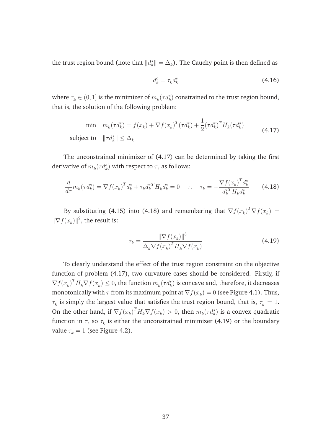the trust region bound (note that  $\|d_k^s\|=\Delta_k$ ). The Cauchy point is then defined as

$$
d_k^c = \tau_k d_k^s \tag{4.16}
$$

where  $\tau_k \in (0,1]$  is the minimizer of  $m_k(\tau d_k^s)$  constrained to the trust region bound, that is, the solution of the following problem:

$$
\min \quad m_k(\tau d_k^s) = f(x_k) + \nabla f(x_k)^T (\tau d_k^s) + \frac{1}{2} (\tau d_k^s)^T H_k (\tau d_k^s)
$$
\n
$$
\text{subject to} \quad \|\tau d_k^s\| \le \Delta_k \tag{4.17}
$$

The unconstrained minimizer of (4.17) can be determined by taking the first derivative of  $m_k(\tau d_k^s)$  with respect to  $\tau$ , as follows:

$$
\frac{d}{d\tau}m_k(\tau d_k^s) = \nabla f(x_k)^T d_k^s + \tau_k d_k^{s \, T} H_k d_k^s = 0 \quad \therefore \quad \tau_k = -\frac{\nabla f(x_k)^T d_k^s}{d_k^{s \, T} H_k d_k^s} \tag{4.18}
$$

By substituting (4.15) into (4.18) and remembering that  $\nabla f(x_k)^T \nabla f(x_k) =$  $\|\nabla f(x_k)\|^2$ , the result is:

$$
\tau_k = \frac{\|\nabla f(x_k)\|^3}{\Delta_k \nabla f(x_k)^T H_k \nabla f(x_k)}\tag{4.19}
$$

To clearly understand the effect of the trust region constraint on the objective function of problem (4.17), two curvature cases should be considered. Firstly, if  $\nabla f(x_k)^T H_k \nabla f(x_k) \leq 0$ , the function  $m_k(\tau d_k^s)$  is concave and, therefore, it decreases monotonically with  $\tau$  from its maximum point at  $\nabla f(x_k) = 0$  (see Figure 4.1). Thus,  $\tau_k$  is simply the largest value that satisfies the trust region bound, that is,  $\tau_k = 1.$ On the other hand, if  $\nabla f(x_k)^T H_k \nabla f(x_k) > 0$ , then  $m_k(\tau d_k^s)$  is a convex quadratic function in  $\tau$ , so  $\tau_k$  is either the unconstrained minimizer (4.19) or the boundary value  $\tau_k = 1$  (see Figure 4.2).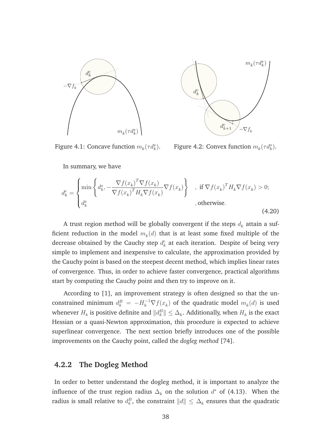



Figure 4.1: Concave function  $m_k(\tau d_k^s)$ .

Figure 4.2: Convex function  $m_k(\tau d_k^s)$ .

In summary, we have

$$
d_k^c = \begin{cases} \min \left\{ d_k^s, -\frac{\nabla f(x_k)^T \nabla f(x_k)}{\nabla f(x_k)^T H_k \nabla f(x_k)} \nabla f(x_k) \right\} & , \text{ if } \nabla f(x_k)^T H_k \nabla f(x_k) > 0; \\ d_k^s & , \text{ otherwise.} \end{cases}
$$
\n(4.20)

A trust region method will be globally convergent if the steps  $d_k$  attain a sufficient reduction in the model  $m_k(d)$  that is at least some fixed multiple of the decrease obtained by the Cauchy step  $d_k^c$  at each iteration. Despite of being very simple to implement and inexpensive to calculate, the approximation provided by the Cauchy point is based on the steepest decent method, which implies linear rates of convergence. Thus, in order to achieve faster convergence, practical algorithms start by computing the Cauchy point and then try to improve on it.

According to [1], an improvement strategy is often designed so that the unconstrained minimum  $d_k^B = -H_k^{-1} \nabla f(x_k)$  of the quadratic model  $m_k(d)$  is used whenever  $H_k$  is positive definite and  $\|d_k^B\|\leq \Delta_k.$  Additionally, when  $H_k$  is the exact Hessian or a quasi-Newton approximation, this procedure is expected to achieve superlinear convergence. The next section briefly introduces one of the possible improvements on the Cauchy point, called the *dogleg method* [74].

#### **4.2.2 The Dogleg Method**

In order to better understand the dogleg method, it is important to analyze the influence of the trust region radius  $\Delta_k$  on the solution  $d^*$  of (4.13). When the radius is small relative to  $d_k^B$ , the constraint  $\|d\|\leq \Delta_k$  ensures that the quadratic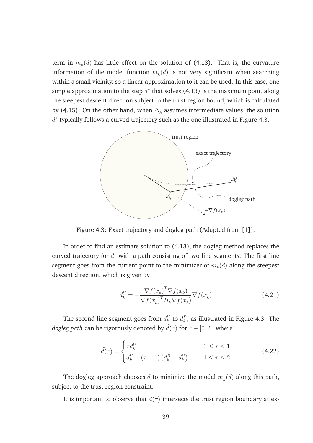term in  $m_k(d)$  has little effect on the solution of (4.13). That is, the curvature information of the model function  $m_k(d)$  is not very significant when searching within a small vicinity, so a linear approximation to it can be used. In this case, one simple approximation to the step  $d^*$  that solves (4.13) is the maximum point along the steepest descent direction subject to the trust region bound, which is calculated by (4.15). On the other hand, when  $\Delta_k$  assumes intermediate values, the solution  $d^*$  typically follows a curved trajectory such as the one illustrated in Figure 4.3.



Figure 4.3: Exact trajectory and dogleg path (Adapted from [1]).

In order to find an estimate solution to (4.13), the dogleg method replaces the curved trajectory for  $d^*$  with a path consisting of two line segments. The first line segment goes from the current point to the minimizer of  $m_k(d)$  along the steepest descent direction, which is given by

$$
d_k^U = -\frac{\nabla f(x_k)^T \nabla f(x_k)}{\nabla f(x_k)^T H_k \nabla f(x_k)} \nabla f(x_k)
$$
\n(4.21)

The second line segment goes from  $d_k^U$  to  $d_k^B$ , as illustrated in Figure 4.3. The *dogleg path* can be rigorously denoted by  $d(\tau)$  for  $\tau \in [0, 2]$ , where

$$
\widetilde{d}(\tau) = \begin{cases}\n\tau d_k^U, & 0 \le \tau \le 1 \\
d_k^U + (\tau - 1) \left( d_k^B - d_k^U \right), & 1 \le \tau \le 2\n\end{cases}
$$
\n(4.22)

The dogleg approach chooses  $d$  to minimize the model  $m_k(d)$  along this path, subject to the trust region constraint.

It is important to observe that  $\tilde{d}(\tau)$  intersects the trust region boundary at ex-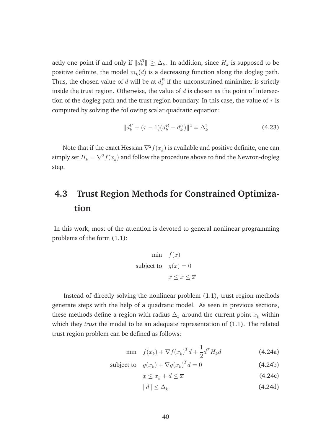actly one point if and only if  $\|d_k^B\|\geq \Delta_k$ . In addition, since  $H_k$  is supposed to be positive definite, the model  $m_k(d)$  is a decreasing function along the dogleg path. Thus, the chosen value of  $d$  will be at  $d_k^B$  if the unconstrained minimizer is strictly inside the trust region. Otherwise, the value of  $d$  is chosen as the point of intersection of the dogleg path and the trust region boundary. In this case, the value of  $\tau$  is computed by solving the following scalar quadratic equation:

$$
||d_k^U + (\tau - 1)(d_k^B - d_k^U)||^2 = \Delta_k^2
$$
\n(4.23)

Note that if the exact Hessian  $\nabla^2 f(x_k)$  is available and positive definite, one can simply set  $H_k = \nabla^2 f(x_k)$  and follow the procedure above to find the Newton-dogleg step.

# **4.3 Trust Region Methods for Constrained Optimization**

In this work, most of the attention is devoted to general nonlinear programming problems of the form (1.1):

$$
\begin{aligned}\n\text{min} \quad & f(x) \\
\text{subject to} \quad & g(x) = 0 \\
& \underline{x} \leq x \leq \overline{x}\n\end{aligned}
$$

Instead of directly solving the nonlinear problem (1.1), trust region methods generate steps with the help of a quadratic model. As seen in previous sections, these methods define a region with radius  $\Delta_k$  around the current point  $x_k$  within which they *trust* the model to be an adequate representation of (1.1). The related trust region problem can be defined as follows:

$$
\min \quad f(x_k) + \nabla f(x_k)^T d + \frac{1}{2} d^T H_k d \tag{4.24a}
$$

- subject to  $g(x_k) + \nabla g(x_k)^T$  $(4.24b)$ 
	- $x \leq x_k + d \leq \overline{x}$  (4.24c)
	- $||d|| < \Delta_k$ (4.24d)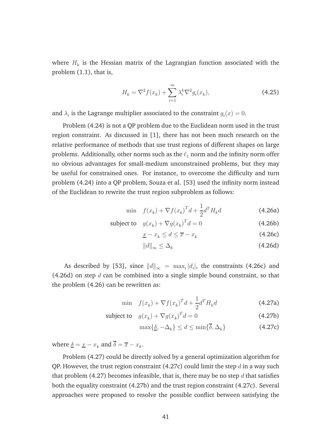where  $H_k$  is the Hessian matrix of the Lagrangian function associated with the problem (1.1), that is,

$$
H_k = \nabla^2 f(x_k) + \sum_{i=1}^m \lambda_i^k \nabla^2 g_i(x_k),
$$
\n(4.25)

and  $\lambda_i$  is the Lagrange multiplier associated to the constraint  $g_i(x) = 0$ .

Problem (4.24) is not a QP problem due to the Euclidean norm used in the trust region constraint. As discussed in [1], there has not been much research on the relative performance of methods that use trust regions of different shapes on large problems. Additionally, other norms such as the  $\ell_1$  norm and the infinity norm offer no obvious advantages for small-medium unconstrained problems, but they may be useful for constrained ones. For instance, to overcome the difficulty and turn problem (4.24) into a QP problem, Souza et al. [53] used the infinity norm instead of the Euclidean to rewrite the trust region subproblem as follows:

$$
\min \quad f(x_k) + \nabla f(x_k)^T d + \frac{1}{2} d^T H_k d \tag{4.26a}
$$

subject to 
$$
g(x_k) + \nabla g(x_k)^T d = 0
$$
 (4.26b)

$$
\underline{x} - x_k \le d \le \overline{x} - x_k \tag{4.26c}
$$

$$
||d||_{\infty} \leq \Delta_k \tag{4.26d}
$$

As described by [53], since  $\|d\|_{\infty} \ = \ \max_i |d_i|$ , the constraints (4.26c) and (4.26d) on step  $d$  can be combined into a single simple bound constraint, so that the problem (4.26) can be rewritten as:

$$
\min \quad f(x_k) + \nabla f(x_k)^T d + \frac{1}{2} d^T H_k d \tag{4.27a}
$$

subject to 
$$
g(x_k) + \nabla g(x_k)^T d = 0
$$
 (4.27b)

$$
\max\{\underline{\delta}, -\Delta_k\} \le d \le \min\{\overline{\delta}, \Delta_k\} \tag{4.27c}
$$

where  $\underline{\delta} = \underline{x} - x_k$  and  $\delta = \overline{x} - x_k$ .

Problem (4.27) could be directly solved by a general optimization algorithm for QP. However, the trust region constraint (4.27c) could limit the step  $d$  in a way such that problem (4.27) becomes infeasible, that is, there may be no step  $d$  that satisfies both the equality constraint (4.27b) and the trust region constraint (4.27c). Several approaches were proposed to resolve the possible conflict between satisfying the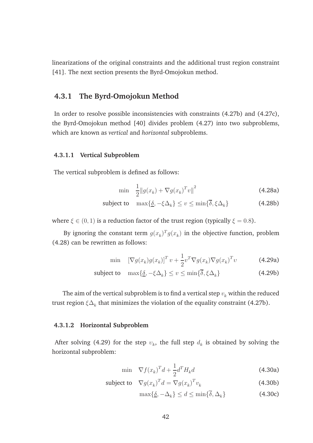linearizations of the original constraints and the additional trust region constraint [41]. The next section presents the Byrd-Omojokun method.

#### **4.3.1 The Byrd-Omojokun Method**

In order to resolve possible inconsistencies with constraints (4.27b) and (4.27c), the Byrd-Omojokun method [40] divides problem (4.27) into two subproblems, which are known as *vertical* and *horizontal* subproblems.

#### **4.3.1.1 Vertical Subproblem**

The vertical subproblem is defined as follows:

$$
\min \quad \frac{1}{2} \|g(x_k) + \nabla g(x_k)^T v\|^2 \tag{4.28a}
$$

subject to 
$$
\max\{\underline{\delta}, -\xi\Delta_k\} \le v \le \min\{\delta, \xi\Delta_k\}
$$
 (4.28b)

where  $\xi \in (0, 1)$  is a reduction factor of the trust region (typically  $\xi = 0.8$ ).

By ignoring the constant term  $g(x_k)^T g(x_k)$  in the objective function, problem (4.28) can be rewritten as follows:

$$
\min \left[ \nabla g(x_k) g(x_k) \right]^T v + \frac{1}{2} v^T \nabla g(x_k) \nabla g(x_k)^T v \tag{4.29a}
$$

$$
\text{subject to } \max\{\underline{\delta}, -\xi \Delta_k\} \le v \le \min\{\overline{\delta}, \xi \Delta_k\} \tag{4.29b}
$$

The aim of the vertical subproblem is to find a vertical step  $v_k$  within the reduced trust region  $\xi \Delta_k$  that minimizes the violation of the equality constraint (4.27b).

#### **4.3.1.2 Horizontal Subproblem**

After solving (4.29) for the step  $v_k$ , the full step  $d_k$  is obtained by solving the horizontal subproblem:

$$
\min \quad \nabla f(x_k)^T d + \frac{1}{2} d^T H_k d \tag{4.30a}
$$

subject to 
$$
\nabla g(x_k)^T d = \nabla g(x_k)^T v_k
$$
 (4.30b)

$$
\max\{\underline{\delta}, -\Delta_k\} \le d \le \min\{\overline{\delta}, \Delta_k\} \tag{4.30c}
$$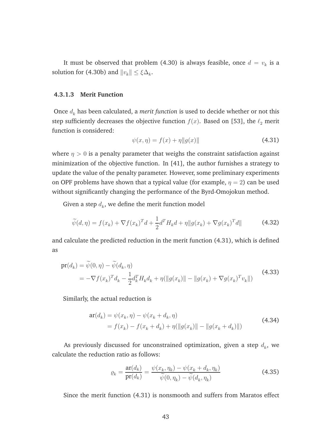It must be observed that problem (4.30) is always feasible, once  $d = v_k$  is a solution for (4.30b) and  $||v_k|| \leq \xi \Delta_k$ .

#### **4.3.1.3 Merit Function**

Once  $d_k$  has been calculated, a *merit function* is used to decide whether or not this step sufficiently decreases the objective function  $f(x)$ . Based on [53], the  $\ell_2$  merit function is considered:

$$
\psi(x,\eta) = f(x) + \eta \|g(x)\| \tag{4.31}
$$

where  $\eta > 0$  is a penalty parameter that weighs the constraint satisfaction against minimization of the objective function. In [41], the author furnishes a strategy to update the value of the penalty parameter. However, some preliminary experiments on OPF problems have shown that a typical value (for example,  $\eta = 2$ ) can be used without significantly changing the performance of the Byrd-Omojokun method.

Given a step  $d_k$ , we define the merit function model

$$
\widetilde{\psi}(d,\eta) = f(x_k) + \nabla f(x_k)^T d + \frac{1}{2} d^T H_k d + \eta \| g(x_k) + \nabla g(x_k)^T d \|
$$
\n(4.32)

and calculate the predicted reduction in the merit function (4.31), which is defined as

$$
\begin{split} \mathbf{pr}(d_k) &= \widetilde{\psi}(0,\eta) - \widetilde{\psi}(d_k,\eta) \\ &= -\nabla f(x_k)^T d_k - \frac{1}{2} d_k^T H_k d_k + \eta(\|g(x_k)\| - \|g(x_k) + \nabla g(x_k)^T v_k\|) \end{split} \tag{4.33}
$$

Similarly, the actual reduction is

$$
\begin{aligned} \mathbf{ar}(d_k) &= \psi(x_k, \eta) - \psi(x_k + d_k, \eta) \\ &= f(x_k) - f(x_k + d_k) + \eta(\|g(x_k)\| - \|g(x_k + d_k)\|) \end{aligned} \tag{4.34}
$$

As previously discussed for unconstrained optimization, given a step  $d_{k}$ , we calculate the reduction ratio as follows:

$$
\varrho_k = \frac{\operatorname{ar}(d_k)}{\operatorname{pr}(d_k)} = \frac{\psi(x_k, \eta_k) - \psi(x_k + d_k, \eta_k)}{\widetilde{\psi}(0, \eta_k) - \widetilde{\psi}(d_k, \eta_k)}\tag{4.35}
$$

Since the merit function (4.31) is nonsmooth and suffers from Maratos effect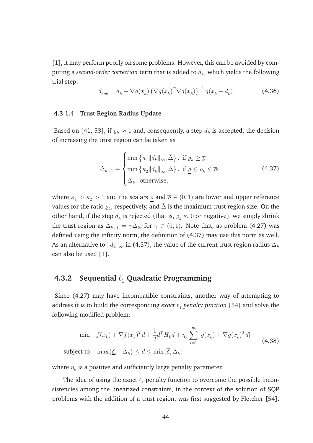[1], it may perform poorly on some problems. However, this can be avoided by computing a *second-order correction t*erm that is added to  $d_k$ , which yields the following trial step:

$$
d_{soc} = d_k - \nabla g(x_k) \left( \nabla g(x_k)^T \nabla g(x_k) \right)^{-1} g(x_k + d_k)
$$
\n(4.36)

#### **4.3.1.4 Trust Region Radius Update**

Based on [41, 53], if  $\varrho_k \approx 1$  and, consequently, a step  $d_k$  is accepted, the decision of increasing the trust region can be taken as

$$
\Delta_{k+1} = \begin{cases}\n\min \{\kappa_1 \|d_k\|_{\infty}, \bar{\Delta}\}, & \text{if } \varrho_k \geq \overline{\varrho}; \\
\min \{\kappa_2 \|d_k\|_{\infty}, \bar{\Delta}\}, & \text{if } \underline{\varrho} \leq \varrho_k \leq \overline{\varrho}; \\
\Delta_k, & \text{otherwise};\n\end{cases}
$$
\n(4.37)

where  $\kappa_1 > \kappa_2 > 1$  and the scalars  $\varrho$  and  $\overline{\varrho} \in (0, 1)$  are lower and upper reference values for the ratio  $\varrho_k$ , respectively, and  $\bar{\Delta}$  is the maximum trust region size. On the other hand, if the step  $d_k$  is rejected (that is,  $\varrho_k\approx 0$  or negative), we simply shrink the trust region as  $\Delta_{k+1} = \gamma \Delta_k$ , for  $\gamma \in (0,1)$ . Note that, as problem (4.27) was defined using the infinity norm, the definition of (4.37) may use this norm as well. As an alternative to  $\|d_k\|_\infty$  in (4.37), the value of the current trust region radius  $\Delta_k$ can also be used [1].

#### **4.3.2 Sequential** ℓ<sup>1</sup> **Quadratic Programming**

Since (4.27) may have incompatible constraints, another way of attempting to address it is to build the corresponding *exact*  $\ell_1$  *penalty function* [54] and solve the following modified problem:

$$
\min \quad f(x_k) + \nabla f(x_k)^T d + \frac{1}{2} d^T H_k d + \eta_k \sum_{i=1}^m |g(x_k) + \nabla g(x_k)^T d|
$$
\n
$$
\text{subject to} \quad \max\{\underline{\delta}, -\Delta_k\} \le d \le \min\{\overline{\delta}, \Delta_k\} \tag{4.38}
$$

where  $\eta_k$  is a positive and sufficiently large penalty parameter.

The idea of using the exact  $\ell_1$  penalty function to overcome the possible inconsistencies among the linearized constraints, in the context of the solution of SQP problems with the addition of a trust region, was first suggested by Fletcher [54].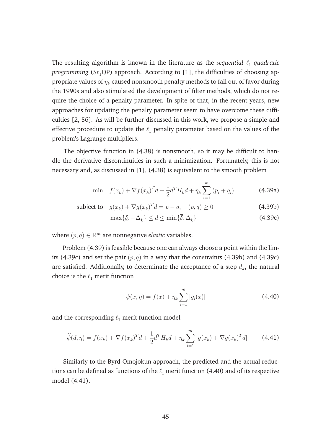The resulting algorithm is known in the literature as the *sequential*  $\ell_1$  *quadratic programming* ( $S\ell_1QP$ ) approach. According to [1], the difficulties of choosing appropriate values of  $\eta_k$  caused nonsmooth penalty methods to fall out of favor during the 1990s and also stimulated the development of filter methods, which do not require the choice of a penalty parameter. In spite of that, in the recent years, new approaches for updating the penalty parameter seem to have overcome these difficulties [2, 56]. As will be further discussed in this work, we propose a simple and effective procedure to update the  $\ell_1$  penalty parameter based on the values of the problem's Lagrange multipliers.

The objective function in (4.38) is nonsmooth, so it may be difficult to handle the derivative discontinuities in such a minimization. Fortunately, this is not necessary and, as discussed in [1], (4.38) is equivalent to the smooth problem

$$
\min \quad f(x_k) + \nabla f(x_k)^T d + \frac{1}{2} d^T H_k d + \eta_k \sum_{i=1}^m (p_i + q_i)
$$
\n(4.39a)

subject to 
$$
g(x_k) + \nabla g(x_k)^T d = p - q, \quad (p, q) \ge 0
$$
 (4.39b)

$$
\max\{\underline{\delta}, -\Delta_k\} \le d \le \min\{\overline{\delta}, \Delta_k\} \tag{4.39c}
$$

where  $(p, q) \in \mathbb{R}^m$  are nonnegative *elastic* variables.

Problem (4.39) is feasible because one can always choose a point within the limits (4.39c) and set the pair  $(p, q)$  in a way that the constraints (4.39b) and (4.39c) are satisfied. Additionally, to determinate the acceptance of a step  $d_k$ , the natural choice is the  $\ell_1$  merit function

$$
\psi(x,\eta) = f(x) + \eta_k \sum_{i=1}^{m} |g_i(x)| \tag{4.40}
$$

and the corresponding  $\ell_1$  merit function model

$$
\widetilde{\psi}(d,\eta) = f(x_k) + \nabla f(x_k)^T d + \frac{1}{2} d^T H_k d + \eta_k \sum_{i=1}^m |g(x_k) + \nabla g(x_k)^T d| \tag{4.41}
$$

Similarly to the Byrd-Omojokun approach, the predicted and the actual reductions can be defined as functions of the  $\ell_1$  merit function (4.40) and of its respective model (4.41).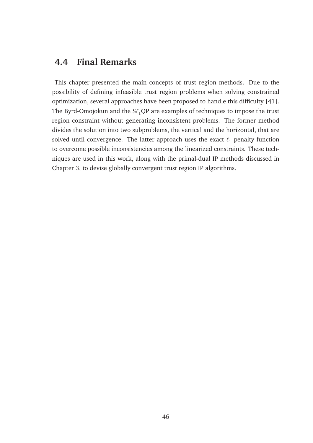# **4.4 Final Remarks**

This chapter presented the main concepts of trust region methods. Due to the possibility of defining infeasible trust region problems when solving constrained optimization, several approaches have been proposed to handle this difficulty [41]. The Byrd-Omojokun and the  $S\ell_1QP$  are examples of techniques to impose the trust region constraint without generating inconsistent problems. The former method divides the solution into two subproblems, the vertical and the horizontal, that are solved until convergence. The latter approach uses the exact  $\ell_1$  penalty function to overcome possible inconsistencies among the linearized constraints. These techniques are used in this work, along with the primal-dual IP methods discussed in Chapter 3, to devise globally convergent trust region IP algorithms.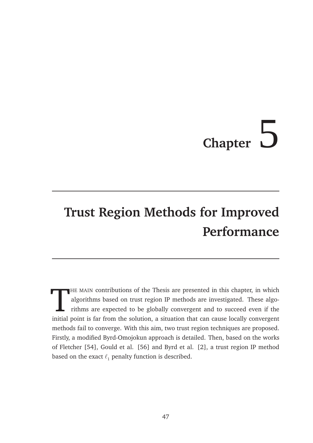# **Chapter** 5

# **Trust Region Methods for Improved Performance**

 $\prod$ HE MAIN contributions of the Thesis are presented in this chapter, in which algorithms based on trust region IP methods are investigated. These algorithms are expected to be globally convergent and to succeed even if the initial point is far from the solution, a situation that can cause locally convergent methods fail to converge. With this aim, two trust region techniques are proposed. Firstly, a modified Byrd-Omojokun approach is detailed. Then, based on the works of Fletcher [54], Gould et al. [56] and Byrd et al. [2], a trust region IP method based on the exact  $\ell_1$  penalty function is described.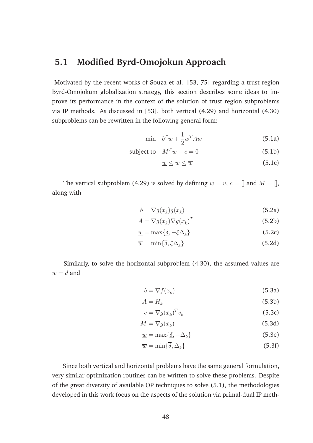# **5.1 Modified Byrd-Omojokun Approach**

Motivated by the recent works of Souza et al. [53, 75] regarding a trust region Byrd-Omojokum globalization strategy, this section describes some ideas to improve its performance in the context of the solution of trust region subproblems via IP methods. As discussed in [53], both vertical (4.29) and horizontal (4.30) subproblems can be rewritten in the following general form:

$$
\min \quad b^T w + \frac{1}{2} w^T A w \tag{5.1a}
$$

subject to 
$$
M^T w - c = 0
$$
 (5.1b)

$$
\underline{w} \le w \le \overline{w} \tag{5.1c}
$$

The vertical subproblem (4.29) is solved by defining  $w = v, c = \mathbb{I}$  and  $M = \mathbb{I}$ , along with

$$
b = \nabla g(x_k)g(x_k) \tag{5.2a}
$$

$$
A = \nabla g(x_k) \nabla g(x_k)^T
$$
 (5.2b)

$$
\underline{w} = \max\{\underline{\delta}, -\xi \Delta_k\} \tag{5.2c}
$$

$$
\overline{w} = \min\{\overline{\delta}, \xi \Delta_k\} \tag{5.2d}
$$

Similarly, to solve the horizontal subproblem (4.30), the assumed values are  $w = d$  and

$$
b = \nabla f(x_k) \tag{5.3a}
$$

$$
A = H_k \tag{5.3b}
$$

$$
c = \nabla g(x_k)^T v_k \tag{5.3c}
$$

$$
M = \nabla g(x_k) \tag{5.3d}
$$

$$
\underline{w} = \max\{\underline{\delta}, -\Delta_k\} \tag{5.3e}
$$

$$
\overline{w} = \min\{\overline{\delta}, \Delta_k\} \tag{5.3f}
$$

Since both vertical and horizontal problems have the same general formulation, very similar optimization routines can be written to solve these problems. Despite of the great diversity of available QP techniques to solve (5.1), the methodologies developed in this work focus on the aspects of the solution via primal-dual IP meth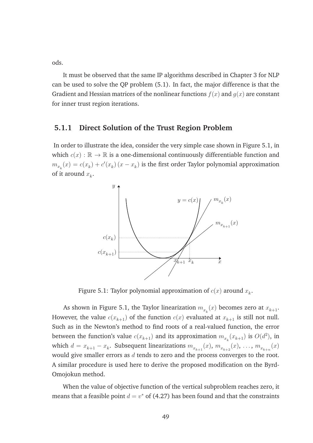ods.

It must be observed that the same IP algorithms described in Chapter 3 for NLP can be used to solve the QP problem (5.1). In fact, the major difference is that the Gradient and Hessian matrices of the nonlinear functions  $f(x)$  and  $g(x)$  are constant for inner trust region iterations.

#### **5.1.1 Direct Solution of the Trust Region Problem**

In order to illustrate the idea, consider the very simple case shown in Figure 5.1, in which  $c(x): \mathbb{R} \to \mathbb{R}$  is a one-dimensional continuously differentiable function and  $m_{x_k}(x) = c(x_k) + c'(x_k)$   $(x - x_k)$  is the first order Taylor polynomial approximation of it around  $x_k$ .



Figure 5.1: Taylor polynomial approximation of  $c(x)$  around  $x_k$ .

As shown in Figure 5.1, the Taylor linearization  $m_{x_k}(x)$  becomes zero at  $x_{k+1}.$ However, the value  $c(x_{k+1})$  of the function  $c(x)$  evaluated at  $x_{k+1}$  is still not null. Such as in the Newton's method to find roots of a real-valued function, the error between the function's value  $c(x_{k+1})$  and its approximation  $m_{x_k}(x_{k+1})$  is  $O(d^2)$ , in which  $d=x_{k+1}-x_k$ . Subsequent linearizations  $m_{x_{k+1}}(x)$ ,  $m_{x_{k+2}}(x)$ ,  $\dots$ ,  $m_{x_{k+n}}(x)$ would give smaller errors as  $d$  tends to zero and the process converges to the root. A similar procedure is used here to derive the proposed modification on the Byrd-Omojokun method.

When the value of objective function of the vertical subproblem reaches zero, it means that a feasible point  $d = v^*$  of (4.27) has been found and that the constraints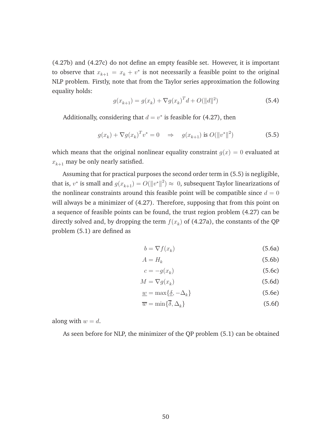(4.27b) and (4.27c) do not define an empty feasible set. However, it is important to observe that  $x_{k+1} = x_k + v^*$  is not necessarily a feasible point to the original NLP problem. Firstly, note that from the Taylor series approximation the following equality holds:

$$
g(x_{k+1}) = g(x_k) + \nabla g(x_k)^T d + O(||d||^2)
$$
\n(5.4)

Additionally, considering that  $d = v^*$  is feasible for (4.27), then

$$
g(x_k) + \nabla g(x_k)^T v^* = 0 \quad \Rightarrow \quad g(x_{k+1}) \text{ is } O(||v^*||^2)
$$
 (5.5)

which means that the original nonlinear equality constraint  $q(x) = 0$  evaluated at  $x_{k+1}$  may be only nearly satisfied.

Assuming that for practical purposes the second order term in (5.5) is negligible, that is,  $v^*$  is small and  $g(x_{k+1}) = O(\|v^*\|^2) \approx 0$ , subsequent Taylor linearizations of the nonlinear constraints around this feasible point will be compatible since  $d = 0$ will always be a minimizer of (4.27). Therefore, supposing that from this point on a sequence of feasible points can be found, the trust region problem (4.27) can be directly solved and, by dropping the term  $f(x_k)$  of (4.27a), the constants of the QP problem (5.1) are defined as

$$
b = \nabla f(x_k) \tag{5.6a}
$$

$$
A = H_k \tag{5.6b}
$$

$$
c = -g(x_k) \tag{5.6c}
$$

$$
M = \nabla g(x_k) \tag{5.6d}
$$

$$
\underline{w} = \max\{\underline{\delta}, -\Delta_k\} \tag{5.6e}
$$

$$
\overline{w} = \min\{\overline{\delta}, \Delta_k\} \tag{5.6f}
$$

along with  $w = d$ .

As seen before for NLP, the minimizer of the QP problem (5.1) can be obtained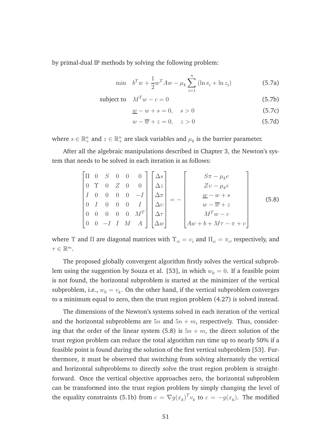by primal-dual IP methods by solving the following problem:

$$
\min \quad b^T w + \frac{1}{2} w^T A w - \mu_k \sum_{i=1}^n (\ln s_i + \ln z_i) \tag{5.7a}
$$

$$
subject to \tM^T w - c = 0 \t(5.7b)
$$

$$
\underline{w} - w + s = 0, \quad s > 0 \tag{5.7c}
$$

$$
w - \overline{w} + z = 0, \quad z > 0 \tag{5.7d}
$$

where  $s \in \mathbb{R}_+^n$  and  $z \in \mathbb{R}_+^n$  are slack variables and  $\mu_k$  is the barrier parameter.

After all the algebraic manipulations described in Chapter 3, the Newton's system that needs to be solved in each iteration is as follows:

$$
\begin{bmatrix}\n\Pi & 0 & S & 0 & 0 & 0 \\
0 & \Upsilon & 0 & Z & 0 & 0 \\
I & 0 & 0 & 0 & 0 & -I \\
0 & I & 0 & 0 & 0 & I \\
0 & 0 & 0 & 0 & 0 & M^T \\
0 & 0 & -I & I & M & A\n\end{bmatrix}\n\begin{bmatrix}\n\Delta s \\
\Delta z \\
\Delta \pi \\
\Delta v \\
\Delta \tau \\
\Delta w\n\end{bmatrix} = - \begin{bmatrix}\nS\pi - \mu_k e \\
Z\upsilon - \mu_k e \\
\frac{w - w + s}{w - \overline{w} + z} \\
M^T \upsilon - c \\
M^T \upsilon - \tau \\
A\upsilon + b + M\tau - \pi + \upsilon\n\end{bmatrix}
$$
\n(5.8)

where  $\Upsilon$  and  $\Pi$  are diagonal matrices with  $\Upsilon^{}_{ii} = \upsilon^{}_{i}$  and  $\Pi^{}_{ii} = \pi^{}_{i},$  respectively, and  $\tau \in \mathbb{R}^m$ .

The proposed globally convergent algorithm firstly solves the vertical subproblem using the suggestion by Souza et al. [53], in which  $w_0 = 0$ . If a feasible point is not found, the horizontal subproblem is started at the minimizer of the vertical subproblem, i.e.,  $w_0 = v_k$ . On the other hand, if the vertical subproblem converges to a minimum equal to zero, then the trust region problem (4.27) is solved instead.

The dimensions of the Newton's systems solved in each iteration of the vertical and the horizontal subproblems are  $5n$  and  $5n + m$ , respectively. Thus, considering that the order of the linear system (5.8) is  $5n + m$ , the direct solution of the trust region problem can reduce the total algorithm run time up to nearly 50% if a feasible point is found during the solution of the first vertical subproblem [53]. Furthermore, it must be observed that switching from solving alternately the vertical and horizontal subproblems to directly solve the trust region problem is straightforward. Once the vertical objective approaches zero, the horizontal subproblem can be transformed into the trust region problem by simply changing the level of the equality constraints (5.1b) from  $c = \nabla g(x_k)^T v_k$  to  $c = -g(x_k)$ . The modified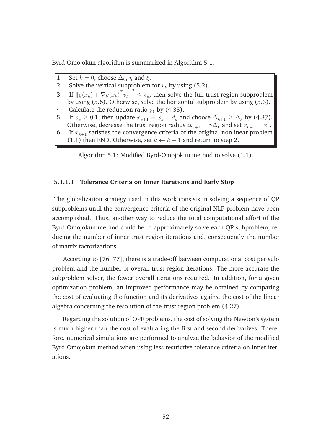Byrd-Omojokun algorithm is summarized in Algorithm 5.1.

- 1. Set  $k = 0$ , choose  $\Delta_0$ ,  $\eta$  and  $\xi$ .
- 2. Solve the vertical subproblem for  $v_k$  by using (5.2).
- 3. If  $||g(x_k) + \nabla g(x_k)^T v_k||^2 \le \epsilon_v$ , then solve the full trust region subproblem by using (5.6). Otherwise, solve the horizontal subproblem by using (5.3).
- 4. Calculate the reduction ratio  $\varrho_k$  by (4.35).<br>5. If  $\rho_k > 0.1$ , then update  $x_{k+1} = x_k + d_k$  are
- 5. If  $\rho_k \geq 0.1$ , then update  $x_{k+1} = x_k + d_k$  and choose  $\Delta_{k+1} \geq \Delta_k$  by (4.37). Otherwise, decrease the trust region radius  $\Delta_{k+1} = \gamma \Delta_k$  and set  $x_{k+1} = x_k$ .
- 6. If  $x_{k+1}$  satisfies the convergence criteria of the original nonlinear problem (1.1) then END. Otherwise, set  $k \leftarrow k + 1$  and return to step 2.

Algorithm 5.1: Modified Byrd-Omojokun method to solve (1.1).

#### **5.1.1.1 Tolerance Criteria on Inner Iterations and Early Stop**

The globalization strategy used in this work consists in solving a sequence of QP subproblems until the convergence criteria of the original NLP problem have been accomplished. Thus, another way to reduce the total computational effort of the Byrd-Omojokun method could be to approximately solve each QP subproblem, reducing the number of inner trust region iterations and, consequently, the number of matrix factorizations.

According to [76, 77], there is a trade-off between computational cost per subproblem and the number of overall trust region iterations. The more accurate the subproblem solver, the fewer overall iterations required. In addition, for a given optimization problem, an improved performance may be obtained by comparing the cost of evaluating the function and its derivatives against the cost of the linear algebra concerning the resolution of the trust region problem (4.27).

Regarding the solution of OPF problems, the cost of solving the Newton's system is much higher than the cost of evaluating the first and second derivatives. Therefore, numerical simulations are performed to analyze the behavior of the modified Byrd-Omojokun method when using less restrictive tolerance criteria on inner iterations.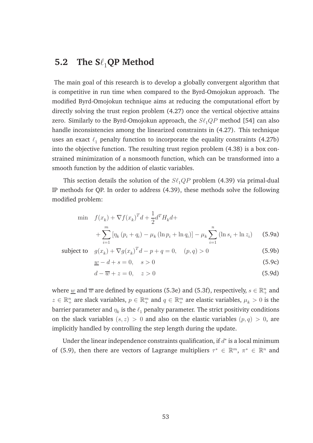## **5.2** The  $S\ell_1$ **QP** Method

The main goal of this research is to develop a globally convergent algorithm that is competitive in run time when compared to the Byrd-Omojokun approach. The modified Byrd-Omojokun technique aims at reducing the computational effort by directly solving the trust region problem (4.27) once the vertical objective attains zero. Similarly to the Byrd-Omojokun approach, the  $S\ell_1QP$  method [54] can also handle inconsistencies among the linearized constraints in (4.27). This technique uses an exact  $\ell_1$  penalty function to incorporate the equality constraints (4.27b) into the objective function. The resulting trust region problem (4.38) is a box constrained minimization of a nonsmooth function, which can be transformed into a smooth function by the addition of elastic variables.

This section details the solution of the  $S\ell_1QP$  problem (4.39) via primal-dual IP methods for QP. In order to address (4.39), these methods solve the following modified problem:

$$
\begin{aligned}\n\min \quad & f(x_k) + \nabla f(x_k)^T d + \frac{1}{2} d^T H_k d + \\
&+ \sum_{i=1}^m \left[ \eta_k \left( p_i + q_i \right) - \mu_k \left( \ln p_i + \ln q_i \right) \right] - \mu_k \sum_{i=1}^n \left( \ln s_i + \ln z_i \right) \tag{5.9a}\n\end{aligned}
$$

subject to 
$$
g(x_k) + \nabla g(x_k)^T d - p + q = 0
$$
,  $(p, q) > 0$  (5.9b)

 $w - d + s = 0, \quad s > 0$  (5.9c)

$$
d - \overline{w} + z = 0, \quad z > 0 \tag{5.9d}
$$

where  $\underline{w}$  and  $\overline{w}$  are defined by equations (5.3e) and (5.3f), respectively,  $s \in \mathbb{R}^n_+$  and  $z \in \mathbb{R}_+^n$  are slack variables,  $p \in \mathbb{R}_+^m$  and  $q \in \mathbb{R}_+^m$  are elastic variables,  $\mu_k > 0$  is the barrier parameter and  $\eta_k$  is the  $\ell_1$  penalty parameter. The strict positivity conditions on the slack variables  $(s, z) > 0$  and also on the elastic variables  $(p, q) > 0$ , are implicitly handled by controlling the step length during the update.

Under the linear independence constraints qualification, if  $d^*$  is a local minimum of (5.9), then there are vectors of Lagrange multipliers  $\tau^* \in \mathbb{R}^m$ ,  $\pi^* \in \mathbb{R}^n$  and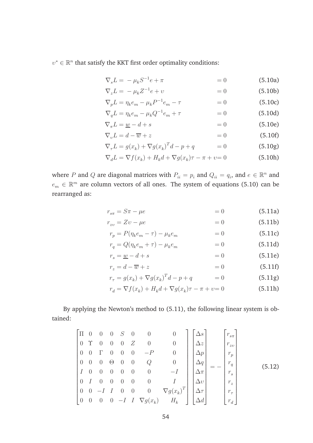$v^* \in \mathbb{R}^n$  that satisfy the KKT first order optimality conditions:

$$
\nabla_s L = -\mu_k S^{-1} e + \pi \qquad \qquad = 0 \qquad (5.10a)
$$

$$
\nabla_z L = -\mu_k Z^{-1} e + v \qquad \qquad = 0 \qquad (5.10b)
$$

$$
\nabla_p L = \eta_k e_m - \mu_k P^{-1} e_m - \tau \qquad \qquad = 0 \tag{5.10c}
$$

$$
\nabla_q L = \eta_k e_m - \mu_k Q^{-1} e_m + \tau \qquad \qquad = 0 \tag{5.10d}
$$

$$
\nabla_{\pi}L = \underline{w} - d + s \tag{5.10e}
$$

$$
\nabla_v L = d - \overline{w} + z \qquad \qquad = 0 \tag{5.10f}
$$

$$
\nabla_{\tau}L = g(x_k) + \nabla g(x_k)^T d - p + q \qquad \qquad = 0 \tag{5.10g}
$$

$$
\nabla_d L = \nabla f(x_k) + H_k d + \nabla g(x_k)\tau - \pi + \nu = 0
$$
\n(5.10h)

where P and Q are diagonal matrices with  $P_{ii} = p_i$  and  $Q_{ii} = q_i$ , and  $e \in \mathbb{R}^n$  and  $e_m \in \mathbb{R}^m$  are column vectors of all ones. The system of equations (5.10) can be rearranged as:

$$
r_{s\pi} = S\pi - \mu e \tag{5.11a}
$$

$$
r_{zv} = Zv - \mu e \tag{5.11b}
$$

$$
r_p = P(\eta_k e_m - \tau) - \mu_k e_m = 0 \tag{5.11c}
$$

$$
r_q = Q(\eta_k e_m + \tau) - \mu_k e_m = 0 \tag{5.11d}
$$

$$
r_s = \underline{w} - d + s \tag{5.11e}
$$

$$
r_z = d - \overline{w} + z \qquad \qquad = 0 \tag{5.11f}
$$

$$
r_{\tau} = g(x_k) + \nabla g(x_k)^T d - p + q = 0 \tag{5.11g}
$$

$$
r_d = \nabla f(x_k) + H_k d + \nabla g(x_k)\tau - \pi + \nu = 0
$$
\n(5.11h)

By applying the Newton's method to (5.11), the following linear system is obtained:

$$
\begin{bmatrix}\n\Pi & 0 & 0 & 0 & S & 0 & 0 & 0 & 0 \\
0 & \Upsilon & 0 & 0 & 0 & Z & 0 & 0 & 0 \\
0 & 0 & \Gamma & 0 & 0 & 0 & -P & 0 & 0 \\
0 & 0 & 0 & \Theta & 0 & 0 & Q & 0 & 0 \\
I & 0 & 0 & 0 & 0 & 0 & 0 & -I & 0 \\
0 & I & 0 & 0 & 0 & 0 & 0 & I & 0 \\
0 & 0 & -I & I & 0 & 0 & 0 & \nabla g(x_k) & H_k\n\end{bmatrix}\n\begin{bmatrix}\n\Delta s \\
\Delta z \\
\Delta p \\
\Delta q \\
\Delta q \\
\Delta r \\
\Delta r \\
\Delta d\n\end{bmatrix} = - \begin{bmatrix}\nr_{s\pi} \\
r_{zv} \\
r_q \\
r_s \\
r_z \\
r_\tau \\
r_\tau \\
r_\tau \\
r_d\n\end{bmatrix}
$$
\n(5.12)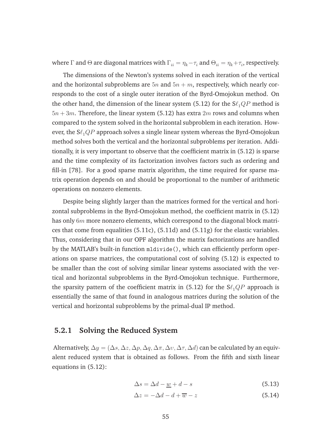where  $\Gamma$  and  $\Theta$  are diagonal matrices with  $\Gamma_{ii}=\eta_k-\tau_i$  and  $\Theta_{ii}=\eta_k+\tau_i$ , respectively.

The dimensions of the Newton's systems solved in each iteration of the vertical and the horizontal subproblems are  $5n$  and  $5n + m$ , respectively, which nearly corresponds to the cost of a single outer iteration of the Byrd-Omojokun method. On the other hand, the dimension of the linear system (5.12) for the  $S\ell_1QP$  method is  $5n + 3m$ . Therefore, the linear system (5.12) has extra  $2m$  rows and columns when compared to the system solved in the horizontal subproblem in each iteration. However, the  $S\ell_1QP$  approach solves a single linear system whereas the Byrd-Omojokun method solves both the vertical and the horizontal subproblems per iteration. Additionally, it is very important to observe that the coefficient matrix in (5.12) is sparse and the time complexity of its factorization involves factors such as ordering and fill-in [78]. For a good sparse matrix algorithm, the time required for sparse matrix operation depends on and should be proportional to the number of arithmetic operations on nonzero elements.

Despite being slightly larger than the matrices formed for the vertical and horizontal subproblems in the Byrd-Omojokun method, the coefficient matrix in (5.12) has only  $6m$  more nonzero elements, which correspond to the diagonal block matrices that come from equalities (5.11c), (5.11d) and (5.11g) for the elastic variables. Thus, considering that in our OPF algorithm the matrix factorizations are handled by the MATLAB's built-in function mldivide(), which can efficiently perform operations on sparse matrices, the computational cost of solving (5.12) is expected to be smaller than the cost of solving similar linear systems associated with the vertical and horizontal subproblems in the Byrd-Omojokun technique. Furthermore, the sparsity pattern of the coefficient matrix in (5.12) for the  $S\ell_1QP$  approach is essentially the same of that found in analogous matrices during the solution of the vertical and horizontal subproblems by the primal-dual IP method.

#### **5.2.1 Solving the Reduced System**

Alternatively,  $\Delta y = (\Delta s, \Delta z, \Delta p, \Delta q, \Delta \pi, \Delta v, \Delta \tau, \Delta d)$  can be calculated by an equivalent reduced system that is obtained as follows. From the fifth and sixth linear equations in (5.12):

$$
\Delta s = \Delta d - \underline{w} + d - s \tag{5.13}
$$

$$
\Delta z = -\Delta d - d + \overline{w} - z \tag{5.14}
$$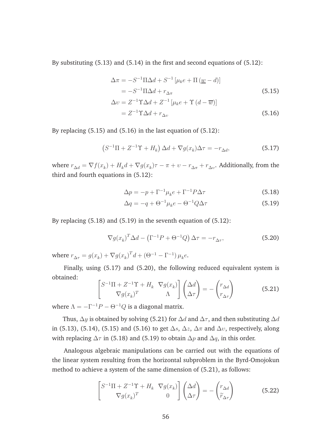By substituting (5.13) and (5.14) in the first and second equations of (5.12):

$$
\Delta \pi = -S^{-1} \Pi \Delta d + S^{-1} \left[ \mu_k e + \Pi \left( \underline{w} - d \right) \right]
$$
  
\n
$$
= -S^{-1} \Pi \Delta d + r_{\Delta \pi}
$$
  
\n
$$
\Delta v = Z^{-1} \Upsilon \Delta d + Z^{-1} \left[ \mu_k e + \Upsilon \left( d - \overline{w} \right) \right]
$$
  
\n
$$
= Z^{-1} \Upsilon \Delta d + r_{\Delta v}
$$
\n(5.16)

By replacing  $(5.15)$  and  $(5.16)$  in the last equation of  $(5.12)$ :

$$
(S^{-1}\Pi + Z^{-1}\Upsilon + H_k) \Delta d + \nabla g(x_k)\Delta \tau = -r_{\Delta d},
$$
\n(5.17)

where  $r_{\Delta d} = \nabla f(x_k) + H_k d + \nabla g(x_k)\tau - \pi + \nu - r_{\Delta \pi} + r_{\Delta \nu}$ . Additionally, from the third and fourth equations in (5.12):

$$
\Delta p = -p + \Gamma^{-1} \mu_k e + \Gamma^{-1} P \Delta \tau \tag{5.18}
$$

$$
\Delta q = -q + \Theta^{-1} \mu_k e - \Theta^{-1} Q \Delta \tau \tag{5.19}
$$

By replacing (5.18) and (5.19) in the seventh equation of (5.12):

$$
\nabla g(x_k)^T \Delta d - \left(\Gamma^{-1} P + \Theta^{-1} Q\right) \Delta \tau = -r_{\Delta \tau},\tag{5.20}
$$

where  $r_{\Delta \tau} = g(x_k) + \nabla g(x_k)^T d + (\Theta^{-1} - \Gamma^{-1}) \mu_k e$ .

Finally, using (5.17) and (5.20), the following reduced equivalent system is obtained:

$$
\begin{bmatrix} S^{-1}\Pi + Z^{-1}\Upsilon + H_k & \nabla g(x_k) \\ \nabla g(x_k)^T & \Lambda \end{bmatrix} \begin{pmatrix} \Delta d \\ \Delta \tau \end{pmatrix} = - \begin{pmatrix} r_{\Delta d} \\ r_{\Delta \tau} \end{pmatrix}
$$
(5.21)

where  $\Lambda = -\Gamma^{-1}P - \Theta^{-1}Q$  is a diagonal matrix.

Thus,  $\Delta y$  is obtained by solving (5.21) for  $\Delta d$  and  $\Delta \tau$ , and then substituting  $\Delta d$ in (5.13), (5.14), (5.15) and (5.16) to get  $\Delta s$ ,  $\Delta z$ ,  $\Delta \pi$  and  $\Delta v$ , respectively, along with replacing  $\Delta \tau$  in (5.18) and (5.19) to obtain  $\Delta p$  and  $\Delta q$ , in this order.

Analogous algebraic manipulations can be carried out with the equations of the linear system resulting from the horizontal subproblem in the Byrd-Omojokun method to achieve a system of the same dimension of (5.21), as follows:

$$
\begin{bmatrix} S^{-1}\Pi + Z^{-1}\Upsilon + H_k & \nabla g(x_k) \\ \nabla g(x_k)^T & 0 \end{bmatrix} \begin{pmatrix} \Delta d \\ \Delta \tau \end{pmatrix} = - \begin{pmatrix} r_{\Delta d} \\ \widetilde{r}_{\Delta \tau} \end{pmatrix}
$$
(5.22)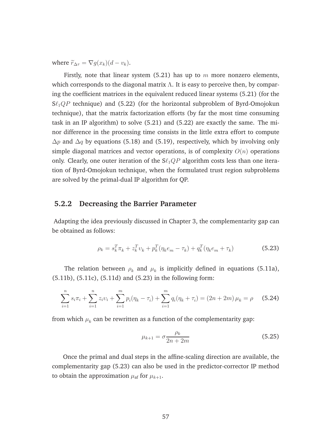where  $\widetilde{r}_{\Delta \tau} = \nabla q(x_k)(d - v_k)$ .

Firstly, note that linear system  $(5.21)$  has up to m more nonzero elements, which corresponds to the diagonal matrix  $\Lambda$ . It is easy to perceive then, by comparing the coefficient matrices in the equivalent reduced linear systems (5.21) (for the  $S\ell_1QP$  technique) and (5.22) (for the horizontal subproblem of Byrd-Omojokun technique), that the matrix factorization efforts (by far the most time consuming task in an IP algorithm) to solve (5.21) and (5.22) are exactly the same. The minor difference in the processing time consists in the little extra effort to compute  $\Delta p$  and  $\Delta q$  by equations (5.18) and (5.19), respectively, which by involving only simple diagonal matrices and vector operations, is of complexity  $O(n)$  operations only. Clearly, one outer iteration of the  $S\ell_1QP$  algorithm costs less than one iteration of Byrd-Omojokun technique, when the formulated trust region subproblems are solved by the primal-dual IP algorithm for QP.

#### **5.2.2 Decreasing the Barrier Parameter**

Adapting the idea previously discussed in Chapter 3, the complementarity gap can be obtained as follows:

$$
\rho_k = s_k^T \pi_k + z_k^T v_k + p_k^T (\eta_k e_m - \tau_k) + q_k^T (\eta_k e_m + \tau_k)
$$
\n(5.23)

The relation between  $\rho_k$  and  $\mu_k$  is implicitly defined in equations (5.11a), (5.11b), (5.11c), (5.11d) and (5.23) in the following form:

$$
\sum_{i=1}^{n} s_i \pi_i + \sum_{i=1}^{n} z_i v_i + \sum_{i=1}^{m} p_i (\eta_k - \tau_i) + \sum_{i=1}^{m} q_i (\eta_k + \tau_i) = (2n + 2m) \mu_k = \rho \quad (5.24)
$$

from which  $\mu_k$  can be rewritten as a function of the complementarity gap:

$$
\mu_{k+1} = \sigma \frac{\rho_k}{2n + 2m} \tag{5.25}
$$

Once the primal and dual steps in the affine-scaling direction are available, the complementarity gap (5.23) can also be used in the predictor-corrector IP method to obtain the approximation  $\mu_{\text{af}}$  for  $\mu_{k+1}$ .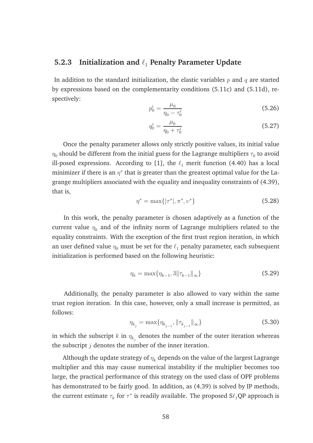#### **5.2.3** Initialization and  $\ell_1$  Penalty Parameter Update

In addition to the standard initialization, the elastic variables  $p$  and  $q$  are started by expressions based on the complementarity conditions (5.11c) and (5.11d), respectively:

$$
p_0^i = \frac{\mu_0}{\eta_0 - \tau_0^i} \tag{5.26}
$$

$$
q_0^i = \frac{\mu_0}{\eta_0 + \tau_0^i} \tag{5.27}
$$

Once the penalty parameter allows only strictly positive values, its initial value  $\eta_0$  should be different from the initial guess for the Lagrange multipliers  $\tau_0$  to avoid ill-posed expressions. According to [1], the  $\ell_1$  merit function (4.40) has a local minimizer if there is an  $\eta^*$  that is greater than the greatest optimal value for the Lagrange multipliers associated with the equality and inequality constraints of (4.39), that is,

$$
\eta^* = \max\{|\tau^*|, \pi^*, \upsilon^*\}\tag{5.28}
$$

In this work, the penalty parameter is chosen adaptively as a function of the current value  $\eta_k$  and of the infinity norm of Lagrange multipliers related to the equality constraints. With the exception of the first trust region iteration, in which an user defined value  $\eta_0$  must be set for the  $\ell_1$  penalty parameter, each subsequent initialization is performed based on the following heuristic:

$$
\eta_k = \max\{\eta_{k-1}, 3\|\tau_{k-1}\|_{\infty}\}\tag{5.29}
$$

Additionally, the penalty parameter is also allowed to vary within the same trust region iteration. In this case, however, only a small increase is permitted, as follows:

$$
\eta_{k_j} = \max\{\eta_{k_{j-1}}, \|\tau_{k_{j-1}}\|_{\infty}\}\tag{5.30}
$$

in which the subscript  $k$  in  $\eta_{k_j}$  denotes the number of the outer iteration whereas the subscript  $j$  denotes the number of the inner iteration.

Although the update strategy of  $\eta_k$  depends on the value of the largest Lagrange multiplier and this may cause numerical instability if the multiplier becomes too large, the practical performance of this strategy on the used class of OPF problems has demonstrated to be fairly good. In addition, as (4.39) is solved by IP methods, the current estimate  $\tau_k$  for  $\tau^*$  is readily available. The proposed S $\ell_1$ QP approach is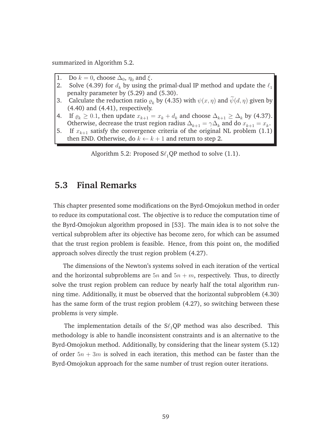summarized in Algorithm 5.2.

- 1. Do  $k = 0$ , choose  $\Delta_0$ ,  $\eta_0$  and  $\xi$ .<br>2. Solve (4.39) for  $d_k$  by using the
- Solve (4.39) for  $d_k$  by using the primal-dual IP method and update the  $\ell_1$ penalty parameter by (5.29) and (5.30).
- 3. Calculate the reduction ratio  $\varrho_k$  by (4.35) with  $\psi(x, \eta)$  and  $\widetilde{\psi}(d, \eta)$  given by (4.40) and (4.41), respectively.
- 4. If  $\rho_k \geq 0.1$ , then update  $x_{k+1} = x_k + d_k$  and choose  $\Delta_{k+1} \geq \Delta_k$  by (4.37). Otherwise, decrease the trust region radius  $\Delta_{k+1} = \gamma \Delta_k$  and do  $x_{k+1} = x_k$ .
- 5. If  $x_{k+1}$  satisfy the convergence criteria of the original NL problem (1.1) then END. Otherwise, do  $k \leftarrow k + 1$  and return to step 2.

Algorithm 5.2: Proposed  $S\ell_1QP$  method to solve (1.1).

### **5.3 Final Remarks**

This chapter presented some modifications on the Byrd-Omojokun method in order to reduce its computational cost. The objective is to reduce the computation time of the Byrd-Omojokun algorithm proposed in [53]. The main idea is to not solve the vertical subproblem after its objective has become zero, for which can be assumed that the trust region problem is feasible. Hence, from this point on, the modified approach solves directly the trust region problem (4.27).

The dimensions of the Newton's systems solved in each iteration of the vertical and the horizontal subproblems are  $5n$  and  $5n + m$ , respectively. Thus, to directly solve the trust region problem can reduce by nearly half the total algorithm running time. Additionally, it must be observed that the horizontal subproblem (4.30) has the same form of the trust region problem (4.27), so switching between these problems is very simple.

The implementation details of the  $S\ell_1QP$  method was also described. This methodology is able to handle inconsistent constraints and is an alternative to the Byrd-Omojokun method. Additionally, by considering that the linear system (5.12) of order  $5n + 3m$  is solved in each iteration, this method can be faster than the Byrd-Omojokun approach for the same number of trust region outer iterations.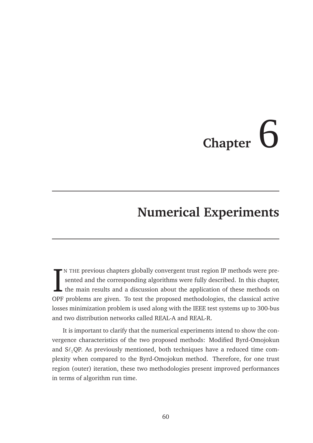# **Chapter**  $\bigcirc$

# **Numerical Experiments**

IN THE previous chapters globally convergent trust region IP methods were presented and the corresponding algorithms were fully described. In this chapter, the main results and a discussion about the application of these m N THE previous chapters globally convergent trust region IP methods were presented and the corresponding algorithms were fully described. In this chapter, the main results and a discussion about the application of these methods on losses minimization problem is used along with the IEEE test systems up to 300-bus and two distribution networks called REAL-A and REAL-R.

It is important to clarify that the numerical experiments intend to show the convergence characteristics of the two proposed methods: Modified Byrd-Omojokun and  $S\ell_1$ QP. As previously mentioned, both techniques have a reduced time complexity when compared to the Byrd-Omojokun method. Therefore, for one trust region (outer) iteration, these two methodologies present improved performances in terms of algorithm run time.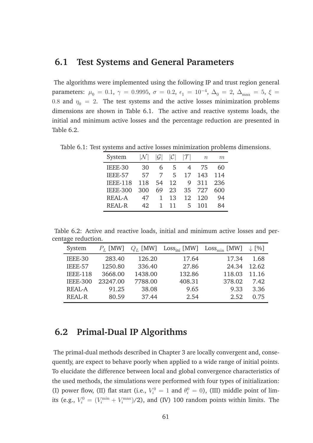### **6.1 Test Systems and General Parameters**

The algorithms were implemented using the following IP and trust region general parameters:  $\mu_0 = 0.1, \ \gamma = 0.9995, \ \sigma = 0.2, \ \epsilon_1 = 10^{-4}, \ \Delta_0 = 2, \ \Delta_{\text{max}} = 5, \ \xi =$ 0.8 and  $\eta_0 = 2$ . The test systems and the active losses minimization problems dimensions are shown in Table 6.1. The active and reactive systems loads, the initial and minimum active losses and the percentage reduction are presented in Table 6.2.

Table 6.1: Test systems and active losses minimization problems dimensions.

| System          |     |    |    |    | $n\,$ | m   |
|-----------------|-----|----|----|----|-------|-----|
| IEEE-30         | 30  | 6  | 5  |    | 75    | 60  |
| IEEE-57         | 57  |    | 5  | 17 | 143   | 114 |
| <b>IEEE-118</b> | 118 | 54 | 12 | 9  | 311   | 236 |
| <b>IEEE-300</b> | 300 | 69 | 23 | 35 | 727   | 600 |
| <b>REAL-A</b>   | 47  |    | 13 | 12 | 120   | 94  |
| <b>REAL-R</b>   | 42. |    | 11 | 5  |       |     |

Table 6.2: Active and reactive loads, initial and minimum active losses and percentage reduction.

| System          | $P_L$ [MW] |         |        | $Q_L$ [MW] $\;$ Loss <sub>ini</sub> [MW] $\;$ Loss <sub>min</sub> [MW] $\;$ | $\downarrow$ [%] |
|-----------------|------------|---------|--------|-----------------------------------------------------------------------------|------------------|
| IEEE-30         | 283.40     | 126.20  | 17.64  | 17.34                                                                       | 1.68             |
| IEEE-57         | 1250.80    | 336.40  | 27.86  | 24.34                                                                       | 12.62            |
| <b>IEEE-118</b> | 3668.00    | 1438.00 | 132.86 | 118.03                                                                      | 11.16            |
| <b>IEEE-300</b> | 23247.00   | 7788.00 | 408.31 | 378.02                                                                      | 7.42             |
| <b>REAL-A</b>   | 91.25      | 38.08   | 9.65   | 9.33                                                                        | 3.36             |
| <b>REAL-R</b>   | 80.59      | 37.44   | 2.54   | 2.52                                                                        | 0.75             |

## **6.2 Primal-Dual IP Algorithms**

The primal-dual methods described in Chapter 3 are locally convergent and, consequently, are expect to behave poorly when applied to a wide range of initial points. To elucidate the difference between local and global convergence characteristics of the used methods, the simulations were performed with four types of initialization: (I) power flow, (II) flat start (i.e.,  $V_i^0 = 1$  and  $\theta_i^0 = 0$ ), (III) middle point of limits (e.g.,  $V_i^0 = (V_i^{\min} + V_i^{\max})/2$ ), and (IV) 100 random points within limits. The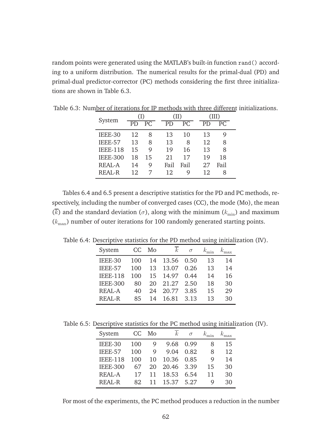random points were generated using the MATLAB's built-in function rand() according to a uniform distribution. The numerical results for the primal-dual (PD) and primal-dual predictor-corrector (PC) methods considering the first three initializations are shown in Table 6.3.

| System          | (I) |                 | (II) |      |      | (III) |    |      |
|-----------------|-----|-----------------|------|------|------|-------|----|------|
|                 | PD  | $\overline{PC}$ |      | PD   | PC   |       | PD | PC.  |
| IEEE-30         | 12  | 8               |      | 13   | 10   |       | 13 | 9    |
| IEEE-57         | 13  | 8               |      | 13   | 8    |       | 12 | 8    |
| <b>IEEE-118</b> | 15  | 9               |      | 19   | 16   |       | 13 | 8    |
| <b>IEEE-300</b> | 18  | 15              |      | 21   | 17   |       | 19 | 18   |
| <b>REAL-A</b>   | 14  | 9               |      | Fail | Fail |       | 27 | Fail |
| <b>REAL-R</b>   | 12  |                 |      | 12   | Q    |       | 12 | 8    |

Table 6.3: Number of iterations for IP methods with three different initializations.

Tables 6.4 and 6.5 present a descriptive statistics for the PD and PC methods, respectively, including the number of converged cases (CC), the mode (Mo), the mean  $(\overline{k})$  and the standard deviation ( $\sigma$ ), along with the minimum ( $k_{\text{min}}$ ) and maximum  $(k<sub>max</sub>)$  number of outer iterations for 100 randomly generated starting points.

Table 6.4: Descriptive statistics for the PD method using initialization (IV).

| System          | CC  | Mo | $k_{\parallel}$ | $\sigma$ | $k_{\min}$ |    |
|-----------------|-----|----|-----------------|----------|------------|----|
| IEEE-30         | 100 | 14 | 13.56           | 0.50     | 13         | 14 |
| IEEE-57         | 100 | 13 | 13.07           | 0.26     | 13         | 14 |
| <b>IEEE-118</b> | 100 | 15 | 14.97           | 0.44     | 14         | 16 |
| <b>IEEE-300</b> | 80  | 20 | 21.27           | 2.50     | 18         | 30 |
| <b>REAL-A</b>   | 40  | 24 | 20.77           | 3.85     | 15         | 29 |
| <b>REAL-R</b>   | 85  | 14 | 16.81           | 3.13     | 13         | 30 |

Table 6.5: Descriptive statistics for the PC method using initialization (IV).

| System          | CC  | Mo | $\boldsymbol{k}$ | $\sigma$ |    |    |
|-----------------|-----|----|------------------|----------|----|----|
| IEEE-30         | 100 | 9  | 9.68             | 0.99     | 8  | 15 |
| IEEE-57         | 100 | 9  | 9.04             | 0.82     | 8  | 12 |
| <b>IEEE-118</b> | 100 | 10 | 10.36            | 0.85     | Q  | 14 |
| <b>IEEE-300</b> | 67  | 20 | 20.46 3.39       |          | 15 | 30 |
| REAL-A          | 17  | 11 | 18.53            | 6.54     | 11 | 30 |
| REAL-R          | 82  |    | 15.37            | 5.27     | 9  | 30 |

For most of the experiments, the PC method produces a reduction in the number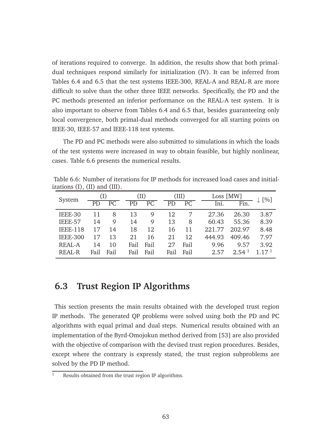of iterations required to converge. In addition, the results show that both primaldual techniques respond similarly for initialization (IV). It can be inferred from Tables 6.4 and 6.5 that the test systems IEEE-300, REAL-A and REAL-R are more difficult to solve than the other three IEEE networks. Specifically, the PD and the PC methods presented an inferior performance on the REAL-A test system. It is also important to observe from Tables 6.4 and 6.5 that, besides guaranteeing only local convergence, both primal-dual methods converged for all starting points on IEEE-30, IEEE-57 and IEEE-118 test systems.

The PD and PC methods were also submitted to simulations in which the loads of the test systems were increased in way to obtain feasible, but highly nonlinear, cases. Table 6.6 presents the numerical results.

|        |                                       |      |       | Table 6.6: Number of iterations for IP methods for increased load cases and initial- |                     |
|--------|---------------------------------------|------|-------|--------------------------------------------------------------------------------------|---------------------|
|        | izations $(I)$ , $(II)$ and $(III)$ . |      |       |                                                                                      |                     |
| System |                                       | (II) | (III) | Loss [MW]                                                                            | $\lceil 0/2 \rceil$ |

| System          |      |      |           | (II)            |      | (III)           |        | Loss [MW]         |                   |
|-----------------|------|------|-----------|-----------------|------|-----------------|--------|-------------------|-------------------|
|                 | PD   |      | <b>PD</b> | PC <sub>i</sub> | PD.  | PC <sub>c</sub> | Ini.   | Fin.              | $\downarrow$ [%]  |
| IEEE-30         | 11   | 8    | 13        | 9               | 12   |                 | 27.36  | 26.30             | 3.87              |
| IEEE-57         | 14   | 9    | 14        | 9               | 13   | 8               | 60.43  | 55.36             | 8.39              |
| <b>IEEE-118</b> | 17   | 14   | 18        | 12              | 16   | 11              | 221.77 | 202.97            | 8.48              |
| <b>IEEE-300</b> | 17   | 13   | 21        | 16              | 21   | 12              | 444.93 | 409.46            | 7.97              |
| <b>REAL-A</b>   | 14   | 10   | Fail      | Fail            | 27   | Fail            | 9.96   | 9.57              | 3.92              |
| <b>REAL-R</b>   | Fail | Fail | Fail      | Fail            | Fail | Fail            | 2.57   | 2.54 <sup>1</sup> | 1.17 <sup>1</sup> |

## **6.3 Trust Region IP Algorithms**

This section presents the main results obtained with the developed trust region IP methods. The generated QP problems were solved using both the PD and PC algorithms with equal primal and dual steps. Numerical results obtained with an implementation of the Byrd-Omojokun method derived from [53] are also provided with the objective of comparison with the devised trust region procedures. Besides, except where the contrary is expressly stated, the trust region subproblems are solved by the PD IP method.

 $\frac{1}{1}$  Results obtained from the trust region IP algorithms.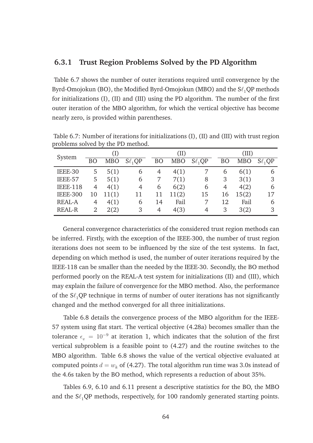#### **6.3.1 Trust Region Problems Solved by the PD Algorithm**

Table 6.7 shows the number of outer iterations required until convergence by the Byrd-Omojokun (BO), the Modified Byrd-Omojokun (MBO) and the  $S\ell_1$ QP methods for initializations (I), (II) and (III) using the PD algorithm. The number of the first outer iteration of the MBO algorithm, for which the vertical objective has become nearly zero, is provided within parentheses.

| System          | (I) |            |             |           | (II)       |               |           | (III)      |             |  |
|-----------------|-----|------------|-------------|-----------|------------|---------------|-----------|------------|-------------|--|
|                 | BΟ  | <b>MBO</b> | $S\ell_1QP$ | <b>BO</b> | <b>MBO</b> | $S\ell_1QP$   | <b>BO</b> | <b>MBO</b> | $S\ell_1QP$ |  |
| IEEE-30         | 5   | 5(1)       | 6           | 4         | 4(1)       |               | b         | 6(1)       | 6           |  |
| IEEE-57         | 5   | 5(1)       | 6           |           | 7(1)       | 8             | 3         | 3(1)       | 3           |  |
| <b>IEEE-118</b> | 4   | 4(1)       | 4           | 6         | 6(2)       | $\mathfrak b$ | 4         | 4(2)       | 6           |  |
| <b>IEEE-300</b> | 10  | 11(1)      | 11          | 11        | 11(2)      | 15            | 16        | 15(2)      | 17          |  |
| <b>REAL-A</b>   | 4   | 4(1)       | 6           | 14        | Fail       | 7             | 12        | Fail       | 6           |  |
| <b>REAL-R</b>   | 2   | 2(2)       | 3           | 4         | 4(3)       | 4             | 3         | 3(2)       | 3           |  |

Table 6.7: Number of iterations for initializations (I), (II) and (III) with trust region problems solved by the PD method.

General convergence characteristics of the considered trust region methods can be inferred. Firstly, with the exception of the IEEE-300, the number of trust region iterations does not seem to be influenced by the size of the test systems. In fact, depending on which method is used, the number of outer iterations required by the IEEE-118 can be smaller than the needed by the IEEE-30. Secondly, the BO method performed poorly on the REAL-A test system for initializations (II) and (III), which may explain the failure of convergence for the MBO method. Also, the performance of the  $S\ell_1QP$  technique in terms of number of outer iterations has not significantly changed and the method converged for all three initializations.

Table 6.8 details the convergence process of the MBO algorithm for the IEEE-57 system using flat start. The vertical objective (4.28a) becomes smaller than the tolerance  $\epsilon_v = 10^{-9}$  at iteration 1, which indicates that the solution of the first vertical subproblem is a feasible point to (4.27) and the routine switches to the MBO algorithm. Table 6.8 shows the value of the vertical objective evaluated at computed points  $d = w_k$  of (4.27). The total algorithm run time was 3.0s instead of the 4.6s taken by the BO method, which represents a reduction of about 35%.

Tables 6.9, 6.10 and 6.11 present a descriptive statistics for the BO, the MBO and the  $S\ell_1QP$  methods, respectively, for 100 randomly generated starting points.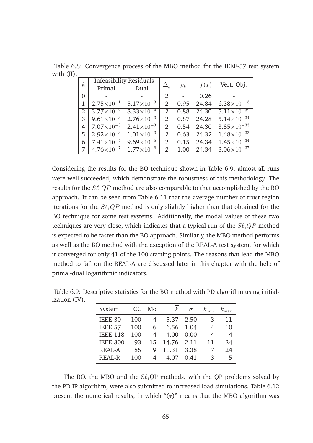Table 6.8: Convergence process of the MBO method for the IEEE-57 test system with (II).

| $\boldsymbol{k}$ |                       | <b>Infeasibility Residuals</b> | $\Delta_k^-$   |          | f(x)  | Vert. Obj.             |  |
|------------------|-----------------------|--------------------------------|----------------|----------|-------|------------------------|--|
|                  | Primal                | Dual                           |                | $\rho_k$ |       |                        |  |
| $\Omega$         |                       |                                | $\overline{2}$ |          | 0.26  |                        |  |
|                  | $2.75\times10^{-1}$   | $5.17\times10^{-3}$            | 2              | 0.95     | 24.84 | $6.38\times10^{-13}$   |  |
|                  | $3.77 \times 10^{-2}$ | $8.33 \times 10^{-4}$          | $\overline{2}$ | 0.88     | 24.30 | $5.11\times10^{-32}$   |  |
| 3                | $9.61 \times 10^{-3}$ | $2.76 \times 10^{-3}$          | 2              | 0.87     | 24.28 | $5.14\times10^{-34}$   |  |
| 4                | $7.07\times10^{-3}$   | $2.41\times10^{-3}$            | $\overline{2}$ | 0.54     | 24.30 | $3.85 \times 10^{-33}$ |  |
| 5                | $2.92\times10^{-3}$   | $1.01\times10^{-3}$            | $\overline{2}$ | 0.63     | 24.32 | $1.48\times10^{-33}$   |  |
| 6                | $7.41\times10^{-4}$   | $9.69\times10^{-5}$            | $\overline{2}$ | 0.15     | 24.34 | $1.45\times10^{-34}$   |  |
|                  | $4.76 \times 10^{-7}$ | $1.77\times10^{-6}$            | $\overline{2}$ | 1.00     | 24.34 | $3.06\times10^{-37}$   |  |

Considering the results for the BO technique shown in Table 6.9, almost all runs were well succeeded, which demonstrate the robustness of this methodology. The results for the  $S\ell_1QP$  method are also comparable to that accomplished by the BO approach. It can be seen from Table 6.11 that the average number of trust region iterations for the  $S\ell_1QP$  method is only slightly higher than that obtained for the BO technique for some test systems. Additionally, the modal values of these two techniques are very close, which indicates that a typical run of the  $S\ell_1QP$  method is expected to be faster than the BO approach. Similarly, the MBO method performs as well as the BO method with the exception of the REAL-A test system, for which it converged for only 41 of the 100 starting points. The reasons that lead the MBO method to fail on the REAL-A are discussed later in this chapter with the help of primal-dual logarithmic indicators.

| System          | CC  | Mo | $\mathcal{k}$ | $\sigma$ |    |    |
|-----------------|-----|----|---------------|----------|----|----|
| IEEE-30         | 100 |    | 5.37          | 2.50     | 3  | 11 |
| IEEE-57         | 100 | 6  | 6.56          | 1.04     |    | 10 |
| <b>IEEE-118</b> | 100 |    | 4.00          | 0.00     | 4  | 4  |
| <b>IEEE-300</b> | 93  | 15 | 14.76         | 2.11     | 11 | 24 |
| REAL-A          | 85  | 9  | 11.31         | 3.38     |    | 24 |
| <b>REAL-R</b>   | 100 |    | 4.07          | 0.41     | 3  | 5  |

Table 6.9: Descriptive statistics for the BO method with PD algorithm using initialization (IV).

The BO, the MBO and the  $S\ell_1QP$  methods, with the QP problems solved by the PD IP algorithm, were also submitted to increased load simulations. Table 6.12 present the numerical results, in which "(∗)" means that the MBO algorithm was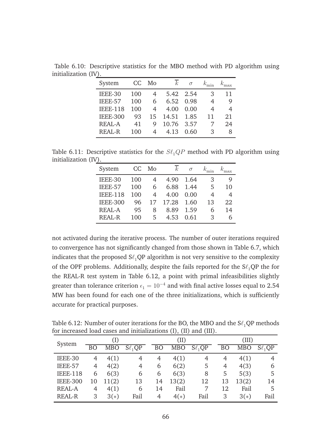| System          | CC. | Mo | $\,k$      | $\sigma$ | $k_{\min}$ |    |
|-----------------|-----|----|------------|----------|------------|----|
| IEEE-30         | 100 |    | 5.42       | 2.54     | 3          | 11 |
| IEEE-57         | 100 | 6  | 6.52       | 0.98     | 4          | 9  |
| <b>IEEE-118</b> | 100 | 4  | 4.00       | 0.00     | 4          | 4  |
| <b>IEEE-300</b> | 93  | 15 | 14.51      | 1.85     | 11         | 21 |
| REAL-A          | 41  | 9  | 10.76 3.57 |          |            | 24 |
| REAL-R          | 100 | 4  | 4.13       | 0.60     | 3          | 8  |
|                 |     |    |            |          |            |    |

Table 6.10: Descriptive statistics for the MBO method with PD algorithm using initialization (IV).

Table 6.11: Descriptive statistics for the  $S\ell_1QP$  method with PD algorithm using initialization (IV).

| System          | CC  | Mo | $\,k$ | $\sigma$ |    |    |
|-----------------|-----|----|-------|----------|----|----|
| IEEE-30         | 100 |    | 4.90  | 1.64     | 3  | 9  |
| IEEE-57         | 100 | 6  | 6.88  | 1.44     | 5  | 10 |
| <b>IEEE-118</b> | 100 | 4  | 4.00  | 0.00     | 4  | 4  |
| <b>IEEE-300</b> | 96  | 17 | 17.28 | 1.60     | 13 | 22 |
| <b>REAL-A</b>   | 95  | 8  | 8.89  | 1.59     | 6  | 14 |
| <b>REAL-R</b>   | 100 | 5  | 4.53  | 0.61     | 3  | 6  |

not activated during the iterative process. The number of outer iterations required to convergence has not significantly changed from those shown in Table 6.7, which indicates that the proposed  $S\ell_1QP$  algorithm is not very sensitive to the complexity of the OPF problems. Additionally, despite the fails reported for the  $S\ell_1QP$  the for the REAL-R test system in Table 6.12, a point with primal infeasibilities slightly greater than tolerance criterion  $\epsilon_1 = 10^{-4}$  and with final active losses equal to 2.54 MW has been found for each one of the three initializations, which is sufficiently accurate for practical purposes.

Table 6.12: Number of outer iterations for the BO, the MBO and the  $S\ell_1QP$  methods for increased load cases and initializations (I), (II) and (III).

| System          |    | (I)        |             |           | (II)       |             |           | (III)      |              |  |  |
|-----------------|----|------------|-------------|-----------|------------|-------------|-----------|------------|--------------|--|--|
|                 | ВO | <b>MBO</b> | $S\ell_1QP$ | <b>BO</b> | <b>MBO</b> | $S\ell_1QP$ | <b>BO</b> | <b>MBO</b> | $S\ell_1$ OP |  |  |
| IEEE-30         | 4  | 4(1)       | 4           | 4         | 4(1)       | 4           | 4         | 4(1)       |              |  |  |
| IEEE-57         | 4  | 4(2)       | 4           | 6         | 6(2)       | 5           | 4         | 4(3)       | 6            |  |  |
| <b>IEEE-118</b> | 6  | 6(3)       | 6           | 6         | 6(3)       | 8           | 5         | 5(3)       | 5            |  |  |
| <b>IEEE-300</b> | 10 | 11(2)      | 13          | 14        | 13(2)      | 12          | 13        | 13(2)      | 14           |  |  |
| <b>REAL-A</b>   | 4  | 4(1)       | 6           | 14        | Fail       | 7           | 12        | Fail       | 5            |  |  |
| <b>REAL-R</b>   | 3  | $3(*)$     | Fail        | 4         | $4(*)$     | Fail        | 3         | $3(*)$     | Fail         |  |  |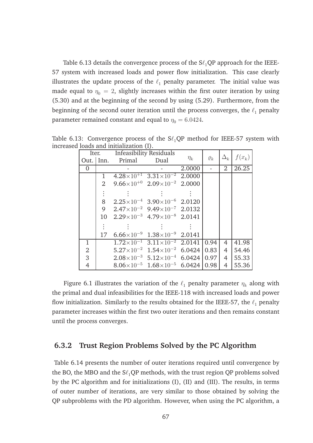Table 6.13 details the convergence process of the  $S\ell_1QP$  approach for the IEEE-57 system with increased loads and power flow initialization. This case clearly illustrates the update process of the  $\ell_1$  penalty parameter. The initial value was made equal to  $\eta_0 = 2$ , slightly increases within the first outer iteration by using (5.30) and at the beginning of the second by using (5.29). Furthermore, from the beginning of the second outer iteration until the process converges, the  $\ell_1$  penalty parameter remained constant and equal to  $\eta_0 = 6.0424$ .

|                | Iter.          | Infeasibility Residuals                               |                                                    |          |             |                |          |
|----------------|----------------|-------------------------------------------------------|----------------------------------------------------|----------|-------------|----------------|----------|
|                |                | Out. Inn. Primal Dual                                 |                                                    | $\eta_k$ | $\varrho_k$ | $\Delta_k^-$   | $f(x_k)$ |
| $\Omega$       |                |                                                       |                                                    | 2.0000   |             | $\overline{2}$ | 26.25    |
|                | $\mathbf{1}$   |                                                       | $4.28\times10^{+1}$ $3.31\times10^{-2}$ 2.0000     |          |             |                |          |
|                | $\overline{2}$ |                                                       | $9.66\times10^{+0}$ $2.09\times10^{-2}$ 2.0000     |          |             |                |          |
|                |                |                                                       |                                                    |          |             |                |          |
|                | 8              | $2.25\times10^{-4}$ 3.90 $\times10^{-6}$ 2.0120       |                                                    |          |             |                |          |
|                |                | 9 $2.47 \times 10^{-2}$ $9.49 \times 10^{-7}$ 2.0132  |                                                    |          |             |                |          |
|                |                | 10 $2.29 \times 10^{-3}$ 4.79 $\times 10^{-8}$ 2.0141 |                                                    |          |             |                |          |
|                |                |                                                       |                                                    |          |             |                |          |
|                | 17             |                                                       | $6.66 \times 10^{-9}$ $1.38 \times 10^{-9}$ 2.0141 |          |             |                |          |
| $\mathbf{1}$   |                |                                                       | $1.72\times10^{-1}$ $3.11\times10^{-2}$ 2.0141     |          | 0.94        | $\overline{4}$ | 41.98    |
| $\overline{2}$ |                |                                                       | $5.27 \times 10^{-2}$ $1.54 \times 10^{-2}$ 6.0424 |          | 0.83        | $\overline{4}$ | 54.46    |
| $\overline{3}$ |                |                                                       | $2.08\times10^{-3}$ 5.12 $\times10^{-4}$ 6.0424    |          | 0.97        | $\overline{4}$ | 55.33    |
| $\overline{4}$ |                |                                                       | $8.06\times10^{-5}$ $1.68\times10^{-5}$ 6.0424     |          | 0.98        | $\overline{4}$ | 55.36    |

Table 6.13: Convergence process of the  $S\ell_1QP$  method for IEEE-57 system with increased loads and initialization (I).

Figure 6.1 illustrates the variation of the  $\ell_1$  penalty parameter  $\eta_k$  along with the primal and dual infeasibilities for the IEEE-118 with increased loads and power flow initialization. Similarly to the results obtained for the IEEE-57, the  $\ell_1$  penalty parameter increases within the first two outer iterations and then remains constant until the process converges.

#### **6.3.2 Trust Region Problems Solved by the PC Algorithm**

Table 6.14 presents the number of outer iterations required until convergence by the BO, the MBO and the  $S\ell_1QP$  methods, with the trust region QP problems solved by the PC algorithm and for initializations (I), (II) and (III). The results, in terms of outer number of iterations, are very similar to those obtained by solving the QP subproblems with the PD algorithm. However, when using the PC algorithm, a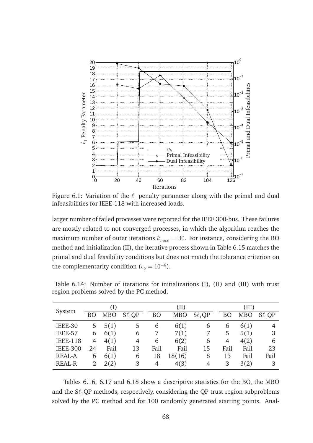

Figure 6.1: Variation of the  $\ell_1$  penalty parameter along with the primal and dual infeasibilities for IEEE-118 with increased loads.

larger number of failed processes were reported for the IEEE 300-bus. These failures are mostly related to not converged processes, in which the algorithm reaches the maximum number of outer iterations  $k_{max} = 30$ . For instance, considering the BO method and initialization (II), the iterative process shown in Table 6.15 matches the primal and dual feasibility conditions but does not match the tolerance criterion on the complementarity condition ( $\epsilon_2 = 10^{-6}$ ).

| System          |    | $(\mathrm{I})$ |             |           | (II)       |             |           | (III)      |              |  |
|-----------------|----|----------------|-------------|-----------|------------|-------------|-----------|------------|--------------|--|
|                 | BO | <b>MBO</b>     | $S\ell_1QP$ | <b>BO</b> | <b>MBO</b> | $S\ell_1QP$ | <b>BO</b> | <b>MBO</b> | $S\ell_1$ QP |  |
| IEEE-30         | 5  | 5(1)           | 5           | 6         | 6(1)       | 6           | 6         | 6(1)       |              |  |
| IEEE-57         | 6  | 6(1)           | 6           | 7         | 7(1)       | 7           | 5         | 5(1)       | 3            |  |
| <b>IEEE-118</b> | 4  | 4(1)           | 4           | 6         | 6(2)       | 6           | 4         | 4(2)       | 6            |  |
| <b>IEEE-300</b> | 24 | Fail           | 13          | Fail      | Fail       | 15          | Fail      | Fail       | 23           |  |
| <b>REAL-A</b>   | b  | 6(1)           | 6           | 18        | 18(16)     | 8           | 13        | Fail       | Fail         |  |
| <b>REAL-R</b>   | 2  | 2(2)           | 3           | 4         | 4(3)       | 4           | 3         | 3(2)       | 3            |  |

Table 6.14: Number of iterations for initializations (I), (II) and (III) with trust region problems solved by the PC method.

Tables 6.16, 6.17 and 6.18 show a descriptive statistics for the BO, the MBO and the  $S\ell_1QP$  methods, respectively, considering the QP trust region subproblems solved by the PC method and for 100 randomly generated starting points. Anal-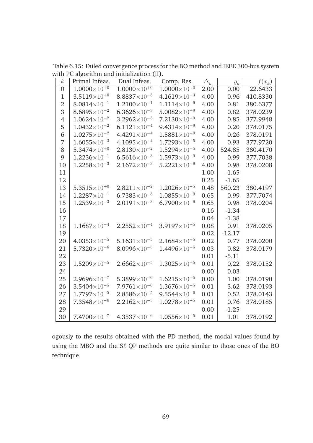Table 6.15: Failed convergence process for the BO method and IEEE 300-bus system with PC algorithm and initialization (II).

| $\boldsymbol{k}$ | Primal Infeas.                   | Dual Infeas.            | Comp. Res.            | $\Delta_k$ | $\varrho_k$ | $f(x_k)$ |
|------------------|----------------------------------|-------------------------|-----------------------|------------|-------------|----------|
| $\overline{0}$   | $1.0000\times10^{+0}$            | $1.0000\times10^{+0}$   | $1.0000\times10^{+0}$ | 2.00       | 0.00        | 22.6433  |
| $\mathbf{1}$     | $3.5119\times10^{+0}$            | $8.8837\times10^{-3}$   | $4.1619\times10^{-3}$ | 4.00       | 0.96        | 410.8330 |
| $\overline{2}$   | $8.0814\times10^{-1}$            | $1.2100\times10^{-1}$   | $1.1114\times10^{-9}$ | 4.00       | 0.81        | 380.6377 |
| 3                | $8.6895\times10^{-2}$            | $6.3626\times10^{-3}$   | $5.0082\times10^{-9}$ | 4.00       | 0.82        | 378.0239 |
| 4                | $1.0624\times10^{-2}$            | $3.2962\times10^{-3}$   | $7.2130\times10^{-9}$ | 4.00       | 0.85        | 377.9948 |
| 5                | $1.0432\times10^{-2}$            | $6.1121\times10^{-4}$   | $9.4314\times10^{-9}$ | 4.00       | 0.20        | 378.0175 |
| 6                | $1.0275\times10^{-2}$            | $4.4291\times10^{-4}$   | $1.5881\times10^{-9}$ | 4.00       | 0.26        | 378.0191 |
| 7                | $1.6055\times10^{-3}$            | $4.1095\times10^{-4}$   | $1.7293\times10^{-5}$ | 4.00       | 0.93        | 377.9720 |
| 8                | 5.3474 $\times$ 10 <sup>+0</sup> | $2.8130\times10^{-2}$   | $1.5294\times10^{-5}$ | 4.00       | 524.85      | 380.4170 |
| 9                | $1.2236\times10^{-1}$            | $6.5616\times10^{-3}$   | $1.5973\times10^{-9}$ | 4.00       | 0.99        | 377.7038 |
| 10               | $1.2258\times10^{-3}$            | $2.1672\times10^{-3}$   | $5.2221\times10^{-9}$ | 4.00       | 0.98        | 378.0208 |
| 11               |                                  |                         |                       | 1.00       | $-1.65$     |          |
| 12               |                                  |                         |                       | 0.25       | $-1.65$     |          |
| 13               | $5.3515\times10^{+0}$            | $2.8211 \times 10^{-2}$ | $1.2026\times10^{-5}$ | 0.48       | 560.23      | 380.4197 |
| 14               | $1.2287\times10^{-1}$            | $6.7383\times10^{-3}$   | $1.0855\times10^{-9}$ | 0.65       | 0.99        | 377.7074 |
| 15               | $1.2539\times10^{-3}$            | $2.0191\times10^{-3}$   | $6.7900\times10^{-9}$ | 0.65       | 0.98        | 378.0204 |
| 16               |                                  |                         |                       | 0.16       | $-1.34$     |          |
| 17               |                                  |                         |                       | 0.04       | $-1.38$     |          |
| 18               | $1.1687\times10^{-4}$            | $2.2552\times10^{-4}$   | $3.9197\times10^{-5}$ | 0.08       | 0.91        | 378.0205 |
| 19               |                                  |                         |                       | 0.02       | $-12.17$    |          |
| 20               | $4.0353\times10^{-5}$            | $5.1631\times10^{-5}$   | $2.1684\times10^{-5}$ | 0.02       | 0.77        | 378.0200 |
| 21               | $5.7320\times10^{-6}$            | $8.0996\times10^{-5}$   | $1.4496\times10^{-5}$ | 0.03       | 0.82        | 378.0179 |
| 22               |                                  |                         |                       | 0.01       | $-5.11$     |          |
| 23               | $1.5209\times10^{-5}$            | $2.6662\times10^{-5}$   | $1.3025\times10^{-5}$ | 0.01       | 0.22        | 378.0152 |
| 24               |                                  |                         |                       | 0.00       | 0.03        |          |
| 25               | $2.9696\times10^{-7}$            | $5.3899\times10^{-6}$   | $1.6215\times10^{-5}$ | 0.00       | 1.00        | 378.0190 |
| 26               | $3.5404\times10^{-5}$            | $7.9761\times10^{-6}$   | $1.3676\times10^{-5}$ | 0.01       | 3.62        | 378.0193 |
| 27               | $1.7797\times10^{-5}$            | $2.8586\times10^{-5}$   | $9.5544\times10^{-6}$ | 0.01       | 0.52        | 378.0143 |
| 28               | $7.3548\times10^{-6}$            | $2.2162\times10^{-5}$   | $1.0278\times10^{-5}$ | 0.01       | 0.76        | 378.0185 |
| 29               |                                  |                         |                       | 0.00       | $-1.25$     |          |
| 30               | $7.4700\times10^{-7}$            | $4.3537\times10^{-6}$   | $1.0556\times10^{-5}$ | 0.01       | 1.01        | 378.0192 |

ogously to the results obtained with the PD method, the modal values found by using the MBO and the  $\mathsf{S}\ell_1\mathsf{Q}\mathsf{P}$  methods are quite similar to those ones of the BO technique.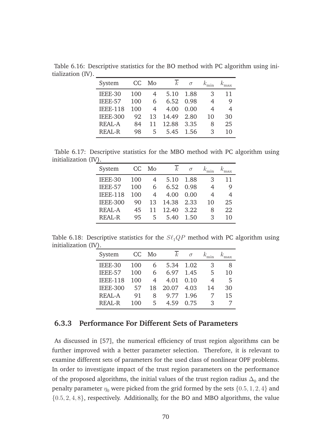| System          | CC  | Mo | $\,k$ | $\sigma$ | $k_{\min}$ |    |
|-----------------|-----|----|-------|----------|------------|----|
| IEEE-30         | 100 |    | 5.10  | 1.88     | 3          | 11 |
| IEEE-57         | 100 | 6  | 6.52  | 0.98     |            | 9  |
| <b>IEEE-118</b> | 100 | 4  | 4.00  | 0.00     | 4          | 4  |
| <b>IEEE-300</b> | 92  | 13 | 14.49 | 2.80     | 10         | 30 |
| REAL-A          | 84  | 11 | 12.88 | 3.35     | 8          | 25 |
| REAL-R          | 98  | 5  | 5.45  | 1.56     | 3          | 10 |
|                 |     |    |       |          |            |    |

Table 6.16: Descriptive statistics for the BO method with PC algorithm using initialization (IV).

Table 6.17: Descriptive statistics for the MBO method with PC algorithm using initialization (IV).

| System          | CC  | Mo | $\mathcal{k}$ | $\sigma$ |    |    |
|-----------------|-----|----|---------------|----------|----|----|
| IEEE-30         | 100 | 4  | 5.10          | 1.88     | 3  | 11 |
| IEEE-57         | 100 | 6  | 6.52          | 0.98     | 4  | 9  |
| <b>IEEE-118</b> | 100 | 4  | 4.00          | 0.00     | 4  | 4  |
| <b>IEEE-300</b> | 90  | 13 | 14.38         | 2.33     | 10 | 25 |
| <b>REAL-A</b>   | 45  | 11 | 12.40         | 3.22     | 8  | 22 |
| <b>REAL-R</b>   | 95  | 5  | 5.40          | 1.50     | 3  | 10 |

Table 6.18: Descriptive statistics for the  $S\ell_1QP$  method with PC algorithm using initialization (IV).

| System          | CC  | Mo | $\,k$ | $\sigma$ |    |    |
|-----------------|-----|----|-------|----------|----|----|
| IEEE-30         | 100 | ჩ  | 5.34  | 1.02     | 3  | 8  |
| IEEE-57         | 100 | 6  | 6.97  | 1.45     | 5  | 10 |
| <b>IEEE-118</b> | 100 | 4  | 4.01  | 0.10     | 4  | 5  |
| <b>IEEE-300</b> | 57  | 18 | 20.07 | 4.03     | 14 | 30 |
| <b>REAL-A</b>   | 91  | 8  | 9.77  | 1.96     |    | 15 |
| <b>REAL-R</b>   | 100 | 5  | 4.59  | 0.75     | 3  |    |
|                 |     |    |       |          |    |    |

#### **6.3.3 Performance For Different Sets of Parameters**

As discussed in [57], the numerical efficiency of trust region algorithms can be further improved with a better parameter selection. Therefore, it is relevant to examine different sets of parameters for the used class of nonlinear OPF problems. In order to investigate impact of the trust region parameters on the performance of the proposed algorithms, the initial values of the trust region radius  $\Delta_0$  and the penalty parameter  $\eta_0$  were picked from the grid formed by the sets  $\{0.5, 1, 2, 4\}$  and {0.5, 2, 4, 8}, respectively. Additionally, for the BO and MBO algorithms, the value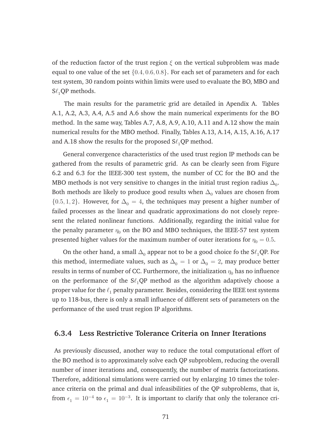of the reduction factor of the trust region  $\xi$  on the vertical subproblem was made equal to one value of the set  $\{0.4, 0.6, 0.8\}$ . For each set of parameters and for each test system, 30 random points within limits were used to evaluate the BO, MBO and  $S\ell_1$  QP methods.

The main results for the parametric grid are detailed in Apendix A. Tables A.1, A.2, A.3, A.4, A.5 and A.6 show the main numerical experiments for the BO method. In the same way, Tables A.7, A.8, A.9, A.10, A.11 and A.12 show the main numerical results for the MBO method. Finally, Tables A.13, A.14, A.15, A.16, A.17 and A.18 show the results for the proposed  $S\ell_1$ QP method.

General convergence characteristics of the used trust region IP methods can be gathered from the results of parametric grid. As can be clearly seen from Figure 6.2 and 6.3 for the IEEE-300 test system, the number of CC for the BO and the MBO methods is not very sensitive to changes in the initial trust region radius  $\Delta_0.$ Both methods are likely to produce good results when  $\Delta_0$  values are chosen from  ${0.5, 1, 2}$ . However, for  $\Delta_0 = 4$ , the techniques may present a higher number of failed processes as the linear and quadratic approximations do not closely represent the related nonlinear functions. Additionally, regarding the initial value for the penalty parameter  $\eta_0$  on the BO and MBO techniques, the IEEE-57 test system presented higher values for the maximum number of outer iterations for  $\eta_0 = 0.5$ .

On the other hand, a small  $\Delta_0$  appear not to be a good choice fo the S $\ell_1$ QP. For this method, intermediate values, such as  $\Delta_0 = 1$  or  $\Delta_0 = 2$ , may produce better results in terms of number of CC. Furthermore, the initialization  $\eta_0$  has no influence on the performance of the  $S\ell_1QP$  method as the algorithm adaptively choose a proper value for the  $\ell_1$  penalty parameter. Besides, considering the IEEE test systems up to 118-bus, there is only a small influence of different sets of parameters on the performance of the used trust region IP algorithms.

#### **6.3.4 Less Restrictive Tolerance Criteria on Inner Iterations**

As previously discussed, another way to reduce the total computational effort of the BO method is to approximately solve each QP subproblem, reducing the overall number of inner iterations and, consequently, the number of matrix factorizations. Therefore, additional simulations were carried out by enlarging 10 times the tolerance criteria on the primal and dual infeasibilities of the QP subproblems, that is, from  $\epsilon_1 = 10^{-4}$  to  $\epsilon_1 = 10^{-3}$ . It is important to clarify that only the tolerance cri-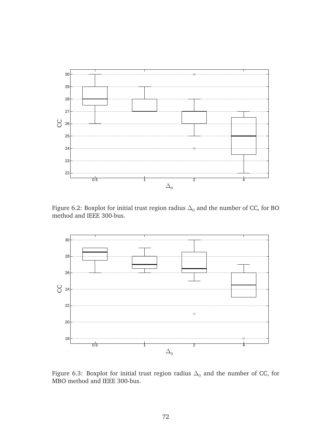

Figure 6.2: Boxplot for initial trust region radius  $\Delta_0$  and the number of CC, for BO method and IEEE 300-bus.



Figure 6.3: Boxplot for initial trust region radius  $\Delta_0$  and the number of CC, for MBO method and IEEE 300-bus.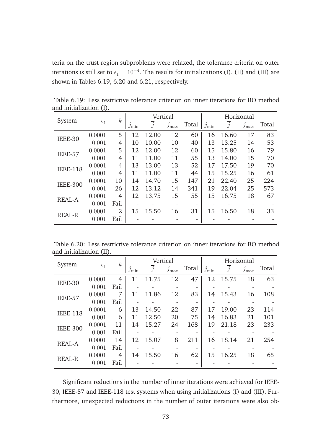teria on the trust region subproblems were relaxed, the tolerance criteria on outer iterations is still set to  $\epsilon_1 = 10^{-4}$ . The results for initializations (I), (II) and (III) are shown in Tables 6.19, 6.20 and 6.21, respectively.

| System          |              | $\boldsymbol{k}$ |                            | Vertical       |                 |                          |            | Horizontal     |                      |       |
|-----------------|--------------|------------------|----------------------------|----------------|-----------------|--------------------------|------------|----------------|----------------------|-------|
|                 | $\epsilon_1$ |                  | $\mathcal{I}_{\text{min}}$ | $\overline{j}$ | $\jmath_{\max}$ | Total                    | $j_{\min}$ | $\overline{j}$ | $\mathcal{I}_{\max}$ | Total |
| IEEE-30         | 0.0001       | 5                | 12                         | 12.00          | 12              | 60                       | 16         | 16.60          | 17                   | 83    |
|                 | 0.001        | 4                | 10                         | 10.00          | 10              | 40                       | 13         | 13.25          | 14                   | 53    |
| IEEE-57         | 0.0001       | 5                | 12                         | 12.00          | 12              | 60                       | 15         | 15.80          | 16                   | 79    |
|                 | 0.001        | 4                | 11                         | 11.00          | 11              | 55                       | 13         | 14.00          | 15                   | 70    |
| <b>IEEE-118</b> | 0.0001       | 4                | 13                         | 13.00          | 13              | 52                       | 17         | 17.50          | 19                   | 70    |
|                 | 0.001        | 4                | 11                         | 11.00          | 11              | 44                       | 15         | 15.25          | 16                   | 61    |
| <b>IEEE-300</b> | 0.0001       | 10               | 14                         | 14.70          | 15              | 147                      | 21         | 22.40          | 25                   | 224   |
|                 | 0.001        | 26               | 12                         | 13.12          | 14              | 341                      | 19         | 22.04          | 25                   | 573   |
| <b>REAL-A</b>   | 0.0001       | 4                | 12                         | 13.75          | 15              | 55                       | 15         | 16.75          | 18                   | 67    |
|                 | 0.001        | Fail             |                            |                |                 | $\overline{\phantom{a}}$ |            |                | -                    |       |
| <b>REAL-R</b>   | 0.0001       | $\overline{2}$   | 15                         | 15.50          | 16              | 31                       | 15         | 16.50          | 18                   | 33    |
|                 | 0.001        | Fail             |                            |                |                 | ٠                        |            |                |                      |       |

Table 6.19: Less restrictive tolerance criterion on inner iterations for BO method and initialization (I).

Table 6.20: Less restrictive tolerance criterion on inner iterations for BO method and initialization (II).

| System          |              | $\boldsymbol{k}$ |            | Vertical       |                      |                          |                            | Horizontal |                      |       |
|-----------------|--------------|------------------|------------|----------------|----------------------|--------------------------|----------------------------|------------|----------------------|-------|
|                 | $\epsilon_1$ |                  | $j_{\min}$ | $\overline{j}$ | $\mathcal{I}_{\max}$ | Total                    | $\mathcal{I}_{\text{min}}$ | $\dot{j}$  | $\mathcal{I}_{\max}$ | Total |
| IEEE-30         | 0.0001       | $\overline{4}$   | 11         | 11.75          | 12                   | 47                       | 12                         | 15.75      | 18                   | 63    |
|                 | 0.001        | Fail             |            |                |                      | $\overline{\phantom{a}}$ |                            |            | -                    |       |
| IEEE-57         | 0.0001       | 7                | 11         | 11.86          | 12                   | 83                       | 14                         | 15.43      | 16                   | 108   |
|                 | 0.001        | Fail             |            |                |                      |                          |                            |            | -                    |       |
| <b>IEEE-118</b> | 0.0001       | 6                | 13         | 14.50          | 22                   | 87                       | 17                         | 19.00      | 23                   | 114   |
|                 | 0.001        | 6                | 11         | 12.50          | 20                   | 75                       | 14                         | 16.83      | 21                   | 101   |
| <b>IEEE-300</b> | 0.0001       | 11               | 14         | 15.27          | 24                   | 168                      | 19                         | 21.18      | 23                   | 233   |
|                 | 0.001        | Fail             |            |                |                      |                          |                            |            |                      |       |
| <b>REAL-A</b>   | 0.0001       | 14               | 12         | 15.07          | 18                   | 211                      | 16                         | 18.14      | 21                   | 254   |
|                 | 0.001        | Fail             |            |                |                      |                          |                            |            |                      |       |
| <b>REAL-R</b>   | 0.0001       | 4                | 14         | 15.50          | 16                   | 62                       | 15                         | 16.25      | 18                   | 65    |
|                 | 0.001        | Fail             |            |                |                      | ٠                        |                            |            |                      |       |

Significant reductions in the number of inner iterations were achieved for IEEE-30, IEEE-57 and IEEE-118 test systems when using initializations (I) and (III). Furthermore, unexpected reductions in the number of outer iterations were also ob-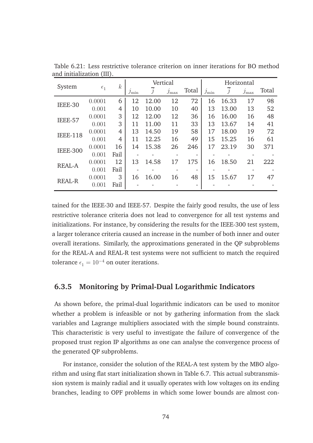| System          |              | $\boldsymbol{k}$ |                            | Vertical |                 |       |                            |       | Horizontal    |       |
|-----------------|--------------|------------------|----------------------------|----------|-----------------|-------|----------------------------|-------|---------------|-------|
|                 | $\epsilon_1$ |                  | $\mathcal{I}_{\text{min}}$ | j        | $\jmath_{\max}$ | Total | $\mathcal{I}_{\text{min}}$ | j     | $j_{\rm max}$ | Total |
| IEEE-30         | 0.0001       | 6                | 12                         | 12.00    | 12              | 72    | 16                         | 16.33 | 17            | 98    |
|                 | 0.001        | 4                | 10                         | 10.00    | 10              | 40    | 13                         | 13.00 | 13            | 52    |
| IEEE-57         | 0.0001       | 3                | 12                         | 12.00    | 12              | 36    | 16                         | 16.00 | 16            | 48    |
|                 | 0.001        | 3                | 11                         | 11.00    | 11              | 33    | 13                         | 13.67 | 14            | 41    |
| <b>IEEE-118</b> | 0.0001       | $\overline{4}$   | 13                         | 14.50    | 19              | 58    | 17                         | 18.00 | 19            | 72    |
|                 | 0.001        | 4                | 11                         | 12.25    | 16              | 49    | 15                         | 15.25 | 16            | 61    |
| <b>IEEE-300</b> | 0.0001       | 16               | 14                         | 15.38    | 26              | 246   | 17                         | 23.19 | 30            | 371   |
|                 | 0.001        | Fail             |                            |          |                 | -     |                            |       | -             |       |
|                 | 0.0001       | 12               | 13                         | 14.58    | 17              | 175   | 16                         | 18.50 | 21            | 222   |
| <b>REAL-A</b>   | 0.001        | Fail             |                            |          |                 |       |                            |       |               |       |
| <b>REAL-R</b>   | 0.0001       | 3                | 16                         | 16.00    | 16              | 48    | 15                         | 15.67 | 17            | 47    |
|                 | 0.001        | Fail             |                            |          |                 |       |                            |       |               |       |

Table 6.21: Less restrictive tolerance criterion on inner iterations for BO method and initialization (III).

tained for the IEEE-30 and IEEE-57. Despite the fairly good results, the use of less restrictive tolerance criteria does not lead to convergence for all test systems and initializations. For instance, by considering the results for the IEEE-300 test system, a larger tolerance criteria caused an increase in the number of both inner and outer overall iterations. Similarly, the approximations generated in the QP subproblems for the REAL-A and REAL-R test systems were not sufficient to match the required tolerance  $\epsilon_1 = 10^{-4}$  on outer iterations.

#### **6.3.5 Monitoring by Primal-Dual Logarithmic Indicators**

As shown before, the primal-dual logarithmic indicators can be used to monitor whether a problem is infeasible or not by gathering information from the slack variables and Lagrange multipliers associated with the simple bound constraints. This characteristic is very useful to investigate the failure of convergence of the proposed trust region IP algorithms as one can analyse the convergence process of the generated QP subproblems.

For instance, consider the solution of the REAL-A test system by the MBO algorithm and using flat start initialization shown in Table 6.7. This actual subtransmission system is mainly radial and it usually operates with low voltages on its ending branches, leading to OPF problems in which some lower bounds are almost con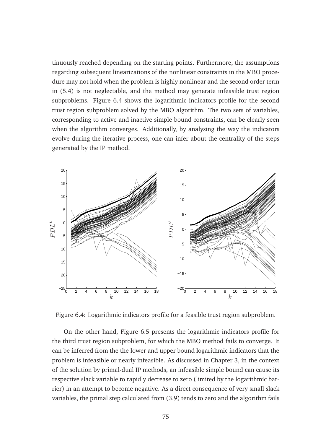tinuously reached depending on the starting points. Furthermore, the assumptions regarding subsequent linearizations of the nonlinear constraints in the MBO procedure may not hold when the problem is highly nonlinear and the second order term in (5.4) is not neglectable, and the method may generate infeasible trust region subproblems. Figure 6.4 shows the logarithmic indicators profile for the second trust region subproblem solved by the MBO algorithm. The two sets of variables, corresponding to active and inactive simple bound constraints, can be clearly seen when the algorithm converges. Additionally, by analysing the way the indicators evolve during the iterative process, one can infer about the centrality of the steps generated by the IP method.



Figure 6.4: Logarithmic indicators profile for a feasible trust region subproblem.

On the other hand, Figure 6.5 presents the logarithmic indicators profile for the third trust region subproblem, for which the MBO method fails to converge. It can be inferred from the the lower and upper bound logarithmic indicators that the problem is infeasible or nearly infeasible. As discussed in Chapter 3, in the context of the solution by primal-dual IP methods, an infeasible simple bound can cause its respective slack variable to rapidly decrease to zero (limited by the logarithmic barrier) in an attempt to become negative. As a direct consequence of very small slack variables, the primal step calculated from (3.9) tends to zero and the algorithm fails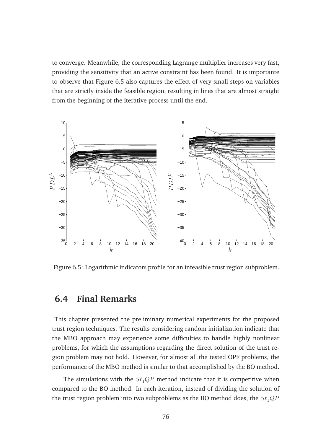to converge. Meanwhile, the corresponding Lagrange multiplier increases very fast, providing the sensitivity that an active constraint has been found. It is importante to observe that Figure 6.5 also captures the effect of very small steps on variables that are strictly inside the feasible region, resulting in lines that are almost straight from the beginning of the iterative process until the end.



Figure 6.5: Logarithmic indicators profile for an infeasible trust region subproblem.

## **6.4 Final Remarks**

This chapter presented the preliminary numerical experiments for the proposed trust region techniques. The results considering random initialization indicate that the MBO approach may experience some difficulties to handle highly nonlinear problems, for which the assumptions regarding the direct solution of the trust region problem may not hold. However, for almost all the tested OPF problems, the performance of the MBO method is similar to that accomplished by the BO method.

The simulations with the  $S\ell_1QP$  method indicate that it is competitive when compared to the BO method. In each iteration, instead of dividing the solution of the trust region problem into two subproblems as the BO method does, the  $S\ell_1QP$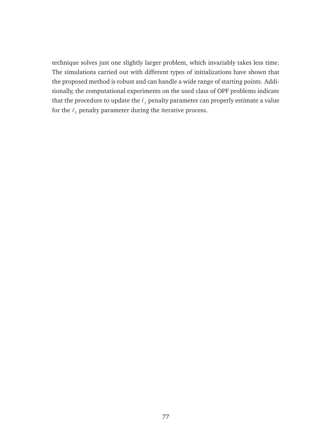technique solves just one slightly larger problem, which invariably takes less time. The simulations carried out with different types of initializations have shown that the proposed method is robust and can handle a wide range of starting points. Additionally, the computational experiments on the used class of OPF problems indicate that the procedure to update the  $\ell_1$  penalty parameter can properly estimate a value for the  $\ell_1$  penalty parameter during the iterative process.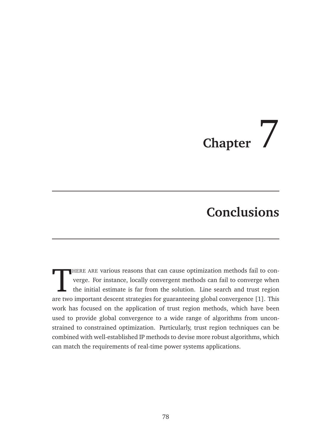# **Chapter**  $\left| \right|$

# **Conclusions**

THERE ARE various reasons that can cause optimization methods fail to converge. For instance, locally convergent methods can fail to converge when the initial estimate is far from the solution. Line search and trust region HERE ARE various reasons that can cause optimization methods fail to converge. For instance, locally convergent methods can fail to converge when the initial estimate is far from the solution. Line search and trust region work has focused on the application of trust region methods, which have been used to provide global convergence to a wide range of algorithms from unconstrained to constrained optimization. Particularly, trust region techniques can be combined with well-established IP methods to devise more robust algorithms, which can match the requirements of real-time power systems applications.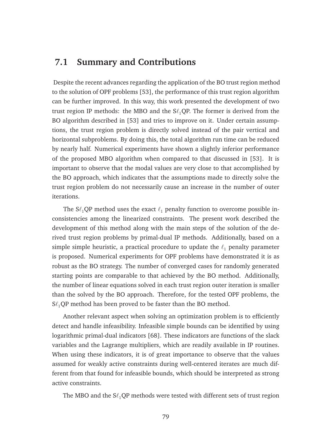## **7.1 Summary and Contributions**

Despite the recent advances regarding the application of the BO trust region method to the solution of OPF problems [53], the performance of this trust region algorithm can be further improved. In this way, this work presented the development of two trust region IP methods: the MBO and the  $S\ell_1QP$ . The former is derived from the BO algorithm described in [53] and tries to improve on it. Under certain assumptions, the trust region problem is directly solved instead of the pair vertical and horizontal subproblems. By doing this, the total algorithm run time can be reduced by nearly half. Numerical experiments have shown a slightly inferior performance of the proposed MBO algorithm when compared to that discussed in [53]. It is important to observe that the modal values are very close to that accomplished by the BO approach, which indicates that the assumptions made to directly solve the trust region problem do not necessarily cause an increase in the number of outer iterations.

The  $S\ell_1QP$  method uses the exact  $\ell_1$  penalty function to overcome possible inconsistencies among the linearized constraints. The present work described the development of this method along with the main steps of the solution of the derived trust region problems by primal-dual IP methods. Additionally, based on a simple simple heuristic, a practical procedure to update the  $\ell_1$  penalty parameter is proposed. Numerical experiments for OPF problems have demonstrated it is as robust as the BO strategy. The number of converged cases for randomly generated starting points are comparable to that achieved by the BO method. Additionally, the number of linear equations solved in each trust region outer iteration is smaller than the solved by the BO approach. Therefore, for the tested OPF problems, the  $S\ell_1$ QP method has been proved to be faster than the BO method.

Another relevant aspect when solving an optimization problem is to efficiently detect and handle infeasibility. Infeasible simple bounds can be identified by using logarithmic primal-dual indicators [68]. These indicators are functions of the slack variables and the Lagrange multipliers, which are readily available in IP routines. When using these indicators, it is of great importance to observe that the values assumed for weakly active constraints during well-centered iterates are much different from that found for infeasible bounds, which should be interpreted as strong active constraints.

The MBO and the  $S\ell_1QP$  methods were tested with different sets of trust region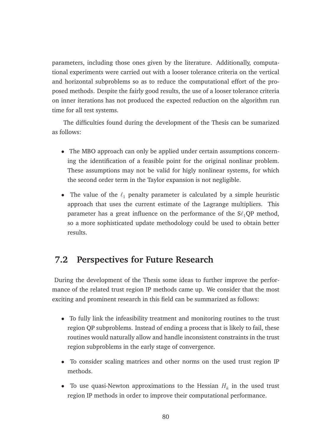parameters, including those ones given by the literature. Additionally, computational experiments were carried out with a looser tolerance criteria on the vertical and horizontal subproblems so as to reduce the computational effort of the proposed methods. Despite the fairly good results, the use of a looser tolerance criteria on inner iterations has not produced the expected reduction on the algorithm run time for all test systems.

The difficulties found during the development of the Thesis can be sumarized as follows:

- The MBO approach can only be applied under certain assumptions concerning the identification of a feasible point for the original nonlinar problem. These assumptions may not be valid for higly nonlinear systems, for which the second order term in the Taylor expansion is not negligible.
- The value of the  $\ell_1$  penalty parameter is calculated by a simple heuristic approach that uses the current estimate of the Lagrange multipliers. This parameter has a great influence on the performance of the  $S\ell_1QP$  method, so a more sophisticated update methodology could be used to obtain better results.

## **7.2 Perspectives for Future Research**

During the development of the Thesis some ideas to further improve the performance of the related trust region IP methods came up. We consider that the most exciting and prominent research in this field can be summarized as follows:

- To fully link the infeasibility treatment and monitoring routines to the trust region QP subproblems. Instead of ending a process that is likely to fail, these routines would naturally allow and handle inconsistent constraints in the trust region subproblems in the early stage of convergence.
- To consider scaling matrices and other norms on the used trust region IP methods.
- To use quasi-Newton approximations to the Hessian  $H_k$  in the used trust region IP methods in order to improve their computational performance.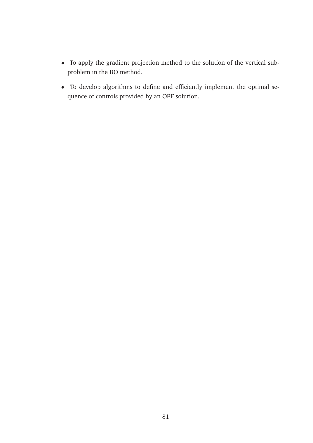- To apply the gradient projection method to the solution of the vertical subproblem in the BO method.
- To develop algorithms to define and efficiently implement the optimal sequence of controls provided by an OPF solution.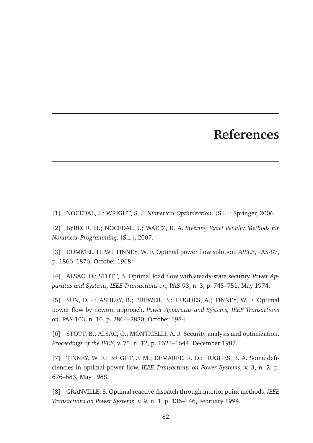# **References**

[1] NOCEDAL, J.; WRIGHT, S. J. *Numerical Optimization*. [S.l.]: Springer, 2006.

[2] BYRD, R. H.; NOCEDAL, J.; WALTZ, R. A. *Steering Exact Penalty Methods for Nonlinear Programming*. [S.l.], 2007.

[3] DOMMEL, H. W.; TINNEY, W. F. Optimal power flow solution. *AIEEE*, PAS-87, p. 1866–1876, October 1968.

[4] ALSAC, O.; STOTT, B. Optimal load flow with steady-state security. *Power Apparatus and Systems, IEEE Transactions on*, PAS-93, n. 3, p. 745–751, May 1974.

[5] SUN, D. I.; ASHLEY, B.; BREWER, B.; HUGHES, A.; TINNEY, W. F. Optimal power flow by newton approach. *Power Apparatus and Systems, IEEE Transactions on*, PAS-103, n. 10, p. 2864–2880, October 1984.

[6] STOTT, B.; ALSAC, O.; MONTICELLI, A. J. Security analysis and optimization. *Proceedings of the IEEE*, v. 75, n. 12, p. 1623–1644, December 1987.

[7] TINNEY, W. F.; BRIGHT, J. M.; DEMAREE, K. D.; HUGHES, B. A. Some deficiencies in optimal power flow. *IEEE Transactions on Power Systems*, v. 3, n. 2, p. 676–683, May 1988.

[8] GRANVILLE, S. Optimal reactive dispatch through interior point methods. *IEEE Transactions on Power Systems*, v. 9, n. 1, p. 136–146, February 1994.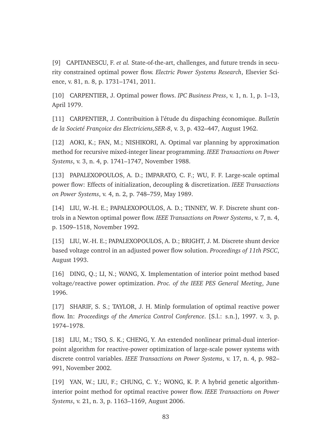[9] CAPITANESCU, F. *et al.* State-of-the-art, challenges, and future trends in security constrained optimal power flow. *Electric Power Systems Research*, Elsevier Science, v. 81, n. 8, p. 1731–1741, 2011.

[10] CARPENTIER, J. Optimal power flows. *IPC Business Press*, v. 1, n. 1, p. 1–13, April 1979.

[11] CARPENTIER, J. Contribuition à l'étude du dispaching économique. *Bulletin de la Societ´e Franc¸oice des Electriciens,SER-8*, v. 3, p. 432–447, August 1962.

[12] AOKI, K.; FAN, M.; NISHIKORI, A. Optimal var planning by approximation method for recursive mixed-integer linear programming. *IEEE Transactions on Power Systems*, v. 3, n. 4, p. 1741–1747, November 1988.

[13] PAPALEXOPOULOS, A. D.; IMPARATO, C. F.; WU, F. F. Large-scale optimal power flow: Effects of initialization, decoupling & discretization. *IEEE Transactions on Power Systems*, v. 4, n. 2, p. 748–759, May 1989.

[14] LIU, W.-H. E.; PAPALEXOPOULOS, A. D.; TINNEY, W. F. Discrete shunt controls in a Newton optimal power flow. *IEEE Transactions on Power Systems*, v. 7, n. 4, p. 1509–1518, November 1992.

[15] LIU, W.-H. E.; PAPALEXOPOULOS, A. D.; BRIGHT, J. M. Discrete shunt device based voltage control in an adjusted power flow solution. *Proceedings of 11th PSCC*, August 1993.

[16] DING, Q.; LI, N.; WANG, X. Implementation of interior point method based voltage/reactive power optimization. *Proc. of the IEEE PES General Meeting*, June 1996.

[17] SHARIF, S. S.; TAYLOR, J. H. Minlp formulation of optimal reactive power flow. In: *Proceedings of the America Control Conference*. [S.l.: s.n.], 1997. v. 3, p. 1974–1978.

[18] LIU, M.; TSO, S. K.; CHENG, Y. An extended nonlinear primal-dual interiorpoint algorithm for reactive-power optimization of large-scale power systems with discrete control variables. *IEEE Transactions on Power Systems*, v. 17, n. 4, p. 982– 991, November 2002.

[19] YAN, W.; LIU, F.; CHUNG, C. Y.; WONG, K. P. A hybrid genetic algorithminterior point method for optimal reactive power flow. *IEEE Transactions on Power Systems*, v. 21, n. 3, p. 1163–1169, August 2006.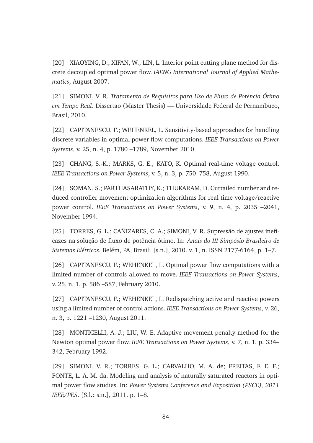[20] XIAOYING, D.; XIFAN, W.; LIN, L. Interior point cutting plane method for discrete decoupled optimal power flow. *IAENG International Journal of Applied Mathematics*, August 2007.

[21] SIMONI, V. R. *Tratamento de Requisitos para Uso de Fluxo de Potˆencia Otimo ´ em Tempo Real*. Dissertao (Master Thesis) — Universidade Federal de Pernambuco, Brasil, 2010.

[22] CAPITANESCU, F.; WEHENKEL, L. Sensitivity-based approaches for handling discrete variables in optimal power flow computations. *IEEE Transactions on Power Systems*, v. 25, n. 4, p. 1780 –1789, November 2010.

[23] CHANG, S.-K.; MARKS, G. E.; KATO, K. Optimal real-time voltage control. *IEEE Transactions on Power Systems*, v. 5, n. 3, p. 750–758, August 1990.

[24] SOMAN, S.; PARTHASARATHY, K.; THUKARAM, D. Curtailed number and reduced controller movement optimization algorithms for real time voltage/reactive power control. *IEEE Transactions on Power Systems*, v. 9, n. 4, p. 2035 –2041, November 1994.

[25] TORRES, G. L.; CAÑIZARES, C. A.; SIMONI, V. R. Supressão de ajustes ineficazes na solução de fluxo de potência ótimo. In: *Anais do III Simpósio Brasileiro de Sistemas El´etricos*. Bel´em, PA, Brasil: [s.n.], 2010. v. 1, n. ISSN 2177-6164, p. 1–7.

[26] CAPITANESCU, F.; WEHENKEL, L. Optimal power flow computations with a limited number of controls allowed to move. *IEEE Transactions on Power Systems*, v. 25, n. 1, p. 586 –587, February 2010.

[27] CAPITANESCU, F.; WEHENKEL, L. Redispatching active and reactive powers using a limited number of control actions. *IEEE Transactions on Power Systems*, v. 26, n. 3, p. 1221 –1230, August 2011.

[28] MONTICELLI, A. J.; LIU, W. E. Adaptive movement penalty method for the Newton optimal power flow. *IEEE Transactions on Power Systems*, v. 7, n. 1, p. 334– 342, February 1992.

[29] SIMONI, V. R.; TORRES, G. L.; CARVALHO, M. A. de; FREITAS, F. E. F.; FONTE, L. A. M. da. Modeling and analysis of naturally saturated reactors in optimal power flow studies. In: *Power Systems Conference and Exposition (PSCE), 2011 IEEE/PES*. [S.l.: s.n.], 2011. p. 1–8.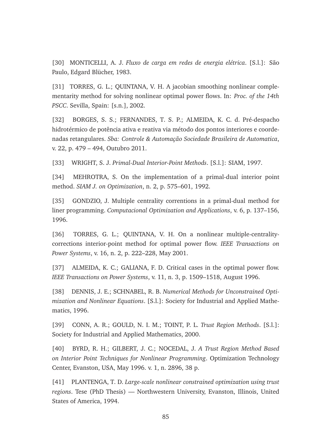[30] MONTICELLI, A. J. *Fluxo de carga em redes de energia el´etrica*. [S.l.]: S˜ao Paulo, Edgard Blücher, 1983.

[31] TORRES, G. L.; QUINTANA, V. H. A jacobian smoothing nonlinear complementarity method for solving nonlinear optimal power flows. In: *Proc. of the 14th PSCC*. Sevilla, Spain: [s.n.], 2002.

[32] BORGES, S. S.; FERNANDES, T. S. P.; ALMEIDA, K. C. d. Pré-despacho hidrotérmico de potência ativa e reativa via método dos pontos interiores e coordenadas retangulares. *Sba: Controle & Automação Sociedade Brasileira de Automatica*, v. 22, p. 479 – 494, Outubro 2011.

[33] WRIGHT, S. J. *Primal-Dual Interior-Point Methods*. [S.l.]: SIAM, 1997.

[34] MEHROTRA, S. On the implementation of a primal-dual interior point method. *SIAM J. on Optimization*, n. 2, p. 575–601, 1992.

[35] GONDZIO, J. Multiple centrality correntions in a primal-dual method for liner programming. *Computacional Optimization and Applications*, v. 6, p. 137–156, 1996.

[36] TORRES, G. L.; OUINTANA, V. H. On a nonlinear multiple-centralitycorrections interior-point method for optimal power flow. *IEEE Transactions on Power Systems*, v. 16, n. 2, p. 222–228, May 2001.

[37] ALMEIDA, K. C.; GALIANA, F. D. Critical cases in the optimal power flow. *IEEE Transactions on Power Systems*, v. 11, n. 3, p. 1509–1518, August 1996.

[38] DENNIS, J. E.; SCHNABEL, R. B. *Numerical Methods for Unconstrained Optimization and Nonlinear Equations*. [S.l.]: Society for Industrial and Applied Mathematics, 1996.

[39] CONN, A. R.; GOULD, N. I. M.; TOINT, P. L. *Trust Region Methods*. [S.l.]: Society for Industrial and Applied Mathematics, 2000.

[40] BYRD, R. H.; GILBERT, J. C.; NOCEDAL, J. *A Trust Region Method Based on Interior Point Techniques for Nonlinear Programming*. Optimization Technology Center, Evanston, USA, May 1996. v. 1, n. 2896, 38 p.

[41] PLANTENGA, T. D. *Large-scale nonlinear constrained optimization using trust regions*. Tese (PhD Thesis) — Northwestern University, Evanston, Illinois, United States of America, 1994.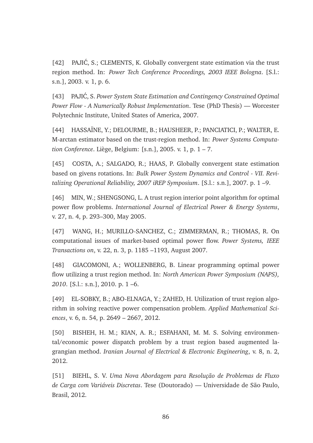$[42]$  PAJIĆ, S.; CLEMENTS, K. Globally convergent state estimation via the trust region method. In: *Power Tech Conference Proceedings, 2003 IEEE Bologna*. [S.l.: s.n.], 2003. v. 1, p. 6.

[43] PAJIC, S. Power System State Estimation and Contingency Constrained Optimal *Power Flow - A Numerically Robust Implementation*. Tese (PhD Thesis) — Worcester Polytechnic Institute, United States of America, 2007.

[44] HASSAÏNE, Y.; DELOURME, B.; HAUSHEER, P.; PANCIATICI, P.; WALTER, E. M-arctan estimator based on the trust-region method. In: *Power Systems Computation Conference*. Li`ege, Belgium: [s.n.], 2005. v. 1, p. 1 – 7.

[45] COSTA, A.; SALGADO, R.; HAAS, P. Globally convergent state estimation based on givens rotations. In: *Bulk Power System Dynamics and Control - VII. Revitalizing Operational Reliability, 2007 iREP Symposium*. [S.l.: s.n.], 2007. p. 1 –9.

[46] MIN, W.; SHENGSONG, L. A trust region interior point algorithm for optimal power flow problems. *International Journal of Electrical Power & Energy Systems*, v. 27, n. 4, p. 293–300, May 2005.

[47] WANG, H.; MURILLO-SANCHEZ, C.; ZIMMERMAN, R.; THOMAS, R. On computational issues of market-based optimal power flow. *Power Systems, IEEE Transactions on*, v. 22, n. 3, p. 1185 –1193, August 2007.

[48] GIACOMONI, A.; WOLLENBERG, B. Linear programming optimal power flow utilizing a trust region method. In: *North American Power Symposium (NAPS), 2010*. [S.l.: s.n.], 2010. p. 1 –6.

[49] EL-SOBKY, B.; ABO-ELNAGA, Y.; ZAHED, H. Utilization of trust region algorithm in solving reactive power compensation problem. *Applied Mathematical Sciences*, v. 6, n. 54, p. 2649 – 2667, 2012.

[50] BISHEH, H. M.; KIAN, A. R.; ESFAHANI, M. M. S. Solving environmental/economic power dispatch problem by a trust region based augmented lagrangian method. *Iranian Journal of Electrical & Electronic Engineering*, v. 8, n. 2, 2012.

[51] BIEHL, S. V. *Uma Nova Abordagem para Resolução de Problemas de Fluxo de Carga com Vari´aveis Discretas*. Tese (Doutorado) — Universidade de S˜ao Paulo, Brasil, 2012.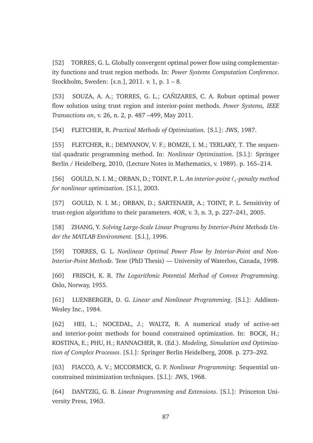[52] TORRES, G. L. Globally convergent optimal power flow using complementarity functions and trust region methods. In: *Power Systems Computation Conference*. Stockholm, Sweden: [s.n.], 2011. v. 1, p. 1 – 8.

[53] SOUZA, A. A.; TORRES, G. L.; CAÑIZARES, C. A. Robust optimal power flow solution using trust region and interior-point methods. *Power Systems, IEEE Transactions on*, v. 26, n. 2, p. 487 –499, May 2011.

[54] FLETCHER, R. *Practical Methods of Optimization*. [S.l.]: JWS, 1987.

[55] FLETCHER, R.; DEMYANOV, V. F.; BOMZE, I. M.; TERLAKY, T. The sequential quadratic programming method. In: *Nonlinear Optimization*. [S.l.]: Springer Berlin / Heidelberg, 2010, (Lecture Notes in Mathematics, v. 1989). p. 165–214.

[56] GOULD, N. I. M.; ORBAN, D.; TOINT, P. L. *An interior-point* ℓ<sup>1</sup> *-penalty method for nonlinear optimization*. [S.l.], 2003.

[57] GOULD, N. I. M.; ORBAN, D.; SARTENAER, A.; TOINT, P. L. Sensitivity of trust-region algorithms to their parameters. *4OR*, v. 3, n. 3, p. 227–241, 2005.

[58] ZHANG, Y. *Solving Large-Scale Linear Programs by Interior-Point Methods Under the MATLAB Environment*. [S.l.], 1996.

[59] TORRES, G. L. *Nonlinear Optimal Power Flow by Interior-Point and Non-Interior-Point Methods*. Tese (PhD Thesis) — University of Waterloo, Canada, 1998.

[60] FRISCH, K. R. *The Logarithmic Potential Method of Convex Programming*. Oslo, Norway, 1955.

[61] LUENBERGER, D. G. *Linear and Nonlinear Programming*. [S.l.]: Addison-Wesley Inc., 1984.

[62] HEI, L.; NOCEDAL, J.; WALTZ, R. A numerical study of active-set and interior-point methods for bound constrained optimization. In: BOCK, H.; KOSTINA, E.; PHU, H.; RANNACHER, R. (Ed.). *Modeling, Simulation and Optimization of Complex Processes*. [S.l.]: Springer Berlin Heidelberg, 2008. p. 273–292.

[63] FIACCO, A. V.; MCCORMICK, G. P. *Nonlinear Programming*: Sequential unconstrained minimization techniques. [S.l.]: JWS, 1968.

[64] DANTZIG, G. B. *Linear Programming and Extensions*. [S.l.]: Princeton University Press, 1963.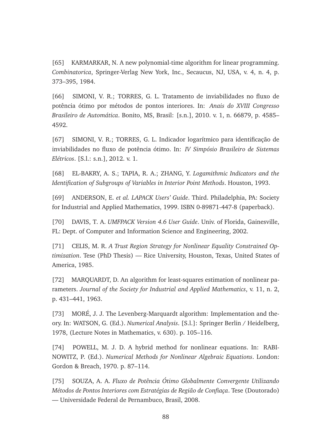[65] KARMARKAR, N. A new polynomial-time algorithm for linear programming. *Combinatorica*, Springer-Verlag New York, Inc., Secaucus, NJ, USA, v. 4, n. 4, p. 373–395, 1984.

[66] SIMONI, V. R.; TORRES, G. L. Tratamento de inviabilidades no fluxo de potˆencia ´otimo por m´etodos de pontos interiores. In: *Anais do XVIII Congresso Brasileiro de Autom´atica*. Bonito, MS, Brasil: [s.n.], 2010. v. 1, n. 66879, p. 4585– 4592.

[67] SIMONI, V. R.; TORRES, G. L. Indicador logarítmico para identificação de inviabilidades no fluxo de potência ótimo. In: *IV Simpósio Brasileiro de Sistemas El´etricos*. [S.l.: s.n.], 2012. v. 1.

[68] EL-BAKRY, A. S.; TAPIA, R. A.; ZHANG, Y. *Logamithmic Indicators and the Identification of Subgroups of Variables in Interior Point Methods*. Houston, 1993.

[69] ANDERSON, E. *et al. LAPACK Users' Guide*. Third. Philadelphia, PA: Society for Industrial and Applied Mathematics, 1999. ISBN 0-89871-447-8 (paperback).

[70] DAVIS, T. A. *UMFPACK Version 4.6 User Guide*. Univ. of Florida, Gainesville, FL: Dept. of Computer and Information Science and Engineering, 2002.

[71] CELIS, M. R. *A Trust Region Strategy for Nonlinear Equality Constrained Optimization*. Tese (PhD Thesis) — Rice University, Houston, Texas, United States of America, 1985.

[72] MARQUARDT, D. An algorithm for least-squares estimation of nonlinear parameters. *Journal of the Society for Industrial and Applied Mathematics*, v. 11, n. 2, p. 431–441, 1963.

[73] MORÉ, J. J. The Levenberg-Marquardt algorithm: Implementation and theory. In: WATSON, G. (Ed.). *Numerical Analysis*. [S.l.]: Springer Berlin / Heidelberg, 1978, (Lecture Notes in Mathematics, v. 630). p. 105–116.

[74] POWELL, M. J. D. A hybrid method for nonlinear equations. In: RABI-NOWITZ, P. (Ed.). *Numerical Methods for Nonlinear Algebraic Equations*. London: Gordon & Breach, 1970. p. 87–114.

[75] SOUZA, A. A. *Fluxo de Potˆencia Otimo Globalmente Convergente Utilizando ´ Métodos de Pontos Interiores com Estratégias de Região de Confiaça*. Tese (Doutorado) — Universidade Federal de Pernambuco, Brasil, 2008.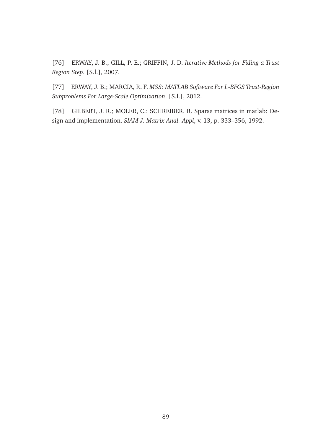[76] ERWAY, J. B.; GILL, P. E.; GRIFFIN, J. D. *Iterative Methods for Fiding a Trust Region Step*. [S.l.], 2007.

[77] ERWAY, J. B.; MARCIA, R. F. *MSS: MATLAB Software For L-BFGS Trust-Region Subproblems For Large-Scale Optimization*. [S.l.], 2012.

[78] GILBERT, J. R.; MOLER, C.; SCHREIBER, R. Sparse matrices in matlab: Design and implementation. *SIAM J. Matrix Anal. Appl*, v. 13, p. 333–356, 1992.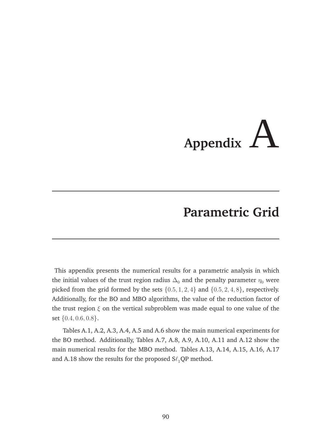# **Appendix** A

# **Parametric Grid**

This appendix presents the numerical results for a parametric analysis in which the initial values of the trust region radius  $\Delta_0$  and the penalty parameter  $\eta_0$  were picked from the grid formed by the sets  $\{0.5, 1, 2, 4\}$  and  $\{0.5, 2, 4, 8\}$ , respectively. Additionally, for the BO and MBO algorithms, the value of the reduction factor of the trust region  $\xi$  on the vertical subproblem was made equal to one value of the set {0.4, 0.6, 0.8}.

Tables A.1, A.2, A.3, A.4, A.5 and A.6 show the main numerical experiments for the BO method. Additionally, Tables A.7, A.8, A.9, A.10, A.11 and A.12 show the main numerical results for the MBO method. Tables A.13, A.14, A.15, A.16, A.17 and A.18 show the results for the proposed  $S\ell_1QP$  method.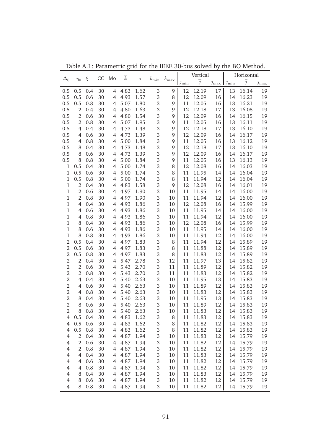|                               |                |            | CC       | Mo             | $\overline{k}$ |              |                |               |            | Vertical       |               |            | Horizontal     |            |
|-------------------------------|----------------|------------|----------|----------------|----------------|--------------|----------------|---------------|------------|----------------|---------------|------------|----------------|------------|
| $\Delta_0$                    | $\eta_0$       | ξ          |          |                |                | $\sigma$     | $k_{\rm min}$  | $k_{\rm max}$ | $j_{\min}$ | $\overline{j}$ | $j_{\rm max}$ | $j_{\min}$ | $\overline{j}$ | $j_{\max}$ |
| 0.5                           | 0.5            | 0.4        | 30       | 4              | 4.83           | 1.62         | $\sqrt{3}$     | 9             | 12         | 12.19          | 17            | 13         | 16.14          | 19         |
| 0.5                           | 0.5            | 0.6        | 30       | $\overline{4}$ | 4.93           | 1.57         | 3              | 8             | 12         | 12.09          | 16            | 14         | 16.23          | 19         |
| 0.5                           | 0.5            | 0.8        | 30       | $\overline{4}$ | 5.07           | 1.80         | 3              | 9             | 11         | 12.05          | 16            | 13         | 16.21          | 19         |
| 0.5                           | $\overline{2}$ | 0.4        | 30       | $\overline{4}$ | 4.80           | 1.63         | 3              | 9             | 12         | 12.18          | 17            | 13         | 16.08          | 19         |
| 0.5                           | $\overline{2}$ | 0.6        | 30       | $\overline{4}$ | 4.80           | 1.54         | 3              | 9             | 12         | 12.09          | 16            | 14         | 16.15          | 19         |
| 0.5                           | $\overline{2}$ | 0.8        | 30       | 4              | 5.07           | 1.95         | 3              | 9             | 11         | 12.05          | 16            | 13         | 16.11          | 19         |
| 0.5                           | $\overline{4}$ | 0.4        | 30       | $\overline{4}$ | 4.73           | 1.48         | 3              | 9             | 12         | 12.18          | 17            | 13         | 16.10          | 19         |
| 0.5                           | 4              | 0.6        | 30       | 4              | 4.73           | 1.39         | 3              | 9             | 12         | 12.09          | 16            | 14         | 16.17          | 19         |
| 0.5                           | 4              | 0.8        | 30       | 4              | 5.00           | 1.84         | $\,3$          | 9             | 11         | 12.05          | 16            | 13         | 16.12          | 19         |
| 0.5                           | 8              | 0.4        | 30       | 4              | 4.73           | 1.48         | $\,3$          | 9             | 12         | 12.18          | 17            | 13         | 16.10          | 19         |
| 0.5                           | 8              | 0.6        | 30       | 4              | 4.73           | 1.39         | 3              | 9             | 12         | 12.09          | 16            | 14         | 16.17          | 19         |
| 0.5                           | 8              | 0.8        | 30       | 4              | 5.00           | 1.84         | $\,3$          | 9             | 11         | 12.05          | 16            | 13         | 16.13          | 19         |
| $\,1$                         | 0.5            | 0.4        | 30       | 4              | 5.00           | 1.74         | $\,3$          | 8             | 12         | 12.08          | 16            | 14         | 16.03          | 19         |
| $\,1\,$                       | 0.5            | 0.6        | 30       | 4              | 5.00           | 1.74         | $\,3$          | 8             | 11         | 11.95          | 14            | 14         | 16.04          | 19         |
| $\mathbf{1}$                  | 0.5            | 0.8        | 30       | 4              | 5.00           | 1.74         | $\,3$          | 8             | 11         | 11.94          | 12            | 14         | 16.04          | 19         |
| $\mathbf{1}$                  | $\overline{2}$ | 0.4        | 30       | 4              | 4.83           | 1.58         | $\,3$          | 9             | 12         | 12.08          | 16            | 14         | 16.01          | 19         |
| $1\,$                         | $\overline{2}$ | 0.6        | 30       | 4              | 4.97           | 1.90         | 3              | 10            | 11         | 11.95          | 14            | 14         | 16.00          | 19         |
| $1\,$                         | $\overline{2}$ | 0.8        | 30       | 4              | 4.97           | 1.90         | $\,3$          | 10            | 11         | 11.94          | 12            | 14         | 16.00          | 19         |
| $1\,$                         | $\overline{4}$ | 0.4        | 30       | 4              | 4.93           | 1.86         | $\,3$          | 10            | 12         | 12.08          | 16            | 14         | 15.99          | 19         |
| $1\,$                         | 4              | 0.6        | 30       | 4              | 4.93           | 1.86         | $\,3$          | 10            | 11         | 11.95          | 14            | 14         | 16.00          | 19         |
| $1\,$                         | 4              | 0.8        | 30       | 4              | 4.93           | 1.86         | $\,3$          | 10            | 11         | 11.94          | 12            | 14         | 16.00          | 19         |
| $1\,$                         | 8              | 0.4        | 30       | 4              | 4.93           | 1.86         | $\,3$          | 10            | 12         | 12.08          | 16            | 14         | 15.99          | 19         |
| $1\,$                         | 8              | 0.6        | 30       | 4              | 4.93           | 1.86         | $\,3$          | 10            | 11         | 11.95          | 14            | 14         | 16.00          | 19         |
| $\mathbf{1}$                  | 8              | 0.8        | 30       | 4              | 4.93           | 1.86         | $\,3$          | 10            | 11         | 11.94          | 12            | 14         | 16.00          | 19         |
| $\overline{2}$                | 0.5            | 0.4        | 30       | 4              | 4.97           | 1.83         | $\,3$          | 8             | 11         | 11.94          | 12            | 14         | 15.89          | 19         |
| $\overline{2}$                | 0.5            | 0.6        | 30       | 4              | 4.97           | 1.83         | $\,3$          | 8             | 11         | 11.88          | 12            | 14         | 15.89          | 19         |
| $\overline{2}$                | 0.5            | 0.8        | 30       | 4              | 4.97           | 1.83         | $\,3$          | 8             | 11         | 11.83          | 12            | 14         | 15.89          | 19         |
| $\mathbf 2$                   | $\overline{2}$ | 0.4        | 30       | 4              | 5.47           | 2.78         | $\,3$          | 12            | 11         | 11.97          | 13            | 14         | 15.82          | 19         |
| $\mathbf 2$                   | $\overline{2}$ | 0.6        | 30       | 4              | 5.43           | 2.70         | $\,3$          | 11            | 11         | 11.89          | 12            | 14         | 15.82          | 19         |
| $\mathbf 2$<br>$\overline{2}$ | $\overline{2}$ | 0.8        | 30       | 4              | 5.43           | 2.70         | $\,3$<br>$\,3$ | 11            | 11         | 11.83          | 12            | 14         | 15.82          | 19         |
|                               | 4              | 0.4        | 30       | 4              | 5.40           | 2.63         | $\,3$          | 10            | 11         | 11.95<br>11.89 | 13            | 14         | 15.83          | 19         |
| $\mathbf 2$<br>$\mathbf 2$    | 4<br>4         | 0.6<br>0.8 | 30<br>30 | 4<br>4         | 5.40<br>5.40   | 2.63<br>2.63 | $\,3$          | 10            | 11<br>11   |                | 12            | 14         | 15.83          | 19         |
| $\mathbf 2$                   | 8              | 0.4        | 30       | 4              | 5.40           | 2.63         | $\,3$          | 10            | 11         | 11.83<br>11.95 | 12<br>13      | 14<br>14   | 15.83<br>15.83 | 19<br>19   |
| $\overline{2}$                | 8              | 0.6        | 30       | 4              | 5.40           | 2.63         | 3              | 10<br>10      | 11         | 11.89          | 12            | 14         | 15.83          | 19         |
| $\boldsymbol{2}$              | 8              | 0.8        | 30       | 4              | 5.40           | 2.63         | 3              | 10            | 11         | 11.83          | 12            | 14         | 15.83          | 19         |
| 4                             | 0.5            | 0.4        | 30       | 4              | 4.83           | 1.62         | $\,3$          | 8             | 11         | 11.83          | 12            | 14         | 15.83          | 19         |
| $\overline{4}$                | 0.5            | 0.6        | 30       | 4              | 4.83           | 1.62         | $\,3$          | 8             | 11         | 11.82          | 12            | 14         | 15.83          | 19         |
| $\overline{4}$                | 0.5            | 0.8        | 30       | 4              | 4.83           | 1.62         | $\,3$          | 8             | 11         | 11.82          | 12            | 14         | 15.83          | 19         |
| $\overline{4}$                | $\overline{2}$ | 0.4        | 30       | 4              | 4.87           | 1.94         | $\,3$          | 10            | 11         | 11.83          | 12            | 14         | 15.79          | 19         |
| $\overline{4}$                | $\overline{2}$ | 0.6        | 30       | 4              | 4.87           | 1.94         | $\,3$          | 10            | 11         | 11.82          | 12            | 14         | 15.79          | 19         |
| $\overline{4}$                | $\overline{2}$ | 0.8        | 30       | $\overline{4}$ | 4.87           | 1.94         | $\,3$          | 10            | 11         | 11.82          | 12            | 14         | 15.79          | 19         |
| $\overline{4}$                | $\overline{4}$ | 0.4        | 30       | $\overline{4}$ | 4.87           | 1.94         | $\,3$          | 10            | 11         | 11.83          | 12            | 14         | 15.79          | 19         |
| $\overline{4}$                | 4              | 0.6        | 30       | 4              | 4.87           | 1.94         | $\,3$          | 10            | 11         | 11.82          | 12            | 14         | 15.79          | 19         |
| $\overline{4}$                | 4              | 0.8        | 30       | 4              | 4.87           | 1.94         | $\,3$          | 10            | 11         | 11.82          | 12            | 14         | 15.79          | 19         |
| $\overline{4}$                | 8              | 0.4        | 30       | 4              | 4.87           | 1.94         | $\,3$          | 10            | 11         | 11.83          | 12            | 14         | 15.79          | 19         |
| 4                             | 8              | 0.6        | 30       | 4              | 4.87           | 1.94         | 3              | 10            | 11         | 11.82          | 12            | 14         | 15.79          | 19         |
| 4                             | 8              | 0.8        | 30       | 4              | 4.87           | 1.94         | 3              | 10            | 11         | 11.82          | 12            | 14         | 15.79          | 19         |
|                               |                |            |          |                |                |              |                |               |            |                |               |            |                |            |

Table A.1: Parametric grid for the IEEE 30-bus solved by the BO Method.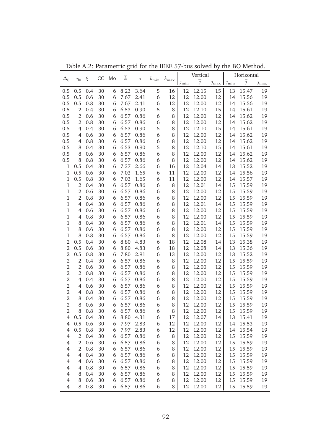|                     |                |            | CC       | Mo     | $\overline{k}$    |          |               |               |               | Vertical       |               |                            | Horizontal     |               |
|---------------------|----------------|------------|----------|--------|-------------------|----------|---------------|---------------|---------------|----------------|---------------|----------------------------|----------------|---------------|
| $\Delta_0$          | $\eta_0$       | ξ          |          |        |                   | $\sigma$ | $k_{\rm min}$ | $k_{\rm max}$ | $j_{\rm min}$ | $\overline{j}$ | $j_{\rm max}$ | $\mathcal{I}_{\text{min}}$ | $\overline{j}$ | $j_{\rm max}$ |
| 0.5                 | 0.5            | 0.4        | 30       | 6      | 8.23              | 3.64     | 5             | 16            | 12            | 12.15          | 15            | 13                         | 15.47          | 19            |
| 0.5                 | 0.5            | 0.6        | 30       | 6      | 7.67              | 2.41     | 6             | 12            | 12            | 12.00          | 12            | 14                         | 15.56          | 19            |
| 0.5                 | 0.5            | 0.8        | 30       | 6      | 7.67              | 2.41     | 6             | 12            | 12            | 12.00          | 12            | 14                         | 15.56          | 19            |
| 0.5                 | $\overline{2}$ | 0.4        | 30       | 6      | 6.53              | 0.90     | 5             | 8             | 12            | 12.10          | 15            | 14                         | 15.61          | 19            |
| 0.5                 | $\overline{2}$ | 0.6        | 30       | 6      | 6.57              | 0.86     | 6             | 8             | 12            | 12.00          | 12            | 14                         | 15.62          | 19            |
| 0.5                 | $\overline{2}$ | 0.8        | 30       | 6      | 6.57              | 0.86     | 6             | 8             | 12            | 12.00          | 12            | 14                         | 15.62          | 19            |
| 0.5                 | 4              | 0.4        | 30       | 6      | 6.53              | 0.90     | 5             | 8             | 12            | 12.10          | 15            | 14                         | 15.61          | 19            |
| 0.5                 | 4              | 0.6        | 30       | 6      | 6.57              | 0.86     | 6             | 8             | 12            | 12.00          | 12            | 14                         | 15.62          | 19            |
| 0.5                 | 4              | 0.8        | 30       | 6      | 6.57              | 0.86     | 6             | 8             | 12            | 12.00          | 12            | 14                         | 15.62          | 19            |
| 0.5                 | 8              | 0.4        | 30       | 6      | 6.53              | 0.90     | 5             | 8             | 12            | 12.10          | 15            | 14                         | 15.61          | 19            |
| 0.5                 | 8              | 0.6        | 30       | 6      | 6.57              | 0.86     | 6             | 8             | 12            | 12.00          | 12            | 14                         | 15.62          | 19            |
| 0.5                 | 8              | 0.8        | 30       | 6      | 6.57              | 0.86     | 6             | 8             | 12            | 12.00          | 12            | 14                         | 15.62          | 19            |
| $\,1\,$             | 0.5            | 0.4        | 30       | 6      | 7.37              | 2.66     | 6             | 16            | 12            | 12.04          | 14            | 13                         | 15.52          | 19            |
| $\mathbf{1}$        | 0.5            | 0.6        | 30       | 6      | 7.03              | 1.65     | 6             | 11            | 12            | 12.00          | 12            | 14                         | 15.56          | 19            |
| $\mathbf{1}$        | 0.5            | 0.8        | 30       | 6      | 7.03              | 1.65     | 6             | 11            | 12            | 12.00          | 12            | 14                         | 15.57          | 19            |
| $\,1\,$             | $\overline{2}$ | 0.4        | 30       | 6      | 6.57              | 0.86     | 6             | 8             | 12            | 12.01          | 14            | 15                         | 15.59          | 19            |
| $\,1$               | $\overline{2}$ | 0.6        | 30       | 6      | 6.57              | 0.86     | 6             | 8             | 12            | 12.00          | 12            | 15                         | 15.59          | 19            |
| $\,1\,$             | $\overline{2}$ | 0.8        | 30       | 6      | 6.57              | 0.86     | 6             | 8             | 12            | 12.00          | 12            | 15                         | 15.59          | 19            |
| $\mathbf{1}$        | $\overline{4}$ | 0.4        | 30       | 6      | 6.57              | 0.86     | 6             | 8             | 12            | 12.01          | 14            | 15                         | 15.59          | 19            |
| $\mathbf{1}$        | 4              | 0.6        | 30       | 6      | 6.57              | 0.86     | 6             | 8             | 12            | 12.00          | 12            | 15                         | 15.59          | 19            |
| $\mathbf{1}$        | 4              | 0.8        | 30       | 6      | 6.57              | 0.86     | 6             | 8             | 12            | 12.00          | 12            | 15                         | 15.59          | 19            |
| $\mathbf{1}$        | 8              | 0.4        | 30       | 6      | 6.57              | 0.86     | 6             | 8             | 12            | 12.01          | 14            | 15                         | 15.59          | 19            |
| $\mathbf{1}$        | 8              | 0.6        | 30       | 6      | 6.57              | 0.86     | 6             | 8             | 12            | 12.00          | 12            | 15                         | 15.59          | 19            |
| $\mathbf{1}$        | 8              | 0.8        | 30       | 6      | 6.57              | 0.86     | 6             | 8             | 12            | 12.00          | 12            | 15                         | 15.59          | 19            |
| $\overline{2}$      | 0.5            | 0.4        | 30       | 6      | 8.80              | 4.83     | 6             | 18            | 12            | 12.08          | 14            | 13                         | 15.38          | 19            |
| $\overline{2}$      | 0.5            | 0.6        | 30       | 6      | 8.80              | 4.83     | 6             | 18            | 12            | 12.08          | 14            | 13                         | 15.36          | 19            |
| $\overline{2}$      | 0.5            | 0.8        | 30       | 6      | 7.80              | 2.91     | 6             | 13            | 12            | 12.00          | 12            | 13                         | 15.52          | 19            |
| $\mathbf 2$         | $\overline{2}$ | 0.4        | 30       | 6      | 6.57              | 0.86     | 6             | 8             | 12            | 12.00          | 12            | 15                         | 15.59          | 19            |
| $\mathbf 2$         | $\overline{2}$ | 0.6        | 30       | 6      | 6.57              | 0.86     | 6             | 8             | 12            | 12.00          | 12            | 15                         | 15.59          | 19            |
| $\mathbf 2$         | $\overline{2}$ | 0.8        | 30       | 6      | 6.57              | 0.86     | 6             | 8             | 12            | 12.00          | 12            | 15                         | 15.59          | 19            |
| $\mathbf 2$         | 4              | 0.4        | 30       | 6      | 6.57              | 0.86     | 6             | 8             | 12            | 12.00          | 12            | 15                         | 15.59          | 19            |
| $\mathbf 2$         | 4              | 0.6        | 30       | 6      | 6.57              | 0.86     | 6             | 8             | 12            | 12.00          | 12            | 15                         | 15.59          | 19            |
| $\mathbf 2$         | 4              | 0.8        | 30       | 6      | 6.57              | 0.86     | 6             | 8             | 12            | 12.00          | 12            | 15                         | 15.59          | 19            |
| $\mathbf 2$         | 8              | 0.4        | 30       | 6      | 6.57              | 0.86     | 6             | 8             | 12            | 12.00          | 12            | 15                         | 15.59          | 19            |
| $\overline{2}$      | 8              | 0.6        | 30       | 6      | 6.57              | 0.86     | 6             | 8             | 12            | 12.00          | 12            | 15                         | 15.59          | 19            |
| 2                   | 8<br>0.5       | 0.8<br>0.4 | 30<br>30 | 6      | 6.57 0.86<br>8.80 | 4.31     | 6<br>6        | 8             | 12<br>12      | 12.00<br>12.07 | 12<br>14      | 15<br>13                   | 15.59<br>15.41 | 19            |
| 4<br>$\overline{4}$ | 0.5            | 0.6        | 30       | 6<br>6 | 7.97              | 2.83     | 6             | 17<br>12      | 12            | 12.00          | 12            | 14                         | 15.53          | 19<br>19      |
| $\overline{4}$      | 0.5            | 0.8        | 30       | 6      | 7.97              | 2.83     | 6             | 12            | 12            | 12.00          | 12            | 14                         | 15.54          | 19            |
| $\overline{4}$      | $\overline{2}$ | 0.4        | 30       | 6      | 6.57              | 0.86     | 6             | 8             | 12            | 12.00          | 12            | 15                         | 15.59          | 19            |
| $\overline{4}$      | $\overline{2}$ | 0.6        | 30       | 6      | 6.57              | 0.86     | 6             | 8             | 12            | 12.00          | 12            | 15                         | 15.59          | 19            |
| $\overline{4}$      | $\overline{2}$ | 0.8        | 30       | 6      | 6.57              | 0.86     | 6             | 8             | 12            | 12.00          | 12            | 15                         | 15.59          | 19            |
| $\overline{4}$      | $\overline{4}$ | 0.4        | 30       | 6      | 6.57              | 0.86     | 6             | 8             | 12            | 12.00          | 12            | 15                         | 15.59          | 19            |
| $\overline{4}$      | 4              | 0.6        | 30       | 6      | 6.57              | 0.86     | 6             | 8             | 12            | 12.00          | 12            | 15                         | 15.59          | 19            |
| $\overline{4}$      | 4              | 0.8        | 30       | 6      | 6.57              | 0.86     | 6             | 8             | 12            | 12.00          | 12            | 15                         | 15.59          | 19            |
| $\overline{4}$      | 8              | 0.4        | 30       | 6      | 6.57              | 0.86     | 6             | 8             | 12            | 12.00          | 12            | 15                         | 15.59          | 19            |
| $\overline{4}$      | 8              | 0.6        | 30       | 6      | 6.57              | 0.86     | 6             | 8             | 12            | 12.00          | 12            | 15                         | 15.59          | 19            |
| $\overline{4}$      | 8              | 0.8        | 30       | 6      | 6.57              | 0.86     | 6             | 8             | 12            | 12.00          | 12            | 15                         | 15.59          | 19            |
|                     |                |            |          |        |                   |          |               |               |               |                |               |                            |                |               |

Table A.2: Parametric grid for the IEEE 57-bus solved by the BO Method.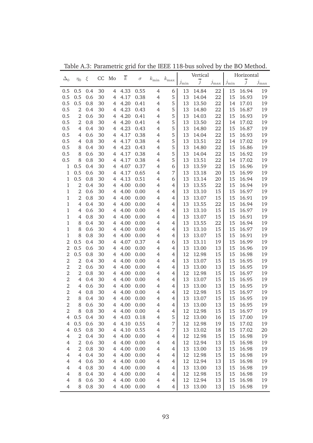|                               |                |            | CC       | Mo                  | $\overline{k}$ |              |                                  |                |            | Vertical       |               |                            | Horizontal     |               |
|-------------------------------|----------------|------------|----------|---------------------|----------------|--------------|----------------------------------|----------------|------------|----------------|---------------|----------------------------|----------------|---------------|
| $\Delta_0$                    | $\eta_0$       | ξ          |          |                     |                | $\sigma$     | $k_{\rm min}$                    | $k_{\rm max}$  | $j_{\min}$ | $\overline{j}$ | $j_{\rm max}$ | $\mathcal{I}_{\text{min}}$ | $\overline{j}$ | $j_{\rm max}$ |
| 0.5                           | 0.5            | 0.4        | 30       | $\overline{4}$      | 4.33           | 0.55         | $\overline{4}$                   | 6              | 13         | 14.84          | 22            | 15                         | 16.94          | 19            |
| 0.5                           | 0.5            | 0.6        | 30       | $\overline{4}$      | 4.17           | 0.38         | $\overline{4}$                   | 5              | 13         | 14.04          | 22            | 15                         | 16.93          | 19            |
| 0.5                           | 0.5            | 0.8        | 30       | $\overline{4}$      | 4.20           | 0.41         | $\overline{4}$                   | 5              | 13         | 13.50          | 22            | 14                         | 17.01          | 19            |
| 0.5                           | $\overline{2}$ | 0.4        | 30       | $\overline{4}$      | 4.23           | 0.43         | $\overline{4}$                   | 5              | 13         | 14.80          | 22            | 15                         | 16.87          | 19            |
| 0.5                           | $\overline{2}$ | 0.6        | 30       | $\overline{4}$      | 4.20           | 0.41         | $\overline{4}$                   | 5              | 13         | 14.03          | 22            | 15                         | 16.93          | 19            |
| 0.5                           | $\overline{2}$ | 0.8        | 30       | $\overline{4}$      | 4.20           | 0.41         | $\overline{4}$                   | 5              | 13         | 13.50          | 22            | 14                         | 17.02          | 19            |
| 0.5                           | 4              | 0.4        | 30       | $\overline{4}$      | 4.23           | 0.43         | $\overline{4}$                   | 5              | 13         | 14.80          | 22            | 15                         | 16.87          | 19            |
| 0.5                           | 4              | 0.6        | 30       | $\overline{4}$      | 4.17           | 0.38         | $\overline{4}$                   | 5              | 13         | 14.04          | 22            | 15                         | 16.93          | 19            |
| 0.5                           | 4              | 0.8        | 30       | $\overline{4}$      | 4.17           | 0.38         | $\overline{4}$                   | 5              | 13         | 13.51          | 22            | 14                         | 17.02          | 19            |
| 0.5                           | 8              | 0.4        | 30       | $\overline{4}$      | 4.23           | 0.43         | $\overline{4}$                   | 5              | 13         | 14.80          | 22            | 15                         | 16.86          | 19            |
| 0.5                           | 8              | 0.6        | 30       | $\overline{4}$      | 4.17           | 0.38         | $\overline{4}$                   | 5              | 13         | 14.04          | 22            | 15                         | 16.92          | 19            |
| 0.5                           | 8              | 0.8        | 30       | $\overline{4}$      | 4.17           | 0.38         | $\overline{4}$                   | 5              | 13         | 13.51          | 22            | 14                         | 17.02          | 19            |
| $\,1\,$                       | 0.5            | 0.4        | 30       | $\overline{4}$      | 4.07           | 0.37         | $\overline{4}$                   | 6              | 13         | 13.59          | 22            | 15                         | 16.96          | 19            |
| $\mathbf{1}$                  | 0.5            | 0.6        | 30       | $\overline{4}$      | 4.17           | 0.65         | $\overline{4}$                   | 7              | 13         | 13.18          | 20            | 15                         | 16.99          | 19            |
| $\mathbf{1}$                  | 0.5            | 0.8        | 30       | $\overline{4}$      | 4.13           | 0.51         | $\overline{4}$                   | 6              | 13         | 13.14          | 20            | 15                         | 16.94          | 19            |
| $\,1\,$                       | $\overline{2}$ | 0.4        | 30       | $\overline{4}$      | 4.00           | 0.00         | $\overline{4}$                   | $\overline{4}$ | 13         | 13.55          | 22            | 15                         | 16.94          | 19            |
| $\,1$                         | $\overline{2}$ | 0.6        | 30       | $\overline{4}$      | 4.00           | 0.00         | $\overline{4}$                   | 4              | 13         | 13.10          | 15            | 15                         | 16.97          | 19            |
| $\,1\,$                       | $\overline{2}$ | 0.8        | 30       | $\overline{4}$      | 4.00           | 0.00         | $\overline{4}$                   | 4              | 13         | 13.07          | 15            | 15                         | 16.91          | 19            |
| $\mathbf{1}$                  | $\overline{4}$ | 0.4        | 30       | $\overline{4}$      | 4.00           | 0.00         | $\overline{4}$                   | 4              | 13         | 13.55          | 22            | 15                         | 16.94          | 19            |
| $\mathbf{1}$                  | 4              | 0.6        | 30       | $\overline{4}$      | 4.00           | 0.00         | $\overline{4}$                   | 4              | 13         | 13.10          | 15            | 15                         | 16.97          | 19            |
| $\mathbf{1}$                  | 4              | 0.8        | 30       | $\overline{4}$      | 4.00           | 0.00         | $\overline{4}$                   | 4              | 13         | 13.07          | 15            | 15                         | 16.91          | 19            |
| $\mathbf{1}$                  | 8              | 0.4        | 30       | $\overline{4}$      | 4.00           | 0.00         | $\overline{4}$                   | 4              | 13         | 13.55          | 22            | 15                         | 16.94          | 19            |
| $\mathbf{1}$                  | 8              | 0.6        | 30       | $\overline{4}$      | 4.00           | 0.00         | $\overline{4}$                   | 4              | 13         | 13.10          | 15            | 15                         | 16.97          | 19            |
| $\mathbf{1}$                  | 8              | 0.8        | 30       | $\overline{4}$      | 4.00           | 0.00         | $\overline{4}$                   | 4              | 13         | 13.07          | 15            | 15                         | 16.91          | 19            |
| $\overline{2}$                | 0.5            | 0.4        | 30       | $\overline{4}$      | 4.07           | 0.37         | $\overline{4}$                   | 6              | 13         | 13.11          | 19            | 15                         | 16.99          | 19            |
| $\overline{2}$                | 0.5            | 0.6        | 30       | $\overline{4}$      | 4.00           | 0.00         | $\overline{4}$                   | 4              | 13         | 13.00          | 13            | 15                         | 16.96          | 19            |
| $\overline{2}$                | 0.5            | 0.8        | 30       | $\overline{4}$      | 4.00           | 0.00         | $\overline{4}$                   | 4              | 12         | 12.98          | 15            | 15                         | 16.98          | 19            |
| $\mathbf 2$                   | $\overline{2}$ | 0.4        | 30       | $\overline{4}$      | 4.00           | 0.00         | $\overline{4}$                   | 4              | 13         | 13.07          | 15            | 15                         | 16.95          | 19            |
| $\mathbf 2$                   | $\overline{2}$ | 0.6        | 30       | $\overline{4}$      | 4.00           | 0.00         | $\overline{4}$                   | 4              | 13         | 13.00          | 13            | 15                         | 16.95          | 19            |
| $\mathbf 2$                   | $\overline{2}$ | 0.8        | 30       | $\overline{4}$      | 4.00           | 0.00         | $\overline{4}$                   | 4              | 12         | 12.98          | 15            | 15                         | 16.97          | 19            |
| $\mathbf 2$                   | $\overline{4}$ | 0.4        | 30       | $\overline{4}$      | 4.00           | 0.00         | $\overline{4}$                   | 4              | 13         | 13.07          | 15            | 15                         | 16.95          | 19            |
| $\mathbf 2$                   | 4              | 0.6        | 30       | $\overline{4}$      | 4.00           | 0.00         | $\overline{4}$                   | 4              | 13         | 13.00          | 13            | 15                         | 16.95          | 19            |
| $\mathbf 2$                   | 4              | 0.8        | 30<br>30 | $\overline{4}$      | 4.00<br>4.00   | 0.00         | $\overline{4}$                   | 4              | 12<br>13   | 12.98          | 15            | 15<br>15                   | 16.97          | 19            |
| $\mathbf 2$<br>$\overline{2}$ | 8<br>8         | 0.4<br>0.6 | 30       | $\overline{4}$<br>4 | 4.00           | 0.00         | $\overline{4}$<br>$\overline{4}$ | 4              | 13         | 13.07<br>13.00 | 15<br>13      | 15                         | 16.95<br>16.95 | 19<br>19      |
| 2                             | 8              | 0.8        | 30       |                     | 4.00           | 0.00<br>0.00 | $\overline{4}$                   | 4              |            | 12.98          | 15            | 15                         | 16.97          | 19            |
| 4                             | 0.5            | 0.4        | 30       | 4<br>4              | 4.03           | 0.18         | $\overline{4}$                   | 4<br>5         | 12<br>12   | 13.00          | 16            | 15                         | 17.00          | 19            |
| $\overline{4}$                | 0.5            | 0.6        | 30       | 4                   | 4.10           | 0.55         | $\overline{4}$                   | 7              | 12         | 12.98          | 19            | 15                         | 17.02          | 19            |
| $\overline{4}$                | 0.5            | 0.8        | 30       | 4                   | 4.10           | 0.55         | $\overline{4}$                   | 7              | 13         | 13.02          | 18            | 15                         | 17.02          | 20            |
| $\overline{4}$                | $\overline{2}$ | 0.4        | 30       | 4                   | 4.00           | 0.00         | $\overline{4}$                   | 4              | 12         | 12.98          | 15            | 15                         | 16.98          | 19            |
| $\overline{4}$                | $\overline{2}$ | 0.6        | 30       | 4                   | 4.00           | 0.00         | $\overline{4}$                   | 4              | 12         | 12.94          | 13            | 15                         | 16.98          | 19            |
| $\overline{4}$                | $\overline{2}$ | 0.8        | 30       | 4                   | 4.00           | 0.00         | $\overline{4}$                   | 4              | 13         | 13.00          | 13            | 15                         | 16.98          | 19            |
| $\overline{4}$                | 4              | 0.4        | 30       | 4                   | 4.00           | 0.00         | $\overline{4}$                   | 4              | 12         | 12.98          | 15            | 15                         | 16.98          | 19            |
| $\overline{4}$                | 4              | 0.6        | 30       | $\overline{4}$      | 4.00           | 0.00         | $\overline{4}$                   | 4              | 12         | 12.94          | 13            | 15                         | 16.98          | 19            |
| $\overline{4}$                | 4              | 0.8        | 30       | $\overline{4}$      | 4.00           | 0.00         | $\overline{4}$                   | 4              | 13         | 13.00          | 13            | 15                         | 16.98          | 19            |
| $\overline{4}$                | 8              | 0.4        | 30       | $\overline{4}$      | 4.00           | 0.00         | $\overline{4}$                   | 4              | 12         | 12.98          | 15            | 15                         | 16.98          | 19            |
| $\overline{4}$                | 8              | 0.6        | 30       | 4                   | 4.00           | 0.00         | $\overline{4}$                   | 4              | 12         | 12.94          | 13            | 15                         | 16.98          | 19            |
| $\overline{4}$                | 8              | 0.8        | 30       | 4                   | 4.00           | 0.00         | $\overline{4}$                   | 4              | 13         | 13.00          | 13            | 15                         | 16.98          | 19            |
|                               |                |            |          |                     |                |              |                                  |                |            |                |               |                            |                |               |

Table A.3: Parametric grid for the IEEE 118-bus solved by the BO Method.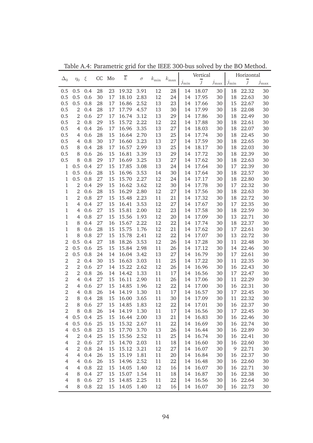|                                  |                |            |          |          |                |              |            |               |                    | Vertical       |               |                            | Horizontal     |               |
|----------------------------------|----------------|------------|----------|----------|----------------|--------------|------------|---------------|--------------------|----------------|---------------|----------------------------|----------------|---------------|
| $\Delta_0$                       | $\eta_0$       | ξ          | CC       | Mo       | $\overline{k}$ | $\sigma$     | $k_{\min}$ | $k_{\rm max}$ | $\jmath_{\rm min}$ | $\overline{j}$ | $j_{\rm max}$ | $\mathcal{I}_{\text{min}}$ | $\overline{j}$ | $j_{\rm max}$ |
| 0.5                              | 0.5            | 0.4        | 28       | 23       | 19.32          | 3.91         | 12         | 28            | 14                 | 18.07          | 30            | 18                         | 22.32          | 30            |
| 0.5                              | 0.5            | 0.6        | 30       | 17       | 18.10          | 2.83         | 12         | 24            | 14                 | 17.95          | 30            | 18                         | 22.63          | 30            |
| 0.5                              | 0.5            | 0.8        | 28       | 17       | 16.86          | 2.52         | 13         | 23            | 14                 | 17.66          | 30            | 15                         | 22.67          | 30            |
| 0.5                              | $\overline{2}$ | 0.4        | 28       | 17       | 17.79          | 4.57         | 13         | 30            | 14                 | 17.99          | 30            | 18                         | 22.08          | 30            |
| 0.5                              | $\overline{2}$ | 0.6        | 27       | 17       | 16.74          | 3.12         | 13         | 29            | 14                 | 17.86          | 30            | 18                         | 22.49          | 30            |
| 0.5                              | $\overline{2}$ | 0.8        | 29       | 15       | 15.72          | 2.22         | 12         | 22            | 14                 | 17.88          | 30            | 18                         | 22.61          | 30            |
| 0.5                              | $\overline{4}$ | 0.4        | 26       | 17       | 16.96          | 3.35         | 13         | 27            | 14                 | 18.03          | 30            | 18                         | 22.07          | 30            |
| 0.5                              | $\overline{4}$ | 0.6        | 28       | 15       | 16.64          | 2.70         | 13         | 25            | 14                 | 17.74          | 30            | 18                         | 22.45          | 30            |
| 0.5                              | $\overline{4}$ | 0.8        | 30       | 17       | 16.60          | 3.23         | 13         | 27            | 14                 | 17.59          | 30            | 18                         | 22.65          | 30            |
| 0.5                              | 8              | 0.4        | 28       | 17       | 16.57          | 2.99         | 13         | 25            | 14                 | 18.17          | 30            | 18                         | 22.03          | 30            |
| 0.5                              | 8              | 0.6        | 26       | 15       | 16.81          | 3.39         | 13         | 29            | 14                 | 17.72          | 30            | 18                         | 22.39          | 30            |
| 0.5                              | 8              | 0.8        | 29       | 17       | 16.69          | 3.25         | 13         | 27            | 14                 | 17.62          | 30            | 18                         | 22.63          | 30            |
| $\mathbf 1$                      | 0.5            | 0.4        | 27       | 15       | 17.85          | 3.08         | 13         | 24            | 14                 | 17.64          | 30            | 17                         | 22.39          | 30            |
| $\mathbf{1}$                     | 0.5            | 0.6        | 28       | 15       | 16.96          | 3.53         | 14         | 30            | 14                 | 17.64          | 30            | 18                         | 22.57          | 30            |
| $\mathbf{1}$                     | 0.5            | 0.8        | 27       | 15       | 15.70          | 2.27         | 12         | 24            | 14                 | 17.17          | 30            | 18                         | 22.80          | 30            |
| $\mathbf{1}$                     | $\overline{2}$ | 0.4        | 29       | 15       | 16.62          | 3.62         | 12         | 30            | 14                 | 17.78          | 30            | 17                         | 22.32          | 30            |
| $\mathbf{1}$                     | $\overline{2}$ | 0.6        | 28       | 15       | 16.29          | 2.80         | 12         | 27            | 14                 | 17.56          | 30            | 18                         | 22.63          | 30            |
| $\mathbf{1}$                     | $\overline{2}$ | 0.8        | 27       | 15       | 15.48          | 2.23         | 11         | 21            | 14                 | 17.32          | 30            | 18                         | 22.72          | 30            |
| $\mathbf{1}$                     | $\overline{4}$ | 0.4        | 27       | 15       | 16.41          | 3.53         | 12         | 27            | 14                 | 17.67          | 30            | 17                         | 22.35          | 30            |
| $\mathbf{1}$                     | $\overline{4}$ | 0.6        | 27       | 15       | 15.81          | 2.00         | 12         | 23            | 14                 | 17.58          | 30            | 18                         | 22.59          | 30            |
| $\mathbf{1}$                     | $\overline{4}$ | 0.8        | 27       | 15       | 15.56          | 1.93         | 12         | 20            | 14                 | 17.09          | 30            | 13                         | 22.71          | 30            |
| $\mathbf{1}$                     | 8              | 0.4        | 27       | 16       | 15.67          | 2.22         | 12         | 22            | 14                 | 17.74          | 30            | 18                         | 22.37          | 30            |
| $\mathbf{1}$                     | 8              | 0.6        | 28       | 15       | 15.75          | 1.76         | 12         | 21            | 14                 | 17.62          | 30            | 17                         | 22.61          | 30            |
| $\mathbf{1}$                     | 8              | 0.8        | 27       | 15       | 15.78          | 2.41         | 12         | 22            | 14                 | 17.07          | 30            | 13                         | 22.72          | 30            |
| $\overline{2}$                   | 0.5            | 0.4        | 27       | 18       | 18.26          | 3.53         | 12         | 26            | 14                 | 17.28          | 30            | 11                         | 22.48          | 30            |
| $\overline{2}$                   | 0.5            | 0.6        | 25       | 15       | 15.84          | 2.98         | 11         | 26            | 14                 | 17.12          | 30            | 14                         | 22.46          | 30            |
| $\overline{2}$                   | 0.5            | 0.8        | 24       | 14       | 16.04          | 3.42         | 13         | 27            | 14                 | 16.79          | 30            | 17                         | 22.61          | 30            |
| $\sqrt{2}$                       | $\overline{2}$ | 0.4        | 30       | 15       | 16.63          | 3.03         | 11         | 25            | 14                 | 17.22          | 30            | 11                         | 22.35          | 30            |
| $\mathbf{2}$                     | $\overline{2}$ | 0.6        | 27       | 14       | 15.22          | 2.62         | 12         | 26            | 14                 | 16.96          | 30            | 16                         | 22.43          | 30            |
| $\sqrt{2}$                       | $\overline{2}$ | 0.8        | 26       | 14       | 14.42          | 1.33         | 11         | 17            | 14                 | 16.56          | 30            | 17                         | 22.47          | 30            |
| $\sqrt{2}$                       | $\overline{4}$ | 0.4        | 27       | 15       | 16.11          | 2.90         | 11         | 26            | 14                 | 17.06          | 30            | 11                         | 22.29          | 30            |
| $\overline{2}$                   | 4              | 0.6        | 27       | 15       | 14.85          | 1.96         | 12         | 22            | 14                 | 17.00          | 30            | 16                         | 22.31          | 30            |
| $\sqrt{2}$                       | 4              | 0.8        | 26       | 14       | 14.19          | 1.30         | 11         | 17            | 14                 | 16.57          | 30            | 17                         | 22.45          | 30            |
| $\overline{2}$<br>$\overline{2}$ | 8              | 0.4        | 28       | 15       | 16.00          | 3.65         | 11         | 30            | 14                 | 17.09          | 30            | 11                         | 22.32          | 30            |
| $\overline{2}$                   | 8              | 0.6<br>0.8 | 27<br>26 | 15       | 14.85          | 1.83<br>1.30 | 12<br>11   | 22            | 14                 | 17.01          | 30<br>30      | 16                         | 22.37<br>22.45 | 30<br>30      |
| 4                                | 8<br>0.5       | 0.4        | 25       | 14<br>15 | 14.19<br>16.44 | 2.00         | 13         | 17<br>21      | 14<br>14           | 16.56<br>16.83 | 30            | 17<br>16                   | 22.46          | 30            |
| $\overline{4}$                   | 0.5            | 0.6        | 25       | 15       | 15.32          | 2.67         | 11         | 22            | 14                 | 16.69          | 30            | 16                         | 22.74          | 30            |
| $\overline{4}$                   | 0.5            | 0.8        | 23       | 15       | 17.70          | 3.70         | 13         | 26            | 14                 | 16.44          | 30            | 16                         | 22.89          | 30            |
| $\overline{4}$                   | $\overline{2}$ | 0.4        | 25       | 15       | 15.56          | 2.52         | 11         | 25            | 14                 | 16.74          | 30            | 16                         | 22.41          | 30            |
| $\overline{4}$                   | $\overline{2}$ | 0.6        | 27       | 15       | 14.70          | 2.03         | 11         | 18            | 14                 | 16.60          | 30            | 16                         | 22.60          | 30            |
| $\overline{4}$                   | $\overline{2}$ | 0.8        | 24       | 15       | 15.12          | 3.21         | 12         | 27            | 14                 | 16.07          | 30            | 9                          | 22.71          | 30            |
| $\overline{4}$                   | $\overline{4}$ | 0.4        | 26       | 15       | 15.19          | 1.81         | 11         | 20            | 14                 | 16.84          | 30            | 16                         | 22.37          | 30            |
| $\overline{4}$                   | $\overline{4}$ | 0.6        | 26       | 15       | 14.96          | 2.52         | 11         | 22            | 14                 | 16.48          | 30            | 16                         | 22.60          | 30            |
| $\overline{4}$                   | $\overline{4}$ | 0.8        | 22       | 15       | 14.05          | 1.40         | 12         | 16            | 14                 | 16.07          | 30            | 16                         | 22.71          | 30            |
| $\overline{4}$                   | 8              | 0.4        | 27       | 15       | 15.07          | 1.54         | 11         | 18            | 14                 | 16.87          | 30            | 16                         | 22.38          | 30            |
| $\overline{4}$                   | 8              | 0.6        | 27       | 15       | 14.85          | 2.25         | 11         | 22            | 14                 | 16.56          | 30            | 16                         | 22.64          | $30\,$        |
| $\overline{4}$                   | 8              | 0.8        | 22       | 15       | 14.05          | 1.40         | 12         | 16            | 14                 | 16.07          | 30            | 16                         | 22.73          | 30            |
|                                  |                |            |          |          |                |              |            |               |                    |                |               |                            |                |               |

Table A.4: Parametric grid for the IEEE 300-bus solved by the BO Method.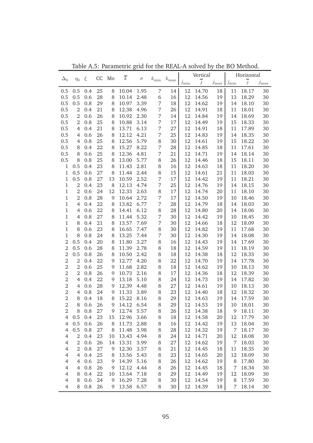| $\overline{j}$<br>$\overline{j}$<br>$j_{\rm max}$  <br>$j_{\rm max}$<br>$j_{\min}$<br>$j_{\min}$<br>18<br>18.17<br>0.5<br>25<br>10.04<br>1.95<br>7<br>14<br>12<br>14.70<br>11<br>30<br>0.5<br>0.4<br>8<br>6<br>12<br>0.5<br>0.5<br>0.6<br>28<br>10.14<br>16<br>14.56<br>19<br>13<br>18.29<br>30<br>8<br>2.48<br>0.5<br>12<br>0.5<br>0.8<br>29<br>10.97<br>3.39<br>7<br>18<br>14.62<br>19<br>14<br>18.10<br>30<br>8<br>12<br>0.5<br>$\overline{2}$<br>21<br>12.38<br>4.96<br>7<br>26<br>14.91<br>18<br>11<br>18.01<br>30<br>0.4<br>8<br>$\overline{2}$<br>12<br>0.5<br>0.6<br>26<br>10.92<br>2.30<br>7<br>14.84<br>19<br>14<br>18.69<br>30<br>8<br>14<br>12<br>15<br>0.5<br>2<br>0.8<br>25<br>10.88<br>3.14<br>7<br>17<br>14.49<br>19<br>18.33<br>30<br>8<br>7<br>12<br>0.5<br>0.4<br>21<br>13.71<br>6.13<br>27<br>14.91<br>18<br>11<br>17.89<br>30<br>4<br>8<br>12<br>18.35<br>0.5<br>0.6<br>26<br>12.12<br>4.21<br>7<br>25<br>14.83<br>19<br>14<br>30<br>4<br>8<br>25<br>12.56<br>12<br>15<br>18.22<br>0.5<br>0.8<br>5.79<br>8<br>30<br>14.61<br>30<br>4<br>8<br>19<br>22<br>15.27<br>12<br>0.5<br>8.22<br>7<br>28<br>14.85<br>11<br>17.61<br>30<br>8<br>0.4<br>8<br>18<br>25<br>12.36<br>7<br>12<br>0.5<br>8<br>0.6<br>4.81<br>21<br>14.71<br>18.14<br>30<br>8<br>19<br>14<br>0.5<br>25<br>12<br>15<br>8<br>0.8<br>13.00<br>5.77<br>8<br>26<br>14.46<br>18.11<br>30<br>8<br>18<br>0.5<br>23<br>12<br>$\mathbf{1}$<br>11.43<br>2.81<br>8<br>14.63<br>18<br>11<br>18.20<br>30<br>0.4<br>8<br>16<br>$\mathbf{1}$<br>27<br>12<br>0.5<br>0.6<br>8<br>11.44<br>2.44<br>8<br>15<br>14.61<br>21<br>11<br>18.03<br>30<br>0.5<br>27<br>2.52<br>7<br>12<br>1<br>0.8<br>13<br>10.59<br>19<br>11<br>18.21<br>30<br>17<br>14.42<br>$\overline{2}$<br>23<br>12.13<br>7<br>25<br>12<br>1<br>8<br>14.76<br>14<br>18.15<br>30<br>0.4<br>4.74<br>19<br>$\overline{2}$<br>12<br>12.33<br>2.63<br>12<br>$\mathbf{1}$<br>0.6<br>24<br>8<br>14.74<br>11<br>18.10<br>30<br>17<br>20<br>$\overline{2}$<br>10.64<br>7<br>12<br>1<br>0.8<br>28<br>2.72<br>14.50<br>18.46<br>30<br>9<br>17<br>19<br>10<br>22<br>7<br>12<br>1<br>$\overline{4}$<br>8<br>13.82<br>6.77<br>28<br>14.79<br>18<br>18.03<br>30<br>0.4<br>14<br>22<br>8<br>12<br>1<br>$\overline{4}$<br>0.6<br>14.41<br>6.12<br>28<br>14.80<br>20<br>14<br>18.06<br>30<br>8<br>27<br>5.32<br>7<br>12<br>$\mathbf{1}$<br>$\overline{4}$<br>0.8<br>8<br>11.44<br>30<br>14.42<br>18.45<br>30<br>19<br>10<br>7.69<br>7<br>12<br>$\mathbf{1}$<br>8<br>21<br>13.57<br>14.66<br>18<br>12<br>18.09<br>30<br>0.4<br>8<br>30<br>8<br>23<br>16.65<br>12<br>$\mathbf{1}$<br>0.6<br>7.47<br>8<br>14.82<br>11<br>17.68<br>30<br>8<br>30<br>19<br>8<br>13.25<br>12<br>$\mathbf{1}$<br>0.8<br>24<br>7.44<br>7<br>14.30<br>14<br>18.08<br>30<br>8<br>30<br>19<br>$\overline{2}$<br>0.5<br>11.80<br>12<br>20<br>3.27<br>8<br>14.43<br>14<br>17.69<br>30<br>0.4<br>8<br>16<br>19<br>$\overline{2}$<br>12<br>0.5<br>0.6<br>28<br>11.39<br>2.78<br>8<br>14.59<br>11<br>18.19<br>30<br>8<br>18<br>19<br>$\overline{2}$<br>0.5<br>12<br>12<br>0.8<br>26<br>10.50<br>2.42<br>8<br>18<br>14.38<br>18<br>18.33<br>30<br>8<br>$\overline{2}$<br>$\overline{2}$<br>22<br>12<br>12.77<br>4.20<br>8<br>22<br>14<br>17.78<br>30<br>0.4<br>9<br>14.70<br>19<br>$\overline{2}$<br>$\overline{2}$<br>25<br>12<br>0.6<br>11.68<br>2.82<br>8<br>18<br>14.62<br>19<br>18.13<br>30<br>9<br>10<br>$\overline{2}$<br>$\overline{2}$<br>12<br>0.8<br>26<br>10.73<br>2.16<br>8<br>14.36<br>18<br>12<br>18.39<br>30<br>9<br>17<br>$\overline{2}$<br>22<br>12<br>$\overline{4}$<br>0.4<br>13.18<br>5.10<br>8<br>24<br>14<br>17.82<br>30<br>9<br>14.73<br>19<br>$\overline{2}$<br>27<br>12<br>$\overline{4}$<br>0.6<br>28<br>12.39<br>8<br>14.61<br>19<br>18.13<br>30<br>9<br>4.48<br>10<br>$\overline{2}$<br>12<br>$\overline{4}$<br>0.8<br>24<br>11.33<br>3.89<br>8<br>23<br>12<br>18.32<br>30<br>9<br>14.40<br>18<br>$\overline{2}$<br>15.22<br>12<br>8<br>0.4<br>18<br>8<br>8.16<br>8<br>29<br>14.63<br>14<br>17.59<br>30<br>19<br>$\overline{2}$<br>8<br>12<br>8<br>0.6<br>26<br>9<br>14.12<br>6.54<br>29<br>14.53<br>19<br>10<br>18.01<br>30<br>27<br>12.74<br>14.38<br>18.11<br>30<br>$\boldsymbol{2}$<br>0.8<br>5.57<br>26<br>18<br>8<br>9<br>8<br>12<br>9<br>0.5<br>0.4<br>23<br>12.96<br>8<br>18<br>20<br>17.79<br>30<br>4<br>3.66<br>12<br>14.58<br>12<br>15<br>0.5<br>0.6<br>26<br>8<br>12<br>19<br>13<br>18.04<br>30<br>$\overline{4}$<br>8<br>11.73<br>2.88<br>16<br>14.42<br>$\overline{4}$<br>0.5<br>0.8<br>27<br>11.48<br>8<br>28<br>12<br>7<br>30<br>8<br>3.98<br>14.32<br>19<br>18.17<br>$\overline{4}$<br>$\overline{2}$<br>0.4<br>23<br>13.43<br>8<br>24<br>12<br>12<br>18.08<br>30<br>10<br>4.94<br>14.71<br>20<br>$\overline{2}$<br>$\overline{4}$<br>0.6<br>26<br>13.31<br>8<br>27<br>12<br>14.62<br>19<br>7<br>18.03<br>30<br>14<br>3.99<br>0.8<br>2<br>27<br>12.30<br>8<br>21<br>12<br>14.45<br>11<br>18.35<br>30<br>4<br>9<br>3.57<br>18<br>$\overline{4}$<br>$\overline{4}$<br>0.4<br>25<br>13.56<br>5.43<br>8<br>23<br>12<br>14.65<br>20<br>12<br>18.09<br>30<br>8<br>0.6<br>23<br>8<br>12<br>$30\,$<br>$\overline{4}$<br>4<br>9<br>14.39<br>5.16<br>26<br>14.62<br>19<br>8<br>17.80<br>$0.8\,$<br>26<br>12<br>$30\,$<br>$\overline{4}$<br>4<br>12.12<br>4.44<br>8<br>26<br>14.45<br>18<br>7<br>18.34<br>9<br>0.4<br>22<br>13.64<br>8<br>12<br>14.49<br>30<br>$\overline{4}$<br>8<br>7.18<br>29<br>19<br>12<br>18.09<br>10<br>0.6<br>24<br>16.29<br>8<br>12<br>14.54<br>30<br>$\overline{4}$<br>8<br>9<br>7.28<br>30<br>19<br>8<br>17.59<br>0.8<br>26<br>6.57<br>12<br>$\overline{4}$<br>8<br>9<br>13.58<br>8<br>30<br>14.39<br>18<br>7<br>18.14<br>30 |            |          |   |    |    | $\overline{k}$ |          |               |               | Vertical |  | Horizontal |  |
|-----------------------------------------------------------------------------------------------------------------------------------------------------------------------------------------------------------------------------------------------------------------------------------------------------------------------------------------------------------------------------------------------------------------------------------------------------------------------------------------------------------------------------------------------------------------------------------------------------------------------------------------------------------------------------------------------------------------------------------------------------------------------------------------------------------------------------------------------------------------------------------------------------------------------------------------------------------------------------------------------------------------------------------------------------------------------------------------------------------------------------------------------------------------------------------------------------------------------------------------------------------------------------------------------------------------------------------------------------------------------------------------------------------------------------------------------------------------------------------------------------------------------------------------------------------------------------------------------------------------------------------------------------------------------------------------------------------------------------------------------------------------------------------------------------------------------------------------------------------------------------------------------------------------------------------------------------------------------------------------------------------------------------------------------------------------------------------------------------------------------------------------------------------------------------------------------------------------------------------------------------------------------------------------------------------------------------------------------------------------------------------------------------------------------------------------------------------------------------------------------------------------------------------------------------------------------------------------------------------------------------------------------------------------------------------------------------------------------------------------------------------------------------------------------------------------------------------------------------------------------------------------------------------------------------------------------------------------------------------------------------------------------------------------------------------------------------------------------------------------------------------------------------------------------------------------------------------------------------------------------------------------------------------------------------------------------------------------------------------------------------------------------------------------------------------------------------------------------------------------------------------------------------------------------------------------------------------------------------------------------------------------------------------------------------------------------------------------------------------------------------------------------------------------------------------------------------------------------------------------------------------------------------------------------------------------------------------------------------------------------------------------------------------------------------------------------------------------------------------------------------------------------------------------------------------------------------------------------------------------------------------------------------------------------------------------------------------------------------------------------------------------------------------------------------------------------------------------------------------------------------------------------------------------------------------------------------------------------------------------------------------------------------------------------------------------------------------------------------------------------------------------------------------------------------------------------------------------------------------------------------------------------------------------------------------------------------------------------------------------------------------------------------------------------------------------------------------------------------------------------------------------------------------------------------------------------------------------------------------------------------------------------------------------------------------------------------------------------------------------------------------------------------------------------------------------------------------------------------------------------------------------------------------------------------------------------------------------------------------------------------------------------------------------------|------------|----------|---|----|----|----------------|----------|---------------|---------------|----------|--|------------|--|
|                                                                                                                                                                                                                                                                                                                                                                                                                                                                                                                                                                                                                                                                                                                                                                                                                                                                                                                                                                                                                                                                                                                                                                                                                                                                                                                                                                                                                                                                                                                                                                                                                                                                                                                                                                                                                                                                                                                                                                                                                                                                                                                                                                                                                                                                                                                                                                                                                                                                                                                                                                                                                                                                                                                                                                                                                                                                                                                                                                                                                                                                                                                                                                                                                                                                                                                                                                                                                                                                                                                                                                                                                                                                                                                                                                                                                                                                                                                                                                                                                                                                                                                                                                                                                                                                                                                                                                                                                                                                                                                                                                                                                                                                                                                                                                                                                                                                                                                                                                                                                                                                                                                                                                                                                                                                                                                                                                                                                                                                                                                                                                                                                                                                       | $\Delta_0$ | $\eta_0$ | ξ | CC | Mo |                | $\sigma$ | $k_{\rm min}$ | $k_{\rm max}$ |          |  |            |  |
|                                                                                                                                                                                                                                                                                                                                                                                                                                                                                                                                                                                                                                                                                                                                                                                                                                                                                                                                                                                                                                                                                                                                                                                                                                                                                                                                                                                                                                                                                                                                                                                                                                                                                                                                                                                                                                                                                                                                                                                                                                                                                                                                                                                                                                                                                                                                                                                                                                                                                                                                                                                                                                                                                                                                                                                                                                                                                                                                                                                                                                                                                                                                                                                                                                                                                                                                                                                                                                                                                                                                                                                                                                                                                                                                                                                                                                                                                                                                                                                                                                                                                                                                                                                                                                                                                                                                                                                                                                                                                                                                                                                                                                                                                                                                                                                                                                                                                                                                                                                                                                                                                                                                                                                                                                                                                                                                                                                                                                                                                                                                                                                                                                                                       |            |          |   |    |    |                |          |               |               |          |  |            |  |
|                                                                                                                                                                                                                                                                                                                                                                                                                                                                                                                                                                                                                                                                                                                                                                                                                                                                                                                                                                                                                                                                                                                                                                                                                                                                                                                                                                                                                                                                                                                                                                                                                                                                                                                                                                                                                                                                                                                                                                                                                                                                                                                                                                                                                                                                                                                                                                                                                                                                                                                                                                                                                                                                                                                                                                                                                                                                                                                                                                                                                                                                                                                                                                                                                                                                                                                                                                                                                                                                                                                                                                                                                                                                                                                                                                                                                                                                                                                                                                                                                                                                                                                                                                                                                                                                                                                                                                                                                                                                                                                                                                                                                                                                                                                                                                                                                                                                                                                                                                                                                                                                                                                                                                                                                                                                                                                                                                                                                                                                                                                                                                                                                                                                       |            |          |   |    |    |                |          |               |               |          |  |            |  |
|                                                                                                                                                                                                                                                                                                                                                                                                                                                                                                                                                                                                                                                                                                                                                                                                                                                                                                                                                                                                                                                                                                                                                                                                                                                                                                                                                                                                                                                                                                                                                                                                                                                                                                                                                                                                                                                                                                                                                                                                                                                                                                                                                                                                                                                                                                                                                                                                                                                                                                                                                                                                                                                                                                                                                                                                                                                                                                                                                                                                                                                                                                                                                                                                                                                                                                                                                                                                                                                                                                                                                                                                                                                                                                                                                                                                                                                                                                                                                                                                                                                                                                                                                                                                                                                                                                                                                                                                                                                                                                                                                                                                                                                                                                                                                                                                                                                                                                                                                                                                                                                                                                                                                                                                                                                                                                                                                                                                                                                                                                                                                                                                                                                                       |            |          |   |    |    |                |          |               |               |          |  |            |  |
|                                                                                                                                                                                                                                                                                                                                                                                                                                                                                                                                                                                                                                                                                                                                                                                                                                                                                                                                                                                                                                                                                                                                                                                                                                                                                                                                                                                                                                                                                                                                                                                                                                                                                                                                                                                                                                                                                                                                                                                                                                                                                                                                                                                                                                                                                                                                                                                                                                                                                                                                                                                                                                                                                                                                                                                                                                                                                                                                                                                                                                                                                                                                                                                                                                                                                                                                                                                                                                                                                                                                                                                                                                                                                                                                                                                                                                                                                                                                                                                                                                                                                                                                                                                                                                                                                                                                                                                                                                                                                                                                                                                                                                                                                                                                                                                                                                                                                                                                                                                                                                                                                                                                                                                                                                                                                                                                                                                                                                                                                                                                                                                                                                                                       |            |          |   |    |    |                |          |               |               |          |  |            |  |
|                                                                                                                                                                                                                                                                                                                                                                                                                                                                                                                                                                                                                                                                                                                                                                                                                                                                                                                                                                                                                                                                                                                                                                                                                                                                                                                                                                                                                                                                                                                                                                                                                                                                                                                                                                                                                                                                                                                                                                                                                                                                                                                                                                                                                                                                                                                                                                                                                                                                                                                                                                                                                                                                                                                                                                                                                                                                                                                                                                                                                                                                                                                                                                                                                                                                                                                                                                                                                                                                                                                                                                                                                                                                                                                                                                                                                                                                                                                                                                                                                                                                                                                                                                                                                                                                                                                                                                                                                                                                                                                                                                                                                                                                                                                                                                                                                                                                                                                                                                                                                                                                                                                                                                                                                                                                                                                                                                                                                                                                                                                                                                                                                                                                       |            |          |   |    |    |                |          |               |               |          |  |            |  |
|                                                                                                                                                                                                                                                                                                                                                                                                                                                                                                                                                                                                                                                                                                                                                                                                                                                                                                                                                                                                                                                                                                                                                                                                                                                                                                                                                                                                                                                                                                                                                                                                                                                                                                                                                                                                                                                                                                                                                                                                                                                                                                                                                                                                                                                                                                                                                                                                                                                                                                                                                                                                                                                                                                                                                                                                                                                                                                                                                                                                                                                                                                                                                                                                                                                                                                                                                                                                                                                                                                                                                                                                                                                                                                                                                                                                                                                                                                                                                                                                                                                                                                                                                                                                                                                                                                                                                                                                                                                                                                                                                                                                                                                                                                                                                                                                                                                                                                                                                                                                                                                                                                                                                                                                                                                                                                                                                                                                                                                                                                                                                                                                                                                                       |            |          |   |    |    |                |          |               |               |          |  |            |  |
|                                                                                                                                                                                                                                                                                                                                                                                                                                                                                                                                                                                                                                                                                                                                                                                                                                                                                                                                                                                                                                                                                                                                                                                                                                                                                                                                                                                                                                                                                                                                                                                                                                                                                                                                                                                                                                                                                                                                                                                                                                                                                                                                                                                                                                                                                                                                                                                                                                                                                                                                                                                                                                                                                                                                                                                                                                                                                                                                                                                                                                                                                                                                                                                                                                                                                                                                                                                                                                                                                                                                                                                                                                                                                                                                                                                                                                                                                                                                                                                                                                                                                                                                                                                                                                                                                                                                                                                                                                                                                                                                                                                                                                                                                                                                                                                                                                                                                                                                                                                                                                                                                                                                                                                                                                                                                                                                                                                                                                                                                                                                                                                                                                                                       |            |          |   |    |    |                |          |               |               |          |  |            |  |
|                                                                                                                                                                                                                                                                                                                                                                                                                                                                                                                                                                                                                                                                                                                                                                                                                                                                                                                                                                                                                                                                                                                                                                                                                                                                                                                                                                                                                                                                                                                                                                                                                                                                                                                                                                                                                                                                                                                                                                                                                                                                                                                                                                                                                                                                                                                                                                                                                                                                                                                                                                                                                                                                                                                                                                                                                                                                                                                                                                                                                                                                                                                                                                                                                                                                                                                                                                                                                                                                                                                                                                                                                                                                                                                                                                                                                                                                                                                                                                                                                                                                                                                                                                                                                                                                                                                                                                                                                                                                                                                                                                                                                                                                                                                                                                                                                                                                                                                                                                                                                                                                                                                                                                                                                                                                                                                                                                                                                                                                                                                                                                                                                                                                       |            |          |   |    |    |                |          |               |               |          |  |            |  |
|                                                                                                                                                                                                                                                                                                                                                                                                                                                                                                                                                                                                                                                                                                                                                                                                                                                                                                                                                                                                                                                                                                                                                                                                                                                                                                                                                                                                                                                                                                                                                                                                                                                                                                                                                                                                                                                                                                                                                                                                                                                                                                                                                                                                                                                                                                                                                                                                                                                                                                                                                                                                                                                                                                                                                                                                                                                                                                                                                                                                                                                                                                                                                                                                                                                                                                                                                                                                                                                                                                                                                                                                                                                                                                                                                                                                                                                                                                                                                                                                                                                                                                                                                                                                                                                                                                                                                                                                                                                                                                                                                                                                                                                                                                                                                                                                                                                                                                                                                                                                                                                                                                                                                                                                                                                                                                                                                                                                                                                                                                                                                                                                                                                                       |            |          |   |    |    |                |          |               |               |          |  |            |  |
|                                                                                                                                                                                                                                                                                                                                                                                                                                                                                                                                                                                                                                                                                                                                                                                                                                                                                                                                                                                                                                                                                                                                                                                                                                                                                                                                                                                                                                                                                                                                                                                                                                                                                                                                                                                                                                                                                                                                                                                                                                                                                                                                                                                                                                                                                                                                                                                                                                                                                                                                                                                                                                                                                                                                                                                                                                                                                                                                                                                                                                                                                                                                                                                                                                                                                                                                                                                                                                                                                                                                                                                                                                                                                                                                                                                                                                                                                                                                                                                                                                                                                                                                                                                                                                                                                                                                                                                                                                                                                                                                                                                                                                                                                                                                                                                                                                                                                                                                                                                                                                                                                                                                                                                                                                                                                                                                                                                                                                                                                                                                                                                                                                                                       |            |          |   |    |    |                |          |               |               |          |  |            |  |
|                                                                                                                                                                                                                                                                                                                                                                                                                                                                                                                                                                                                                                                                                                                                                                                                                                                                                                                                                                                                                                                                                                                                                                                                                                                                                                                                                                                                                                                                                                                                                                                                                                                                                                                                                                                                                                                                                                                                                                                                                                                                                                                                                                                                                                                                                                                                                                                                                                                                                                                                                                                                                                                                                                                                                                                                                                                                                                                                                                                                                                                                                                                                                                                                                                                                                                                                                                                                                                                                                                                                                                                                                                                                                                                                                                                                                                                                                                                                                                                                                                                                                                                                                                                                                                                                                                                                                                                                                                                                                                                                                                                                                                                                                                                                                                                                                                                                                                                                                                                                                                                                                                                                                                                                                                                                                                                                                                                                                                                                                                                                                                                                                                                                       |            |          |   |    |    |                |          |               |               |          |  |            |  |
|                                                                                                                                                                                                                                                                                                                                                                                                                                                                                                                                                                                                                                                                                                                                                                                                                                                                                                                                                                                                                                                                                                                                                                                                                                                                                                                                                                                                                                                                                                                                                                                                                                                                                                                                                                                                                                                                                                                                                                                                                                                                                                                                                                                                                                                                                                                                                                                                                                                                                                                                                                                                                                                                                                                                                                                                                                                                                                                                                                                                                                                                                                                                                                                                                                                                                                                                                                                                                                                                                                                                                                                                                                                                                                                                                                                                                                                                                                                                                                                                                                                                                                                                                                                                                                                                                                                                                                                                                                                                                                                                                                                                                                                                                                                                                                                                                                                                                                                                                                                                                                                                                                                                                                                                                                                                                                                                                                                                                                                                                                                                                                                                                                                                       |            |          |   |    |    |                |          |               |               |          |  |            |  |
|                                                                                                                                                                                                                                                                                                                                                                                                                                                                                                                                                                                                                                                                                                                                                                                                                                                                                                                                                                                                                                                                                                                                                                                                                                                                                                                                                                                                                                                                                                                                                                                                                                                                                                                                                                                                                                                                                                                                                                                                                                                                                                                                                                                                                                                                                                                                                                                                                                                                                                                                                                                                                                                                                                                                                                                                                                                                                                                                                                                                                                                                                                                                                                                                                                                                                                                                                                                                                                                                                                                                                                                                                                                                                                                                                                                                                                                                                                                                                                                                                                                                                                                                                                                                                                                                                                                                                                                                                                                                                                                                                                                                                                                                                                                                                                                                                                                                                                                                                                                                                                                                                                                                                                                                                                                                                                                                                                                                                                                                                                                                                                                                                                                                       |            |          |   |    |    |                |          |               |               |          |  |            |  |
|                                                                                                                                                                                                                                                                                                                                                                                                                                                                                                                                                                                                                                                                                                                                                                                                                                                                                                                                                                                                                                                                                                                                                                                                                                                                                                                                                                                                                                                                                                                                                                                                                                                                                                                                                                                                                                                                                                                                                                                                                                                                                                                                                                                                                                                                                                                                                                                                                                                                                                                                                                                                                                                                                                                                                                                                                                                                                                                                                                                                                                                                                                                                                                                                                                                                                                                                                                                                                                                                                                                                                                                                                                                                                                                                                                                                                                                                                                                                                                                                                                                                                                                                                                                                                                                                                                                                                                                                                                                                                                                                                                                                                                                                                                                                                                                                                                                                                                                                                                                                                                                                                                                                                                                                                                                                                                                                                                                                                                                                                                                                                                                                                                                                       |            |          |   |    |    |                |          |               |               |          |  |            |  |
|                                                                                                                                                                                                                                                                                                                                                                                                                                                                                                                                                                                                                                                                                                                                                                                                                                                                                                                                                                                                                                                                                                                                                                                                                                                                                                                                                                                                                                                                                                                                                                                                                                                                                                                                                                                                                                                                                                                                                                                                                                                                                                                                                                                                                                                                                                                                                                                                                                                                                                                                                                                                                                                                                                                                                                                                                                                                                                                                                                                                                                                                                                                                                                                                                                                                                                                                                                                                                                                                                                                                                                                                                                                                                                                                                                                                                                                                                                                                                                                                                                                                                                                                                                                                                                                                                                                                                                                                                                                                                                                                                                                                                                                                                                                                                                                                                                                                                                                                                                                                                                                                                                                                                                                                                                                                                                                                                                                                                                                                                                                                                                                                                                                                       |            |          |   |    |    |                |          |               |               |          |  |            |  |
|                                                                                                                                                                                                                                                                                                                                                                                                                                                                                                                                                                                                                                                                                                                                                                                                                                                                                                                                                                                                                                                                                                                                                                                                                                                                                                                                                                                                                                                                                                                                                                                                                                                                                                                                                                                                                                                                                                                                                                                                                                                                                                                                                                                                                                                                                                                                                                                                                                                                                                                                                                                                                                                                                                                                                                                                                                                                                                                                                                                                                                                                                                                                                                                                                                                                                                                                                                                                                                                                                                                                                                                                                                                                                                                                                                                                                                                                                                                                                                                                                                                                                                                                                                                                                                                                                                                                                                                                                                                                                                                                                                                                                                                                                                                                                                                                                                                                                                                                                                                                                                                                                                                                                                                                                                                                                                                                                                                                                                                                                                                                                                                                                                                                       |            |          |   |    |    |                |          |               |               |          |  |            |  |
|                                                                                                                                                                                                                                                                                                                                                                                                                                                                                                                                                                                                                                                                                                                                                                                                                                                                                                                                                                                                                                                                                                                                                                                                                                                                                                                                                                                                                                                                                                                                                                                                                                                                                                                                                                                                                                                                                                                                                                                                                                                                                                                                                                                                                                                                                                                                                                                                                                                                                                                                                                                                                                                                                                                                                                                                                                                                                                                                                                                                                                                                                                                                                                                                                                                                                                                                                                                                                                                                                                                                                                                                                                                                                                                                                                                                                                                                                                                                                                                                                                                                                                                                                                                                                                                                                                                                                                                                                                                                                                                                                                                                                                                                                                                                                                                                                                                                                                                                                                                                                                                                                                                                                                                                                                                                                                                                                                                                                                                                                                                                                                                                                                                                       |            |          |   |    |    |                |          |               |               |          |  |            |  |
|                                                                                                                                                                                                                                                                                                                                                                                                                                                                                                                                                                                                                                                                                                                                                                                                                                                                                                                                                                                                                                                                                                                                                                                                                                                                                                                                                                                                                                                                                                                                                                                                                                                                                                                                                                                                                                                                                                                                                                                                                                                                                                                                                                                                                                                                                                                                                                                                                                                                                                                                                                                                                                                                                                                                                                                                                                                                                                                                                                                                                                                                                                                                                                                                                                                                                                                                                                                                                                                                                                                                                                                                                                                                                                                                                                                                                                                                                                                                                                                                                                                                                                                                                                                                                                                                                                                                                                                                                                                                                                                                                                                                                                                                                                                                                                                                                                                                                                                                                                                                                                                                                                                                                                                                                                                                                                                                                                                                                                                                                                                                                                                                                                                                       |            |          |   |    |    |                |          |               |               |          |  |            |  |
|                                                                                                                                                                                                                                                                                                                                                                                                                                                                                                                                                                                                                                                                                                                                                                                                                                                                                                                                                                                                                                                                                                                                                                                                                                                                                                                                                                                                                                                                                                                                                                                                                                                                                                                                                                                                                                                                                                                                                                                                                                                                                                                                                                                                                                                                                                                                                                                                                                                                                                                                                                                                                                                                                                                                                                                                                                                                                                                                                                                                                                                                                                                                                                                                                                                                                                                                                                                                                                                                                                                                                                                                                                                                                                                                                                                                                                                                                                                                                                                                                                                                                                                                                                                                                                                                                                                                                                                                                                                                                                                                                                                                                                                                                                                                                                                                                                                                                                                                                                                                                                                                                                                                                                                                                                                                                                                                                                                                                                                                                                                                                                                                                                                                       |            |          |   |    |    |                |          |               |               |          |  |            |  |
|                                                                                                                                                                                                                                                                                                                                                                                                                                                                                                                                                                                                                                                                                                                                                                                                                                                                                                                                                                                                                                                                                                                                                                                                                                                                                                                                                                                                                                                                                                                                                                                                                                                                                                                                                                                                                                                                                                                                                                                                                                                                                                                                                                                                                                                                                                                                                                                                                                                                                                                                                                                                                                                                                                                                                                                                                                                                                                                                                                                                                                                                                                                                                                                                                                                                                                                                                                                                                                                                                                                                                                                                                                                                                                                                                                                                                                                                                                                                                                                                                                                                                                                                                                                                                                                                                                                                                                                                                                                                                                                                                                                                                                                                                                                                                                                                                                                                                                                                                                                                                                                                                                                                                                                                                                                                                                                                                                                                                                                                                                                                                                                                                                                                       |            |          |   |    |    |                |          |               |               |          |  |            |  |
|                                                                                                                                                                                                                                                                                                                                                                                                                                                                                                                                                                                                                                                                                                                                                                                                                                                                                                                                                                                                                                                                                                                                                                                                                                                                                                                                                                                                                                                                                                                                                                                                                                                                                                                                                                                                                                                                                                                                                                                                                                                                                                                                                                                                                                                                                                                                                                                                                                                                                                                                                                                                                                                                                                                                                                                                                                                                                                                                                                                                                                                                                                                                                                                                                                                                                                                                                                                                                                                                                                                                                                                                                                                                                                                                                                                                                                                                                                                                                                                                                                                                                                                                                                                                                                                                                                                                                                                                                                                                                                                                                                                                                                                                                                                                                                                                                                                                                                                                                                                                                                                                                                                                                                                                                                                                                                                                                                                                                                                                                                                                                                                                                                                                       |            |          |   |    |    |                |          |               |               |          |  |            |  |
|                                                                                                                                                                                                                                                                                                                                                                                                                                                                                                                                                                                                                                                                                                                                                                                                                                                                                                                                                                                                                                                                                                                                                                                                                                                                                                                                                                                                                                                                                                                                                                                                                                                                                                                                                                                                                                                                                                                                                                                                                                                                                                                                                                                                                                                                                                                                                                                                                                                                                                                                                                                                                                                                                                                                                                                                                                                                                                                                                                                                                                                                                                                                                                                                                                                                                                                                                                                                                                                                                                                                                                                                                                                                                                                                                                                                                                                                                                                                                                                                                                                                                                                                                                                                                                                                                                                                                                                                                                                                                                                                                                                                                                                                                                                                                                                                                                                                                                                                                                                                                                                                                                                                                                                                                                                                                                                                                                                                                                                                                                                                                                                                                                                                       |            |          |   |    |    |                |          |               |               |          |  |            |  |
|                                                                                                                                                                                                                                                                                                                                                                                                                                                                                                                                                                                                                                                                                                                                                                                                                                                                                                                                                                                                                                                                                                                                                                                                                                                                                                                                                                                                                                                                                                                                                                                                                                                                                                                                                                                                                                                                                                                                                                                                                                                                                                                                                                                                                                                                                                                                                                                                                                                                                                                                                                                                                                                                                                                                                                                                                                                                                                                                                                                                                                                                                                                                                                                                                                                                                                                                                                                                                                                                                                                                                                                                                                                                                                                                                                                                                                                                                                                                                                                                                                                                                                                                                                                                                                                                                                                                                                                                                                                                                                                                                                                                                                                                                                                                                                                                                                                                                                                                                                                                                                                                                                                                                                                                                                                                                                                                                                                                                                                                                                                                                                                                                                                                       |            |          |   |    |    |                |          |               |               |          |  |            |  |
|                                                                                                                                                                                                                                                                                                                                                                                                                                                                                                                                                                                                                                                                                                                                                                                                                                                                                                                                                                                                                                                                                                                                                                                                                                                                                                                                                                                                                                                                                                                                                                                                                                                                                                                                                                                                                                                                                                                                                                                                                                                                                                                                                                                                                                                                                                                                                                                                                                                                                                                                                                                                                                                                                                                                                                                                                                                                                                                                                                                                                                                                                                                                                                                                                                                                                                                                                                                                                                                                                                                                                                                                                                                                                                                                                                                                                                                                                                                                                                                                                                                                                                                                                                                                                                                                                                                                                                                                                                                                                                                                                                                                                                                                                                                                                                                                                                                                                                                                                                                                                                                                                                                                                                                                                                                                                                                                                                                                                                                                                                                                                                                                                                                                       |            |          |   |    |    |                |          |               |               |          |  |            |  |
|                                                                                                                                                                                                                                                                                                                                                                                                                                                                                                                                                                                                                                                                                                                                                                                                                                                                                                                                                                                                                                                                                                                                                                                                                                                                                                                                                                                                                                                                                                                                                                                                                                                                                                                                                                                                                                                                                                                                                                                                                                                                                                                                                                                                                                                                                                                                                                                                                                                                                                                                                                                                                                                                                                                                                                                                                                                                                                                                                                                                                                                                                                                                                                                                                                                                                                                                                                                                                                                                                                                                                                                                                                                                                                                                                                                                                                                                                                                                                                                                                                                                                                                                                                                                                                                                                                                                                                                                                                                                                                                                                                                                                                                                                                                                                                                                                                                                                                                                                                                                                                                                                                                                                                                                                                                                                                                                                                                                                                                                                                                                                                                                                                                                       |            |          |   |    |    |                |          |               |               |          |  |            |  |
|                                                                                                                                                                                                                                                                                                                                                                                                                                                                                                                                                                                                                                                                                                                                                                                                                                                                                                                                                                                                                                                                                                                                                                                                                                                                                                                                                                                                                                                                                                                                                                                                                                                                                                                                                                                                                                                                                                                                                                                                                                                                                                                                                                                                                                                                                                                                                                                                                                                                                                                                                                                                                                                                                                                                                                                                                                                                                                                                                                                                                                                                                                                                                                                                                                                                                                                                                                                                                                                                                                                                                                                                                                                                                                                                                                                                                                                                                                                                                                                                                                                                                                                                                                                                                                                                                                                                                                                                                                                                                                                                                                                                                                                                                                                                                                                                                                                                                                                                                                                                                                                                                                                                                                                                                                                                                                                                                                                                                                                                                                                                                                                                                                                                       |            |          |   |    |    |                |          |               |               |          |  |            |  |
|                                                                                                                                                                                                                                                                                                                                                                                                                                                                                                                                                                                                                                                                                                                                                                                                                                                                                                                                                                                                                                                                                                                                                                                                                                                                                                                                                                                                                                                                                                                                                                                                                                                                                                                                                                                                                                                                                                                                                                                                                                                                                                                                                                                                                                                                                                                                                                                                                                                                                                                                                                                                                                                                                                                                                                                                                                                                                                                                                                                                                                                                                                                                                                                                                                                                                                                                                                                                                                                                                                                                                                                                                                                                                                                                                                                                                                                                                                                                                                                                                                                                                                                                                                                                                                                                                                                                                                                                                                                                                                                                                                                                                                                                                                                                                                                                                                                                                                                                                                                                                                                                                                                                                                                                                                                                                                                                                                                                                                                                                                                                                                                                                                                                       |            |          |   |    |    |                |          |               |               |          |  |            |  |
|                                                                                                                                                                                                                                                                                                                                                                                                                                                                                                                                                                                                                                                                                                                                                                                                                                                                                                                                                                                                                                                                                                                                                                                                                                                                                                                                                                                                                                                                                                                                                                                                                                                                                                                                                                                                                                                                                                                                                                                                                                                                                                                                                                                                                                                                                                                                                                                                                                                                                                                                                                                                                                                                                                                                                                                                                                                                                                                                                                                                                                                                                                                                                                                                                                                                                                                                                                                                                                                                                                                                                                                                                                                                                                                                                                                                                                                                                                                                                                                                                                                                                                                                                                                                                                                                                                                                                                                                                                                                                                                                                                                                                                                                                                                                                                                                                                                                                                                                                                                                                                                                                                                                                                                                                                                                                                                                                                                                                                                                                                                                                                                                                                                                       |            |          |   |    |    |                |          |               |               |          |  |            |  |
|                                                                                                                                                                                                                                                                                                                                                                                                                                                                                                                                                                                                                                                                                                                                                                                                                                                                                                                                                                                                                                                                                                                                                                                                                                                                                                                                                                                                                                                                                                                                                                                                                                                                                                                                                                                                                                                                                                                                                                                                                                                                                                                                                                                                                                                                                                                                                                                                                                                                                                                                                                                                                                                                                                                                                                                                                                                                                                                                                                                                                                                                                                                                                                                                                                                                                                                                                                                                                                                                                                                                                                                                                                                                                                                                                                                                                                                                                                                                                                                                                                                                                                                                                                                                                                                                                                                                                                                                                                                                                                                                                                                                                                                                                                                                                                                                                                                                                                                                                                                                                                                                                                                                                                                                                                                                                                                                                                                                                                                                                                                                                                                                                                                                       |            |          |   |    |    |                |          |               |               |          |  |            |  |
|                                                                                                                                                                                                                                                                                                                                                                                                                                                                                                                                                                                                                                                                                                                                                                                                                                                                                                                                                                                                                                                                                                                                                                                                                                                                                                                                                                                                                                                                                                                                                                                                                                                                                                                                                                                                                                                                                                                                                                                                                                                                                                                                                                                                                                                                                                                                                                                                                                                                                                                                                                                                                                                                                                                                                                                                                                                                                                                                                                                                                                                                                                                                                                                                                                                                                                                                                                                                                                                                                                                                                                                                                                                                                                                                                                                                                                                                                                                                                                                                                                                                                                                                                                                                                                                                                                                                                                                                                                                                                                                                                                                                                                                                                                                                                                                                                                                                                                                                                                                                                                                                                                                                                                                                                                                                                                                                                                                                                                                                                                                                                                                                                                                                       |            |          |   |    |    |                |          |               |               |          |  |            |  |
|                                                                                                                                                                                                                                                                                                                                                                                                                                                                                                                                                                                                                                                                                                                                                                                                                                                                                                                                                                                                                                                                                                                                                                                                                                                                                                                                                                                                                                                                                                                                                                                                                                                                                                                                                                                                                                                                                                                                                                                                                                                                                                                                                                                                                                                                                                                                                                                                                                                                                                                                                                                                                                                                                                                                                                                                                                                                                                                                                                                                                                                                                                                                                                                                                                                                                                                                                                                                                                                                                                                                                                                                                                                                                                                                                                                                                                                                                                                                                                                                                                                                                                                                                                                                                                                                                                                                                                                                                                                                                                                                                                                                                                                                                                                                                                                                                                                                                                                                                                                                                                                                                                                                                                                                                                                                                                                                                                                                                                                                                                                                                                                                                                                                       |            |          |   |    |    |                |          |               |               |          |  |            |  |
|                                                                                                                                                                                                                                                                                                                                                                                                                                                                                                                                                                                                                                                                                                                                                                                                                                                                                                                                                                                                                                                                                                                                                                                                                                                                                                                                                                                                                                                                                                                                                                                                                                                                                                                                                                                                                                                                                                                                                                                                                                                                                                                                                                                                                                                                                                                                                                                                                                                                                                                                                                                                                                                                                                                                                                                                                                                                                                                                                                                                                                                                                                                                                                                                                                                                                                                                                                                                                                                                                                                                                                                                                                                                                                                                                                                                                                                                                                                                                                                                                                                                                                                                                                                                                                                                                                                                                                                                                                                                                                                                                                                                                                                                                                                                                                                                                                                                                                                                                                                                                                                                                                                                                                                                                                                                                                                                                                                                                                                                                                                                                                                                                                                                       |            |          |   |    |    |                |          |               |               |          |  |            |  |
|                                                                                                                                                                                                                                                                                                                                                                                                                                                                                                                                                                                                                                                                                                                                                                                                                                                                                                                                                                                                                                                                                                                                                                                                                                                                                                                                                                                                                                                                                                                                                                                                                                                                                                                                                                                                                                                                                                                                                                                                                                                                                                                                                                                                                                                                                                                                                                                                                                                                                                                                                                                                                                                                                                                                                                                                                                                                                                                                                                                                                                                                                                                                                                                                                                                                                                                                                                                                                                                                                                                                                                                                                                                                                                                                                                                                                                                                                                                                                                                                                                                                                                                                                                                                                                                                                                                                                                                                                                                                                                                                                                                                                                                                                                                                                                                                                                                                                                                                                                                                                                                                                                                                                                                                                                                                                                                                                                                                                                                                                                                                                                                                                                                                       |            |          |   |    |    |                |          |               |               |          |  |            |  |
|                                                                                                                                                                                                                                                                                                                                                                                                                                                                                                                                                                                                                                                                                                                                                                                                                                                                                                                                                                                                                                                                                                                                                                                                                                                                                                                                                                                                                                                                                                                                                                                                                                                                                                                                                                                                                                                                                                                                                                                                                                                                                                                                                                                                                                                                                                                                                                                                                                                                                                                                                                                                                                                                                                                                                                                                                                                                                                                                                                                                                                                                                                                                                                                                                                                                                                                                                                                                                                                                                                                                                                                                                                                                                                                                                                                                                                                                                                                                                                                                                                                                                                                                                                                                                                                                                                                                                                                                                                                                                                                                                                                                                                                                                                                                                                                                                                                                                                                                                                                                                                                                                                                                                                                                                                                                                                                                                                                                                                                                                                                                                                                                                                                                       |            |          |   |    |    |                |          |               |               |          |  |            |  |
|                                                                                                                                                                                                                                                                                                                                                                                                                                                                                                                                                                                                                                                                                                                                                                                                                                                                                                                                                                                                                                                                                                                                                                                                                                                                                                                                                                                                                                                                                                                                                                                                                                                                                                                                                                                                                                                                                                                                                                                                                                                                                                                                                                                                                                                                                                                                                                                                                                                                                                                                                                                                                                                                                                                                                                                                                                                                                                                                                                                                                                                                                                                                                                                                                                                                                                                                                                                                                                                                                                                                                                                                                                                                                                                                                                                                                                                                                                                                                                                                                                                                                                                                                                                                                                                                                                                                                                                                                                                                                                                                                                                                                                                                                                                                                                                                                                                                                                                                                                                                                                                                                                                                                                                                                                                                                                                                                                                                                                                                                                                                                                                                                                                                       |            |          |   |    |    |                |          |               |               |          |  |            |  |
|                                                                                                                                                                                                                                                                                                                                                                                                                                                                                                                                                                                                                                                                                                                                                                                                                                                                                                                                                                                                                                                                                                                                                                                                                                                                                                                                                                                                                                                                                                                                                                                                                                                                                                                                                                                                                                                                                                                                                                                                                                                                                                                                                                                                                                                                                                                                                                                                                                                                                                                                                                                                                                                                                                                                                                                                                                                                                                                                                                                                                                                                                                                                                                                                                                                                                                                                                                                                                                                                                                                                                                                                                                                                                                                                                                                                                                                                                                                                                                                                                                                                                                                                                                                                                                                                                                                                                                                                                                                                                                                                                                                                                                                                                                                                                                                                                                                                                                                                                                                                                                                                                                                                                                                                                                                                                                                                                                                                                                                                                                                                                                                                                                                                       |            |          |   |    |    |                |          |               |               |          |  |            |  |
|                                                                                                                                                                                                                                                                                                                                                                                                                                                                                                                                                                                                                                                                                                                                                                                                                                                                                                                                                                                                                                                                                                                                                                                                                                                                                                                                                                                                                                                                                                                                                                                                                                                                                                                                                                                                                                                                                                                                                                                                                                                                                                                                                                                                                                                                                                                                                                                                                                                                                                                                                                                                                                                                                                                                                                                                                                                                                                                                                                                                                                                                                                                                                                                                                                                                                                                                                                                                                                                                                                                                                                                                                                                                                                                                                                                                                                                                                                                                                                                                                                                                                                                                                                                                                                                                                                                                                                                                                                                                                                                                                                                                                                                                                                                                                                                                                                                                                                                                                                                                                                                                                                                                                                                                                                                                                                                                                                                                                                                                                                                                                                                                                                                                       |            |          |   |    |    |                |          |               |               |          |  |            |  |
|                                                                                                                                                                                                                                                                                                                                                                                                                                                                                                                                                                                                                                                                                                                                                                                                                                                                                                                                                                                                                                                                                                                                                                                                                                                                                                                                                                                                                                                                                                                                                                                                                                                                                                                                                                                                                                                                                                                                                                                                                                                                                                                                                                                                                                                                                                                                                                                                                                                                                                                                                                                                                                                                                                                                                                                                                                                                                                                                                                                                                                                                                                                                                                                                                                                                                                                                                                                                                                                                                                                                                                                                                                                                                                                                                                                                                                                                                                                                                                                                                                                                                                                                                                                                                                                                                                                                                                                                                                                                                                                                                                                                                                                                                                                                                                                                                                                                                                                                                                                                                                                                                                                                                                                                                                                                                                                                                                                                                                                                                                                                                                                                                                                                       |            |          |   |    |    |                |          |               |               |          |  |            |  |
|                                                                                                                                                                                                                                                                                                                                                                                                                                                                                                                                                                                                                                                                                                                                                                                                                                                                                                                                                                                                                                                                                                                                                                                                                                                                                                                                                                                                                                                                                                                                                                                                                                                                                                                                                                                                                                                                                                                                                                                                                                                                                                                                                                                                                                                                                                                                                                                                                                                                                                                                                                                                                                                                                                                                                                                                                                                                                                                                                                                                                                                                                                                                                                                                                                                                                                                                                                                                                                                                                                                                                                                                                                                                                                                                                                                                                                                                                                                                                                                                                                                                                                                                                                                                                                                                                                                                                                                                                                                                                                                                                                                                                                                                                                                                                                                                                                                                                                                                                                                                                                                                                                                                                                                                                                                                                                                                                                                                                                                                                                                                                                                                                                                                       |            |          |   |    |    |                |          |               |               |          |  |            |  |
|                                                                                                                                                                                                                                                                                                                                                                                                                                                                                                                                                                                                                                                                                                                                                                                                                                                                                                                                                                                                                                                                                                                                                                                                                                                                                                                                                                                                                                                                                                                                                                                                                                                                                                                                                                                                                                                                                                                                                                                                                                                                                                                                                                                                                                                                                                                                                                                                                                                                                                                                                                                                                                                                                                                                                                                                                                                                                                                                                                                                                                                                                                                                                                                                                                                                                                                                                                                                                                                                                                                                                                                                                                                                                                                                                                                                                                                                                                                                                                                                                                                                                                                                                                                                                                                                                                                                                                                                                                                                                                                                                                                                                                                                                                                                                                                                                                                                                                                                                                                                                                                                                                                                                                                                                                                                                                                                                                                                                                                                                                                                                                                                                                                                       |            |          |   |    |    |                |          |               |               |          |  |            |  |
|                                                                                                                                                                                                                                                                                                                                                                                                                                                                                                                                                                                                                                                                                                                                                                                                                                                                                                                                                                                                                                                                                                                                                                                                                                                                                                                                                                                                                                                                                                                                                                                                                                                                                                                                                                                                                                                                                                                                                                                                                                                                                                                                                                                                                                                                                                                                                                                                                                                                                                                                                                                                                                                                                                                                                                                                                                                                                                                                                                                                                                                                                                                                                                                                                                                                                                                                                                                                                                                                                                                                                                                                                                                                                                                                                                                                                                                                                                                                                                                                                                                                                                                                                                                                                                                                                                                                                                                                                                                                                                                                                                                                                                                                                                                                                                                                                                                                                                                                                                                                                                                                                                                                                                                                                                                                                                                                                                                                                                                                                                                                                                                                                                                                       |            |          |   |    |    |                |          |               |               |          |  |            |  |
|                                                                                                                                                                                                                                                                                                                                                                                                                                                                                                                                                                                                                                                                                                                                                                                                                                                                                                                                                                                                                                                                                                                                                                                                                                                                                                                                                                                                                                                                                                                                                                                                                                                                                                                                                                                                                                                                                                                                                                                                                                                                                                                                                                                                                                                                                                                                                                                                                                                                                                                                                                                                                                                                                                                                                                                                                                                                                                                                                                                                                                                                                                                                                                                                                                                                                                                                                                                                                                                                                                                                                                                                                                                                                                                                                                                                                                                                                                                                                                                                                                                                                                                                                                                                                                                                                                                                                                                                                                                                                                                                                                                                                                                                                                                                                                                                                                                                                                                                                                                                                                                                                                                                                                                                                                                                                                                                                                                                                                                                                                                                                                                                                                                                       |            |          |   |    |    |                |          |               |               |          |  |            |  |
|                                                                                                                                                                                                                                                                                                                                                                                                                                                                                                                                                                                                                                                                                                                                                                                                                                                                                                                                                                                                                                                                                                                                                                                                                                                                                                                                                                                                                                                                                                                                                                                                                                                                                                                                                                                                                                                                                                                                                                                                                                                                                                                                                                                                                                                                                                                                                                                                                                                                                                                                                                                                                                                                                                                                                                                                                                                                                                                                                                                                                                                                                                                                                                                                                                                                                                                                                                                                                                                                                                                                                                                                                                                                                                                                                                                                                                                                                                                                                                                                                                                                                                                                                                                                                                                                                                                                                                                                                                                                                                                                                                                                                                                                                                                                                                                                                                                                                                                                                                                                                                                                                                                                                                                                                                                                                                                                                                                                                                                                                                                                                                                                                                                                       |            |          |   |    |    |                |          |               |               |          |  |            |  |
|                                                                                                                                                                                                                                                                                                                                                                                                                                                                                                                                                                                                                                                                                                                                                                                                                                                                                                                                                                                                                                                                                                                                                                                                                                                                                                                                                                                                                                                                                                                                                                                                                                                                                                                                                                                                                                                                                                                                                                                                                                                                                                                                                                                                                                                                                                                                                                                                                                                                                                                                                                                                                                                                                                                                                                                                                                                                                                                                                                                                                                                                                                                                                                                                                                                                                                                                                                                                                                                                                                                                                                                                                                                                                                                                                                                                                                                                                                                                                                                                                                                                                                                                                                                                                                                                                                                                                                                                                                                                                                                                                                                                                                                                                                                                                                                                                                                                                                                                                                                                                                                                                                                                                                                                                                                                                                                                                                                                                                                                                                                                                                                                                                                                       |            |          |   |    |    |                |          |               |               |          |  |            |  |
|                                                                                                                                                                                                                                                                                                                                                                                                                                                                                                                                                                                                                                                                                                                                                                                                                                                                                                                                                                                                                                                                                                                                                                                                                                                                                                                                                                                                                                                                                                                                                                                                                                                                                                                                                                                                                                                                                                                                                                                                                                                                                                                                                                                                                                                                                                                                                                                                                                                                                                                                                                                                                                                                                                                                                                                                                                                                                                                                                                                                                                                                                                                                                                                                                                                                                                                                                                                                                                                                                                                                                                                                                                                                                                                                                                                                                                                                                                                                                                                                                                                                                                                                                                                                                                                                                                                                                                                                                                                                                                                                                                                                                                                                                                                                                                                                                                                                                                                                                                                                                                                                                                                                                                                                                                                                                                                                                                                                                                                                                                                                                                                                                                                                       |            |          |   |    |    |                |          |               |               |          |  |            |  |
|                                                                                                                                                                                                                                                                                                                                                                                                                                                                                                                                                                                                                                                                                                                                                                                                                                                                                                                                                                                                                                                                                                                                                                                                                                                                                                                                                                                                                                                                                                                                                                                                                                                                                                                                                                                                                                                                                                                                                                                                                                                                                                                                                                                                                                                                                                                                                                                                                                                                                                                                                                                                                                                                                                                                                                                                                                                                                                                                                                                                                                                                                                                                                                                                                                                                                                                                                                                                                                                                                                                                                                                                                                                                                                                                                                                                                                                                                                                                                                                                                                                                                                                                                                                                                                                                                                                                                                                                                                                                                                                                                                                                                                                                                                                                                                                                                                                                                                                                                                                                                                                                                                                                                                                                                                                                                                                                                                                                                                                                                                                                                                                                                                                                       |            |          |   |    |    |                |          |               |               |          |  |            |  |
|                                                                                                                                                                                                                                                                                                                                                                                                                                                                                                                                                                                                                                                                                                                                                                                                                                                                                                                                                                                                                                                                                                                                                                                                                                                                                                                                                                                                                                                                                                                                                                                                                                                                                                                                                                                                                                                                                                                                                                                                                                                                                                                                                                                                                                                                                                                                                                                                                                                                                                                                                                                                                                                                                                                                                                                                                                                                                                                                                                                                                                                                                                                                                                                                                                                                                                                                                                                                                                                                                                                                                                                                                                                                                                                                                                                                                                                                                                                                                                                                                                                                                                                                                                                                                                                                                                                                                                                                                                                                                                                                                                                                                                                                                                                                                                                                                                                                                                                                                                                                                                                                                                                                                                                                                                                                                                                                                                                                                                                                                                                                                                                                                                                                       |            |          |   |    |    |                |          |               |               |          |  |            |  |

Table A.5: Parametric grid for the REAL-A solved by the BO Method.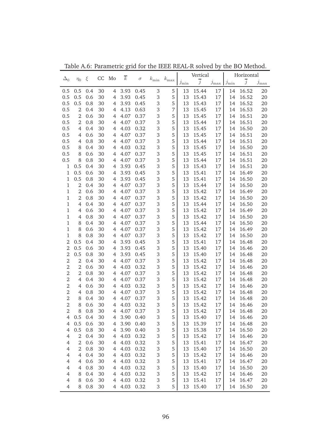|                |                |     | CC | Mo             | $\overline{k}$ |          |               |               |            | Vertical       |               |                            | Horizontal     |            |
|----------------|----------------|-----|----|----------------|----------------|----------|---------------|---------------|------------|----------------|---------------|----------------------------|----------------|------------|
| $\Delta_0$     | $\eta_0$       | ξ   |    |                |                | $\sigma$ | $k_{\rm min}$ | $k_{\rm max}$ | $j_{\min}$ | $\overline{j}$ | $j_{\rm max}$ | $\mathcal{I}_{\text{min}}$ | $\overline{j}$ | $j_{\max}$ |
| 0.5            | 0.5            | 0.4 | 30 | $\overline{4}$ | 3.93           | 0.45     | $\,3$         | 5             | 13         | 15.44          | 17            | 14                         | 16.52          | 20         |
| 0.5            | 0.5            | 0.6 | 30 | $\overline{4}$ | 3.93           | 0.45     | 3             | 5             | 13         | 15.43          | 17            | 14                         | 16.52          | 20         |
| 0.5            | 0.5            | 0.8 | 30 | $\overline{4}$ | 3.93           | 0.45     | 3             | 5             | 13         | 15.43          | 17            | 14                         | 16.52          | 20         |
| 0.5            | $\overline{2}$ | 0.4 | 30 | $\overline{4}$ | 4.13           | 0.63     | $\,3$         | 7             | 13         | 15.45          | 17            | 14                         | 16.53          | 20         |
| 0.5            | $\overline{2}$ | 0.6 | 30 | $\overline{4}$ | 4.07           | 0.37     | $\,3$         | 5             | 13         | 15.45          | 17            | 14                         | 16.51          | 20         |
| 0.5            | $\overline{2}$ | 0.8 | 30 | $\overline{4}$ | 4.07           | 0.37     | $\,3$         | 5             | 13         | 15.44          | 17            | 14                         | 16.51          | 20         |
| 0.5            | $\overline{4}$ | 0.4 | 30 | $\overline{4}$ | 4.03           | 0.32     | $\,3$         | 5             | 13         | 15.45          | 17            | 14                         | 16.50          | 20         |
| 0.5            | $\overline{4}$ | 0.6 | 30 | $\overline{4}$ | 4.07           | 0.37     | $\,3$         | 5             | 13         | 15.45          | 17            | 14                         | 16.51          | 20         |
| 0.5            | 4              | 0.8 | 30 | $\overline{4}$ | 4.07           | 0.37     | 3             | 5             | 13         | 15.44          | 17            | 14                         | 16.51          | 20         |
| 0.5            | 8              | 0.4 | 30 | $\overline{4}$ | 4.03           | 0.32     | $\,3$         | 5             | 13         | 15.45          | 17            | 14                         | 16.50          | 20         |
| 0.5            | 8              | 0.6 | 30 | $\overline{4}$ | 4.07           | 0.37     | 3             | 5             | 13         | 15.45          | 17            | 14                         | 16.51          | 20         |
| 0.5            | 8              | 0.8 | 30 | $\overline{4}$ | 4.07           | 0.37     | 3             | 5             | 13         | 15.44          | 17            | 14                         | 16.51          | 20         |
| $\,1$          | 0.5            | 0.4 | 30 | $\overline{4}$ | 3.93           | 0.45     | $\,3$         | 5             | 13         | 15.43          | 17            | 14                         | 16.51          | 20         |
| $\,1\,$        | 0.5            | 0.6 | 30 | $\overline{4}$ | 3.93           | 0.45     | $\,3$         | 5             | 13         | 15.41          | 17            | 14                         | 16.49          | 20         |
| $\mathbf{1}$   | 0.5            | 0.8 | 30 | $\overline{4}$ | 3.93           | 0.45     | $\,3$         | 5             | 13         | 15.41          | 17            | 14                         | 16.50          | 20         |
| $\mathbf{1}$   | $\overline{2}$ | 0.4 | 30 | $\overline{4}$ | 4.07           | 0.37     | 3             | 5             | 13         | 15.44          | 17            | 14                         | 16.50          | 20         |
| $\mathbf{1}$   | $\overline{2}$ | 0.6 | 30 | $\overline{4}$ | 4.07           | 0.37     | 3             | 5             | 13         | 15.42          | 17            | 14                         | 16.49          | 20         |
| $\mathbf{1}$   | $\overline{2}$ | 0.8 | 30 | $\overline{4}$ | 4.07           | 0.37     | $\,3$         | 5             | 13         | 15.42          | 17            | 14                         | 16.50          | 20         |
| $\mathbf{1}$   | $\overline{4}$ | 0.4 | 30 | $\overline{4}$ | 4.07           | 0.37     | $\,3$         | 5             | 13         | 15.44          | 17            | 14                         | 16.50          | 20         |
| $\mathbf{1}$   | 4              | 0.6 | 30 | $\overline{4}$ | 4.07           | 0.37     | $\,3$         | 5             | 13         | 15.42          | 17            | 14                         | 16.49          | 20         |
| $\mathbf{1}$   | 4              | 0.8 | 30 | $\overline{4}$ | 4.07           | 0.37     | $\,3$         | 5             | 13         | 15.42          | 17            | 14                         | 16.50          | 20         |
| $\mathbf{1}$   | 8              | 0.4 | 30 | $\overline{4}$ | 4.07           | 0.37     | $\,3$         | 5             | 13         | 15.44          | 17            | 14                         | 16.50          | 20         |
| $\mathbf{1}$   | 8              | 0.6 | 30 | $\overline{4}$ | 4.07           | 0.37     | $\,3$         | 5             | 13         | 15.42          | 17            | 14                         | 16.49          | 20         |
| $\mathbf{1}$   | 8              | 0.8 | 30 | $\overline{4}$ | 4.07           | 0.37     | $\,3$         | 5             | 13         | 15.42          | 17            | 14                         | 16.50          | 20         |
| 2              | 0.5            | 0.4 | 30 | $\overline{4}$ | 3.93           | 0.45     | $\,3$         | 5             | 13         | 15.41          | 17            | 14                         | 16.48          | 20         |
| $\overline{2}$ | 0.5            | 0.6 | 30 | $\overline{4}$ | 3.93           | 0.45     | $\,3$         | 5             | 13         | 15.40          | 17            | 14                         | 16.46          | 20         |
| $\overline{2}$ | 0.5            | 0.8 | 30 | $\overline{4}$ | 3.93           | 0.45     | $\,3$         | 5             | 13         | 15.40          | 17            | 14                         | 16.48          | 20         |
| $\mathbf 2$    | $\overline{2}$ | 0.4 | 30 | $\overline{4}$ | 4.07           | 0.37     | $\,3$         | 5             | 13         | 15.42          | 17            | 14                         | 16.48          | 20         |
| $\mathbf 2$    | $\overline{2}$ | 0.6 | 30 | $\overline{4}$ | 4.03           | 0.32     | $\,3$         | 5             | 13         | 15.42          | 17            | 14                         | 16.46          | 20         |
| $\overline{2}$ | $\overline{2}$ | 0.8 | 30 | $\overline{4}$ | 4.07           | 0.37     | $\,3$         | 5             | 13         | 15.42          | 17            | 14                         | 16.48          | 20         |
| $\overline{2}$ | 4              | 0.4 | 30 | $\overline{4}$ | 4.07           | 0.37     | $\,3$         | 5             | 13         | 15.42          | 17            | 14                         | 16.48          | 20         |
| $\overline{2}$ | 4              | 0.6 | 30 | $\overline{4}$ | 4.03           | 0.32     | $\,3$         | 5             | 13         | 15.42          | 17            | 14                         | 16.46          | 20         |
| $\overline{2}$ | 4              | 0.8 | 30 | $\overline{4}$ | 4.07           | 0.37     | $\,3$         | 5             | 13         | 15.42          | 17            | 14                         | 16.48          | 20         |
| $\overline{2}$ | 8              | 0.4 | 30 | $\overline{4}$ | 4.07           | 0.37     | 3             | 5             | 13         | 15.42          | 17            | 14                         | 16.48          | 20         |
| $\overline{2}$ | 8              | 0.6 | 30 | $\overline{4}$ | 4.03           | 0.32     | 3             | 5             | 13         | 15.42          | 17            | 14                         | 16.46          | 20         |
| 2              | 8              | 0.8 | 30 | 4              | 4.07 0.37      |          | 3             | 5             | 13         | 15.42          | 17            | 14                         | 16.48          | 20         |
| 4              | 0.5            | 0.4 | 30 | 4              | 3.90           | 0.40     | 3             | 5             | 13         | 15.40          | 17            | 14                         | 16.46          | 20         |
| 4              | 0.5            | 0.6 | 30 | 4              | 3.90           | 0.40     | $\,3$         | 5             | 13         | 15.39          | 17            | 14                         | 16.48          | 20         |
| $\overline{4}$ | 0.5            | 0.8 | 30 | 4              | 3.90           | 0.40     | $\,3$         | 5             | 13         | 15.38          | 17            | 14                         | 16.50          | 20         |
| $\overline{4}$ | $\overline{2}$ | 0.4 | 30 | $\overline{4}$ | 4.03           | 0.32     | $\,3$         | 5             | 13         | 15.42          | 17            | 14                         | 16.46          | 20         |
| $\overline{4}$ | $\overline{2}$ | 0.6 | 30 | 4              | 4.03           | 0.32     | $\,3$         | 5             | 13         | 15.41          | 17            | 14                         | 16.47          | 20         |
| $\overline{4}$ | 2              | 0.8 | 30 | 4              | 4.03           | 0.32     | $\,3$         | 5             | 13         | 15.40          | 17            | 14                         | 16.50          | 20         |
| $\overline{4}$ | 4              | 0.4 | 30 | $\overline{4}$ | 4.03           | 0.32     | $\,3$         | 5             | 13         | 15.42          | 17            | 14                         | 16.46          | 20         |
| $\overline{4}$ | 4              | 0.6 | 30 | 4              | 4.03           | 0.32     | $\,3$         | 5             | 13         | 15.41          | 17            | 14                         | 16.47          | 20         |
| $\overline{4}$ | 4              | 0.8 | 30 | 4              | 4.03           | 0.32     | $\,3$         | 5             | 13         | 15.40          | 17            | 14                         | 16.50          | 20         |
| $\overline{4}$ | 8              | 0.4 | 30 | 4              | 4.03           | 0.32     | $\,3$         | 5             | 13         | 15.42          | 17            | 14                         | 16.46          | 20         |
| $\overline{4}$ | 8              | 0.6 | 30 | 4              | 4.03           | 0.32     | $\,3$         | 5             | 13         | 15.41          | 17            | 14                         | 16.47          | 20         |
| 4              | 8              | 0.8 | 30 | $\overline{4}$ | 4.03           | 0.32     | 3             | 5             | 13         | 15.40          | 17            | 14                         | 16.50          | 20         |

Table A.6: Parametric grid for the IEEE REAL-R solved by the BO Method.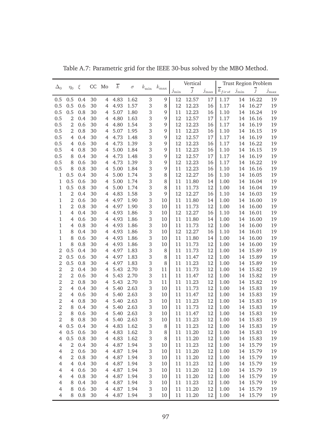|                |                |     |    |                | $\overline{k}$ |          |            |               |            | Vertical       |               |                        |            | Trust Region Problem |               |
|----------------|----------------|-----|----|----------------|----------------|----------|------------|---------------|------------|----------------|---------------|------------------------|------------|----------------------|---------------|
| $\Delta_0$     | $\eta_0$       | ξ   | CC | Mo             |                | $\sigma$ | $k_{\min}$ | $k_{\rm max}$ | $j_{\min}$ | $\overline{j}$ | $j_{\rm max}$ | $\overline{k}_{first}$ | $j_{\min}$ | $\overline{j}$       | $j_{\rm max}$ |
| 0.5            | 0.5            | 0.4 | 30 | $\overline{4}$ | 4.83           | 1.62     | 3          | 9             | 12         | 12.57          | 17            | 1.17                   | 14         | 16.22                | 19            |
| 0.5            | 0.5            | 0.6 | 30 | 4              | 4.93           | 1.57     | $\,3$      | 8             | 12         | 12.23          | 16            | 1.17                   | 14         | 16.27                | 19            |
| 0.5            | 0.5            | 0.8 | 30 | 4              | 5.07           | 1.80     | 3          | 9             | 11         | 12.23          | 16            | 1.10                   | 14         | 16.24                | 19            |
| 0.5            | $\mathbf{2}$   | 0.4 | 30 | $\overline{4}$ | 4.80           | 1.63     | 3          | 9             | 12         | 12.57          | 17            | 1.17                   | 14         | 16.16                | 19            |
| 0.5            | 2              | 0.6 | 30 | $\overline{4}$ | 4.80           | 1.54     | 3          | 9             | 12         | 12.23          | 16            | 1.17                   | 14         | 16.19                | 19            |
| 0.5            | 2              | 0.8 | 30 | $\overline{4}$ | 5.07           | 1.95     | 3          | 9             | 11         | 12.23          | 16            | 1.10                   | 14         | 16.15                | 19            |
| 0.5            | $\overline{4}$ | 0.4 | 30 | $\overline{4}$ | 4.73           | 1.48     | 3          | 9             | 12         | 12.57          | 17            | 1.17                   | 14         | 16.19                | 19            |
| 0.5            | $\overline{4}$ | 0.6 | 30 | $\overline{4}$ | 4.73           | 1.39     | 3          | 9             | 12         | 12.23          | 16            | 1.17                   | 14         | 16.22                | 19            |
| 0.5            | $\overline{4}$ | 0.8 | 30 | $\overline{4}$ | 5.00           | 1.84     | 3          | 9             | 11         | 12.23          | 16            | 1.10                   | 14         | 16.15                | 19            |
| 0.5            | 8              | 0.4 | 30 | $\overline{4}$ | 4.73           | 1.48     | 3          | 9             | 12         | 12.57          | 17            | 1.17                   | 14         | 16.19                | 19            |
| 0.5            | 8              | 0.6 | 30 | $\overline{4}$ | 4.73           | 1.39     | 3          | 9             | 12         | 12.23          | 16            | 1.17                   | 14         | 16.22                | 19            |
| 0.5            | 8              | 0.8 | 30 | $\overline{4}$ | 5.00           | 1.84     | 3          | 9             | 11         | 12.23          | 16            | 1.10                   | 14         | 16.16                | 19            |
| 1              | 0.5            | 0.4 | 30 | $\overline{4}$ | 5.00           | 1.74     | 3          | 8             | 12         | 12.27          | 16            | 1.10                   | 14         | 16.05                | 19            |
| 1              | 0.5            | 0.6 | 30 | $\overline{4}$ | 5.00           | 1.74     | 3          | 8             | 11         | 11.80          | 14            | 1.00                   | 14         | 16.04                | 19            |
| 1              | 0.5            | 0.8 | 30 | $\overline{4}$ | 5.00           | 1.74     | 3          | 8             | 11         | 11.73          | 12            | 1.00                   | 14         | 16.04                | 19            |
| 1              | $\overline{2}$ | 0.4 | 30 | $\overline{4}$ | 4.83           | 1.58     | 3          | 9             | 12         | 12.27          | 16            | 1.10                   | 14         | 16.03                | 19            |
| $\mathbf 1$    | $\overline{2}$ | 0.6 | 30 | $\overline{4}$ | 4.97           | 1.90     | 3          | 10            | 11         | 11.80          | 14            | 1.00                   | 14         | 16.00                | 19            |
| $\mathbf 1$    | $\overline{2}$ | 0.8 | 30 | $\overline{4}$ | 4.97           | 1.90     | 3          | 10            | 11         | 11.73          | 12            | 1.00                   | 14         | 16.00                | 19            |
| 1              | $\overline{4}$ | 0.4 | 30 | $\overline{4}$ | 4.93           | 1.86     | 3          | 10            | 12         | 12.27          | 16            | 1.10                   | 14         | 16.01                | 19            |
| $\mathbf 1$    | $\overline{4}$ | 0.6 | 30 | $\overline{4}$ | 4.93           | 1.86     | 3          | 10            | 11         | 11.80          | 14            | 1.00                   | 14         | 16.00                | 19            |
| $\mathbf 1$    | $\overline{4}$ | 0.8 | 30 | $\overline{4}$ | 4.93           | 1.86     | 3          | 10            | 11         | 11.73          | 12            | 1.00                   | 14         | 16.00                | 19            |
| $\mathbf 1$    | 8              | 0.4 | 30 | $\overline{4}$ | 4.93           | 1.86     | 3          | 10            | 12         | 12.27          | 16            | 1.10                   | 14         | 16.01                | 19            |
| $\mathbf 1$    | 8              | 0.6 | 30 | $\overline{4}$ | 4.93           | 1.86     | 3          | 10            | 11         | 11.80          | 14            | 1.00                   | 14         | 16.00                | 19            |
| $\mathbf 1$    | 8              | 0.8 | 30 | $\overline{4}$ | 4.93           | 1.86     | 3          | 10            | 11         | 11.73          | 12            | 1.00                   | 14         | 16.00                | 19            |
| $\overline{2}$ | 0.5            | 0.4 | 30 | $\overline{4}$ | 4.97           | 1.83     | 3          | 8             | 11         | 11.73          | 12            | 1.00                   | 14         | 15.89                | 19            |
| $\overline{2}$ | 0.5            | 0.6 | 30 | $\overline{4}$ | 4.97           | 1.83     | 3          | 8             | 11         | 11.47          | 12            | 1.00                   | 14         | 15.89                | 19            |
| $\overline{2}$ | 0.5            | 0.8 | 30 | $\overline{4}$ | 4.97           | 1.83     | 3          | 8             | 11         | 11.23          | 12            | 1.00                   | 14         | 15.89                | 19            |
| $\overline{2}$ | $\overline{2}$ | 0.4 | 30 | $\overline{4}$ | 5.43           | 2.70     | 3          | 11            | 11         | 11.73          | 12            | 1.00                   | 14         | 15.82                | 19            |
| $\overline{2}$ | $\overline{2}$ | 0.6 | 30 | $\overline{4}$ | 5.43           | 2.70     | 3          | 11            | 11         | 11.47          | 12            | 1.00                   | 14         | 15.82                | 19            |
| $\overline{2}$ | $\overline{2}$ | 0.8 | 30 | $\overline{4}$ | 5.43           | 2.70     | 3          | 11            | 11         | 11.23          | 12            | 1.00                   | 14         | 15.82                | 19            |
| $\overline{2}$ | $\overline{4}$ | 0.4 | 30 | $\overline{4}$ | 5.40           | 2.63     | 3          | 10            | 11         | 11.73          | 12            | 1.00                   | 14         | 15.83                | 19            |
| $\overline{2}$ | $\overline{4}$ | 0.6 | 30 | $\overline{4}$ | 5.40           | 2.63     | 3          | 10            | 11         | 11.47          | 12            | 1.00                   | 14         | 15.83                | 19            |
| $\overline{2}$ | 4              | 0.8 | 30 | $\overline{4}$ | 5.40           | 2.63     | 3          | 10            | 11         | 11.23          | 12            | 1.00                   | 14         | 15.83                | 19            |
| $\overline{2}$ | 8              | 0.4 | 30 | $\overline{4}$ | 5.40           | 2.63     | 3          | 10            | 11         | 11.73          | 12            | 1.00                   | 14         | 15.83                | 19            |
| $\overline{2}$ | 8              | 0.6 | 30 | $\overline{4}$ | 5.40           | 2.63     | 3          | 10            | 11         | 11.47          | 12            | 1.00                   | 14         | 15.83                | 19            |
| $\overline{2}$ | 8              | 0.8 | 30 | 4              | 5.40           | 2.63     | 3          | 10            | 11         | 11.23          | 12            | 1.00                   | 14         | 15.83                | 19            |
| $\overline{4}$ | 0.5            | 0.4 | 30 | 4              | 4.83           | 1.62     | $\,3$      | 8             | 11         | 11.23          | 12            | 1.00                   | 14         | 15.83                | 19            |
| $\overline{4}$ | 0.5            | 0.6 | 30 | $\overline{4}$ | 4.83           | 1.62     | $\,3$      | 8             | 11         | 11.20          | 12            | 1.00                   | 14         | 15.83                | 19            |
| $\overline{4}$ | 0.5            | 0.8 | 30 | 4              | 4.83           | 1.62     | $\,3$      | 8             | 11         | 11.20          | 12            | 1.00                   | 14         | 15.83                | 19            |
| $\overline{4}$ | $\sqrt{2}$     | 0.4 | 30 | 4              | 4.87           | 1.94     | $\,3$      | 10            | 11         | 11.23          | 12            | 1.00                   | 14         | 15.79                | 19            |
| $\overline{4}$ | $\sqrt{2}$     | 0.6 | 30 | 4              | 4.87           | 1.94     | $\,3$      | 10            | 11         | 11.20          | 12            | 1.00                   | 14         | 15.79                | 19            |
| $\overline{4}$ | $\sqrt{2}$     | 0.8 | 30 | 4              | 4.87           | 1.94     | $\,3$      | 10            | 11         | 11.20          | 12            | 1.00                   | 14         | 15.79                | 19            |
| $\overline{4}$ | $\overline{4}$ | 0.4 | 30 | 4              | 4.87           | 1.94     | $\,3$      | 10            | 11         | 11.23          | 12            | 1.00                   | 14         | 15.79                | 19            |
| $\overline{4}$ | $\overline{4}$ | 0.6 | 30 | 4              | 4.87           | 1.94     | $\,3$      | 10            | 11         | 11.20          | 12            | 1.00                   | 14         | 15.79                | 19            |
| $\overline{4}$ | $\overline{4}$ | 0.8 | 30 | 4              | 4.87           | 1.94     | $\,3$      | 10            | 11         | 11.20          | 12            | 1.00                   | 14         | 15.79                | 19            |
| $\overline{4}$ | 8              | 0.4 | 30 | 4              | 4.87           | 1.94     | $\,3$      | 10            | 11         | 11.23          | 12            | 1.00                   | 14         | 15.79                | 19            |
| $\overline{4}$ | 8              | 0.6 | 30 | 4              | 4.87           | 1.94     | $\,3$      | 10            | 11         | $11.20\,$      | 12            | 1.00                   | 14         | 15.79                | 19            |
| $\overline{4}$ | 8              | 0.8 | 30 | 4              | 4.87 1.94      |          | 3          | 10            | 11         | 11.20          | 12            | 1.00                   | 14         | 15.79                | 19            |

Table A.7: Parametric grid for the IEEE 30-bus solved by the MBO Method.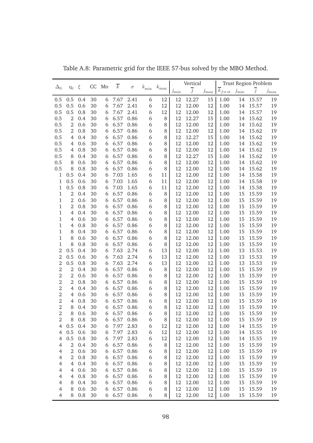| $\overline{k}_{first}$<br>$\overline{j}$<br>$j_{\rm max}$<br>$j_{\min}$<br>$j_{\rm max}$<br>$\mathcal{I}_{\text{min}}$<br>12.27<br>0.5<br>30<br>7.67<br>6<br>12<br>15<br>1.00<br>15.57<br>19<br>0.5<br>0.4<br>6<br>2.41<br>12<br>14<br>0.5<br>0.6<br>12<br>12.00<br>12<br>15.57<br>19<br>0.5<br>30<br>7.67<br>2.41<br>6<br>12<br>1.00<br>14<br>6<br>0.5<br>15.57<br>0.5<br>0.8<br>30<br>7.67<br>2.41<br>6<br>12<br>12<br>12.00<br>12<br>1.00<br>19<br>6<br>14<br>0.86<br>6<br>12.27<br>0.5<br>2<br>30<br>6.57<br>12<br>15<br>1.00<br>15.62<br>19<br>0.4<br>6<br>8<br>14<br>0.5<br>0.86<br>6<br>2<br>0.6<br>30<br>6.57<br>8<br>12<br>12.00<br>12<br>1.00<br>15.62<br>19<br>6<br>14<br>0.5<br>6.57<br>0.86<br>6<br>2<br>0.8<br>30<br>8<br>12<br>12.00<br>12<br>1.00<br>15.62<br>19<br>6<br>14<br>0.5<br>6.57<br>0.86<br>6<br>0.4<br>30<br>8<br>12<br>12.27<br>15<br>1.00<br>15.62<br>19<br>$\overline{4}$<br>6<br>14<br>0.5<br>6<br>12<br>0.6<br>30<br>6.57<br>0.86<br>8<br>12.00<br>12<br>1.00<br>15.62<br>19<br>$\overline{4}$<br>6<br>14<br>0.5<br>6<br>12<br>0.8<br>30<br>6.57<br>0.86<br>8<br>12.00<br>12<br>1.00<br>15.62<br>19<br>$\overline{4}$<br>6<br>14<br>0.5<br>6.57<br>0.86<br>6<br>12<br>8<br>30<br>8<br>12.27<br>15<br>1.00<br>14<br>15.62<br>19<br>0.4<br>6<br>0.5<br>0.6<br>6.57<br>0.86<br>6<br>12<br>12<br>8<br>30<br>8<br>12.00<br>1.00<br>14<br>15.62<br>19<br>6<br>0.5<br>6.57<br>12<br>12<br>8<br>0.8<br>30<br>0.86<br>6<br>8<br>12.00<br>1.00<br>14<br>15.62<br>19<br>6<br>0.5<br>12<br>12<br>1<br>0.4<br>30<br>7.03<br>1.65<br>6<br>11<br>12.00<br>1.00<br>14<br>15.58<br>19<br>6<br>7.03<br>12<br>12<br>1<br>0.5<br>0.6<br>30<br>6<br>1.65<br>6<br>11<br>12.00<br>1.00<br>15.58<br>19<br>14<br>0.5<br>7.03<br>1.65<br>12<br>12<br>1<br>0.8<br>30<br>6<br>11<br>12.00<br>1.00<br>15.58<br>19<br>6<br>14<br>$\overline{2}$<br>6.57<br>0.86<br>6<br>12<br>12<br>1<br>30<br>8<br>12.00<br>1.00<br>15<br>15.59<br>19<br>0.4<br>6<br>$\mathbf 1$<br>$\overline{2}$<br>0.6<br>6.57<br>0.86<br>6<br>12<br>12<br>1.00<br>15.59<br>30<br>8<br>12.00<br>15<br>19<br>6<br>$\mathbf 1$<br>$\overline{2}$<br>6.57<br>0.86<br>6<br>12<br>12<br>1.00<br>15.59<br>0.8<br>30<br>6<br>8<br>12.00<br>15<br>19<br>6.57<br>6<br>12<br>12<br>1<br>$\overline{4}$<br>0.4<br>30<br>0.86<br>8<br>12.00<br>1.00<br>15<br>15.59<br>19<br>6<br>$\mathbf 1$<br>6.57<br>0.86<br>6<br>8<br>12<br>12<br>$\overline{4}$<br>0.6<br>30<br>12.00<br>1.00<br>15<br>15.59<br>19<br>6<br>$\mathbf 1$<br>6.57<br>0.86<br>6<br>8<br>12<br>12<br>$\overline{4}$<br>0.8<br>30<br>12.00<br>1.00<br>15<br>15.59<br>19<br>6<br>$\mathbf 1$<br>6.57<br>0.86<br>6<br>8<br>12<br>12<br>8<br>0.4<br>30<br>12.00<br>1.00<br>15<br>15.59<br>19<br>6<br>$\mathbf 1$<br>8<br>6.57<br>0.86<br>6<br>8<br>12<br>12<br>0.6<br>30<br>12.00<br>1.00<br>15<br>15.59<br>19<br>6<br>$\mathbf 1$<br>8<br>6.57<br>0.86<br>12<br>12<br>0.8<br>30<br>6<br>8<br>12.00<br>1.00<br>15<br>15.59<br>19<br>6<br>$\overline{2}$<br>0.5<br>7.63<br>13<br>12<br>12<br>0.4<br>30<br>2.74<br>6<br>12.00<br>1.00<br>13<br>15.53<br>19<br>6<br>$\overline{2}$<br>0.5<br>7.63<br>13<br>12<br>12<br>0.6<br>30<br>2.74<br>6<br>12.00<br>1.00<br>13<br>15.53<br>19<br>6<br>$\overline{2}$<br>0.5<br>6<br>12<br>12<br>0.8<br>30<br>7.63<br>2.74<br>13<br>12.00<br>1.00<br>13<br>15.53<br>19<br>6<br>$\overline{2}$<br>$\overline{2}$<br>6<br>12<br>0.4<br>30<br>6.57<br>0.86<br>8<br>12<br>12.00<br>1.00<br>15<br>15.59<br>19<br>6<br>$\overline{2}$<br>$\overline{2}$<br>30<br>6<br>12<br>15.59<br>0.6<br>6.57<br>0.86<br>8<br>12<br>12.00<br>1.00<br>15<br>19<br>6<br>$\overline{2}$<br>$\overline{2}$<br>0.86<br>6<br>12<br>15.59<br>0.8<br>30<br>6.57<br>8<br>12<br>12.00<br>1.00<br>15<br>19<br>6<br>$\overline{2}$<br>6<br>12<br>15.59<br>$\overline{4}$<br>0.4<br>30<br>6.57<br>0.86<br>8<br>12<br>12.00<br>1.00<br>15<br>19<br>6<br>$\overline{2}$<br>0.86<br>6<br>12<br>15.59<br>$\overline{4}$<br>0.6<br>30<br>6.57<br>8<br>12<br>12.00<br>1.00<br>15<br>19<br>6<br>$\overline{2}$<br>0.86<br>6<br>0.8<br>30<br>6.57<br>8<br>12<br>12.00<br>12<br>1.00<br>15<br>15.59<br>19<br>4<br>6<br>$\overline{2}$<br>8<br>0.4<br>30<br>6.57<br>0.86<br>6<br>12<br>12.00<br>12<br>15.59<br>6<br>8<br>1.00<br>15<br>19<br>$\overline{2}$<br>8<br>6<br>0.6<br>30<br>6<br>6.57<br>0.86<br>8<br>12<br>12.00<br>12<br>1.00<br>15<br>15.59<br>19<br>$\overline{2}$<br>8<br>0.8<br>30<br>6.57<br>0.86<br>12.00<br>1.00<br>15.59<br>6<br>8<br>12<br>19<br>12<br>15<br>6<br>0.5<br>$\overline{4}$<br>0.4<br>30<br>7.97<br>2.83<br>6<br>12<br>12.00<br>12<br>12<br>1.00<br>14<br>15.55<br>19<br>6<br>0.5<br>0.6<br>30<br>7.97<br>2.83<br>6<br>12<br>12<br>12.00<br>12<br>1.00<br>14<br>15.55<br>$\overline{4}$<br>19<br>6<br>0.5<br>0.8<br>30<br>7.97<br>2.83<br>6<br>12<br>12<br>12.00<br>12<br>1.00<br>15.55<br>19<br>$\overline{4}$<br>14<br>6<br>$\sqrt{2}$<br>0.4<br>30<br>6.57<br>0.86<br>6<br>8<br>12<br>12.00<br>12<br>1.00<br>15.59<br>19<br>$\overline{4}$<br>15<br>6<br>$\sqrt{2}$<br>0.6<br>30<br>6.57<br>0.86<br>6<br>8<br>12<br>12.00<br>12<br>1.00<br>15<br>15.59<br>$\overline{4}$<br>6<br>19<br>$\sqrt{2}$<br>6.57<br>$\overline{4}$<br>0.8<br>30<br>0.86<br>6<br>12<br>12.00<br>12<br>1.00<br>15<br>15.59<br>6<br>8<br>19<br>6.57<br>$\overline{4}$<br>$\overline{4}$<br>0.4<br>30<br>0.86<br>6<br>12<br>12.00<br>12<br>1.00<br>15<br>15.59<br>6<br>8<br>19<br>6.57<br>6<br>12<br>12.00<br>$\overline{4}$<br>$\overline{4}$<br>0.6<br>30<br>0.86<br>8<br>12<br>1.00<br>15<br>15.59<br>6<br>19<br>$\overline{4}$<br>$\overline{4}$<br>0.8<br>30<br>6.57<br>0.86<br>6<br>12<br>12.00<br>12<br>1.00<br>15<br>15.59<br>6<br>8<br>19<br>6<br>$\overline{4}$<br>0.4<br>30<br>6.57<br>0.86<br>12<br>12.00<br>12<br>15.59<br>8<br>8<br>1.00<br>15<br>19<br>6<br>6.57<br>12.00<br>$\overline{4}$<br>8<br>0.6<br>30<br>0.86<br>6<br>12<br>12<br>1.00<br>15<br>15.59<br>6<br>8<br>19<br>6.57 0.86<br>12.00<br>0.8<br>30<br>12<br>12<br>15<br>15.59<br>$\overline{4}$<br>8<br>6<br>6<br>8<br>1.00<br>19 |            |          |   |    |    | $\overline{k}$ |          |            |               | Vertical       |  | <b>Trust Region Problem</b> |  |
|---------------------------------------------------------------------------------------------------------------------------------------------------------------------------------------------------------------------------------------------------------------------------------------------------------------------------------------------------------------------------------------------------------------------------------------------------------------------------------------------------------------------------------------------------------------------------------------------------------------------------------------------------------------------------------------------------------------------------------------------------------------------------------------------------------------------------------------------------------------------------------------------------------------------------------------------------------------------------------------------------------------------------------------------------------------------------------------------------------------------------------------------------------------------------------------------------------------------------------------------------------------------------------------------------------------------------------------------------------------------------------------------------------------------------------------------------------------------------------------------------------------------------------------------------------------------------------------------------------------------------------------------------------------------------------------------------------------------------------------------------------------------------------------------------------------------------------------------------------------------------------------------------------------------------------------------------------------------------------------------------------------------------------------------------------------------------------------------------------------------------------------------------------------------------------------------------------------------------------------------------------------------------------------------------------------------------------------------------------------------------------------------------------------------------------------------------------------------------------------------------------------------------------------------------------------------------------------------------------------------------------------------------------------------------------------------------------------------------------------------------------------------------------------------------------------------------------------------------------------------------------------------------------------------------------------------------------------------------------------------------------------------------------------------------------------------------------------------------------------------------------------------------------------------------------------------------------------------------------------------------------------------------------------------------------------------------------------------------------------------------------------------------------------------------------------------------------------------------------------------------------------------------------------------------------------------------------------------------------------------------------------------------------------------------------------------------------------------------------------------------------------------------------------------------------------------------------------------------------------------------------------------------------------------------------------------------------------------------------------------------------------------------------------------------------------------------------------------------------------------------------------------------------------------------------------------------------------------------------------------------------------------------------------------------------------------------------------------------------------------------------------------------------------------------------------------------------------------------------------------------------------------------------------------------------------------------------------------------------------------------------------------------------------------------------------------------------------------------------------------------------------------------------------------------------------------------------------------------------------------------------------------------------------------------------------------------------------------------------------------------------------------------------------------------------------------------------------------------------------------------------------------------------------------------------------------------------------------------------------------------------------------------------------------------------------------------------------------------------------------------------------------------------------------------------------------------------------------------------------------------------------------------------------------------------------------------------------------------------------------------------------------------------------------------------------------------------------------------------------------------------------------------------------------------------------------------------------------------------------------------------------------------------------------------------------------------------------------------------------------------------------------------------------|------------|----------|---|----|----|----------------|----------|------------|---------------|----------------|--|-----------------------------|--|
|                                                                                                                                                                                                                                                                                                                                                                                                                                                                                                                                                                                                                                                                                                                                                                                                                                                                                                                                                                                                                                                                                                                                                                                                                                                                                                                                                                                                                                                                                                                                                                                                                                                                                                                                                                                                                                                                                                                                                                                                                                                                                                                                                                                                                                                                                                                                                                                                                                                                                                                                                                                                                                                                                                                                                                                                                                                                                                                                                                                                                                                                                                                                                                                                                                                                                                                                                                                                                                                                                                                                                                                                                                                                                                                                                                                                                                                                                                                                                                                                                                                                                                                                                                                                                                                                                                                                                                                                                                                                                                                                                                                                                                                                                                                                                                                                                                                                                                                                                                                                                                                                                                                                                                                                                                                                                                                                                                                                                                                                                                                                                                                                                                                                                                                                                                                                                                                                                                                                                                                                                                       | $\Delta_0$ | $\eta_0$ | ξ | CC | Mo |                | $\sigma$ | $k_{\min}$ | $k_{\rm max}$ | $\overline{j}$ |  |                             |  |
|                                                                                                                                                                                                                                                                                                                                                                                                                                                                                                                                                                                                                                                                                                                                                                                                                                                                                                                                                                                                                                                                                                                                                                                                                                                                                                                                                                                                                                                                                                                                                                                                                                                                                                                                                                                                                                                                                                                                                                                                                                                                                                                                                                                                                                                                                                                                                                                                                                                                                                                                                                                                                                                                                                                                                                                                                                                                                                                                                                                                                                                                                                                                                                                                                                                                                                                                                                                                                                                                                                                                                                                                                                                                                                                                                                                                                                                                                                                                                                                                                                                                                                                                                                                                                                                                                                                                                                                                                                                                                                                                                                                                                                                                                                                                                                                                                                                                                                                                                                                                                                                                                                                                                                                                                                                                                                                                                                                                                                                                                                                                                                                                                                                                                                                                                                                                                                                                                                                                                                                                                                       |            |          |   |    |    |                |          |            |               |                |  |                             |  |
|                                                                                                                                                                                                                                                                                                                                                                                                                                                                                                                                                                                                                                                                                                                                                                                                                                                                                                                                                                                                                                                                                                                                                                                                                                                                                                                                                                                                                                                                                                                                                                                                                                                                                                                                                                                                                                                                                                                                                                                                                                                                                                                                                                                                                                                                                                                                                                                                                                                                                                                                                                                                                                                                                                                                                                                                                                                                                                                                                                                                                                                                                                                                                                                                                                                                                                                                                                                                                                                                                                                                                                                                                                                                                                                                                                                                                                                                                                                                                                                                                                                                                                                                                                                                                                                                                                                                                                                                                                                                                                                                                                                                                                                                                                                                                                                                                                                                                                                                                                                                                                                                                                                                                                                                                                                                                                                                                                                                                                                                                                                                                                                                                                                                                                                                                                                                                                                                                                                                                                                                                                       |            |          |   |    |    |                |          |            |               |                |  |                             |  |
|                                                                                                                                                                                                                                                                                                                                                                                                                                                                                                                                                                                                                                                                                                                                                                                                                                                                                                                                                                                                                                                                                                                                                                                                                                                                                                                                                                                                                                                                                                                                                                                                                                                                                                                                                                                                                                                                                                                                                                                                                                                                                                                                                                                                                                                                                                                                                                                                                                                                                                                                                                                                                                                                                                                                                                                                                                                                                                                                                                                                                                                                                                                                                                                                                                                                                                                                                                                                                                                                                                                                                                                                                                                                                                                                                                                                                                                                                                                                                                                                                                                                                                                                                                                                                                                                                                                                                                                                                                                                                                                                                                                                                                                                                                                                                                                                                                                                                                                                                                                                                                                                                                                                                                                                                                                                                                                                                                                                                                                                                                                                                                                                                                                                                                                                                                                                                                                                                                                                                                                                                                       |            |          |   |    |    |                |          |            |               |                |  |                             |  |
|                                                                                                                                                                                                                                                                                                                                                                                                                                                                                                                                                                                                                                                                                                                                                                                                                                                                                                                                                                                                                                                                                                                                                                                                                                                                                                                                                                                                                                                                                                                                                                                                                                                                                                                                                                                                                                                                                                                                                                                                                                                                                                                                                                                                                                                                                                                                                                                                                                                                                                                                                                                                                                                                                                                                                                                                                                                                                                                                                                                                                                                                                                                                                                                                                                                                                                                                                                                                                                                                                                                                                                                                                                                                                                                                                                                                                                                                                                                                                                                                                                                                                                                                                                                                                                                                                                                                                                                                                                                                                                                                                                                                                                                                                                                                                                                                                                                                                                                                                                                                                                                                                                                                                                                                                                                                                                                                                                                                                                                                                                                                                                                                                                                                                                                                                                                                                                                                                                                                                                                                                                       |            |          |   |    |    |                |          |            |               |                |  |                             |  |
|                                                                                                                                                                                                                                                                                                                                                                                                                                                                                                                                                                                                                                                                                                                                                                                                                                                                                                                                                                                                                                                                                                                                                                                                                                                                                                                                                                                                                                                                                                                                                                                                                                                                                                                                                                                                                                                                                                                                                                                                                                                                                                                                                                                                                                                                                                                                                                                                                                                                                                                                                                                                                                                                                                                                                                                                                                                                                                                                                                                                                                                                                                                                                                                                                                                                                                                                                                                                                                                                                                                                                                                                                                                                                                                                                                                                                                                                                                                                                                                                                                                                                                                                                                                                                                                                                                                                                                                                                                                                                                                                                                                                                                                                                                                                                                                                                                                                                                                                                                                                                                                                                                                                                                                                                                                                                                                                                                                                                                                                                                                                                                                                                                                                                                                                                                                                                                                                                                                                                                                                                                       |            |          |   |    |    |                |          |            |               |                |  |                             |  |
|                                                                                                                                                                                                                                                                                                                                                                                                                                                                                                                                                                                                                                                                                                                                                                                                                                                                                                                                                                                                                                                                                                                                                                                                                                                                                                                                                                                                                                                                                                                                                                                                                                                                                                                                                                                                                                                                                                                                                                                                                                                                                                                                                                                                                                                                                                                                                                                                                                                                                                                                                                                                                                                                                                                                                                                                                                                                                                                                                                                                                                                                                                                                                                                                                                                                                                                                                                                                                                                                                                                                                                                                                                                                                                                                                                                                                                                                                                                                                                                                                                                                                                                                                                                                                                                                                                                                                                                                                                                                                                                                                                                                                                                                                                                                                                                                                                                                                                                                                                                                                                                                                                                                                                                                                                                                                                                                                                                                                                                                                                                                                                                                                                                                                                                                                                                                                                                                                                                                                                                                                                       |            |          |   |    |    |                |          |            |               |                |  |                             |  |
|                                                                                                                                                                                                                                                                                                                                                                                                                                                                                                                                                                                                                                                                                                                                                                                                                                                                                                                                                                                                                                                                                                                                                                                                                                                                                                                                                                                                                                                                                                                                                                                                                                                                                                                                                                                                                                                                                                                                                                                                                                                                                                                                                                                                                                                                                                                                                                                                                                                                                                                                                                                                                                                                                                                                                                                                                                                                                                                                                                                                                                                                                                                                                                                                                                                                                                                                                                                                                                                                                                                                                                                                                                                                                                                                                                                                                                                                                                                                                                                                                                                                                                                                                                                                                                                                                                                                                                                                                                                                                                                                                                                                                                                                                                                                                                                                                                                                                                                                                                                                                                                                                                                                                                                                                                                                                                                                                                                                                                                                                                                                                                                                                                                                                                                                                                                                                                                                                                                                                                                                                                       |            |          |   |    |    |                |          |            |               |                |  |                             |  |
|                                                                                                                                                                                                                                                                                                                                                                                                                                                                                                                                                                                                                                                                                                                                                                                                                                                                                                                                                                                                                                                                                                                                                                                                                                                                                                                                                                                                                                                                                                                                                                                                                                                                                                                                                                                                                                                                                                                                                                                                                                                                                                                                                                                                                                                                                                                                                                                                                                                                                                                                                                                                                                                                                                                                                                                                                                                                                                                                                                                                                                                                                                                                                                                                                                                                                                                                                                                                                                                                                                                                                                                                                                                                                                                                                                                                                                                                                                                                                                                                                                                                                                                                                                                                                                                                                                                                                                                                                                                                                                                                                                                                                                                                                                                                                                                                                                                                                                                                                                                                                                                                                                                                                                                                                                                                                                                                                                                                                                                                                                                                                                                                                                                                                                                                                                                                                                                                                                                                                                                                                                       |            |          |   |    |    |                |          |            |               |                |  |                             |  |
|                                                                                                                                                                                                                                                                                                                                                                                                                                                                                                                                                                                                                                                                                                                                                                                                                                                                                                                                                                                                                                                                                                                                                                                                                                                                                                                                                                                                                                                                                                                                                                                                                                                                                                                                                                                                                                                                                                                                                                                                                                                                                                                                                                                                                                                                                                                                                                                                                                                                                                                                                                                                                                                                                                                                                                                                                                                                                                                                                                                                                                                                                                                                                                                                                                                                                                                                                                                                                                                                                                                                                                                                                                                                                                                                                                                                                                                                                                                                                                                                                                                                                                                                                                                                                                                                                                                                                                                                                                                                                                                                                                                                                                                                                                                                                                                                                                                                                                                                                                                                                                                                                                                                                                                                                                                                                                                                                                                                                                                                                                                                                                                                                                                                                                                                                                                                                                                                                                                                                                                                                                       |            |          |   |    |    |                |          |            |               |                |  |                             |  |
|                                                                                                                                                                                                                                                                                                                                                                                                                                                                                                                                                                                                                                                                                                                                                                                                                                                                                                                                                                                                                                                                                                                                                                                                                                                                                                                                                                                                                                                                                                                                                                                                                                                                                                                                                                                                                                                                                                                                                                                                                                                                                                                                                                                                                                                                                                                                                                                                                                                                                                                                                                                                                                                                                                                                                                                                                                                                                                                                                                                                                                                                                                                                                                                                                                                                                                                                                                                                                                                                                                                                                                                                                                                                                                                                                                                                                                                                                                                                                                                                                                                                                                                                                                                                                                                                                                                                                                                                                                                                                                                                                                                                                                                                                                                                                                                                                                                                                                                                                                                                                                                                                                                                                                                                                                                                                                                                                                                                                                                                                                                                                                                                                                                                                                                                                                                                                                                                                                                                                                                                                                       |            |          |   |    |    |                |          |            |               |                |  |                             |  |
|                                                                                                                                                                                                                                                                                                                                                                                                                                                                                                                                                                                                                                                                                                                                                                                                                                                                                                                                                                                                                                                                                                                                                                                                                                                                                                                                                                                                                                                                                                                                                                                                                                                                                                                                                                                                                                                                                                                                                                                                                                                                                                                                                                                                                                                                                                                                                                                                                                                                                                                                                                                                                                                                                                                                                                                                                                                                                                                                                                                                                                                                                                                                                                                                                                                                                                                                                                                                                                                                                                                                                                                                                                                                                                                                                                                                                                                                                                                                                                                                                                                                                                                                                                                                                                                                                                                                                                                                                                                                                                                                                                                                                                                                                                                                                                                                                                                                                                                                                                                                                                                                                                                                                                                                                                                                                                                                                                                                                                                                                                                                                                                                                                                                                                                                                                                                                                                                                                                                                                                                                                       |            |          |   |    |    |                |          |            |               |                |  |                             |  |
|                                                                                                                                                                                                                                                                                                                                                                                                                                                                                                                                                                                                                                                                                                                                                                                                                                                                                                                                                                                                                                                                                                                                                                                                                                                                                                                                                                                                                                                                                                                                                                                                                                                                                                                                                                                                                                                                                                                                                                                                                                                                                                                                                                                                                                                                                                                                                                                                                                                                                                                                                                                                                                                                                                                                                                                                                                                                                                                                                                                                                                                                                                                                                                                                                                                                                                                                                                                                                                                                                                                                                                                                                                                                                                                                                                                                                                                                                                                                                                                                                                                                                                                                                                                                                                                                                                                                                                                                                                                                                                                                                                                                                                                                                                                                                                                                                                                                                                                                                                                                                                                                                                                                                                                                                                                                                                                                                                                                                                                                                                                                                                                                                                                                                                                                                                                                                                                                                                                                                                                                                                       |            |          |   |    |    |                |          |            |               |                |  |                             |  |
|                                                                                                                                                                                                                                                                                                                                                                                                                                                                                                                                                                                                                                                                                                                                                                                                                                                                                                                                                                                                                                                                                                                                                                                                                                                                                                                                                                                                                                                                                                                                                                                                                                                                                                                                                                                                                                                                                                                                                                                                                                                                                                                                                                                                                                                                                                                                                                                                                                                                                                                                                                                                                                                                                                                                                                                                                                                                                                                                                                                                                                                                                                                                                                                                                                                                                                                                                                                                                                                                                                                                                                                                                                                                                                                                                                                                                                                                                                                                                                                                                                                                                                                                                                                                                                                                                                                                                                                                                                                                                                                                                                                                                                                                                                                                                                                                                                                                                                                                                                                                                                                                                                                                                                                                                                                                                                                                                                                                                                                                                                                                                                                                                                                                                                                                                                                                                                                                                                                                                                                                                                       |            |          |   |    |    |                |          |            |               |                |  |                             |  |
|                                                                                                                                                                                                                                                                                                                                                                                                                                                                                                                                                                                                                                                                                                                                                                                                                                                                                                                                                                                                                                                                                                                                                                                                                                                                                                                                                                                                                                                                                                                                                                                                                                                                                                                                                                                                                                                                                                                                                                                                                                                                                                                                                                                                                                                                                                                                                                                                                                                                                                                                                                                                                                                                                                                                                                                                                                                                                                                                                                                                                                                                                                                                                                                                                                                                                                                                                                                                                                                                                                                                                                                                                                                                                                                                                                                                                                                                                                                                                                                                                                                                                                                                                                                                                                                                                                                                                                                                                                                                                                                                                                                                                                                                                                                                                                                                                                                                                                                                                                                                                                                                                                                                                                                                                                                                                                                                                                                                                                                                                                                                                                                                                                                                                                                                                                                                                                                                                                                                                                                                                                       |            |          |   |    |    |                |          |            |               |                |  |                             |  |
|                                                                                                                                                                                                                                                                                                                                                                                                                                                                                                                                                                                                                                                                                                                                                                                                                                                                                                                                                                                                                                                                                                                                                                                                                                                                                                                                                                                                                                                                                                                                                                                                                                                                                                                                                                                                                                                                                                                                                                                                                                                                                                                                                                                                                                                                                                                                                                                                                                                                                                                                                                                                                                                                                                                                                                                                                                                                                                                                                                                                                                                                                                                                                                                                                                                                                                                                                                                                                                                                                                                                                                                                                                                                                                                                                                                                                                                                                                                                                                                                                                                                                                                                                                                                                                                                                                                                                                                                                                                                                                                                                                                                                                                                                                                                                                                                                                                                                                                                                                                                                                                                                                                                                                                                                                                                                                                                                                                                                                                                                                                                                                                                                                                                                                                                                                                                                                                                                                                                                                                                                                       |            |          |   |    |    |                |          |            |               |                |  |                             |  |
|                                                                                                                                                                                                                                                                                                                                                                                                                                                                                                                                                                                                                                                                                                                                                                                                                                                                                                                                                                                                                                                                                                                                                                                                                                                                                                                                                                                                                                                                                                                                                                                                                                                                                                                                                                                                                                                                                                                                                                                                                                                                                                                                                                                                                                                                                                                                                                                                                                                                                                                                                                                                                                                                                                                                                                                                                                                                                                                                                                                                                                                                                                                                                                                                                                                                                                                                                                                                                                                                                                                                                                                                                                                                                                                                                                                                                                                                                                                                                                                                                                                                                                                                                                                                                                                                                                                                                                                                                                                                                                                                                                                                                                                                                                                                                                                                                                                                                                                                                                                                                                                                                                                                                                                                                                                                                                                                                                                                                                                                                                                                                                                                                                                                                                                                                                                                                                                                                                                                                                                                                                       |            |          |   |    |    |                |          |            |               |                |  |                             |  |
|                                                                                                                                                                                                                                                                                                                                                                                                                                                                                                                                                                                                                                                                                                                                                                                                                                                                                                                                                                                                                                                                                                                                                                                                                                                                                                                                                                                                                                                                                                                                                                                                                                                                                                                                                                                                                                                                                                                                                                                                                                                                                                                                                                                                                                                                                                                                                                                                                                                                                                                                                                                                                                                                                                                                                                                                                                                                                                                                                                                                                                                                                                                                                                                                                                                                                                                                                                                                                                                                                                                                                                                                                                                                                                                                                                                                                                                                                                                                                                                                                                                                                                                                                                                                                                                                                                                                                                                                                                                                                                                                                                                                                                                                                                                                                                                                                                                                                                                                                                                                                                                                                                                                                                                                                                                                                                                                                                                                                                                                                                                                                                                                                                                                                                                                                                                                                                                                                                                                                                                                                                       |            |          |   |    |    |                |          |            |               |                |  |                             |  |
|                                                                                                                                                                                                                                                                                                                                                                                                                                                                                                                                                                                                                                                                                                                                                                                                                                                                                                                                                                                                                                                                                                                                                                                                                                                                                                                                                                                                                                                                                                                                                                                                                                                                                                                                                                                                                                                                                                                                                                                                                                                                                                                                                                                                                                                                                                                                                                                                                                                                                                                                                                                                                                                                                                                                                                                                                                                                                                                                                                                                                                                                                                                                                                                                                                                                                                                                                                                                                                                                                                                                                                                                                                                                                                                                                                                                                                                                                                                                                                                                                                                                                                                                                                                                                                                                                                                                                                                                                                                                                                                                                                                                                                                                                                                                                                                                                                                                                                                                                                                                                                                                                                                                                                                                                                                                                                                                                                                                                                                                                                                                                                                                                                                                                                                                                                                                                                                                                                                                                                                                                                       |            |          |   |    |    |                |          |            |               |                |  |                             |  |
|                                                                                                                                                                                                                                                                                                                                                                                                                                                                                                                                                                                                                                                                                                                                                                                                                                                                                                                                                                                                                                                                                                                                                                                                                                                                                                                                                                                                                                                                                                                                                                                                                                                                                                                                                                                                                                                                                                                                                                                                                                                                                                                                                                                                                                                                                                                                                                                                                                                                                                                                                                                                                                                                                                                                                                                                                                                                                                                                                                                                                                                                                                                                                                                                                                                                                                                                                                                                                                                                                                                                                                                                                                                                                                                                                                                                                                                                                                                                                                                                                                                                                                                                                                                                                                                                                                                                                                                                                                                                                                                                                                                                                                                                                                                                                                                                                                                                                                                                                                                                                                                                                                                                                                                                                                                                                                                                                                                                                                                                                                                                                                                                                                                                                                                                                                                                                                                                                                                                                                                                                                       |            |          |   |    |    |                |          |            |               |                |  |                             |  |
|                                                                                                                                                                                                                                                                                                                                                                                                                                                                                                                                                                                                                                                                                                                                                                                                                                                                                                                                                                                                                                                                                                                                                                                                                                                                                                                                                                                                                                                                                                                                                                                                                                                                                                                                                                                                                                                                                                                                                                                                                                                                                                                                                                                                                                                                                                                                                                                                                                                                                                                                                                                                                                                                                                                                                                                                                                                                                                                                                                                                                                                                                                                                                                                                                                                                                                                                                                                                                                                                                                                                                                                                                                                                                                                                                                                                                                                                                                                                                                                                                                                                                                                                                                                                                                                                                                                                                                                                                                                                                                                                                                                                                                                                                                                                                                                                                                                                                                                                                                                                                                                                                                                                                                                                                                                                                                                                                                                                                                                                                                                                                                                                                                                                                                                                                                                                                                                                                                                                                                                                                                       |            |          |   |    |    |                |          |            |               |                |  |                             |  |
|                                                                                                                                                                                                                                                                                                                                                                                                                                                                                                                                                                                                                                                                                                                                                                                                                                                                                                                                                                                                                                                                                                                                                                                                                                                                                                                                                                                                                                                                                                                                                                                                                                                                                                                                                                                                                                                                                                                                                                                                                                                                                                                                                                                                                                                                                                                                                                                                                                                                                                                                                                                                                                                                                                                                                                                                                                                                                                                                                                                                                                                                                                                                                                                                                                                                                                                                                                                                                                                                                                                                                                                                                                                                                                                                                                                                                                                                                                                                                                                                                                                                                                                                                                                                                                                                                                                                                                                                                                                                                                                                                                                                                                                                                                                                                                                                                                                                                                                                                                                                                                                                                                                                                                                                                                                                                                                                                                                                                                                                                                                                                                                                                                                                                                                                                                                                                                                                                                                                                                                                                                       |            |          |   |    |    |                |          |            |               |                |  |                             |  |
|                                                                                                                                                                                                                                                                                                                                                                                                                                                                                                                                                                                                                                                                                                                                                                                                                                                                                                                                                                                                                                                                                                                                                                                                                                                                                                                                                                                                                                                                                                                                                                                                                                                                                                                                                                                                                                                                                                                                                                                                                                                                                                                                                                                                                                                                                                                                                                                                                                                                                                                                                                                                                                                                                                                                                                                                                                                                                                                                                                                                                                                                                                                                                                                                                                                                                                                                                                                                                                                                                                                                                                                                                                                                                                                                                                                                                                                                                                                                                                                                                                                                                                                                                                                                                                                                                                                                                                                                                                                                                                                                                                                                                                                                                                                                                                                                                                                                                                                                                                                                                                                                                                                                                                                                                                                                                                                                                                                                                                                                                                                                                                                                                                                                                                                                                                                                                                                                                                                                                                                                                                       |            |          |   |    |    |                |          |            |               |                |  |                             |  |
|                                                                                                                                                                                                                                                                                                                                                                                                                                                                                                                                                                                                                                                                                                                                                                                                                                                                                                                                                                                                                                                                                                                                                                                                                                                                                                                                                                                                                                                                                                                                                                                                                                                                                                                                                                                                                                                                                                                                                                                                                                                                                                                                                                                                                                                                                                                                                                                                                                                                                                                                                                                                                                                                                                                                                                                                                                                                                                                                                                                                                                                                                                                                                                                                                                                                                                                                                                                                                                                                                                                                                                                                                                                                                                                                                                                                                                                                                                                                                                                                                                                                                                                                                                                                                                                                                                                                                                                                                                                                                                                                                                                                                                                                                                                                                                                                                                                                                                                                                                                                                                                                                                                                                                                                                                                                                                                                                                                                                                                                                                                                                                                                                                                                                                                                                                                                                                                                                                                                                                                                                                       |            |          |   |    |    |                |          |            |               |                |  |                             |  |
|                                                                                                                                                                                                                                                                                                                                                                                                                                                                                                                                                                                                                                                                                                                                                                                                                                                                                                                                                                                                                                                                                                                                                                                                                                                                                                                                                                                                                                                                                                                                                                                                                                                                                                                                                                                                                                                                                                                                                                                                                                                                                                                                                                                                                                                                                                                                                                                                                                                                                                                                                                                                                                                                                                                                                                                                                                                                                                                                                                                                                                                                                                                                                                                                                                                                                                                                                                                                                                                                                                                                                                                                                                                                                                                                                                                                                                                                                                                                                                                                                                                                                                                                                                                                                                                                                                                                                                                                                                                                                                                                                                                                                                                                                                                                                                                                                                                                                                                                                                                                                                                                                                                                                                                                                                                                                                                                                                                                                                                                                                                                                                                                                                                                                                                                                                                                                                                                                                                                                                                                                                       |            |          |   |    |    |                |          |            |               |                |  |                             |  |
|                                                                                                                                                                                                                                                                                                                                                                                                                                                                                                                                                                                                                                                                                                                                                                                                                                                                                                                                                                                                                                                                                                                                                                                                                                                                                                                                                                                                                                                                                                                                                                                                                                                                                                                                                                                                                                                                                                                                                                                                                                                                                                                                                                                                                                                                                                                                                                                                                                                                                                                                                                                                                                                                                                                                                                                                                                                                                                                                                                                                                                                                                                                                                                                                                                                                                                                                                                                                                                                                                                                                                                                                                                                                                                                                                                                                                                                                                                                                                                                                                                                                                                                                                                                                                                                                                                                                                                                                                                                                                                                                                                                                                                                                                                                                                                                                                                                                                                                                                                                                                                                                                                                                                                                                                                                                                                                                                                                                                                                                                                                                                                                                                                                                                                                                                                                                                                                                                                                                                                                                                                       |            |          |   |    |    |                |          |            |               |                |  |                             |  |
|                                                                                                                                                                                                                                                                                                                                                                                                                                                                                                                                                                                                                                                                                                                                                                                                                                                                                                                                                                                                                                                                                                                                                                                                                                                                                                                                                                                                                                                                                                                                                                                                                                                                                                                                                                                                                                                                                                                                                                                                                                                                                                                                                                                                                                                                                                                                                                                                                                                                                                                                                                                                                                                                                                                                                                                                                                                                                                                                                                                                                                                                                                                                                                                                                                                                                                                                                                                                                                                                                                                                                                                                                                                                                                                                                                                                                                                                                                                                                                                                                                                                                                                                                                                                                                                                                                                                                                                                                                                                                                                                                                                                                                                                                                                                                                                                                                                                                                                                                                                                                                                                                                                                                                                                                                                                                                                                                                                                                                                                                                                                                                                                                                                                                                                                                                                                                                                                                                                                                                                                                                       |            |          |   |    |    |                |          |            |               |                |  |                             |  |
|                                                                                                                                                                                                                                                                                                                                                                                                                                                                                                                                                                                                                                                                                                                                                                                                                                                                                                                                                                                                                                                                                                                                                                                                                                                                                                                                                                                                                                                                                                                                                                                                                                                                                                                                                                                                                                                                                                                                                                                                                                                                                                                                                                                                                                                                                                                                                                                                                                                                                                                                                                                                                                                                                                                                                                                                                                                                                                                                                                                                                                                                                                                                                                                                                                                                                                                                                                                                                                                                                                                                                                                                                                                                                                                                                                                                                                                                                                                                                                                                                                                                                                                                                                                                                                                                                                                                                                                                                                                                                                                                                                                                                                                                                                                                                                                                                                                                                                                                                                                                                                                                                                                                                                                                                                                                                                                                                                                                                                                                                                                                                                                                                                                                                                                                                                                                                                                                                                                                                                                                                                       |            |          |   |    |    |                |          |            |               |                |  |                             |  |
|                                                                                                                                                                                                                                                                                                                                                                                                                                                                                                                                                                                                                                                                                                                                                                                                                                                                                                                                                                                                                                                                                                                                                                                                                                                                                                                                                                                                                                                                                                                                                                                                                                                                                                                                                                                                                                                                                                                                                                                                                                                                                                                                                                                                                                                                                                                                                                                                                                                                                                                                                                                                                                                                                                                                                                                                                                                                                                                                                                                                                                                                                                                                                                                                                                                                                                                                                                                                                                                                                                                                                                                                                                                                                                                                                                                                                                                                                                                                                                                                                                                                                                                                                                                                                                                                                                                                                                                                                                                                                                                                                                                                                                                                                                                                                                                                                                                                                                                                                                                                                                                                                                                                                                                                                                                                                                                                                                                                                                                                                                                                                                                                                                                                                                                                                                                                                                                                                                                                                                                                                                       |            |          |   |    |    |                |          |            |               |                |  |                             |  |
|                                                                                                                                                                                                                                                                                                                                                                                                                                                                                                                                                                                                                                                                                                                                                                                                                                                                                                                                                                                                                                                                                                                                                                                                                                                                                                                                                                                                                                                                                                                                                                                                                                                                                                                                                                                                                                                                                                                                                                                                                                                                                                                                                                                                                                                                                                                                                                                                                                                                                                                                                                                                                                                                                                                                                                                                                                                                                                                                                                                                                                                                                                                                                                                                                                                                                                                                                                                                                                                                                                                                                                                                                                                                                                                                                                                                                                                                                                                                                                                                                                                                                                                                                                                                                                                                                                                                                                                                                                                                                                                                                                                                                                                                                                                                                                                                                                                                                                                                                                                                                                                                                                                                                                                                                                                                                                                                                                                                                                                                                                                                                                                                                                                                                                                                                                                                                                                                                                                                                                                                                                       |            |          |   |    |    |                |          |            |               |                |  |                             |  |
|                                                                                                                                                                                                                                                                                                                                                                                                                                                                                                                                                                                                                                                                                                                                                                                                                                                                                                                                                                                                                                                                                                                                                                                                                                                                                                                                                                                                                                                                                                                                                                                                                                                                                                                                                                                                                                                                                                                                                                                                                                                                                                                                                                                                                                                                                                                                                                                                                                                                                                                                                                                                                                                                                                                                                                                                                                                                                                                                                                                                                                                                                                                                                                                                                                                                                                                                                                                                                                                                                                                                                                                                                                                                                                                                                                                                                                                                                                                                                                                                                                                                                                                                                                                                                                                                                                                                                                                                                                                                                                                                                                                                                                                                                                                                                                                                                                                                                                                                                                                                                                                                                                                                                                                                                                                                                                                                                                                                                                                                                                                                                                                                                                                                                                                                                                                                                                                                                                                                                                                                                                       |            |          |   |    |    |                |          |            |               |                |  |                             |  |
|                                                                                                                                                                                                                                                                                                                                                                                                                                                                                                                                                                                                                                                                                                                                                                                                                                                                                                                                                                                                                                                                                                                                                                                                                                                                                                                                                                                                                                                                                                                                                                                                                                                                                                                                                                                                                                                                                                                                                                                                                                                                                                                                                                                                                                                                                                                                                                                                                                                                                                                                                                                                                                                                                                                                                                                                                                                                                                                                                                                                                                                                                                                                                                                                                                                                                                                                                                                                                                                                                                                                                                                                                                                                                                                                                                                                                                                                                                                                                                                                                                                                                                                                                                                                                                                                                                                                                                                                                                                                                                                                                                                                                                                                                                                                                                                                                                                                                                                                                                                                                                                                                                                                                                                                                                                                                                                                                                                                                                                                                                                                                                                                                                                                                                                                                                                                                                                                                                                                                                                                                                       |            |          |   |    |    |                |          |            |               |                |  |                             |  |
|                                                                                                                                                                                                                                                                                                                                                                                                                                                                                                                                                                                                                                                                                                                                                                                                                                                                                                                                                                                                                                                                                                                                                                                                                                                                                                                                                                                                                                                                                                                                                                                                                                                                                                                                                                                                                                                                                                                                                                                                                                                                                                                                                                                                                                                                                                                                                                                                                                                                                                                                                                                                                                                                                                                                                                                                                                                                                                                                                                                                                                                                                                                                                                                                                                                                                                                                                                                                                                                                                                                                                                                                                                                                                                                                                                                                                                                                                                                                                                                                                                                                                                                                                                                                                                                                                                                                                                                                                                                                                                                                                                                                                                                                                                                                                                                                                                                                                                                                                                                                                                                                                                                                                                                                                                                                                                                                                                                                                                                                                                                                                                                                                                                                                                                                                                                                                                                                                                                                                                                                                                       |            |          |   |    |    |                |          |            |               |                |  |                             |  |
|                                                                                                                                                                                                                                                                                                                                                                                                                                                                                                                                                                                                                                                                                                                                                                                                                                                                                                                                                                                                                                                                                                                                                                                                                                                                                                                                                                                                                                                                                                                                                                                                                                                                                                                                                                                                                                                                                                                                                                                                                                                                                                                                                                                                                                                                                                                                                                                                                                                                                                                                                                                                                                                                                                                                                                                                                                                                                                                                                                                                                                                                                                                                                                                                                                                                                                                                                                                                                                                                                                                                                                                                                                                                                                                                                                                                                                                                                                                                                                                                                                                                                                                                                                                                                                                                                                                                                                                                                                                                                                                                                                                                                                                                                                                                                                                                                                                                                                                                                                                                                                                                                                                                                                                                                                                                                                                                                                                                                                                                                                                                                                                                                                                                                                                                                                                                                                                                                                                                                                                                                                       |            |          |   |    |    |                |          |            |               |                |  |                             |  |
|                                                                                                                                                                                                                                                                                                                                                                                                                                                                                                                                                                                                                                                                                                                                                                                                                                                                                                                                                                                                                                                                                                                                                                                                                                                                                                                                                                                                                                                                                                                                                                                                                                                                                                                                                                                                                                                                                                                                                                                                                                                                                                                                                                                                                                                                                                                                                                                                                                                                                                                                                                                                                                                                                                                                                                                                                                                                                                                                                                                                                                                                                                                                                                                                                                                                                                                                                                                                                                                                                                                                                                                                                                                                                                                                                                                                                                                                                                                                                                                                                                                                                                                                                                                                                                                                                                                                                                                                                                                                                                                                                                                                                                                                                                                                                                                                                                                                                                                                                                                                                                                                                                                                                                                                                                                                                                                                                                                                                                                                                                                                                                                                                                                                                                                                                                                                                                                                                                                                                                                                                                       |            |          |   |    |    |                |          |            |               |                |  |                             |  |
|                                                                                                                                                                                                                                                                                                                                                                                                                                                                                                                                                                                                                                                                                                                                                                                                                                                                                                                                                                                                                                                                                                                                                                                                                                                                                                                                                                                                                                                                                                                                                                                                                                                                                                                                                                                                                                                                                                                                                                                                                                                                                                                                                                                                                                                                                                                                                                                                                                                                                                                                                                                                                                                                                                                                                                                                                                                                                                                                                                                                                                                                                                                                                                                                                                                                                                                                                                                                                                                                                                                                                                                                                                                                                                                                                                                                                                                                                                                                                                                                                                                                                                                                                                                                                                                                                                                                                                                                                                                                                                                                                                                                                                                                                                                                                                                                                                                                                                                                                                                                                                                                                                                                                                                                                                                                                                                                                                                                                                                                                                                                                                                                                                                                                                                                                                                                                                                                                                                                                                                                                                       |            |          |   |    |    |                |          |            |               |                |  |                             |  |
|                                                                                                                                                                                                                                                                                                                                                                                                                                                                                                                                                                                                                                                                                                                                                                                                                                                                                                                                                                                                                                                                                                                                                                                                                                                                                                                                                                                                                                                                                                                                                                                                                                                                                                                                                                                                                                                                                                                                                                                                                                                                                                                                                                                                                                                                                                                                                                                                                                                                                                                                                                                                                                                                                                                                                                                                                                                                                                                                                                                                                                                                                                                                                                                                                                                                                                                                                                                                                                                                                                                                                                                                                                                                                                                                                                                                                                                                                                                                                                                                                                                                                                                                                                                                                                                                                                                                                                                                                                                                                                                                                                                                                                                                                                                                                                                                                                                                                                                                                                                                                                                                                                                                                                                                                                                                                                                                                                                                                                                                                                                                                                                                                                                                                                                                                                                                                                                                                                                                                                                                                                       |            |          |   |    |    |                |          |            |               |                |  |                             |  |
|                                                                                                                                                                                                                                                                                                                                                                                                                                                                                                                                                                                                                                                                                                                                                                                                                                                                                                                                                                                                                                                                                                                                                                                                                                                                                                                                                                                                                                                                                                                                                                                                                                                                                                                                                                                                                                                                                                                                                                                                                                                                                                                                                                                                                                                                                                                                                                                                                                                                                                                                                                                                                                                                                                                                                                                                                                                                                                                                                                                                                                                                                                                                                                                                                                                                                                                                                                                                                                                                                                                                                                                                                                                                                                                                                                                                                                                                                                                                                                                                                                                                                                                                                                                                                                                                                                                                                                                                                                                                                                                                                                                                                                                                                                                                                                                                                                                                                                                                                                                                                                                                                                                                                                                                                                                                                                                                                                                                                                                                                                                                                                                                                                                                                                                                                                                                                                                                                                                                                                                                                                       |            |          |   |    |    |                |          |            |               |                |  |                             |  |
|                                                                                                                                                                                                                                                                                                                                                                                                                                                                                                                                                                                                                                                                                                                                                                                                                                                                                                                                                                                                                                                                                                                                                                                                                                                                                                                                                                                                                                                                                                                                                                                                                                                                                                                                                                                                                                                                                                                                                                                                                                                                                                                                                                                                                                                                                                                                                                                                                                                                                                                                                                                                                                                                                                                                                                                                                                                                                                                                                                                                                                                                                                                                                                                                                                                                                                                                                                                                                                                                                                                                                                                                                                                                                                                                                                                                                                                                                                                                                                                                                                                                                                                                                                                                                                                                                                                                                                                                                                                                                                                                                                                                                                                                                                                                                                                                                                                                                                                                                                                                                                                                                                                                                                                                                                                                                                                                                                                                                                                                                                                                                                                                                                                                                                                                                                                                                                                                                                                                                                                                                                       |            |          |   |    |    |                |          |            |               |                |  |                             |  |
|                                                                                                                                                                                                                                                                                                                                                                                                                                                                                                                                                                                                                                                                                                                                                                                                                                                                                                                                                                                                                                                                                                                                                                                                                                                                                                                                                                                                                                                                                                                                                                                                                                                                                                                                                                                                                                                                                                                                                                                                                                                                                                                                                                                                                                                                                                                                                                                                                                                                                                                                                                                                                                                                                                                                                                                                                                                                                                                                                                                                                                                                                                                                                                                                                                                                                                                                                                                                                                                                                                                                                                                                                                                                                                                                                                                                                                                                                                                                                                                                                                                                                                                                                                                                                                                                                                                                                                                                                                                                                                                                                                                                                                                                                                                                                                                                                                                                                                                                                                                                                                                                                                                                                                                                                                                                                                                                                                                                                                                                                                                                                                                                                                                                                                                                                                                                                                                                                                                                                                                                                                       |            |          |   |    |    |                |          |            |               |                |  |                             |  |
|                                                                                                                                                                                                                                                                                                                                                                                                                                                                                                                                                                                                                                                                                                                                                                                                                                                                                                                                                                                                                                                                                                                                                                                                                                                                                                                                                                                                                                                                                                                                                                                                                                                                                                                                                                                                                                                                                                                                                                                                                                                                                                                                                                                                                                                                                                                                                                                                                                                                                                                                                                                                                                                                                                                                                                                                                                                                                                                                                                                                                                                                                                                                                                                                                                                                                                                                                                                                                                                                                                                                                                                                                                                                                                                                                                                                                                                                                                                                                                                                                                                                                                                                                                                                                                                                                                                                                                                                                                                                                                                                                                                                                                                                                                                                                                                                                                                                                                                                                                                                                                                                                                                                                                                                                                                                                                                                                                                                                                                                                                                                                                                                                                                                                                                                                                                                                                                                                                                                                                                                                                       |            |          |   |    |    |                |          |            |               |                |  |                             |  |
|                                                                                                                                                                                                                                                                                                                                                                                                                                                                                                                                                                                                                                                                                                                                                                                                                                                                                                                                                                                                                                                                                                                                                                                                                                                                                                                                                                                                                                                                                                                                                                                                                                                                                                                                                                                                                                                                                                                                                                                                                                                                                                                                                                                                                                                                                                                                                                                                                                                                                                                                                                                                                                                                                                                                                                                                                                                                                                                                                                                                                                                                                                                                                                                                                                                                                                                                                                                                                                                                                                                                                                                                                                                                                                                                                                                                                                                                                                                                                                                                                                                                                                                                                                                                                                                                                                                                                                                                                                                                                                                                                                                                                                                                                                                                                                                                                                                                                                                                                                                                                                                                                                                                                                                                                                                                                                                                                                                                                                                                                                                                                                                                                                                                                                                                                                                                                                                                                                                                                                                                                                       |            |          |   |    |    |                |          |            |               |                |  |                             |  |
|                                                                                                                                                                                                                                                                                                                                                                                                                                                                                                                                                                                                                                                                                                                                                                                                                                                                                                                                                                                                                                                                                                                                                                                                                                                                                                                                                                                                                                                                                                                                                                                                                                                                                                                                                                                                                                                                                                                                                                                                                                                                                                                                                                                                                                                                                                                                                                                                                                                                                                                                                                                                                                                                                                                                                                                                                                                                                                                                                                                                                                                                                                                                                                                                                                                                                                                                                                                                                                                                                                                                                                                                                                                                                                                                                                                                                                                                                                                                                                                                                                                                                                                                                                                                                                                                                                                                                                                                                                                                                                                                                                                                                                                                                                                                                                                                                                                                                                                                                                                                                                                                                                                                                                                                                                                                                                                                                                                                                                                                                                                                                                                                                                                                                                                                                                                                                                                                                                                                                                                                                                       |            |          |   |    |    |                |          |            |               |                |  |                             |  |
|                                                                                                                                                                                                                                                                                                                                                                                                                                                                                                                                                                                                                                                                                                                                                                                                                                                                                                                                                                                                                                                                                                                                                                                                                                                                                                                                                                                                                                                                                                                                                                                                                                                                                                                                                                                                                                                                                                                                                                                                                                                                                                                                                                                                                                                                                                                                                                                                                                                                                                                                                                                                                                                                                                                                                                                                                                                                                                                                                                                                                                                                                                                                                                                                                                                                                                                                                                                                                                                                                                                                                                                                                                                                                                                                                                                                                                                                                                                                                                                                                                                                                                                                                                                                                                                                                                                                                                                                                                                                                                                                                                                                                                                                                                                                                                                                                                                                                                                                                                                                                                                                                                                                                                                                                                                                                                                                                                                                                                                                                                                                                                                                                                                                                                                                                                                                                                                                                                                                                                                                                                       |            |          |   |    |    |                |          |            |               |                |  |                             |  |
|                                                                                                                                                                                                                                                                                                                                                                                                                                                                                                                                                                                                                                                                                                                                                                                                                                                                                                                                                                                                                                                                                                                                                                                                                                                                                                                                                                                                                                                                                                                                                                                                                                                                                                                                                                                                                                                                                                                                                                                                                                                                                                                                                                                                                                                                                                                                                                                                                                                                                                                                                                                                                                                                                                                                                                                                                                                                                                                                                                                                                                                                                                                                                                                                                                                                                                                                                                                                                                                                                                                                                                                                                                                                                                                                                                                                                                                                                                                                                                                                                                                                                                                                                                                                                                                                                                                                                                                                                                                                                                                                                                                                                                                                                                                                                                                                                                                                                                                                                                                                                                                                                                                                                                                                                                                                                                                                                                                                                                                                                                                                                                                                                                                                                                                                                                                                                                                                                                                                                                                                                                       |            |          |   |    |    |                |          |            |               |                |  |                             |  |
|                                                                                                                                                                                                                                                                                                                                                                                                                                                                                                                                                                                                                                                                                                                                                                                                                                                                                                                                                                                                                                                                                                                                                                                                                                                                                                                                                                                                                                                                                                                                                                                                                                                                                                                                                                                                                                                                                                                                                                                                                                                                                                                                                                                                                                                                                                                                                                                                                                                                                                                                                                                                                                                                                                                                                                                                                                                                                                                                                                                                                                                                                                                                                                                                                                                                                                                                                                                                                                                                                                                                                                                                                                                                                                                                                                                                                                                                                                                                                                                                                                                                                                                                                                                                                                                                                                                                                                                                                                                                                                                                                                                                                                                                                                                                                                                                                                                                                                                                                                                                                                                                                                                                                                                                                                                                                                                                                                                                                                                                                                                                                                                                                                                                                                                                                                                                                                                                                                                                                                                                                                       |            |          |   |    |    |                |          |            |               |                |  |                             |  |
|                                                                                                                                                                                                                                                                                                                                                                                                                                                                                                                                                                                                                                                                                                                                                                                                                                                                                                                                                                                                                                                                                                                                                                                                                                                                                                                                                                                                                                                                                                                                                                                                                                                                                                                                                                                                                                                                                                                                                                                                                                                                                                                                                                                                                                                                                                                                                                                                                                                                                                                                                                                                                                                                                                                                                                                                                                                                                                                                                                                                                                                                                                                                                                                                                                                                                                                                                                                                                                                                                                                                                                                                                                                                                                                                                                                                                                                                                                                                                                                                                                                                                                                                                                                                                                                                                                                                                                                                                                                                                                                                                                                                                                                                                                                                                                                                                                                                                                                                                                                                                                                                                                                                                                                                                                                                                                                                                                                                                                                                                                                                                                                                                                                                                                                                                                                                                                                                                                                                                                                                                                       |            |          |   |    |    |                |          |            |               |                |  |                             |  |
|                                                                                                                                                                                                                                                                                                                                                                                                                                                                                                                                                                                                                                                                                                                                                                                                                                                                                                                                                                                                                                                                                                                                                                                                                                                                                                                                                                                                                                                                                                                                                                                                                                                                                                                                                                                                                                                                                                                                                                                                                                                                                                                                                                                                                                                                                                                                                                                                                                                                                                                                                                                                                                                                                                                                                                                                                                                                                                                                                                                                                                                                                                                                                                                                                                                                                                                                                                                                                                                                                                                                                                                                                                                                                                                                                                                                                                                                                                                                                                                                                                                                                                                                                                                                                                                                                                                                                                                                                                                                                                                                                                                                                                                                                                                                                                                                                                                                                                                                                                                                                                                                                                                                                                                                                                                                                                                                                                                                                                                                                                                                                                                                                                                                                                                                                                                                                                                                                                                                                                                                                                       |            |          |   |    |    |                |          |            |               |                |  |                             |  |
|                                                                                                                                                                                                                                                                                                                                                                                                                                                                                                                                                                                                                                                                                                                                                                                                                                                                                                                                                                                                                                                                                                                                                                                                                                                                                                                                                                                                                                                                                                                                                                                                                                                                                                                                                                                                                                                                                                                                                                                                                                                                                                                                                                                                                                                                                                                                                                                                                                                                                                                                                                                                                                                                                                                                                                                                                                                                                                                                                                                                                                                                                                                                                                                                                                                                                                                                                                                                                                                                                                                                                                                                                                                                                                                                                                                                                                                                                                                                                                                                                                                                                                                                                                                                                                                                                                                                                                                                                                                                                                                                                                                                                                                                                                                                                                                                                                                                                                                                                                                                                                                                                                                                                                                                                                                                                                                                                                                                                                                                                                                                                                                                                                                                                                                                                                                                                                                                                                                                                                                                                                       |            |          |   |    |    |                |          |            |               |                |  |                             |  |

Table A.8: Parametric grid for the IEEE 57-bus solved by the MBO Method.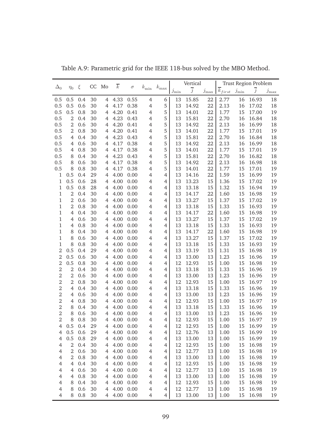|                  |                |         | CC | Mo             | $\overline{k}$ |          |                |                |                 | Vertical       |               |                        |               | <b>Trust Region Problem</b> |               |
|------------------|----------------|---------|----|----------------|----------------|----------|----------------|----------------|-----------------|----------------|---------------|------------------------|---------------|-----------------------------|---------------|
| $\Delta_0$       | $\eta_0$       | ξ       |    |                |                | $\sigma$ | $k_{\min}$     | $k_{\rm max}$  | $\jmath_{\min}$ | $\overline{j}$ | $j_{\rm max}$ | $\overline{k}_{first}$ | $j_{\rm min}$ | $\overline{j}$              | $j_{\rm max}$ |
| 0.5              | 0.5            | 0.4     | 30 | 4              | 4.33           | 0.55     | $\overline{4}$ | 6              | 13              | 15.85          | 22            | 2.77                   | 16            | 16.93                       | 18            |
| 0.5              | 0.5            | 0.6     | 30 | 4              | 4.17           | 0.38     | $\overline{4}$ | 5              | 13              | 14.92          | 22            | 2.13                   | 16            | 17.02                       | 18            |
| 0.5              | 0.5            | 0.8     | 30 | $\overline{4}$ | 4.20           | 0.41     | $\overline{4}$ | 5              | 13              | 14.01          | 22            | 1.77                   | 15            | 17.00                       | 19            |
| 0.5              | $\mathbf{2}$   | 0.4     | 30 | 4              | 4.23           | 0.43     | $\overline{4}$ | 5              | 13              | 15.81          | 22            | 2.70                   | 16            | 16.84                       | 18            |
| 0.5              | $\mathbf{2}$   | 0.6     | 30 | 4              | 4.20           | 0.41     | $\overline{4}$ | 5              | 13              | 14.92          | 22            | 2.13                   | 16            | 16.99                       | 18            |
| 0.5              | $\mathbf{2}$   | 0.8     | 30 | $\overline{4}$ | 4.20           | 0.41     | $\overline{4}$ | 5              | 13              | 14.01          | 22            | 1.77                   | 15            | 17.01                       | 19            |
| 0.5              | 4              | 0.4     | 30 | $\overline{4}$ | 4.23           | 0.43     | $\overline{4}$ | 5              | 13              | 15.81          | 22            | 2.70                   | 16            | 16.84                       | 18            |
| 0.5              | $\overline{4}$ | 0.6     | 30 | $\overline{4}$ | 4.17           | 0.38     | $\overline{4}$ | 5              | 13              | 14.92          | 22            | 2.13                   | 16            | 16.99                       | 18            |
| 0.5              | 4              | 0.8     | 30 | $\overline{4}$ | 4.17           | 0.38     | $\overline{4}$ | 5              | 13              | 14.01          | 22            | 1.77                   | 15            | 17.01                       | 19            |
| 0.5              | 8              | 0.4     | 30 | $\overline{4}$ | 4.23           | 0.43     | $\overline{4}$ | 5              | 13              | 15.81          | 22            | 2.70                   | 16            | 16.82                       | 18            |
| 0.5              | 8              | 0.6     | 30 | $\overline{4}$ | 4.17           | 0.38     | $\overline{4}$ | 5              | 13              | 14.92          | 22            | 2.13                   | 16            | 16.98                       | 18            |
| 0.5              | 8              | $0.8\,$ | 30 | $\overline{4}$ | 4.17           | 0.38     | $\overline{4}$ | 5              | 13              | 14.01          | 22            | 1.77                   | 15            | 17.01                       | 19            |
| $\mathbf 1$      | 0.5            | 0.4     | 29 | $\overline{4}$ | 4.00           | 0.00     | $\overline{4}$ | 4              | 13              | 14.16          | 22            | 1.59                   | 15            | 16.99                       | 19            |
| $\mathbf 1$      | 0.5            | 0.6     | 28 | $\overline{4}$ | 4.00           | 0.00     | $\overline{4}$ | 4              | 13              | 13.23          | 15            | 1.36                   | 15            | 17.02                       | 19            |
| $\mathbf 1$      | 0.5            | 0.8     | 28 | $\overline{4}$ | 4.00           | 0.00     | $\overline{4}$ | 4              | 13              | 13.18          | 15            | 1.32                   | 15            | 16.94                       | 19            |
| $\mathbf 1$      | $\overline{2}$ | 0.4     | 30 | $\overline{4}$ | 4.00           | 0.00     | $\overline{4}$ | 4              | 13              | 14.17          | 22            | 1.60                   | 15            | 16.98                       | 19            |
| $\mathbf 1$      | $\overline{2}$ | 0.6     | 30 | $\overline{4}$ | 4.00           | 0.00     | $\overline{4}$ | 4              | 13              | 13.27          | 15            | 1.37                   | 15            | 17.02                       | 19            |
| $\mathbf 1$      | $\overline{2}$ | 0.8     | 30 | $\overline{4}$ | 4.00           | 0.00     | $\overline{4}$ | 4              | 13              | 13.18          | 15            | 1.33                   | 15            | 16.93                       | 19            |
| $\mathbf 1$      | 4              | 0.4     | 30 | $\overline{4}$ | 4.00           | 0.00     | $\overline{4}$ | 4              | 13              | 14.17          | 22            | 1.60                   | 15            | 16.98                       | 19            |
| $\mathbf 1$      | 4              | 0.6     | 30 | $\overline{4}$ | 4.00           | 0.00     | $\overline{4}$ | 4              | 13              | 13.27          | 15            | 1.37                   | 15            | 17.02                       | 19            |
| $\mathbf 1$      | 4              | 0.8     | 30 | $\overline{4}$ | 4.00           | 0.00     | $\overline{4}$ | 4              | 13              | 13.18          | 15            | 1.33                   | 15            | 16.93                       | 19            |
| $\mathbf 1$      | 8              | 0.4     | 30 | $\overline{4}$ | 4.00           | 0.00     | $\overline{4}$ | 4              | 13              | 14.17          | 22            | 1.60                   | 15            | 16.98                       | 19            |
| $\mathbf 1$      | 8              | 0.6     | 30 | $\overline{4}$ | 4.00           | 0.00     | $\overline{4}$ | 4              | 13              | 13.27          | 15            | 1.37                   | 15            | 17.02                       | 19            |
| $\mathbf 1$      | 8              | 0.8     | 30 | $\overline{4}$ | 4.00           | 0.00     | $\overline{4}$ | 4              | 13              | 13.18          | 15            | 1.33                   | 15            | 16.93                       | 19            |
| $\overline{2}$   | 0.5            | 0.4     | 29 | $\overline{4}$ | 4.00           | 0.00     | $\overline{4}$ | 4              | 13              | 13.19          | 15            | 1.31                   | 15            | 16.98                       | 19            |
| $\overline{2}$   | 0.5            | 0.6     | 30 | $\overline{4}$ | 4.00           | 0.00     | $\overline{4}$ | 4              | 13              | 13.00          | 13            | 1.23                   | 15            | 16.96                       | 19            |
| $\overline{2}$   | 0.5            | 0.8     | 30 | $\overline{4}$ | 4.00           | 0.00     | $\overline{4}$ | 4              | 12              | 12.93          | 15            | 1.00                   | 15            | 16.98                       | 19            |
| $\sqrt{2}$       | 2              | 0.4     | 30 | $\overline{4}$ | 4.00           | 0.00     | $\overline{4}$ | $\overline{4}$ | 13              | 13.18          | 15            | 1.33                   | 15            | 16.96                       | 19            |
| $\overline{2}$   | 2              | 0.6     | 30 | $\overline{4}$ | 4.00           | 0.00     | $\overline{4}$ | $\overline{4}$ | 13              | 13.00          | 13            | 1.23                   | 15            | 16.96                       | 19            |
| $\overline{2}$   | 2              | 0.8     | 30 | $\overline{4}$ | 4.00           | 0.00     | $\overline{4}$ | 4              | 12              | 12.93          | 15            | 1.00                   | 15            | 16.97                       | 19            |
| $\sqrt{2}$       | $\overline{4}$ | 0.4     | 30 | $\overline{4}$ | 4.00           | 0.00     | $\overline{4}$ | 4              | 13              | 13.18          | 15            | 1.33                   | 15            | 16.96                       | 19            |
| $\sqrt{2}$       | 4              | 0.6     | 30 | $\overline{4}$ | 4.00           | 0.00     | $\overline{4}$ | 4              | 13              | 13.00          | 13            | 1.23                   | 15            | 16.96                       | 19            |
| $\sqrt{2}$       | 4              | 0.8     | 30 | $\overline{4}$ | 4.00           | 0.00     | $\overline{4}$ | 4              | 12              | 12.93          | 15            | 1.00                   | 15            | 16.97                       | 19            |
| $\overline{2}$   | 8              | 0.4     | 30 | $\overline{4}$ | 4.00           | 0.00     | $\overline{4}$ | $\overline{4}$ | 13              | 13.18          | 15            | 1.33                   | 15            | 16.96                       | 19            |
| $\overline{c}$   | 8              | 0.6     | 30 | 4              | 4.00           | 0.00     | $\overline{4}$ | 4              | 13              | 13.00          | 13            | 1.23                   | 15            | 16.96                       | 19            |
| $\boldsymbol{2}$ | 8              | 0.8     | 30 | 4              | 4.00           | 0.00     | 4              | 4              | 12              | 12.93          | 15            | 1.00                   | 15            | 16.97                       | 19            |
| $\overline{4}$   | 0.5            | 0.4     | 29 | 4              | 4.00           | 0.00     | $\overline{4}$ | $\overline{4}$ | 12              | 12.93          | 15            | 1.00                   | 15            | 16.99                       | 19            |
| $\overline{4}$   | 0.5            | 0.6     | 29 | 4              | 4.00           | 0.00     | $\overline{4}$ | $\overline{4}$ | 12              | 12.76          | 13            | 1.00                   | 15            | 16.99                       | 19            |
| $\overline{4}$   | 0.5            | 0.8     | 29 | 4              | 4.00           | 0.00     | $\overline{4}$ | $\overline{4}$ | 13              | 13.00          | 13            | 1.00                   | 15            | 16.99                       | 19            |
| $\overline{4}$   | $\mathbf{2}$   | 0.4     | 30 | 4              | 4.00           | 0.00     | $\overline{4}$ | $\overline{4}$ | 12              | 12.93          | 15            | 1.00                   | 15            | 16.98                       | 19            |
| $\overline{4}$   | $\overline{2}$ | 0.6     | 30 | 4              | 4.00           | 0.00     | $\overline{4}$ | $\overline{4}$ | 12              | 12.77          | 13            | 1.00                   | 15            | 16.98                       | 19            |
| $\overline{4}$   | $\mathbf{2}$   | 0.8     | 30 | $\overline{4}$ | 4.00           | 0.00     | $\overline{4}$ | $\overline{4}$ | 13              | 13.00          | 13            | 1.00                   | 15            | 16.98                       | 19            |
| $\overline{4}$   | $\overline{4}$ | 0.4     | 30 | $\overline{4}$ | 4.00           | 0.00     | $\overline{4}$ | $\overline{4}$ | 12              | 12.93          | 15            | 1.00                   | 15            | 16.98                       | 19            |
| $\overline{4}$   | $\overline{4}$ | 0.6     | 30 | $\overline{4}$ | 4.00           | 0.00     | $\overline{4}$ | $\overline{4}$ | 12              | 12.77          | 13            | 1.00                   | 15            | 16.98                       | 19            |
| $\overline{4}$   | 4              | 0.8     | 30 | 4              | 4.00           | 0.00     | $\overline{4}$ | $\overline{4}$ | 13              | 13.00          | 13            | 1.00                   | 15            | 16.98                       | 19            |
| $\overline{4}$   | 8              | 0.4     | 30 | 4              | 4.00           | 0.00     | $\overline{4}$ | $\overline{4}$ | 12              | 12.93          | 15            | 1.00                   | 15            | 16.98                       | 19            |
| $\overline{4}$   | 8              | 0.6     | 30 | 4              | 4.00           | 0.00     | $\overline{4}$ | $\overline{4}$ | 12              | 12.77          | 13            | 1.00                   | 15            | 16.98                       | 19            |
| $\overline{4}$   | 8              | 0.8     | 30 | 4              | 4.00           | 0.00     | $\overline{4}$ | 4              | 13              | 13.00          | 13            | 1.00                   | 15            | 16.98                       | 19            |

Table A.9: Parametric grid for the IEEE 118-bus solved by the MBO Method.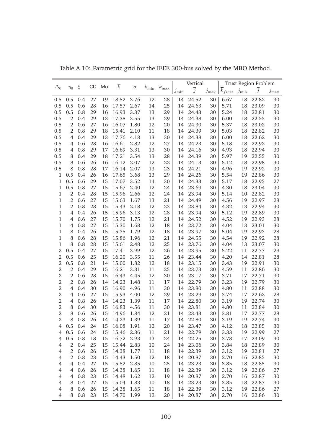|                |                |     | CC | Mo | $\overline{k}$ |          |            |               |            | Vertical       |               |                        |            | <b>Trust Region Problem</b> |               |
|----------------|----------------|-----|----|----|----------------|----------|------------|---------------|------------|----------------|---------------|------------------------|------------|-----------------------------|---------------|
| $\Delta_0$     | $\eta_0$       | ξ   |    |    |                | $\sigma$ | $k_{\min}$ | $k_{\rm max}$ | $j_{\min}$ | $\overline{j}$ | $j_{\rm max}$ | $\overline{k}_{first}$ | $j_{\min}$ | $\overline{j}$              | $j_{\rm max}$ |
| 0.5            | 0.5            | 0.4 | 27 | 19 | 18.52          | 3.76     | 12         | 28            | 14         | 24.52          | 30            | 6.67                   | 18         | 22.82                       | 30            |
| 0.5            | 0.5            | 0.6 | 28 | 16 | 17.57          | 2.67     | 14         | 25            | 14         | 24.63          | 30            | 5.71                   | 18         | 23.09                       | 30            |
| 0.5            | 0.5            | 0.8 | 29 | 16 | 16.93          | 3.37     | 13         | 29            | 14         | 24.43          | 30            | 5.24                   | 18         | 22.81                       | 30            |
| 0.5            | $\mathbf{2}$   | 0.4 | 29 | 13 | 17.38          | 3.55     | 13         | 29            | 14         | 24.38          | 30            | 6.00                   | 18         | 22.55                       | 30            |
| 0.5            | $\mathbf{2}$   | 0.6 | 27 | 16 | 16.07          | 1.80     | 12         | 20            | 14         | 24.30          | 30            | 5.37                   | 18         | 23.02                       | 30            |
| 0.5            | $\mathbf{2}$   | 0.8 | 29 | 18 | 15.41          | 2.10     | 11         | 18            | 14         | 24.39          | 30            | 5.03                   | 18         | 22.82                       | 30            |
| 0.5            | $\overline{4}$ | 0.4 | 29 | 13 | 17.76          | 4.18     | 13         | 30            | 14         | 24.38          | 30            | 6.00                   | 18         | 22.62                       | 30            |
| 0.5            | $\overline{4}$ | 0.6 | 28 | 16 | 16.61          | 2.82     | 12         | 27            | 14         | 24.23          | 30            | 5.18                   | 18         | 22.92                       | 30            |
| 0.5            | $\overline{4}$ | 0.8 | 29 | 17 | 16.69          | 3.31     | 13         | 30            | 14         | 24.16          | 30            | 4.93                   | 18         | 22.94                       | 30            |
| 0.5            | 8              | 0.4 | 29 | 18 | 17.21          | 3.54     | 13         | 28            | 14         | 24.39          | 30            | 5.97                   | 19         | 22.55                       | 30            |
| 0.5            | 8              | 0.6 | 26 | 16 | 16.12          | 2.07     | 12         | 22            | 14         | 24.13          | 30            | 5.12                   | 18         | 22.98                       | 30            |
| 0.5            | 8              | 0.8 | 28 | 17 | 16.14          | 2.07     | 13         | 23            | 14         | 24.21          | 30            | 4.96                   | 19         | 22.92                       | 30            |
| $\mathbf{1}$   | 0.5            | 0.4 | 26 | 16 | 17.65          | 3.68     | 13         | 29            | 14         | 24.26          | 30            | 5.54                   | 19         | 22.86                       | 30            |
| $\mathbf{1}$   | 0.5            | 0.6 | 29 | 15 | 17.07          | 3.52     | 14         | 30            | 14         | 24.33          | 30            | 5.17                   | 18         | 22.95                       | 27            |
| $\mathbf{1}$   | 0.5            | 0.8 | 27 | 15 | 15.67          | 2.40     | 12         | 24            | 14         | 23.69          | 30            | 4.30                   | 18         | 23.04                       | 30            |
| $\mathbf 1$    | $\overline{2}$ | 0.4 | 28 | 15 | 15.96          | 2.66     | 12         | 24            | 14         | 23.94          | 30            | 5.14                   | 10         | 22.82                       | 30            |
| $\,1\,$        | $\overline{2}$ | 0.6 | 27 | 15 | 15.63          | 1.67     | 13         | 21            | 14         | 24.49          | 30            | 4.56                   | 19         | 22.97                       | 28            |
| $\,1$          | $\overline{2}$ | 0.8 | 28 | 15 | 15.43          | 2.18     | 12         | 23            | 14         | 23.84          | 30            | 4.32                   | 13         | 22.94                       | 30            |
| $\,1\,$        | $\overline{4}$ | 0.4 | 26 | 15 | 15.96          | 3.13     | 12         | 28            | 14         | 23.94          | 30            | 5.12                   | 19         | 22.89                       | 30            |
| $\,1\,$        | $\overline{4}$ | 0.6 | 27 | 15 | 15.70          | 1.75     | 12         | 21            | 14         | 24.52          | 30            | 4.52                   | 19         | 22.93                       | 28            |
| $\,1$          | $\overline{4}$ | 0.8 | 27 | 15 | 15.30          | 1.68     | 12         | 18            | 14         | 23.72          | 30            | 4.04                   | 13         | 23.01                       | 30            |
| $\,1\,$        | 8              | 0.4 | 26 | 15 | 15.35          | 1.79     | 12         | 18            | 14         | 23.97          | 30            | 5.04                   | 19         | 22.93                       | 28            |
| $\,1\,$        | 8              | 0.6 | 28 | 15 | 15.86          | 1.96     | 12         | 21            | 14         | 24.55          | 30            | 4.54                   | 19         | 22.92                       | 28            |
| $\,1\,$        | 8              | 0.8 | 28 | 15 | 15.61          | 2.48     | 12         | 25            | 14         | 23.76          | 30            | 4.04                   | 13         | 23.07                       | 30            |
| $\overline{2}$ | 0.5            | 0.4 | 27 | 15 | 17.41          | 3.99     | 12         | 26            | 14         | 23.95          | 30            | 5.22                   | 11         | 22.77                       | 29            |
| $\overline{2}$ | 0.5            | 0.6 | 25 | 15 | 16.20          | 3.55     | 11         | 26            | 14         | 23.44          | 30            | 4.20                   | 14         | 22.81                       | 28            |
| $\overline{2}$ | 0.5            | 0.8 | 21 | 14 | 15.00          | 1.82     | 12         | 18            | 14         | 23.15          | 30            | 3.43                   | 19         | 22.91                       | 30            |
| $\overline{2}$ | $\overline{2}$ | 0.4 | 29 | 15 | 16.21          | 3.31     | 11         | 25            | 14         | 23.73          | 30            | 4.59                   | 11         | 22.86                       | 30            |
| $\overline{2}$ | $\overline{2}$ | 0.6 | 28 | 15 | 16.43          | 4.45     | 12         | 30            | 14         | 23.17          | 30            | 3.71                   | 17         | 22.71                       | 30            |
| $\overline{2}$ | $\overline{2}$ | 0.8 | 26 | 14 | 14.23          | 1.48     | 11         | 17            | 14         | 22.79          | 30            | 3.23                   | 19         | 22.79                       | 30            |
| $\overline{2}$ | $\overline{4}$ | 0.4 | 30 | 15 | 16.90          | 4.96     | 11         | 30            | 14         | 23.80          | 30            | 4.80                   | 11         | 22.88                       | 30            |
| $\overline{2}$ | $\overline{4}$ | 0.6 | 27 | 15 | 15.93          | 4.00     | 12         | 29            | 14         | 23.29          | 30            | 3.74                   | 17         | 22.62                       | 28            |
| $\overline{2}$ | $\overline{4}$ | 0.8 | 26 | 14 | 14.23          | 1.39     | 11         | 17            | 14         | 22.80          | 30            | 3.19                   | 19         | 22.74                       | 30            |
| $\overline{2}$ | 8              | 0.4 | 30 | 15 | 16.83          | 4.56     | 11         | 30            | 14         | 23.81          | 30            | 4.80                   | 11         | 22.84                       | 30            |
| $\overline{2}$ | 8              | 0.6 | 26 | 15 | 14.96          | 1.84     | 12         | 21            | 14         | 23.43          | 30            | 3.81                   | 17         | 22.77                       | 28            |
| $\mathbf{2}$   | 8              | 0.8 | 26 | 14 | 14.23          | 1.39     | 11         | 17            | 14         | 22.80          | 30            | 3.19                   | 19         | 22.74                       | 30            |
| $\overline{4}$ | 0.5            | 0.4 | 24 | 15 | 16.08          | 1.91     | 12         | 20            | 14         | 23.47          | 30            | 4.12                   | 18         | 22.85                       | $30\,$        |
| $\overline{4}$ | 0.5            | 0.6 | 24 | 15 | 15.46          | 2.36     | 11         | 21            | 14         | 22.79          | 30            | 3.33                   | 19         | 22.99                       | 27            |
| $\overline{4}$ | 0.5            | 0.8 | 18 | 15 | 16.72          | 2.93     | 13         | 24            | 14         | 22.25          | 30            | 3.78                   | 17         | 23.09                       | $30\,$        |
| $\overline{4}$ | $\overline{2}$ | 0.4 | 25 | 15 | 15.44          | 2.83     | 10         | 24            | 14         | 23.06          | 30            | 3.84                   | 18         | 22.89                       | $30\,$        |
| $\overline{4}$ | $\overline{2}$ | 0.6 | 26 | 15 | 14.38          | 1.77     | 11         | 18            | 14         | 22.39          | 30            | 3.12                   | 19         | 22.81                       | 27            |
| $\overline{4}$ | $\overline{2}$ | 0.8 | 23 | 15 | 14.43          | 1.50     | 12         | 18            | 14         | 20.87          | 30            | 2.70                   | 16         | 22.85                       | $30\,$        |
| $\overline{4}$ | $\overline{4}$ | 0.4 | 27 | 15 | 15.52          | 2.85     | 10         | 25            | 14         | 23.23          | 30            | 3.85                   | 18         | 22.85                       | $30\,$        |
| $\overline{4}$ | $\overline{4}$ | 0.6 | 26 | 15 | 14.38          | 1.65     | 11         | 18            | 14         | 22.39          | 30            | 3.12                   | 19         | 22.86                       | 27            |
| $\overline{4}$ | 4              | 0.8 | 23 | 15 | 14.48          | 1.62     | 12         | 19            | 14         | 20.87          | 30            | 2.70                   | 16         | 22.87                       | $30\,$        |
| $\overline{4}$ | 8              | 0.4 | 27 | 15 | 15.04          | 1.83     | 10         | 18            | 14         | 23.23          | 30            | 3.85                   | 18         | 22.87                       | $30\,$        |
| $\overline{4}$ | 8              | 0.6 | 26 | 15 | 14.38          | 1.65     | 11         | 18            | 14         | 22.39          | 30            | 3.12                   | 19         | 22.86                       | 27            |
| $\overline{4}$ | 8              | 0.8 | 23 | 15 | 14.70          | 1.99     | 12         | 20            |            | 14 20.87       | 30            | 2.70                   |            | 16 22.86                    | 30            |

Table A.10: Parametric grid for the IEEE 300-bus solved by the MBO Method.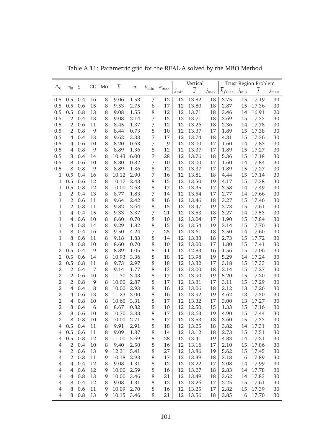|                  |                |     | CC | Mo | $\overline{k}$ |          |                |               |            | Vertical       |               |                        |            | <b>Trust Region Problem</b> |               |
|------------------|----------------|-----|----|----|----------------|----------|----------------|---------------|------------|----------------|---------------|------------------------|------------|-----------------------------|---------------|
| $\Delta_0$       | $\eta_0$       | ξ   |    |    |                | $\sigma$ | $k_{\rm min}$  | $k_{\rm max}$ | $j_{\min}$ | $\overline{j}$ | $j_{\rm max}$ | $\overline{k}_{first}$ | $j_{\min}$ | $\overline{j}$              | $j_{\rm max}$ |
| 0.5              | 0.5            | 0.4 | 16 | 8  | 9.06           | 1.53     | 7              | 12            | 12         | 13.82          | 18            | 3.75                   | 15         | 17.19                       | 30            |
| 0.5              | 0.5            | 0.6 | 15 | 8  | 9.53           | 2.75     | 6              | 17            | 12         | 13.80          | 18            | 2.87                   | 15         | 17.36                       | 30            |
| 0.5              | 0.5            | 0.8 | 13 | 8  | 9.08           | 1.55     | 8              | 12            | 12         | 13.71          | 18            | 3.46                   | 14         | 16.91                       | 20            |
| 0.5              | $\overline{2}$ | 0.4 | 13 | 8  | 9.08           | 2.14     | 7              | 15            | 12         | 13.71          | 18            | 3.69                   | 15         | 17.33                       | 30            |
| 0.5              | $\overline{2}$ | 0.6 | 11 | 8  | 8.45           | 1.37     | 7              | 12            | 12         | 13.26          | 18            | 2.36                   | 14         | 17.78                       | 30            |
| 0.5              | $\overline{2}$ | 0.8 | 9  | 8  | 8.44           | 0.73     | 8              | 10            | 12         | 13.37          | 17            | 1.89                   | 15         | 17.38                       | 30            |
| 0.5              | $\overline{4}$ | 0.4 | 13 | 8  | 9.62           | 3.33     | 7              | 17            | 12         | 13.74          | 18            | 4.31                   | 15         | 17.36                       | 30            |
| 0.5              | 4              | 0.6 | 10 | 8  | 8.20           | 0.63     | 7              | 9             | 12         | 13.00          | 17            | 1.60                   | 14         | 17.83                       | 30            |
| 0.5              | 4              | 0.8 | 9  | 8  | 8.89           | 1.36     | 8              | 12            | 12         | 13.37          | 17            | 1.89                   | 15         | 17.27                       | 30            |
| 0.5              | 8              | 0.4 | 14 | 8  | 10.43          | 6.00     | 7              | 28            | 12         | 13.76          | 18            | 5.36                   | 15         | 17.18                       | 30            |
| 0.5              | 8              | 0.6 | 10 | 8  | 8.30           | 0.82     | 7              | 10            | 12         | 13.00          | 17            | 1.60                   | 14         | 17.84                       | 30            |
| $0.5\,$          | 8              | 0.8 | 9  | 8  | 8.89           | 1.36     | 8              | 12            | 12         | 13.37          | 17            | 1.89                   | 15         | 17.27                       | 30            |
| 1                | 0.5            | 0.4 | 16 | 8  | 10.12          | 2.90     | 7              | 16            | 12         | 13.81          | 18            | 4.44                   | 15         | 17.14                       | 30            |
| $\mathbf 1$      | 0.5            | 0.6 | 12 | 8  | 10.17          | 2.48     | 8              | 15            | 12         | 13.50          | 19            | 4.17                   | 15         | 17.38                       | 30            |
| $\mathbf{1}$     | 0.5            | 0.8 | 12 | 8  | 10.00          | 2.63     | 8              | 17            | 12         | 13.35          | 17            | 3.58                   | 14         | 17.49                       | 30            |
| $\mathbf 1$      | 2              | 0.4 | 13 | 8  | 8.77           | 1.83     | 7              | 14            | 12         | 13.54          | 17            | 2.77                   | 14         | 17.66                       | 30            |
| $1\,$            | $\overline{2}$ | 0.6 | 11 | 8  | 9.64           | 2.42     | 8              | 16            | 12         | 13.46          | 18            | 3.27                   | 15         | 17.46                       | 30            |
| $1\,$            | $\overline{2}$ | 0.8 | 11 | 8  | 9.82           | 2.64     | 8              | 15            | 12         | 13.47          | 19            | 3.73                   | 15         | 17.61                       | 30            |
| $\mathbf 1$      | $\overline{4}$ | 0.4 | 15 | 8  | 9.33           | 3.37     | $\overline{7}$ | 21            | 12         | 13.53          | 18            | 3.27                   | 14         | 17.53                       | $30\,$        |
| $\mathbf 1$      | $\overline{4}$ | 0.6 | 10 | 8  | 8.60           | 0.70     | 8              | 10            | 12         | 13.04          | 17            | 1.90                   | 15         | 17.84                       | $30\,$        |
| $\mathbf 1$      | $\overline{4}$ | 0.8 | 14 | 8  | 9.29           | 1.82     | 8              | 15            | 12         | 13.54          | 19            | 3.14                   | 15         | 17.70                       | 30            |
| $\mathbf 1$      | 8              | 0.4 | 16 | 8  | 9.50           | 4.24     | $\overline{7}$ | 25            | 12         | 13.61          | 18            | 3.50                   | 14         | 17.60                       | $30\,$        |
| $\mathbf 1$      | 8              | 0.6 | 11 | 8  | 9.18           | 1.83     | 8              | 14            | 12         | 13.33          | 18            | 2.73                   | 15         | 17.72                       | $30\,$        |
| $\mathbf 1$      | 8              | 0.8 | 10 | 8  | 8.60           | 0.70     | 8              | 10            | 12         | 13.00          | 17            | 1.80                   | 15         | 17.41                       | 30            |
| $\overline{2}$   | 0.5            | 0.4 | 9  | 8  | 8.89           | 1.05     | 8              | 11            | 12         | 12.83          | 16            | 1.56                   | 15         | 17.06                       | 30            |
| $\overline{2}$   | 0.5            | 0.6 | 14 | 8  | 10.93          | 3.36     | 8              | 18            | 12         | 13.98          | 19            | 5.29                   | 14         | 17.24                       | 30            |
| $\overline{2}$   | 0.5            | 0.8 | 11 | 8  | 9.73           | 2.97     | 8              | 18            | 12         | 13.32          | 17            | 3.18                   | 15         | 17.33                       | $30\,$        |
| $\overline{2}$   | $\overline{2}$ | 0.4 | 7  | 8  | 9.14           | 1.77     | 8              | 13            | 12         | 13.00          | 18            | 2.14                   | 15         | 17.27                       | $30\,$        |
| $\overline{2}$   | $\overline{2}$ | 0.6 | 10 | 8  | 11.30          | 3.43     | 8              | 17            | 12         | 13.90          | 19            | 5.20                   | 15         | 17.20                       | $30\,$        |
| $\overline{2}$   | $\overline{2}$ | 0.8 | 9  | 8  | 10.00          | 2.87     | 8              | 17            | 12         | 13.31          | 17            | 3.11                   | 15         | 17.29                       | $30\,$        |
| $\overline{2}$   | $\overline{4}$ | 0.4 | 8  | 8  | 10.00          | 2.93     | 8              | 16            | 12         | 13.06          | 18            | 2.12                   | 13         | 17.26                       | $30\,$        |
| $\overline{2}$   | $\overline{4}$ | 0.6 | 13 | 8  | 11.23          | 3.00     | 8              | 16            | 12         | 13.92          | 19            | 4.62                   | 13         | 17.50                       | $30\,$        |
| $\overline{2}$   | $\overline{4}$ | 0.8 | 10 | 8  | 10.60          | 3.31     | 8              | 17            | 12         | 13.32          | 17            | 3.00                   | 13         | 17.27                       | $30\,$        |
| $\overline{2}$   | 8              | 0.4 | 6  | 8  | 8.67           | 0.82     | 8              | 10            | 12         | 12.50          | 15            | 1.33                   | 15         | 17.16                       | 30            |
| $\overline{2}$   | 8              | 0.6 | 10 | 8  | 10.70          | 3.33     | 8              | 17            | 12         | 13.63          | 19            | 4.90                   | 15         | 17.44                       | 30            |
| $\boldsymbol{2}$ | 8              | 0.8 | 10 | 8  | 10.00          | 2.71     | 8              | 17            | 12         | 13.53          | 18            | 3.60                   | 15         | 17.33                       | 30            |
| $\overline{4}$   | 0.5            | 0.4 | 11 | 8  | 9.91           | 2.91     | 8              | 18            | 12         | 13.25          | 18            | 3.82                   | 14         | 17.31                       | $30\,$        |
| $\overline{4}$   | $0.5\,$        | 0.6 | 11 | 8  | 9.09           | 1.87     | 8              | 14            | 12         | 13.12          | 18            | 2.73                   | 15         | 17.51                       | $30\,$        |
| $\overline{4}$   | 0.5            | 0.8 | 12 | 8  | 11.00          | 5.69     | 8              | 28            | 12         | 13.41          | 19            | 4.83                   | 14         | 17.21                       | $30\,$        |
| $\overline{4}$   | $\overline{2}$ | 0.4 | 10 | 8  | 9.40           | 2.50     | 8              | 16            | 12         | 13.16          | 17            | 2.10                   | 15         | 17.86                       | $30\,$        |
| $\overline{4}$   | $\overline{2}$ | 0.6 | 13 | 9  | 12.31          | 5.41     | 8              | 27            | 12         | 13.86          | 19            | 5.62                   | 15         | 17.45                       | $30\,$        |
| $\overline{4}$   | $\overline{2}$ | 0.8 | 11 | 9  | 10.18          | 2.93     | 8              | 17            | 12         | 13.39          | 18            | 3.18                   | 6          | 17.89                       | $30\,$        |
| $\overline{4}$   | $\overline{4}$ | 0.4 | 12 | 8  | 9.08           | 1.31     | 8              | 12            | 12         | 13.22          | 17            | 2.08                   | 14         | 17.99                       | $30\,$        |
| $\overline{4}$   | $\overline{4}$ | 0.6 | 12 | 9  | 10.00          | 2.59     | 8              | 16            | 12         | 13.27          | 18            | 2.83                   | 14         | 17.78                       | $30\,$        |
| $\overline{4}$   | 4              | 0.8 | 13 | 9  | 10.00          | 3.46     | 8              | 21            | 12         | 13.49          | 18            | 3.62                   | 14         | 17.83                       | $30\,$        |
| $\overline{4}$   | 8              | 0.4 | 12 | 8  | 9.08           | 1.31     | 8              | 12            | 12         | 13.26          | 17            | 2.25                   | 15         | 17.61                       | $30\,$        |
| $\overline{4}$   | 8              | 0.6 | 11 | 9  | 10.09          | 2.70     | 8              | 16            | 12         | 13.25          | 17            | 2.82                   | 15         | 17.39                       | 30            |
| $\overline{4}$   | 8              | 0.8 | 13 | 9  | 10.15          | 3.46     | 8              | 21            | 12         | 13.56          | 18            | 3.85                   |            | 6 17.70                     | 30            |

Table A.11: Parametric grid for the REAL-A solved by the MBO Method.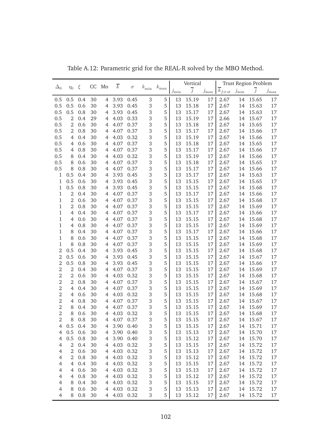|                |                |         |    | Mo               | $\overline{k}$ |           |               |               |            | Vertical       |               |                        |            | Trust Region Problem |               |
|----------------|----------------|---------|----|------------------|----------------|-----------|---------------|---------------|------------|----------------|---------------|------------------------|------------|----------------------|---------------|
| $\Delta_0$     | $\eta_0$       | ξ       | CC |                  |                | $\sigma$  | $k_{\rm min}$ | $k_{\rm max}$ | $j_{\min}$ | $\overline{j}$ | $j_{\rm max}$ | $\overline{k}_{first}$ | $j_{\min}$ | $\overline{j}$       | $j_{\rm max}$ |
| 0.5            | 0.5            | 0.4     | 30 | 4                | 3.93           | 0.45      | $\,3$         | 5             | 13         | 15.19          | 17            | 2.67                   | 14         | 15.65                | 17            |
| 0.5            | 0.5            | 0.6     | 30 | $\overline{4}$   | 3.93           | 0.45      | 3             | 5             | 13         | 15.18          | 17            | 2.67                   | 14         | 15.63                | 17            |
| 0.5            | 0.5            | 0.8     | 30 | $\overline{4}$   | 3.93           | 0.45      | 3             | 5             | 13         | 15.17          | 17            | 2.67                   | 14         | 15.63                | 17            |
| 0.5            | $\overline{2}$ | 0.4     | 29 | $\overline{4}$   | 4.03           | 0.33      | 3             | 5             | 13         | 15.19          | 17            | 2.66                   | 14         | 15.67                | 17            |
| 0.5            | $\overline{2}$ | 0.6     | 30 | $\overline{4}$   | 4.07           | 0.37      | 3             | 5             | 13         | 15.18          | 17            | 2.67                   | 14         | 15.65                | 17            |
| 0.5            | $\overline{2}$ | $0.8\,$ | 30 | $\overline{4}$   | 4.07           | 0.37      | 3             | 5             | 13         | 15.17          | 17            | 2.67                   | 14         | 15.66                | 17            |
| 0.5            | $\overline{4}$ | 0.4     | 30 | $\overline{4}$   | 4.03           | 0.32      | 3             | 5             | 13         | 15.19          | 17            | 2.67                   | 14         | 15.66                | 17            |
| 0.5            | $\overline{4}$ | 0.6     | 30 | $\overline{4}$   | 4.07           | 0.37      | 3             | 5             | 13         | 15.18          | 17            | 2.67                   | 14         | 15.65                | 17            |
| 0.5            | $\overline{4}$ | 0.8     | 30 | $\overline{4}$   | 4.07           | 0.37      | 3             | 5             | 13         | 15.17          | 17            | 2.67                   | 14         | 15.66                | 17            |
| 0.5            | 8              | 0.4     | 30 | $\overline{4}$   | 4.03           | 0.32      | 3             | 5             | 13         | 15.19          | 17            | 2.67                   | 14         | 15.66                | 17            |
| 0.5            | 8              | 0.6     | 30 | $\overline{4}$   | 4.07           | 0.37      | 3             | 5             | 13         | 15.18          | 17            | 2.67                   | 14         | 15.65                | 17            |
| 0.5            | 8              | 0.8     | 30 | $\overline{4}$   | 4.07           | 0.37      | 3             | 5             | 13         | 15.17          | 17            | 2.67                   | 14         | 15.66                | 17            |
| 1              | 0.5            | 0.4     | 30 | $\overline{4}$   | 3.93           | 0.45      | 3             | 5             | 13         | 15.17          | 17            | 2.67                   | 14         | 15.63                | 17            |
| $\mathbf 1$    | 0.5            | 0.6     | 30 | $\overline{4}$   | 3.93           | 0.45      | 3             | 5             | 13         | 15.15          | 17            | 2.67                   | 14         | 15.65                | 17            |
| $\mathbf 1$    | 0.5            | 0.8     | 30 | $\overline{4}$   | 3.93           | 0.45      | 3             | 5             | 13         | 15.15          | 17            | 2.67                   | 14         | 15.68                | 17            |
| $\mathbf 1$    | $\overline{2}$ | 0.4     | 30 | $\overline{4}$   | 4.07           | 0.37      | 3             | 5             | 13         | 15.17          | 17            | 2.67                   | 14         | 15.66                | 17            |
| $\mathbf 1$    | $\overline{2}$ | 0.6     | 30 | $\overline{4}$   | 4.07           | 0.37      | 3             | 5             | 13         | 15.15          | 17            | 2.67                   | 14         | 15.68                | 17            |
| $\mathbf 1$    | $\overline{2}$ | 0.8     | 30 | $\overline{4}$   | 4.07           | 0.37      | 3             | 5             | 13         | 15.15          | 17            | 2.67                   | 14         | 15.69                | 17            |
| 1              | $\overline{4}$ | 0.4     | 30 | $\overline{4}$   | 4.07           | 0.37      | 3             | 5             | 13         | 15.17          | 17            | 2.67                   | 14         | 15.66                | 17            |
| 1              | $\overline{4}$ | 0.6     | 30 | $\overline{4}$   | 4.07           | 0.37      | 3             | 5             | 13         | 15.15          | 17            | 2.67                   | 14         | 15.68                | 17            |
| 1              | $\overline{4}$ | 0.8     | 30 | $\overline{4}$   | 4.07           | 0.37      | 3             | 5             | 13         | 15.15          | 17            | 2.67                   | 14         | 15.69                | 17            |
| $\mathbf 1$    | $\,8\,$        | 0.4     | 30 | $\overline{4}$   | 4.07           | 0.37      | 3             | 5             | 13         | 15.17          | 17            | 2.67                   | 14         | 15.66                | 17            |
| $\mathbf 1$    | 8              | 0.6     | 30 | $\overline{4}$   | 4.07           | 0.37      | 3             | 5             | 13         | 15.15          | 17            | 2.67                   | 14         | 15.68                | 17            |
| 1              | 8              | 0.8     | 30 | $\overline{4}$   | 4.07           | 0.37      | 3             | 5             | 13         | 15.15          | 17            | 2.67                   | 14         | 15.69                | 17            |
| $\overline{2}$ | 0.5            | 0.4     | 30 | $\overline{4}$   | 3.93           | 0.45      | 3             | 5             | 13         | 15.15          | 17            | 2.67                   | 14         | 15.68                | 17            |
| $\overline{2}$ | 0.5            | 0.6     | 30 | $\overline{4}$   | 3.93           | 0.45      | 3             | 5             | 13         | 15.15          | 17            | 2.67                   | 14         | 15.67                | 17            |
| $\overline{2}$ | 0.5            | 0.8     | 30 | $\overline{4}$   | 3.93           | 0.45      | 3             | 5             | 13         | 15.15          | 17            | 2.67                   | 14         | 15.66                | 17            |
| $\overline{2}$ | $\overline{2}$ | 0.4     | 30 | $\overline{4}$   | 4.07           | 0.37      | 3             | 5             | 13         | 15.15          | 17            | 2.67                   | 14         | 15.69                | 17            |
| $\overline{2}$ | $\overline{2}$ | 0.6     | 30 | $\overline{4}$   | 4.03           | 0.32      | 3             | 5             | 13         | 15.15          | 17            | 2.67                   | 14         | 15.68                | 17            |
| $\overline{2}$ | $\overline{2}$ | 0.8     | 30 | $\overline{4}$   | 4.07           | 0.37      | 3             | 5             | 13         | 15.15          | 17            | 2.67                   | 14         | 15.67                | 17            |
| $\overline{2}$ | $\overline{4}$ | 0.4     | 30 | $\overline{4}$   | 4.07           | 0.37      | 3             | 5             | 13         | 15.15          | 17            | 2.67                   | 14         | 15.69                | 17            |
| $\overline{2}$ | $\overline{4}$ | 0.6     | 30 | $\overline{4}$   | 4.03           | 0.32      | 3             | 5             | 13         | 15.15          | 17            | 2.67                   | 14         | 15.68                | 17            |
| $\overline{2}$ | $\overline{4}$ | 0.8     | 30 | $\overline{4}$   | 4.07           | 0.37      | 3             | 5             | 13         | 15.15          | 17            | 2.67                   | 14         | 15.67                | 17            |
| $\overline{2}$ | 8              | 0.4     | 30 | $\overline{4}$   | 4.07           | 0.37      | 3             | 5             | 13         | 15.15          | 17            | 2.67                   | 14         | 15.69                | 17            |
| $\overline{2}$ | 8              | 0.6     | 30 | $\overline{4}$   | 4.03           | 0.32      | 3             | 5             | 13         | 15.15          | 17            | 2.67                   | 14         | 15.68                | 17            |
| $\sqrt{2}$     | 8              | 0.8     | 30 | 4                | 4.07 0.37      |           | $\,3$         | 5             | 13         | 15.15          | 17            | 2.67                   |            | 14 15.67             | 17            |
| $\overline{4}$ | 0.5            | 0.4     | 30 | 4                | 3.90           | 0.40      | $\,3$         | 5             | 13         | 15.15          | 17            | 2.67                   | 14         | 15.71                | 17            |
| 4              | 0.5            | 0.6     | 30 | 4                | 3.90 0.40      |           | $\,3$         | 5             | 13         | 15.13          | 17            | 2.67                   | 14         | 15.70                | 17            |
| 4              | 0.5            | 0.8     | 30 | 4                |                | 3.90 0.40 | $\,3$         | 5             | 13         | 15.12          | 17            | 2.67                   |            | 14 15.70             | 17            |
| $\overline{4}$ | $\overline{2}$ | 0.4     | 30 | $\overline{4}$   | 4.03           | 0.32      | $\,3$         | 5             | 13         | 15.15          | 17            | 2.67                   | 14         | 15.72                | 17            |
| $\overline{4}$ | $\overline{2}$ | 0.6     | 30 | $\overline{4}$   | 4.03           | 0.32      | $\,3$         | 5             | 13         | 15.13          | 17            | 2.67                   | 14         | 15.72                | 17            |
| $\overline{4}$ | $\overline{2}$ | 0.8     | 30 | $\overline{4}$   | 4.03           | 0.32      | $\,3$         | 5             | 13         | 15.12          | 17            | 2.67                   | 14         | 15.72                | 17            |
| $\overline{4}$ | $\overline{4}$ | 0.4     | 30 | $\overline{4}$   | 4.03           | 0.32      | $\,3$         | 5             | 13         | 15.15          | 17            | 2.67                   | 14         | 15.72                | 17            |
| $\overline{4}$ | $\overline{4}$ | 0.6     | 30 | 4                | 4.03           | 0.32      | $\,3$         | 5             | 13         | 15.13          | 17            | 2.67                   | 14         | 15.72                | 17            |
| $\overline{4}$ | $\overline{4}$ | 0.8     | 30 | 4                | 4.03           | 0.32      | $\,3$         | 5             | 13         | 15.12          | 17            | 2.67                   | 14         | 15.72                | 17            |
| $\overline{4}$ | 8              | 0.4     | 30 | 4                | 4.03           | 0.32      | $\,3$         | 5             | 13         | 15.15          | 17            | 2.67                   | 14         | 15.72                | 17            |
| $\overline{4}$ | 8              | 0.6     | 30 | $\overline{4}$   | 4.03           | 0.32      | $\,3$         | 5             | 13         | 15.13          | 17            | 2.67                   | 14         | 15.72                | 17            |
| $\overline{4}$ | 8              | 0.8     | 30 | $4 \overline{ }$ | 4.03 0.32      |           | 3             | 5             | 13         | 15.12          | 17            | 2.67                   |            | 14 15.72             | 17            |
|                |                |         |    |                  |                |           |               |               |            |                |               |                        |            |                      |               |

Table A.12: Parametric grid for the REAL-R solved by the MBO Method.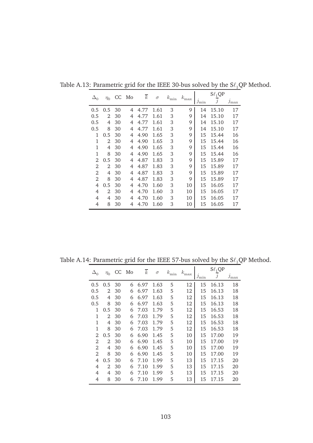|                |                |    | CC Mo | $\overline{k}$ | $\sigma$ |               |               |                    | $S\ell_1QP$    |                    |
|----------------|----------------|----|-------|----------------|----------|---------------|---------------|--------------------|----------------|--------------------|
|                | $\eta_0$       |    |       |                |          | $k_{\rm min}$ | $k_{\rm max}$ | $\jmath_{\rm min}$ | $\overline{i}$ | $\jmath_{\rm max}$ |
| 0.5            | 0.5            | 30 | 4     | 4.77           | 1.61     | 3             | 9             | 14                 | 15.10          | 17                 |
| 0.5            | 2              | 30 | 4     | 4.77           | 1.61     | 3             | 9             | 14                 | 15.10          | 17                 |
| 0.5            | 4              | 30 | 4     | 4.77           | 1.61     | 3             | 9             | 14                 | 15.10          | 17                 |
| 0.5            | 8              | 30 | 4     | 4.77           | 1.61     | 3             | 9             | 14                 | 15.10          | 17                 |
| 1              | 0.5            | 30 | 4     | 4.90           | 1.65     | 3             | 9             | 15                 | 15.44          | 16                 |
| 1              | $\mathfrak{D}$ | 30 | 4     | 4.90           | 1.65     | 3             | 9             | 15                 | 15.44          | 16                 |
| 1              | 4              | 30 | 4     | 4.90           | 1.65     | 3             | 9             | 15                 | 15.44          | 16                 |
| 1              | 8              | 30 | 4     | 4.90           | 1.65     | 3             | 9             | 15                 | 15.44          | 16                 |
| 2              | 0.5            | 30 | 4     | 4.87           | 1.83     | 3             | 9             | 15                 | 15.89          | 17                 |
| 2              | $\mathfrak{D}$ | 30 | 4     | 4.87           | 1.83     | 3             | 9             | 15                 | 15.89          | 17                 |
| 2              | 4              | 30 | 4     | 4.87           | 1.83     | 3             | 9             | 15                 | 15.89          | 17                 |
| 2              | 8              | 30 | 4     | 4.87           | 1.83     | 3             | 9             | 15                 | 15.89          | 17                 |
| 4              | 0.5            | 30 | 4     | 4.70           | 1.60     | 3             | 10            | 15                 | 16.05          | 17                 |
| $\overline{4}$ | 2              | 30 | 4     | 4.70           | 1.60     | 3             | 10            | 15                 | 16.05          | 17                 |
| 4              | 4              | 30 | 4     | 4.70           | 1.60     | 3             | 10            | 15                 | 16.05          | 17                 |
| 4              | 8              | 30 | 4     | 4.70           | 1.60     | 3             | 10            | 15                 | 16.05          | 17                 |

Table A.13: Parametric grid for the IEEE 30-bus solved by the  $S\ell_1QP$  Method.

Table A.14: Parametric grid for the IEEE 57-bus solved by the  $S\ell_1\text{QP}$  Method.

|            |          |    | CC Mo | $\overline{k}$ | $\sigma$ |               |               |                    | $S\ell_1QP$    |                    |
|------------|----------|----|-------|----------------|----------|---------------|---------------|--------------------|----------------|--------------------|
| $\Delta_0$ | $\eta_0$ |    |       |                |          | $k_{\rm min}$ | $k_{\rm max}$ | $\jmath_{\rm min}$ | $\overline{j}$ | $\jmath_{\rm max}$ |
| 0.5        | 0.5      | 30 | 6     | 6.97           | 1.63     | 5             | 12            | 15                 | 16.13          | 18                 |
| 0.5        | 2        | 30 | 6     | 6.97           | 1.63     | 5             | 12            | 15                 | 16.13          | 18                 |
| 0.5        | 4        | 30 | 6     | 6.97           | 1.63     | 5             | 12            | 15                 | 16.13          | 18                 |
| 0.5        | 8        | 30 | 6     | 6.97           | 1.63     | 5             | 12            | 15                 | 16.13          | 18                 |
| 1          | 0.5      | 30 | 6     | 7.03           | 1.79     | 5             | 12            | 15                 | 16.53          | 18                 |
| 1          | 2        | 30 | 6     | 7.03           | 1.79     | 5             | 12            | 15                 | 16.53          | 18                 |
| 1          | 4        | 30 | 6     | 7.03           | 1.79     | 5             | 12            | 15                 | 16.53          | 18                 |
| 1          | 8        | 30 | 6     | 7.03           | 1.79     | 5             | 12            | 15                 | 16.53          | 18                 |
| 2          | 0.5      | 30 | 6     | 6.90           | 1.45     | 5             | 10            | 15                 | 17.00          | 19                 |
| 2          | 2        | 30 | 6     | 6.90           | 1.45     | 5             | 10            | 15                 | 17.00          | 19                 |
| 2          | 4        | 30 | 6     | 6.90           | 1.45     | 5             | 10            | 15                 | 17.00          | 19                 |
| 2          | 8        | 30 | 6     | 6.90           | 1.45     | 5             | 10            | 15                 | 17.00          | 19                 |
| 4          | 0.5      | 30 | 6     | 7.10           | 1.99     | 5             | 13            | 15                 | 17.15          | 20                 |
| 4          | 2        | 30 | 6     | 7.10           | 1.99     | 5             | 13            | 15                 | 17.15          | 20                 |
| 4          | 4        | 30 | 6     | 7.10           | 1.99     | 5             | 13            | 15                 | 17.15          | 20                 |
| 4          | 8        | 30 | 6     | 7.10           | 1.99     | 5             | 13            | 15                 | 17.15          | 20                 |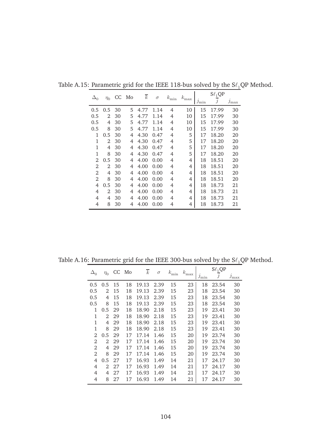|            |          |    | CC Mo | $\overline{k}$<br>$\sigma$ |      |               | $S\ell_1QP$   |                    |                |               |
|------------|----------|----|-------|----------------------------|------|---------------|---------------|--------------------|----------------|---------------|
| $\Delta_0$ | $\eta_0$ |    |       |                            |      | $k_{\rm min}$ | $k_{\rm max}$ | $\jmath_{\rm min}$ | $\overline{j}$ | $j_{\rm max}$ |
| 0.5        | 0.5      | 30 | 5     | 4.77                       | 1.14 | 4             | 10            | 15                 | 17.99          | 30            |
| 0.5        | 2        | 30 | 5     | 4.77                       | 1.14 | 4             | 10            | 15                 | 17.99          | 30            |
| 0.5        | 4        | 30 | 5     | 4.77                       | 1.14 | 4             | 10            | 15                 | 17.99          | 30            |
| 0.5        | 8        | 30 | 5     | 4.77                       | 1.14 | 4             | 10            | 15                 | 17.99          | 30            |
| 1          | 0.5      | 30 | 4     | 4.30                       | 0.47 | 4             | 5             | 17                 | 18.20          | 20            |
| 1          | 2        | 30 | 4     | 4.30                       | 0.47 | 4             | 5             | 17                 | 18.20          | 20            |
| 1          | 4        | 30 | 4     | 4.30                       | 0.47 | 4             | 5             | 17                 | 18.20          | 20            |
| 1          | 8        | 30 | 4     | 4.30                       | 0.47 | 4             | 5             | 17                 | 18.20          | 20            |
| 2          | 0.5      | 30 | 4     | 4.00                       | 0.00 | 4             | 4             | 18                 | 18.51          | 20            |
| 2          | 2        | 30 | 4     | 4.00                       | 0.00 | 4             | 4             | 18                 | 18.51          | 20            |
| 2          | 4        | 30 | 4     | 4.00                       | 0.00 | 4             | 4             | 18                 | 18.51          | 20            |
| 2          | 8        | 30 | 4     | 4.00                       | 0.00 | 4             | 4             | 18                 | 18.51          | 20            |
| 4          | 0.5      | 30 | 4     | 4.00                       | 0.00 | 4             | 4             | 18                 | 18.73          | 21            |
| 4          | 2        | 30 | 4     | 4.00                       | 0.00 | 4             | 4             | 18                 | 18.73          | 21            |
| 4          | 4        | 30 | 4     | 4.00                       | 0.00 | 4             | 4             | 18                 | 18.73          | 21            |
| 4          | 8        | 30 | 4     | 4.00                       | 0.00 | 4             | 4             | 18                 | 18.73          | 21            |

Table A.15: Parametric grid for the IEEE 118-bus solved by the  $S\ell_1QP$  Method.

Table A.16: Parametric grid for the IEEE 300-bus solved by the  $S\ell_1QP$  Method.

| $\Delta_0$ | $\eta_0$       |    | CC Mo | $\overline{k}$ | $\sigma$ | $k_{\rm min}$ | $k_{\rm max}$ | $\jmath_{\rm min}$ | $S\ell_1QP$<br>$\overline{j}$ | $\jmath_{\rm max}$ |
|------------|----------------|----|-------|----------------|----------|---------------|---------------|--------------------|-------------------------------|--------------------|
| 0.5        | 0.5            | 15 | 18    | 19.13          | 2.39     | 15            | 23            | 18                 | 23.54                         | 30                 |
| 0.5        | 2              | 15 | 18    | 19.13          | 2.39     | 15            | 23            | 18                 | 23.54                         | 30                 |
| 0.5        | 4              | 15 | 18    | 19.13          | 2.39     | 15            | 23            | 18                 | 23.54                         | 30                 |
| 0.5        | 8              | 15 | 18    | 19.13          | 2.39     | 15            | 23            | 18                 | 23.54                         | 30                 |
| 1          | 0.5            | 29 | 18    | 18.90          | 2.18     | 15            | 23            | 19                 | 23.41                         | 30                 |
| 1          | $\mathfrak{D}$ | 29 | 18    | 18.90          | 2.18     | 15            | 23            | 19                 | 23.41                         | 30                 |
| 1          | 4              | 29 | 18    | 18.90          | 2.18     | 15            | 23            | 19                 | 23.41                         | 30                 |
| 1          | 8              | 29 | 18    | 18.90          | 2.18     | 15            | 23            | 19                 | 23.41                         | 30                 |
| 2          | 0.5            | 29 | 17    | 17.14          | 1.46     | 15            | 20            | 19                 | 23.74                         | 30                 |
| 2          | 2              | 29 | 17    | 17.14          | 1.46     | 15            | 20            | 19                 | 23.74                         | 30                 |
| 2          | 4              | 29 | 17    | 17.14          | 1.46     | 15            | 20            | 19                 | 23.74                         | 30                 |
| 2          | 8              | 29 | 17    | 17.14          | 1.46     | 15            | 20            | 19                 | 23.74                         | 30                 |
| 4          | 0.5            | 27 | 17    | 16.93          | 1.49     | 14            | 21            | 17                 | 24.17                         | 30                 |
| 4          | 2              | 27 | 17    | 16.93          | 1.49     | 14            | 21            | 17                 | 24.17                         | 30                 |
| 4          | 4              | 27 | 17    | 16.93          | 1.49     | 14            | 21            | 17                 | 24.17                         | 30                 |
| 4          | 8              | 27 | 17    | 16.93          | 1.49     | 14            | 21            | 17                 | 24.17                         | 30                 |